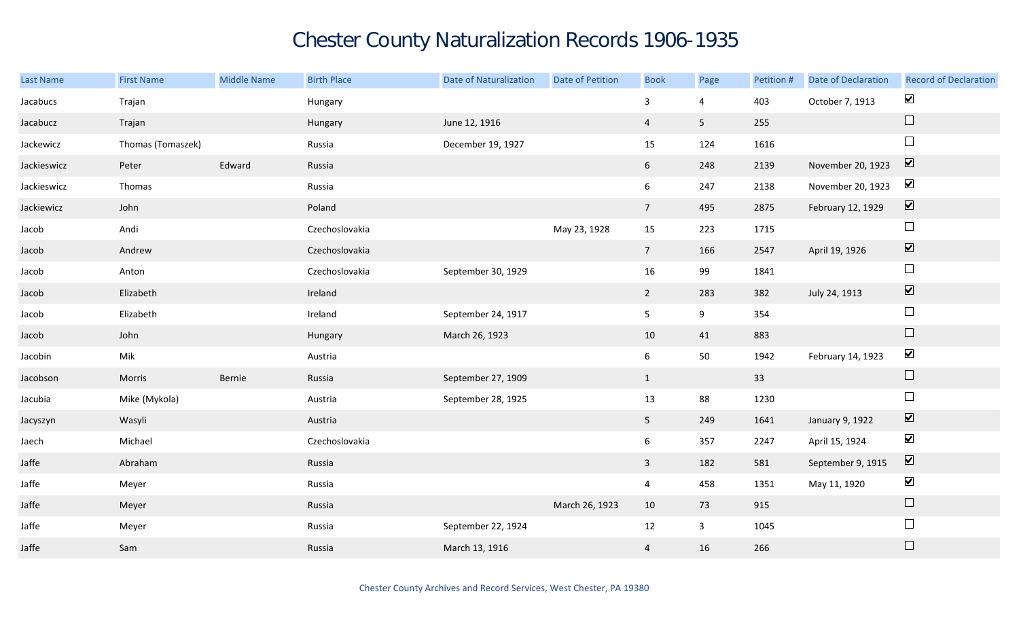## Chester County Naturalization Records 1906-1935

| <b>Last Name</b> | <b>First Name</b> | <b>Middle Name</b> | <b>Birth Place</b> | <b>Date of Naturalization</b> | <b>Date of Petition</b> | <b>Book</b>     | Page            | Petition # | Date of Declaration | <b>Record of Declaration</b> |
|------------------|-------------------|--------------------|--------------------|-------------------------------|-------------------------|-----------------|-----------------|------------|---------------------|------------------------------|
| Jacabucs         | Trajan            |                    | Hungary            |                               |                         | 3               | 4               | 403        | October 7, 1913     | $\blacktriangledown$         |
| Jacabucz         | Trajan            |                    | Hungary            | June 12, 1916                 |                         | $\overline{4}$  | $5\phantom{.0}$ | 255        |                     | $\Box$                       |
| Jackewicz        | Thomas (Tomaszek) |                    | Russia             | December 19, 1927             |                         | 15              | 124             | 1616       |                     | $\Box$                       |
| Jackieswicz      | Peter             | Edward             | Russia             |                               |                         | 6 <sup>1</sup>  | 248             | 2139       | November 20, 1923   | $\boxed{\blacktriangledown}$ |
| Jackieswicz      | Thomas            |                    | Russia             |                               |                         | $6\overline{6}$ | 247             | 2138       | November 20, 1923   | $\blacktriangledown$         |
| Jackiewicz       | John              |                    | Poland             |                               |                         | 7 <sup>7</sup>  | 495             | 2875       | February 12, 1929   | $\boxed{\blacktriangledown}$ |
| Jacob            | Andi              |                    | Czechoslovakia     |                               | May 23, 1928            | 15              | 223             | 1715       |                     | $\Box$                       |
| Jacob            | Andrew            |                    | Czechoslovakia     |                               |                         | 7 <sup>7</sup>  | 166             | 2547       | April 19, 1926      | $\boxed{\blacktriangledown}$ |
| Jacob            | Anton             |                    | Czechoslovakia     | September 30, 1929            |                         | 16              | 99              | 1841       |                     | $\hfill \square$             |
| Jacob            | Elizabeth         |                    | Ireland            |                               |                         | $2^{\circ}$     | 283             | 382        | July 24, 1913       | $\blacktriangledown$         |
| Jacob            | Elizabeth         |                    | Ireland            | September 24, 1917            |                         | 5 <sub>5</sub>  | 9               | 354        |                     | $\Box$                       |
| Jacob            | John              |                    | Hungary            | March 26, 1923                |                         | 10              | 41              | 883        |                     | $\hfill \square$             |
| Jacobin          | Mik               |                    | Austria            |                               |                         | 6               | 50              | 1942       | February 14, 1923   | $\blacktriangledown$         |
| Jacobson         | Morris            | Bernie             | Russia             | September 27, 1909            |                         | $\mathbf{1}$    |                 | 33         |                     | $\Box$                       |
| Jacubia          | Mike (Mykola)     |                    | Austria            | September 28, 1925            |                         | 13              | 88              | 1230       |                     | $\Box$                       |
| Jacyszyn         | Wasyli            |                    | Austria            |                               |                         | 5 <sub>1</sub>  | 249             | 1641       | January 9, 1922     | $\boxed{\blacktriangledown}$ |
| Jaech            | Michael           |                    | Czechoslovakia     |                               |                         | 6               | 357             | 2247       | April 15, 1924      | $\blacktriangledown$         |
| Jaffe            | Abraham           |                    | Russia             |                               |                         | $\mathbf{3}$    | 182             | 581        | September 9, 1915   | $\boxed{\blacktriangledown}$ |
| Jaffe            | Meyer             |                    | Russia             |                               |                         | $\overline{4}$  | 458             | 1351       | May 11, 1920        | $\blacktriangledown$         |
| Jaffe            | Meyer             |                    | Russia             |                               | March 26, 1923          | 10              | 73              | 915        |                     | $\Box$                       |
| Jaffe            | Meyer             |                    | Russia             | September 22, 1924            |                         | 12              | $\mathbf{3}$    | 1045       |                     | $\Box$                       |
| Jaffe            | Sam               |                    | Russia             | March 13, 1916                |                         | 4               | 16              | 266        |                     | $\Box$                       |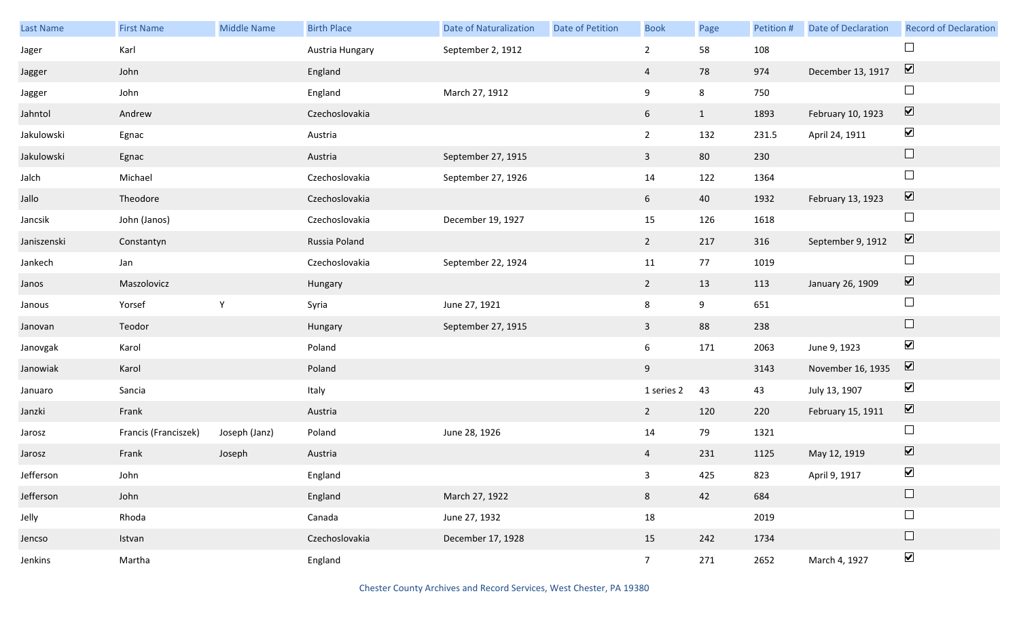| Last Name   | <b>First Name</b>    | Middle Name   | <b>Birth Place</b> | <b>Date of Naturalization</b> | Date of Petition | <b>Book</b>    | Page         | Petition # | <b>Date of Declaration</b> | <b>Record of Declaration</b> |
|-------------|----------------------|---------------|--------------------|-------------------------------|------------------|----------------|--------------|------------|----------------------------|------------------------------|
| Jager       | Karl                 |               | Austria Hungary    | September 2, 1912             |                  | $\overline{2}$ | 58           | 108        |                            |                              |
| Jagger      | John                 |               | England            |                               |                  | $\overline{4}$ | 78           | 974        | December 13, 1917          | $\boxed{\blacktriangledown}$ |
| Jagger      | John                 |               | England            | March 27, 1912                |                  | 9              | 8            | 750        |                            | $\Box$                       |
| Jahntol     | Andrew               |               | Czechoslovakia     |                               |                  | 6              | $\mathbf{1}$ | 1893       | February 10, 1923          | $\boxed{\blacktriangledown}$ |
| Jakulowski  | Egnac                |               | Austria            |                               |                  | $\overline{2}$ | 132          | 231.5      | April 24, 1911             | $\blacktriangledown$         |
| Jakulowski  | Egnac                |               | Austria            | September 27, 1915            |                  | $\mathbf{3}$   | 80           | 230        |                            | $\hfill \square$             |
| Jalch       | Michael              |               | Czechoslovakia     | September 27, 1926            |                  | 14             | 122          | 1364       |                            | $\Box$                       |
| Jallo       | Theodore             |               | Czechoslovakia     |                               |                  | 6              | 40           | 1932       | February 13, 1923          | $\boxed{\blacktriangledown}$ |
| Jancsik     | John (Janos)         |               | Czechoslovakia     | December 19, 1927             |                  | 15             | 126          | 1618       |                            | $\Box$                       |
| Janiszenski | Constantyn           |               | Russia Poland      |                               |                  | $\overline{2}$ | 217          | 316        | September 9, 1912          | $\boxed{\blacktriangledown}$ |
| Jankech     | Jan                  |               | Czechoslovakia     | September 22, 1924            |                  | 11             | 77           | 1019       |                            | $\Box$                       |
| Janos       | Maszolovicz          |               | Hungary            |                               |                  | $\overline{2}$ | 13           | 113        | January 26, 1909           | $\boxed{\blacktriangledown}$ |
| Janous      | Yorsef               | $\mathsf{Y}$  | Syria              | June 27, 1921                 |                  | 8              | 9            | 651        |                            | $\Box$                       |
| Janovan     | Teodor               |               | Hungary            | September 27, 1915            |                  | $\mathbf{3}$   | 88           | 238        |                            | $\hfill \square$             |
| Janovgak    | Karol                |               | Poland             |                               |                  | 6              | 171          | 2063       | June 9, 1923               | $\blacktriangledown$         |
| Janowiak    | Karol                |               | Poland             |                               |                  | 9              |              | 3143       | November 16, 1935          | $\boxed{\mathbf{v}}$         |
| Januaro     | Sancia               |               | Italy              |                               |                  | 1 series 2     | 43           | 43         | July 13, 1907              | $\blacktriangledown$         |
| Janzki      | Frank                |               | Austria            |                               |                  | $\overline{2}$ | 120          | 220        | February 15, 1911          | $\boxed{\blacktriangledown}$ |
| Jarosz      | Francis (Franciszek) | Joseph (Janz) | Poland             | June 28, 1926                 |                  | 14             | 79           | 1321       |                            | $\Box$                       |
| Jarosz      | Frank                | Joseph        | Austria            |                               |                  | $\overline{4}$ | 231          | 1125       | May 12, 1919               | $\boxed{\blacktriangledown}$ |
| Jefferson   | John                 |               | England            |                               |                  | 3 <sup>7</sup> | 425          | 823        | April 9, 1917              | $\blacktriangledown$         |
| Jefferson   | John                 |               | England            | March 27, 1922                |                  | 8              | 42           | 684        |                            | $\hfill \square$             |
| Jelly       | Rhoda                |               | Canada             | June 27, 1932                 |                  | 18             |              | 2019       |                            | $\Box$                       |
| Jencso      | Istvan               |               | Czechoslovakia     | December 17, 1928             |                  | 15             | 242          | 1734       |                            | $\Box$                       |
| Jenkins     | Martha               |               | England            |                               |                  | 7 <sup>7</sup> | 271          | 2652       | March 4, 1927              | $\blacktriangledown$         |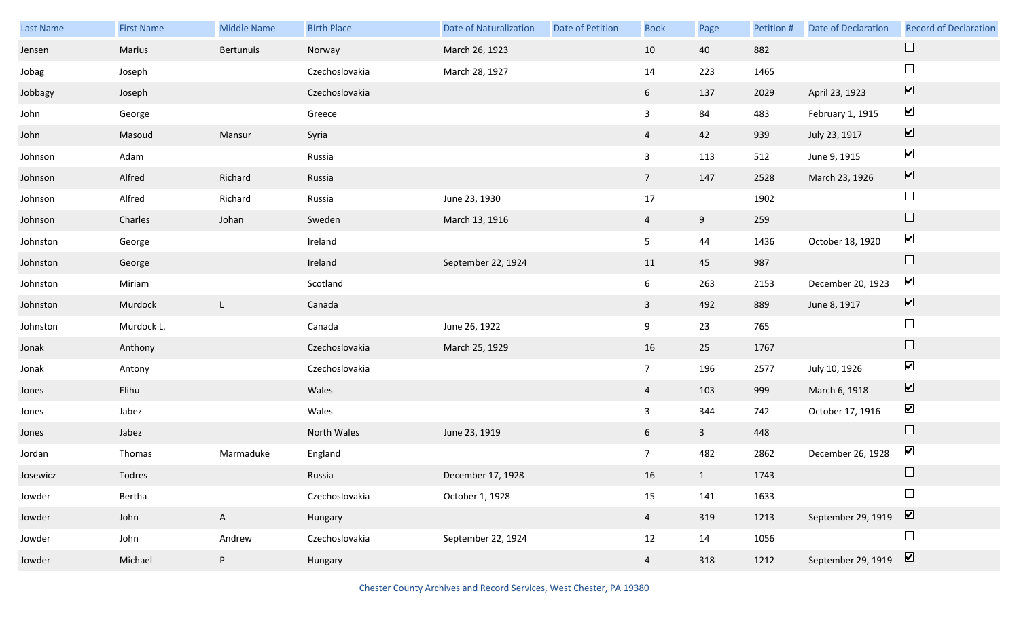| Last Name | <b>First Name</b> | <b>Middle Name</b> | <b>Birth Place</b> | <b>Date of Naturalization</b> | Date of Petition | <b>Book</b>    | Page         | Petition # | <b>Date of Declaration</b> | <b>Record of Declaration</b> |
|-----------|-------------------|--------------------|--------------------|-------------------------------|------------------|----------------|--------------|------------|----------------------------|------------------------------|
| Jensen    | Marius            | Bertunuis          | Norway             | March 26, 1923                |                  | 10             | 40           | 882        |                            | $\Box$                       |
| Jobag     | Joseph            |                    | Czechoslovakia     | March 28, 1927                |                  | 14             | 223          | 1465       |                            | $\Box$                       |
| Jobbagy   | Joseph            |                    | Czechoslovakia     |                               |                  | 6              | 137          | 2029       | April 23, 1923             | $\boxed{\blacktriangledown}$ |
| John      | George            |                    | Greece             |                               |                  | $\mathbf{3}$   | 84           | 483        | February 1, 1915           | $\blacktriangledown$         |
| John      | Masoud            | Mansur             | Syria              |                               |                  | $\overline{4}$ | 42           | 939        | July 23, 1917              | $\boxed{\blacktriangledown}$ |
| Johnson   | Adam              |                    | Russia             |                               |                  | $\mathbf{3}$   | 113          | 512        | June 9, 1915               | $\blacktriangledown$         |
| Johnson   | Alfred            | Richard            | Russia             |                               |                  | 7 <sup>7</sup> | 147          | 2528       | March 23, 1926             | $\boxed{\blacktriangledown}$ |
| Johnson   | Alfred            | Richard            | Russia             | June 23, 1930                 |                  | 17             |              | 1902       |                            | $\Box$                       |
| Johnson   | Charles           | Johan              | Sweden             | March 13, 1916                |                  | $\overline{4}$ | 9            | 259        |                            | $\Box$                       |
| Johnston  | George            |                    | Ireland            |                               |                  | 5 <sub>1</sub> | 44           | 1436       | October 18, 1920           | $\blacktriangledown$         |
| Johnston  | George            |                    | Ireland            | September 22, 1924            |                  | 11             | 45           | 987        |                            | $\Box$                       |
| Johnston  | Miriam            |                    | Scotland           |                               |                  | 6              | 263          | 2153       | December 20, 1923          | $\blacktriangledown$         |
| Johnston  | Murdock           | L                  | Canada             |                               |                  | $\mathbf{3}$   | 492          | 889        | June 8, 1917               | $\boxed{\blacktriangledown}$ |
| Johnston  | Murdock L.        |                    | Canada             | June 26, 1922                 |                  | 9              | 23           | 765        |                            | $\Box$                       |
| Jonak     | Anthony           |                    | Czechoslovakia     | March 25, 1929                |                  | 16             | 25           | 1767       |                            | $\Box$                       |
| Jonak     | Antony            |                    | Czechoslovakia     |                               |                  | 7 <sup>7</sup> | 196          | 2577       | July 10, 1926              | $\blacktriangledown$         |
| Jones     | Elihu             |                    | Wales              |                               |                  | $\overline{4}$ | 103          | 999        | March 6, 1918              | $\boxed{\blacktriangledown}$ |
| Jones     | Jabez             |                    | Wales              |                               |                  | $\mathbf{3}$   | 344          | 742        | October 17, 1916           | $\blacktriangledown$         |
| Jones     | Jabez             |                    | North Wales        | June 23, 1919                 |                  | 6              | $\mathbf{3}$ | 448        |                            | $\Box$                       |
| Jordan    | Thomas            | Marmaduke          | England            |                               |                  | 7 <sup>7</sup> | 482          | 2862       | December 26, 1928          | $\blacktriangledown$         |
| Josewicz  | Todres            |                    | Russia             | December 17, 1928             |                  | 16             | 1            | 1743       |                            |                              |
| Jowder    | Bertha            |                    | Czechoslovakia     | October 1, 1928               |                  | 15             | 141          | 1633       |                            | $\Box$                       |
| Jowder    | John              | $\mathsf{A}$       | Hungary            |                               |                  | $\overline{4}$ | 319          | 1213       | September 29, 1919         | $\boxed{\blacktriangledown}$ |
| Jowder    | John              | Andrew             | Czechoslovakia     | September 22, 1924            |                  | 12             | 14           | 1056       |                            | $\Box$                       |
| Jowder    | Michael           | P                  | Hungary            |                               |                  | $\overline{4}$ | 318          | 1212       | September 29, 1919         | $\boxed{\blacktriangledown}$ |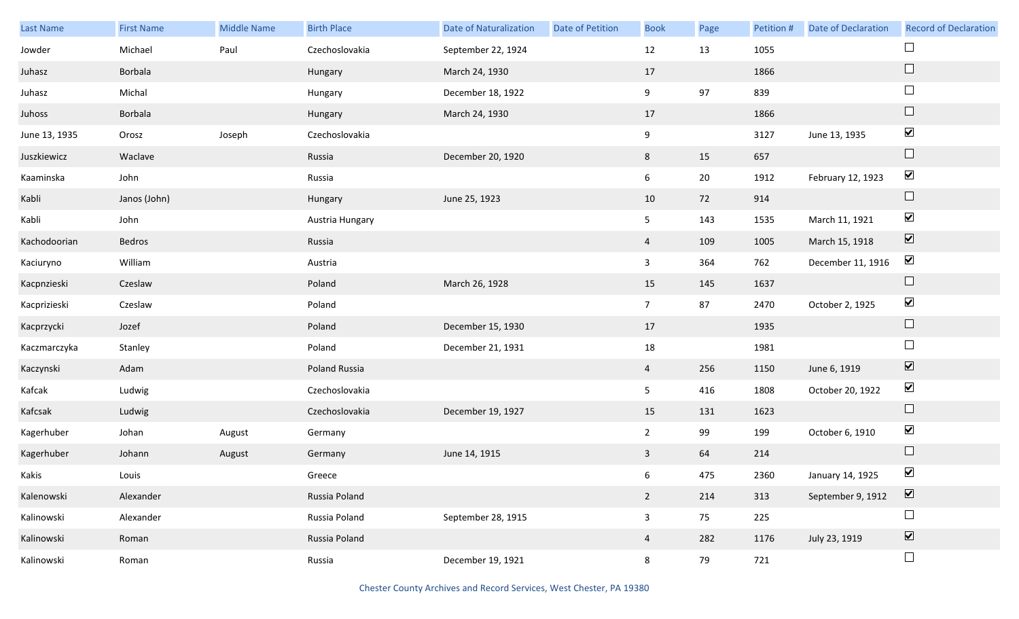| Last Name     | <b>First Name</b> | <b>Middle Name</b> | <b>Birth Place</b> | <b>Date of Naturalization</b> | <b>Date of Petition</b> | <b>Book</b>    | Page   | Petition # | <b>Date of Declaration</b> | <b>Record of Declaration</b> |
|---------------|-------------------|--------------------|--------------------|-------------------------------|-------------------------|----------------|--------|------------|----------------------------|------------------------------|
| Jowder        | Michael           | Paul               | Czechoslovakia     | September 22, 1924            |                         | 12             | 13     | 1055       |                            |                              |
| Juhasz        | Borbala           |                    | Hungary            | March 24, 1930                |                         | 17             |        | 1866       |                            | $\Box$                       |
| Juhasz        | Michal            |                    | Hungary            | December 18, 1922             |                         | 9              | 97     | 839        |                            | $\Box$                       |
| Juhoss        | Borbala           |                    | Hungary            | March 24, 1930                |                         | 17             |        | 1866       |                            | $\Box$                       |
| June 13, 1935 | Orosz             | Joseph             | Czechoslovakia     |                               |                         | 9              |        | 3127       | June 13, 1935              | $\blacktriangledown$         |
| Juszkiewicz   | Waclave           |                    | Russia             | December 20, 1920             |                         | 8              | 15     | 657        |                            | $\hfill \square$             |
| Kaaminska     | John              |                    | Russia             |                               |                         | $6\,$          | $20\,$ | 1912       | February 12, 1923          | $\blacktriangledown$         |
| Kabli         | Janos (John)      |                    | Hungary            | June 25, 1923                 |                         | 10             | 72     | 914        |                            | $\Box$                       |
| Kabli         | John              |                    | Austria Hungary    |                               |                         | 5              | 143    | 1535       | March 11, 1921             | $\blacktriangledown$         |
| Kachodoorian  | Bedros            |                    | Russia             |                               |                         | 4              | 109    | 1005       | March 15, 1918             | $\boxed{\blacktriangledown}$ |
| Kaciuryno     | William           |                    | Austria            |                               |                         | $\mathbf{3}$   | 364    | 762        | December 11, 1916          | $\blacktriangledown$         |
| Kacpnzieski   | Czeslaw           |                    | Poland             | March 26, 1928                |                         | 15             | 145    | 1637       |                            | $\Box$                       |
| Kacprizieski  | Czeslaw           |                    | Poland             |                               |                         | 7 <sup>7</sup> | 87     | 2470       | October 2, 1925            | $\blacktriangledown$         |
| Kacprzycki    | Jozef             |                    | Poland             | December 15, 1930             |                         | 17             |        | 1935       |                            | $\Box$                       |
| Kaczmarczyka  | Stanley           |                    | Poland             | December 21, 1931             |                         | 18             |        | 1981       |                            | $\Box$                       |
| Kaczynski     | Adam              |                    | Poland Russia      |                               |                         | $\overline{4}$ | 256    | 1150       | June 6, 1919               | $\boxed{\blacktriangledown}$ |
| Kafcak        | Ludwig            |                    | Czechoslovakia     |                               |                         | 5              | 416    | 1808       | October 20, 1922           | $\blacktriangledown$         |
| Kafcsak       | Ludwig            |                    | Czechoslovakia     | December 19, 1927             |                         | 15             | 131    | 1623       |                            | $\Box$                       |
| Kagerhuber    | Johan             | August             | Germany            |                               |                         | $\overline{2}$ | 99     | 199        | October 6, 1910            | $\blacktriangledown$         |
| Kagerhuber    | Johann            | August             | Germany            | June 14, 1915                 |                         | $\mathbf{3}$   | 64     | 214        |                            | $\Box$                       |
| Kakis         | Louis             |                    | Greece             |                               |                         | 6              | 475    | 2360       | January 14, 1925           | $\blacktriangledown$         |
| Kalenowski    | Alexander         |                    | Russia Poland      |                               |                         | $\overline{2}$ | 214    | 313        | September 9, 1912          | $\boxed{\blacktriangledown}$ |
| Kalinowski    | Alexander         |                    | Russia Poland      | September 28, 1915            |                         | $\mathbf{3}$   | 75     | 225        |                            | $\Box$                       |
| Kalinowski    | Roman             |                    | Russia Poland      |                               |                         | $\overline{4}$ | 282    | 1176       | July 23, 1919              | $\boxed{\blacktriangledown}$ |
| Kalinowski    | Roman             |                    | Russia             | December 19, 1921             |                         | 8              | 79     | 721        |                            | $\Box$                       |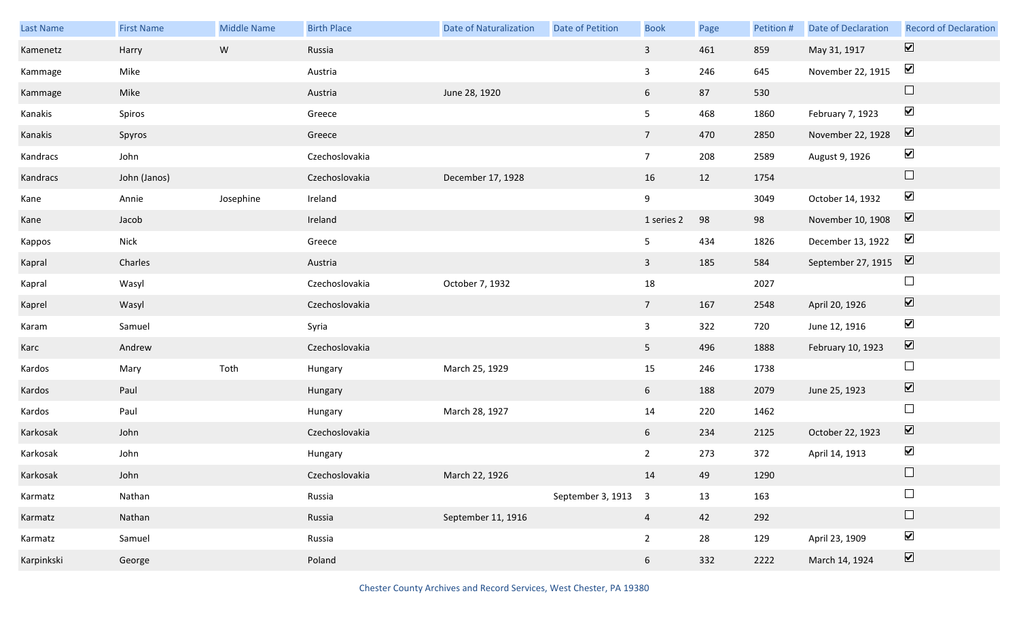| <b>Last Name</b> | <b>First Name</b> | <b>Middle Name</b> | <b>Birth Place</b> | <b>Date of Naturalization</b> | Date of Petition    | <b>Book</b>     | Page | Petition # | <b>Date of Declaration</b> | <b>Record of Declaration</b> |
|------------------|-------------------|--------------------|--------------------|-------------------------------|---------------------|-----------------|------|------------|----------------------------|------------------------------|
| Kamenetz         | Harry             | W                  | Russia             |                               |                     | $\mathbf{3}$    | 461  | 859        | May 31, 1917               | $\overline{\mathbf{v}}$      |
| Kammage          | Mike              |                    | Austria            |                               |                     | $\mathbf{3}$    | 246  | 645        | November 22, 1915          | $\blacktriangledown$         |
| Kammage          | Mike              |                    | Austria            | June 28, 1920                 |                     | 6               | 87   | 530        |                            | $\Box$                       |
| Kanakis          | Spiros            |                    | Greece             |                               |                     | 5 <sub>1</sub>  | 468  | 1860       | February 7, 1923           | $\blacktriangledown$         |
| Kanakis          | Spyros            |                    | Greece             |                               |                     | 7 <sup>7</sup>  | 470  | 2850       | November 22, 1928          | $\boxed{\mathbf{v}}$         |
| Kandracs         | John              |                    | Czechoslovakia     |                               |                     | $7\overline{ }$ | 208  | 2589       | August 9, 1926             | $\blacktriangledown$         |
| Kandracs         | John (Janos)      |                    | Czechoslovakia     | December 17, 1928             |                     | 16              | 12   | 1754       |                            | $\Box$                       |
| Kane             | Annie             | Josephine          | Ireland            |                               |                     | 9               |      | 3049       | October 14, 1932           | $\blacktriangledown$         |
| Kane             | Jacob             |                    | Ireland            |                               |                     | 1 series 2      | 98   | 98         | November 10, 1908          | $\boxed{\mathbf{v}}$         |
| Kappos           | Nick              |                    | Greece             |                               |                     | 5 <sub>5</sub>  | 434  | 1826       | December 13, 1922          | $\blacktriangledown$         |
| Kapral           | Charles           |                    | Austria            |                               |                     | $\overline{3}$  | 185  | 584        | September 27, 1915         | $\boxed{\mathbf{v}}$         |
| Kapral           | Wasyl             |                    | Czechoslovakia     | October 7, 1932               |                     | 18              |      | 2027       |                            | $\Box$                       |
| Kaprel           | Wasyl             |                    | Czechoslovakia     |                               |                     | $7\overline{ }$ | 167  | 2548       | April 20, 1926             | $\blacktriangledown$         |
| Karam            | Samuel            |                    | Syria              |                               |                     | $\mathbf{3}$    | 322  | 720        | June 12, 1916              | $\blacktriangledown$         |
| Karc             | Andrew            |                    | Czechoslovakia     |                               |                     | 5 <sub>1</sub>  | 496  | 1888       | February 10, 1923          | $\blacktriangledown$         |
| Kardos           | Mary              | Toth               | Hungary            | March 25, 1929                |                     | 15              | 246  | 1738       |                            | $\Box$                       |
| Kardos           | Paul              |                    | Hungary            |                               |                     | 6 <sup>1</sup>  | 188  | 2079       | June 25, 1923              | $\blacktriangledown$         |
| Kardos           | Paul              |                    | Hungary            | March 28, 1927                |                     | 14              | 220  | 1462       |                            | $\Box$                       |
| Karkosak         | John              |                    | Czechoslovakia     |                               |                     | 6 <sup>1</sup>  | 234  | 2125       | October 22, 1923           | $\overline{\mathbf{v}}$      |
| Karkosak         | John              |                    | Hungary            |                               |                     | $2^{\circ}$     | 273  | 372        | April 14, 1913             | $\blacktriangledown$         |
| Karkosak         | John              |                    | Czechoslovakia     | March 22, 1926                |                     | 14              | 49   | 1290       |                            | $\Box$                       |
| Karmatz          | Nathan            |                    | Russia             |                               | September 3, 1913 3 |                 | 13   | 163        |                            | $\Box$                       |
| Karmatz          | Nathan            |                    | Russia             | September 11, 1916            |                     | $\overline{a}$  | 42   | 292        |                            | $\Box$                       |
| Karmatz          | Samuel            |                    | Russia             |                               |                     | $\overline{2}$  | 28   | 129        | April 23, 1909             | $\blacktriangledown$         |
| Karpinkski       | George            |                    | Poland             |                               |                     | 6               | 332  | 2222       | March 14, 1924             | $\overline{\mathbf{v}}$      |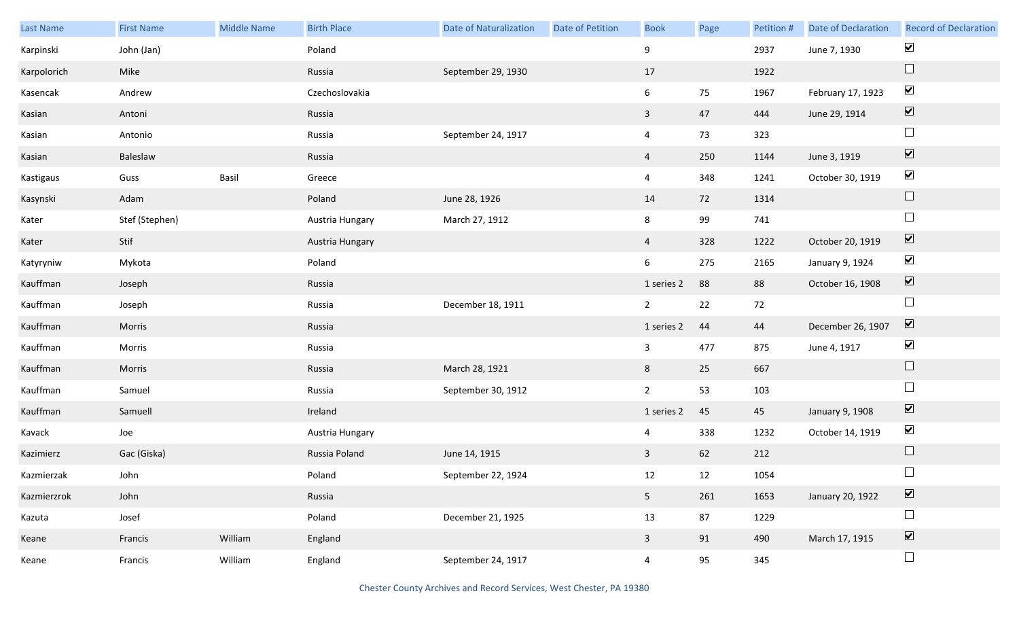| Last Name   | <b>First Name</b> | Middle Name | <b>Birth Place</b> | <b>Date of Naturalization</b> | Date of Petition | <b>Book</b>    | Page   | Petition # | <b>Date of Declaration</b> | <b>Record of Declaration</b> |
|-------------|-------------------|-------------|--------------------|-------------------------------|------------------|----------------|--------|------------|----------------------------|------------------------------|
| Karpinski   | John (Jan)        |             | Poland             |                               |                  | 9              |        | 2937       | June 7, 1930               | $\blacktriangledown$         |
| Karpolorich | Mike              |             | Russia             | September 29, 1930            |                  | 17             |        | 1922       |                            | $\Box$                       |
| Kasencak    | Andrew            |             | Czechoslovakia     |                               |                  | 6              | 75     | 1967       | February 17, 1923          | $\blacktriangledown$         |
| Kasian      | Antoni            |             | Russia             |                               |                  | $\mathbf{3}$   | 47     | 444        | June 29, 1914              | $\boxed{\blacktriangledown}$ |
| Kasian      | Antonio           |             | Russia             | September 24, 1917            |                  | $\overline{4}$ | 73     | 323        |                            | $\Box$                       |
| Kasian      | Baleslaw          |             | Russia             |                               |                  | $\overline{4}$ | 250    | 1144       | June 3, 1919               | $\boxed{\blacktriangledown}$ |
| Kastigaus   | Guss              | Basil       | Greece             |                               |                  | $\overline{4}$ | 348    | 1241       | October 30, 1919           | $\blacktriangledown$         |
| Kasynski    | Adam              |             | Poland             | June 28, 1926                 |                  | 14             | 72     | 1314       |                            | $\Box$                       |
| Kater       | Stef (Stephen)    |             | Austria Hungary    | March 27, 1912                |                  | 8              | 99     | 741        |                            | $\Box$                       |
| Kater       | Stif              |             | Austria Hungary    |                               |                  | $\overline{4}$ | 328    | 1222       | October 20, 1919           | $\boxed{\blacktriangledown}$ |
| Katyryniw   | Mykota            |             | Poland             |                               |                  | 6              | 275    | 2165       | January 9, 1924            | $\blacktriangledown$         |
| Kauffman    | Joseph            |             | Russia             |                               |                  | 1 series 2     | 88     | 88         | October 16, 1908           | $\blacktriangledown$         |
| Kauffman    | Joseph            |             | Russia             | December 18, 1911             |                  | $2^{\circ}$    | $22\,$ | 72         |                            | $\Box$                       |
| Kauffman    | Morris            |             | Russia             |                               |                  | 1 series 2     | 44     | 44         | December 26, 1907          | $\blacktriangledown$         |
| Kauffman    | Morris            |             | Russia             |                               |                  | $\mathbf{3}$   | 477    | 875        | June 4, 1917               | $\blacktriangledown$         |
| Kauffman    | Morris            |             | Russia             | March 28, 1921                |                  | 8              | 25     | 667        |                            | $\Box$                       |
| Kauffman    | Samuel            |             | Russia             | September 30, 1912            |                  | $2^{\circ}$    | 53     | 103        |                            | $\Box$                       |
| Kauffman    | Samuell           |             | Ireland            |                               |                  | 1 series 2     | 45     | 45         | January 9, 1908            | $\boxed{\blacktriangledown}$ |
| Kavack      | Joe               |             | Austria Hungary    |                               |                  | 4              | 338    | 1232       | October 14, 1919           | $\blacktriangledown$         |
| Kazimierz   | Gac (Giska)       |             | Russia Poland      | June 14, 1915                 |                  | $\mathbf{3}$   | 62     | 212        |                            | $\Box$                       |
| Kazmierzak  | John              |             | Poland             | September 22, 1924            |                  | 12             | 12     | 1054       |                            | $\Box$                       |
| Kazmierzrok | John              |             | Russia             |                               |                  | 5 <sub>1</sub> | 261    | 1653       | January 20, 1922           | $\boxed{\blacktriangledown}$ |
| Kazuta      | Josef             |             | Poland             | December 21, 1925             |                  | 13             | 87     | 1229       |                            | $\Box$                       |
| Keane       | Francis           | William     | England            |                               |                  | $\mathbf{3}$   | 91     | 490        | March 17, 1915             | $\boxed{\blacktriangledown}$ |
| Keane       | Francis           | William     | England            | September 24, 1917            |                  | $\overline{4}$ | 95     | 345        |                            | $\Box$                       |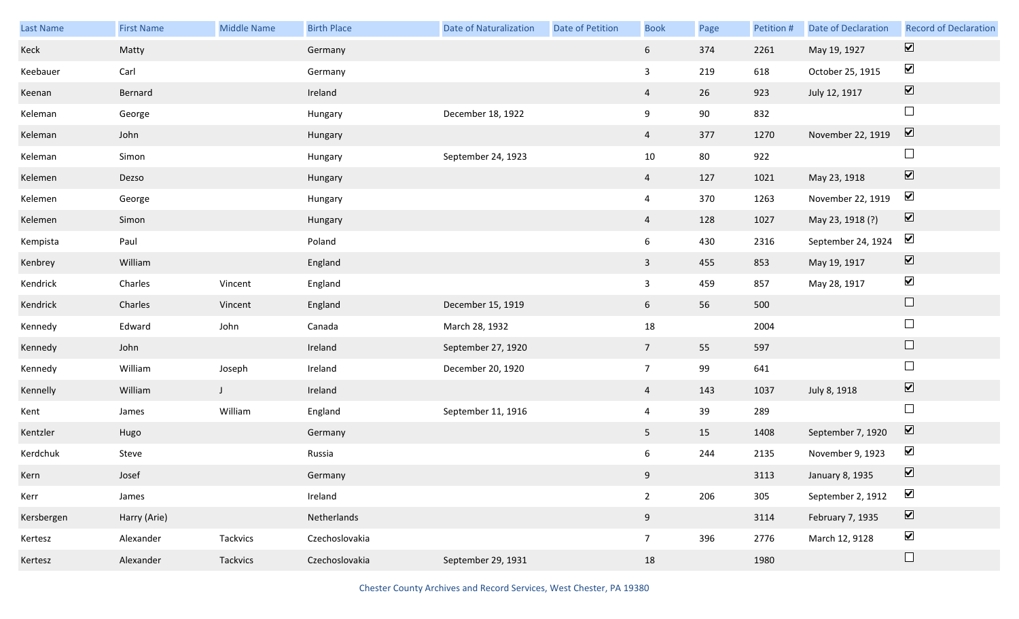| Last Name  | <b>First Name</b> | <b>Middle Name</b> | <b>Birth Place</b> | <b>Date of Naturalization</b> | Date of Petition | <b>Book</b>     | Page | Petition # | <b>Date of Declaration</b> | <b>Record of Declaration</b> |
|------------|-------------------|--------------------|--------------------|-------------------------------|------------------|-----------------|------|------------|----------------------------|------------------------------|
| Keck       | Matty             |                    | Germany            |                               |                  | $6\overline{6}$ | 374  | 2261       | May 19, 1927               | $\boxed{\blacktriangledown}$ |
| Keebauer   | Carl              |                    | Germany            |                               |                  | $\mathbf{3}$    | 219  | 618        | October 25, 1915           | $\blacktriangleright$        |
| Keenan     | Bernard           |                    | Ireland            |                               |                  | $\overline{4}$  | 26   | 923        | July 12, 1917              | $\boxed{\blacktriangledown}$ |
| Keleman    | George            |                    | Hungary            | December 18, 1922             |                  | 9               | 90   | 832        |                            | $\Box$                       |
| Keleman    | John              |                    | Hungary            |                               |                  | $\overline{4}$  | 377  | 1270       | November 22, 1919          | $\boxed{\blacktriangledown}$ |
| Keleman    | Simon             |                    | Hungary            | September 24, 1923            |                  | 10              | 80   | 922        |                            | $\Box$                       |
| Kelemen    | Dezso             |                    | Hungary            |                               |                  | $\overline{4}$  | 127  | 1021       | May 23, 1918               | $\boxed{\blacktriangledown}$ |
| Kelemen    | George            |                    | Hungary            |                               |                  | $\overline{4}$  | 370  | 1263       | November 22, 1919          | $\blacktriangledown$         |
| Kelemen    | Simon             |                    | Hungary            |                               |                  | $\overline{4}$  | 128  | 1027       | May 23, 1918 (?)           | $\boxed{\blacktriangledown}$ |
| Kempista   | Paul              |                    | Poland             |                               |                  | 6               | 430  | 2316       | September 24, 1924         | $\blacktriangledown$         |
| Kenbrey    | William           |                    | England            |                               |                  | $\mathbf{3}$    | 455  | 853        | May 19, 1917               | $\boxed{\blacktriangledown}$ |
| Kendrick   | Charles           | Vincent            | England            |                               |                  | $\overline{3}$  | 459  | 857        | May 28, 1917               | $\blacktriangledown$         |
| Kendrick   | Charles           | Vincent            | England            | December 15, 1919             |                  | 6 <sup>1</sup>  | 56   | 500        |                            | $\Box$                       |
| Kennedy    | Edward            | John               | Canada             | March 28, 1932                |                  | 18              |      | 2004       |                            | $\Box$                       |
| Kennedy    | John              |                    | Ireland            | September 27, 1920            |                  | $7\overline{ }$ | 55   | 597        |                            | $\Box$                       |
| Kennedy    | William           | Joseph             | Ireland            | December 20, 1920             |                  | $7\overline{ }$ | 99   | 641        |                            | $\Box$                       |
| Kennelly   | William           | $\mathsf{J}$       | Ireland            |                               |                  | $\overline{4}$  | 143  | 1037       | July 8, 1918               | $\boxed{\blacktriangledown}$ |
| Kent       | James             | William            | England            | September 11, 1916            |                  | $\overline{4}$  | 39   | 289        |                            | $\Box$                       |
| Kentzler   | Hugo              |                    | Germany            |                               |                  | 5 <sub>1</sub>  | 15   | 1408       | September 7, 1920          | $\overline{\mathbf{v}}$      |
| Kerdchuk   | Steve             |                    | Russia             |                               |                  | 6               | 244  | 2135       | November 9, 1923           | $\blacktriangledown$         |
| Kern       | Josef             |                    | Germany            |                               |                  | 9               |      | 3113       | January 8, 1935            | $\blacktriangledown$         |
| Kerr       | James             |                    | Ireland            |                               |                  | $\overline{2}$  | 206  | 305        | September 2, 1912          | $\blacktriangledown$         |
| Kersbergen | Harry (Arie)      |                    | Netherlands        |                               |                  | 9               |      | 3114       | February 7, 1935           | $\boxed{\blacktriangledown}$ |
| Kertesz    | Alexander         | Tackvics           | Czechoslovakia     |                               |                  | $7\overline{ }$ | 396  | 2776       | March 12, 9128             | $\blacktriangledown$         |
| Kertesz    | Alexander         | Tackvics           | Czechoslovakia     | September 29, 1931            |                  | 18              |      | 1980       |                            | $\Box$                       |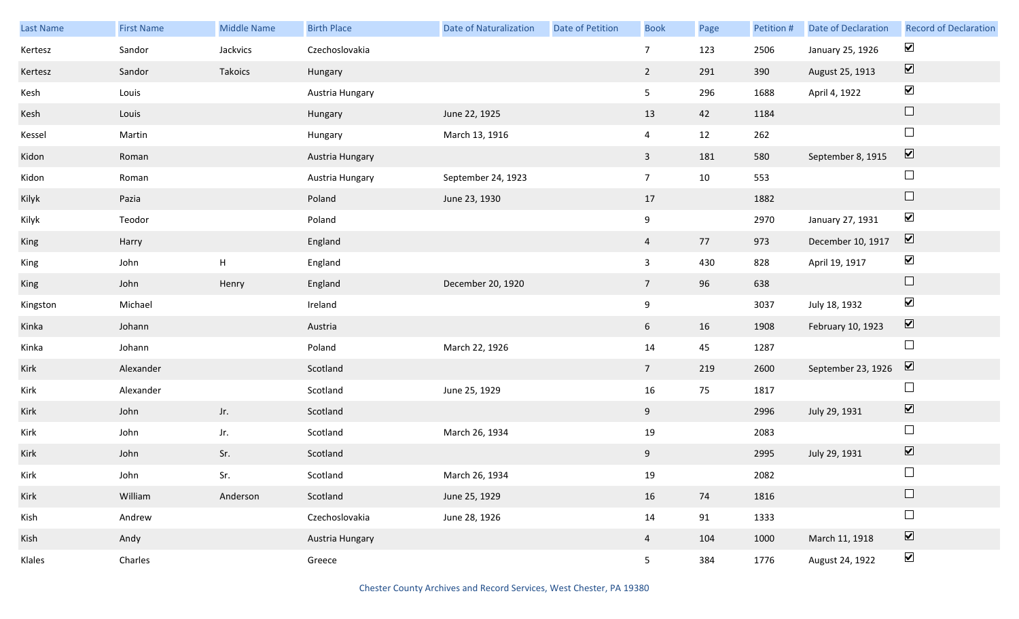| Last Name | <b>First Name</b> | <b>Middle Name</b>        | <b>Birth Place</b> | Date of Naturalization | <b>Date of Petition</b> | <b>Book</b>     | Page | Petition # | <b>Date of Declaration</b> | <b>Record of Declaration</b> |
|-----------|-------------------|---------------------------|--------------------|------------------------|-------------------------|-----------------|------|------------|----------------------------|------------------------------|
| Kertesz   | Sandor            | Jackvics                  | Czechoslovakia     |                        |                         | $\overline{7}$  | 123  | 2506       | January 25, 1926           | $\blacktriangledown$         |
| Kertesz   | Sandor            | Takoics                   | Hungary            |                        |                         | $2^{\circ}$     | 291  | 390        | August 25, 1913            | $\boxed{\blacktriangledown}$ |
| Kesh      | Louis             |                           | Austria Hungary    |                        |                         | 5 <sub>5</sub>  | 296  | 1688       | April 4, 1922              | $\blacktriangledown$         |
| Kesh      | Louis             |                           | Hungary            | June 22, 1925          |                         | 13              | 42   | 1184       |                            | $\Box$                       |
| Kessel    | Martin            |                           | Hungary            | March 13, 1916         |                         | $\overline{4}$  | 12   | 262        |                            | $\Box$                       |
| Kidon     | Roman             |                           | Austria Hungary    |                        |                         | $\mathbf{3}$    | 181  | 580        | September 8, 1915          | $\boxed{\textbf{v}}$         |
| Kidon     | Roman             |                           | Austria Hungary    | September 24, 1923     |                         | 7 <sup>7</sup>  | 10   | 553        |                            | $\Box$                       |
| Kilyk     | Pazia             |                           | Poland             | June 23, 1930          |                         | 17              |      | 1882       |                            | $\hfill \square$             |
| Kilyk     | Teodor            |                           | Poland             |                        |                         | 9               |      | 2970       | January 27, 1931           | $\blacktriangledown$         |
| King      | Harry             |                           | England            |                        |                         | $\overline{4}$  | 77   | 973        | December 10, 1917          | $\boxed{\blacktriangledown}$ |
| King      | John              | $\boldsymbol{\mathsf{H}}$ | England            |                        |                         | $\mathbf{3}$    | 430  | 828        | April 19, 1917             | $\blacktriangledown$         |
| King      | John              | Henry                     | England            | December 20, 1920      |                         | $7\overline{ }$ | 96   | 638        |                            | $\hfill \square$             |
| Kingston  | Michael           |                           | Ireland            |                        |                         | 9               |      | 3037       | July 18, 1932              | $\blacktriangledown$         |
| Kinka     | Johann            |                           | Austria            |                        |                         | $6\overline{6}$ | 16   | 1908       | February 10, 1923          | $\boxed{\blacktriangledown}$ |
| Kinka     | Johann            |                           | Poland             | March 22, 1926         |                         | 14              | 45   | 1287       |                            | $\Box$                       |
| Kirk      | Alexander         |                           | Scotland           |                        |                         | $7\overline{ }$ | 219  | 2600       | September 23, 1926         | $\overline{\mathbf{V}}$      |
| Kirk      | Alexander         |                           | Scotland           | June 25, 1929          |                         | 16              | 75   | 1817       |                            | $\Box$                       |
| Kirk      | John              | Jr.                       | Scotland           |                        |                         | 9               |      | 2996       | July 29, 1931              | $\boxed{\blacktriangledown}$ |
| Kirk      | John              | Jr.                       | Scotland           | March 26, 1934         |                         | 19              |      | 2083       |                            | $\Box$                       |
| Kirk      | John              | Sr.                       | Scotland           |                        |                         | 9               |      | 2995       | July 29, 1931              | $\boxed{\blacktriangledown}$ |
| Kirk      | John              | Sr.                       | Scotland           | March 26, 1934         |                         | 19              |      | 2082       |                            | $\Box$                       |
| Kirk      | William           | Anderson                  | Scotland           | June 25, 1929          |                         | 16              | 74   | 1816       |                            | $\Box$                       |
| Kish      | Andrew            |                           | Czechoslovakia     | June 28, 1926          |                         | 14              | 91   | 1333       |                            | $\Box$                       |
| Kish      | Andy              |                           | Austria Hungary    |                        |                         | $\overline{4}$  | 104  | 1000       | March 11, 1918             | $\overline{\mathbf{v}}$      |
| Klales    | Charles           |                           | Greece             |                        |                         | 5 <sub>1</sub>  | 384  | 1776       | August 24, 1922            | $\blacktriangledown$         |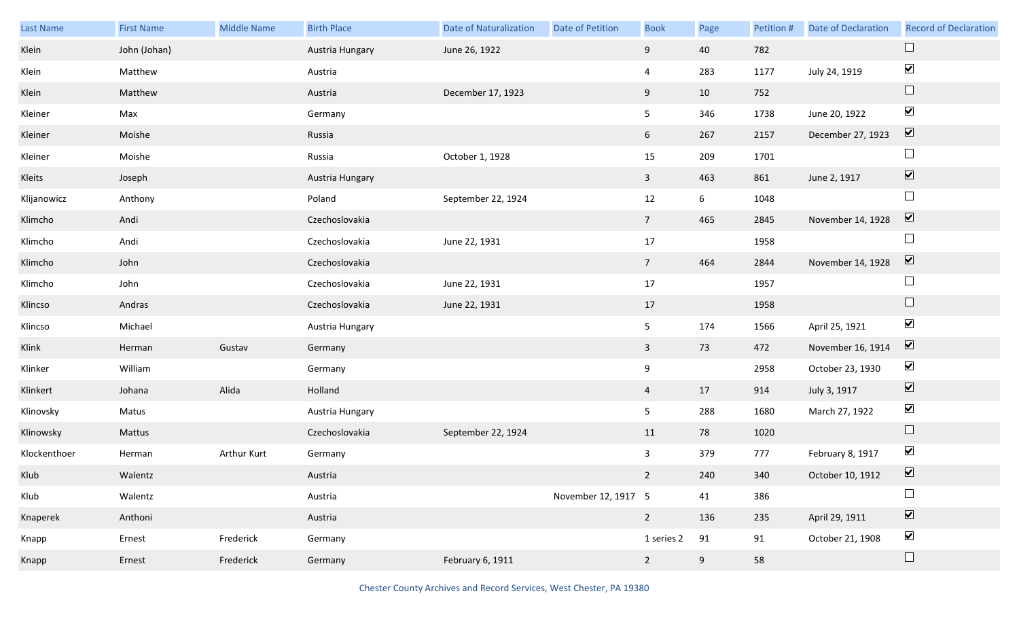| Last Name    | <b>First Name</b> | <b>Middle Name</b> | <b>Birth Place</b> | <b>Date of Naturalization</b> | Date of Petition    | <b>Book</b>     | Page            | Petition # | <b>Date of Declaration</b> | <b>Record of Declaration</b> |
|--------------|-------------------|--------------------|--------------------|-------------------------------|---------------------|-----------------|-----------------|------------|----------------------------|------------------------------|
| Klein        | John (Johan)      |                    | Austria Hungary    | June 26, 1922                 |                     | 9               | 40              | 782        |                            |                              |
| Klein        | Matthew           |                    | Austria            |                               |                     | $\overline{4}$  | 283             | 1177       | July 24, 1919              | $\blacktriangledown$         |
| Klein        | Matthew           |                    | Austria            | December 17, 1923             |                     | 9               | 10              | 752        |                            | $\Box$                       |
| Kleiner      | Max               |                    | Germany            |                               |                     | 5 <sub>5</sub>  | 346             | 1738       | June 20, 1922              | $\blacktriangledown$         |
| Kleiner      | Moishe            |                    | Russia             |                               |                     | 6 <sup>1</sup>  | 267             | 2157       | December 27, 1923          | $\boxed{\blacktriangledown}$ |
| Kleiner      | Moishe            |                    | Russia             | October 1, 1928               |                     | 15              | 209             | 1701       |                            | $\Box$                       |
| Kleits       | Joseph            |                    | Austria Hungary    |                               |                     | $\mathbf{3}$    | 463             | 861        | June 2, 1917               | $\boxed{\blacktriangledown}$ |
| Klijanowicz  | Anthony           |                    | Poland             | September 22, 1924            |                     | 12              | $6\overline{6}$ | 1048       |                            | $\Box$                       |
| Klimcho      | Andi              |                    | Czechoslovakia     |                               |                     | $7\overline{ }$ | 465             | 2845       | November 14, 1928          | $\boxed{\blacktriangledown}$ |
| Klimcho      | Andi              |                    | Czechoslovakia     | June 22, 1931                 |                     | 17              |                 | 1958       |                            | $\Box$                       |
| Klimcho      | John              |                    | Czechoslovakia     |                               |                     | $7\overline{ }$ | 464             | 2844       | November 14, 1928          | $\overline{\mathbf{v}}$      |
| Klimcho      | John              |                    | Czechoslovakia     | June 22, 1931                 |                     | 17              |                 | 1957       |                            | $\Box$                       |
| Klincso      | Andras            |                    | Czechoslovakia     | June 22, 1931                 |                     | 17              |                 | 1958       |                            | $\Box$                       |
| Klincso      | Michael           |                    | Austria Hungary    |                               |                     | $5\overline{)}$ | 174             | 1566       | April 25, 1921             | $\blacktriangledown$         |
| Klink        | Herman            | Gustav             | Germany            |                               |                     | $\mathbf{3}$    | 73              | 472        | November 16, 1914          | $\triangledown$              |
| Klinker      | William           |                    | Germany            |                               |                     | 9               |                 | 2958       | October 23, 1930           | $\blacktriangledown$         |
| Klinkert     | Johana            | Alida              | Holland            |                               |                     | $\overline{4}$  | 17              | 914        | July 3, 1917               | $\boxed{\blacktriangledown}$ |
| Klinovsky    | Matus             |                    | Austria Hungary    |                               |                     | 5 <sub>5</sub>  | 288             | 1680       | March 27, 1922             | $\blacktriangledown$         |
| Klinowsky    | Mattus            |                    | Czechoslovakia     | September 22, 1924            |                     | 11              | 78              | 1020       |                            | $\Box$                       |
| Klockenthoer | Herman            | Arthur Kurt        | Germany            |                               |                     | $\mathbf{3}$    | 379             | 777        | February 8, 1917           | $\blacktriangleright$        |
| Klub         | Walentz           |                    | Austria            |                               |                     | $2^{\circ}$     | 240             | 340        | October 10, 1912           | $\overline{\mathbf{v}}$      |
| Klub         | Walentz           |                    | Austria            |                               | November 12, 1917 5 |                 | 41              | 386        |                            | $\Box$                       |
| Knaperek     | Anthoni           |                    | Austria            |                               |                     | $\overline{2}$  | 136             | 235        | April 29, 1911             | $\boxed{\blacktriangledown}$ |
| Knapp        | Ernest            | Frederick          | Germany            |                               |                     | 1 series 2      | 91              | 91         | October 21, 1908           | $\blacktriangledown$         |
| Knapp        | Ernest            | Frederick          | Germany            | February 6, 1911              |                     | $\overline{2}$  | $9\,$           | 58         |                            | $\Box$                       |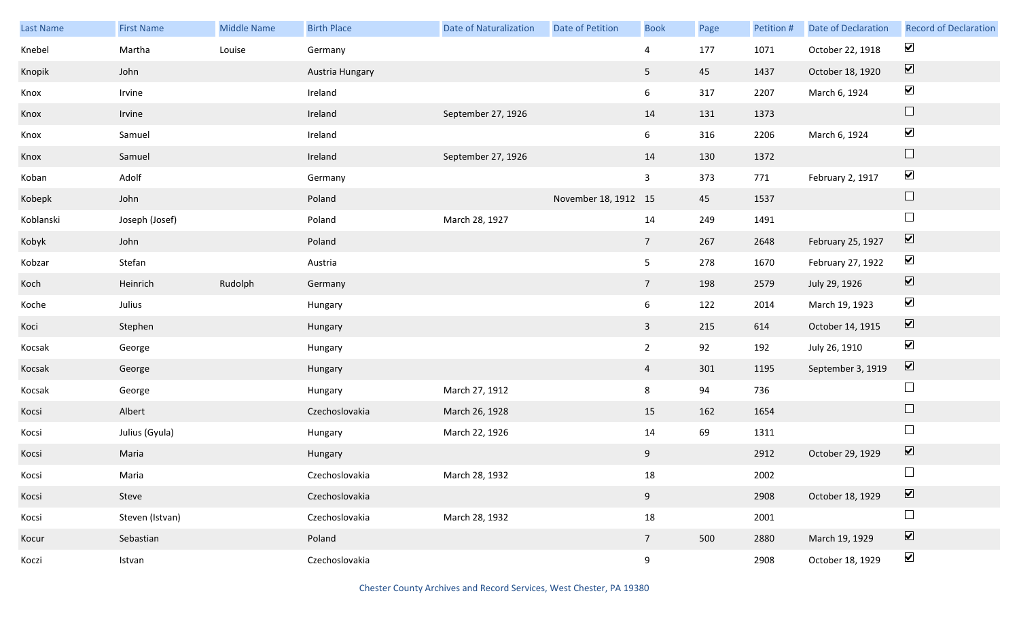| Last Name | <b>First Name</b> | <b>Middle Name</b> | <b>Birth Place</b> | Date of Naturalization | Date of Petition     | <b>Book</b>     | Page | Petition # | Date of Declaration | <b>Record of Declaration</b> |
|-----------|-------------------|--------------------|--------------------|------------------------|----------------------|-----------------|------|------------|---------------------|------------------------------|
| Knebel    | Martha            | Louise             | Germany            |                        |                      | $\overline{4}$  | 177  | 1071       | October 22, 1918    | $\blacktriangledown$         |
| Knopik    | John              |                    | Austria Hungary    |                        |                      | 5 <sub>5</sub>  | 45   | 1437       | October 18, 1920    | $\boxed{\blacktriangledown}$ |
| Knox      | Irvine            |                    | Ireland            |                        |                      | $6\overline{6}$ | 317  | 2207       | March 6, 1924       | $\blacktriangledown$         |
| Knox      | Irvine            |                    | Ireland            | September 27, 1926     |                      | 14              | 131  | 1373       |                     | $\hfill \square$             |
| Knox      | Samuel            |                    | Ireland            |                        |                      | $6\overline{6}$ | 316  | 2206       | March 6, 1924       | $\blacktriangledown$         |
| Knox      | Samuel            |                    | Ireland            | September 27, 1926     |                      | 14              | 130  | 1372       |                     | $\hfill \square$             |
| Koban     | Adolf             |                    | Germany            |                        |                      | $\mathbf{3}$    | 373  | 771        | February 2, 1917    | $\blacktriangledown$         |
| Kobepk    | John              |                    | Poland             |                        | November 18, 1912 15 |                 | 45   | 1537       |                     | $\Box$                       |
| Koblanski | Joseph (Josef)    |                    | Poland             | March 28, 1927         |                      | 14              | 249  | 1491       |                     | $\Box$                       |
| Kobyk     | John              |                    | Poland             |                        |                      | $7\overline{ }$ | 267  | 2648       | February 25, 1927   | $\boxed{\blacktriangledown}$ |
| Kobzar    | Stefan            |                    | Austria            |                        |                      | 5 <sub>5</sub>  | 278  | 1670       | February 27, 1922   | $\blacktriangledown$         |
| Koch      | Heinrich          | Rudolph            | Germany            |                        |                      | $7\overline{ }$ | 198  | 2579       | July 29, 1926       | $\boxed{\blacktriangledown}$ |
| Koche     | Julius            |                    | Hungary            |                        |                      | $6\overline{6}$ | 122  | 2014       | March 19, 1923      | $\blacktriangledown$         |
| Koci      | Stephen           |                    | Hungary            |                        |                      | $\mathbf{3}$    | 215  | 614        | October 14, 1915    | $\boxed{\blacktriangledown}$ |
| Kocsak    | George            |                    | Hungary            |                        |                      | $2^{\circ}$     | 92   | 192        | July 26, 1910       | $\blacktriangledown$         |
| Kocsak    | George            |                    | Hungary            |                        |                      | $\overline{4}$  | 301  | 1195       | September 3, 1919   | $\boxed{\blacktriangledown}$ |
| Kocsak    | George            |                    | Hungary            | March 27, 1912         |                      | 8               | 94   | 736        |                     | $\Box$                       |
| Kocsi     | Albert            |                    | Czechoslovakia     | March 26, 1928         |                      | 15              | 162  | 1654       |                     | $\Box$                       |
| Kocsi     | Julius (Gyula)    |                    | Hungary            | March 22, 1926         |                      | 14              | 69   | 1311       |                     | $\Box$                       |
| Kocsi     | Maria             |                    | Hungary            |                        |                      | 9               |      | 2912       | October 29, 1929    | $\boxed{\blacktriangledown}$ |
| Kocsi     | Maria             |                    | Czechoslovakia     | March 28, 1932         |                      | 18              |      | 2002       |                     | $\Box$                       |
| Kocsi     | Steve             |                    | Czechoslovakia     |                        |                      | 9               |      | 2908       | October 18, 1929    | $\boxed{\blacktriangledown}$ |
| Kocsi     | Steven (Istvan)   |                    | Czechoslovakia     | March 28, 1932         |                      | 18              |      | 2001       |                     | $\Box$                       |
| Kocur     | Sebastian         |                    | Poland             |                        |                      | $7\overline{ }$ | 500  | 2880       | March 19, 1929      | $\boxed{\blacktriangledown}$ |
| Koczi     | Istvan            |                    | Czechoslovakia     |                        |                      | 9               |      | 2908       | October 18, 1929    | $\blacktriangledown$         |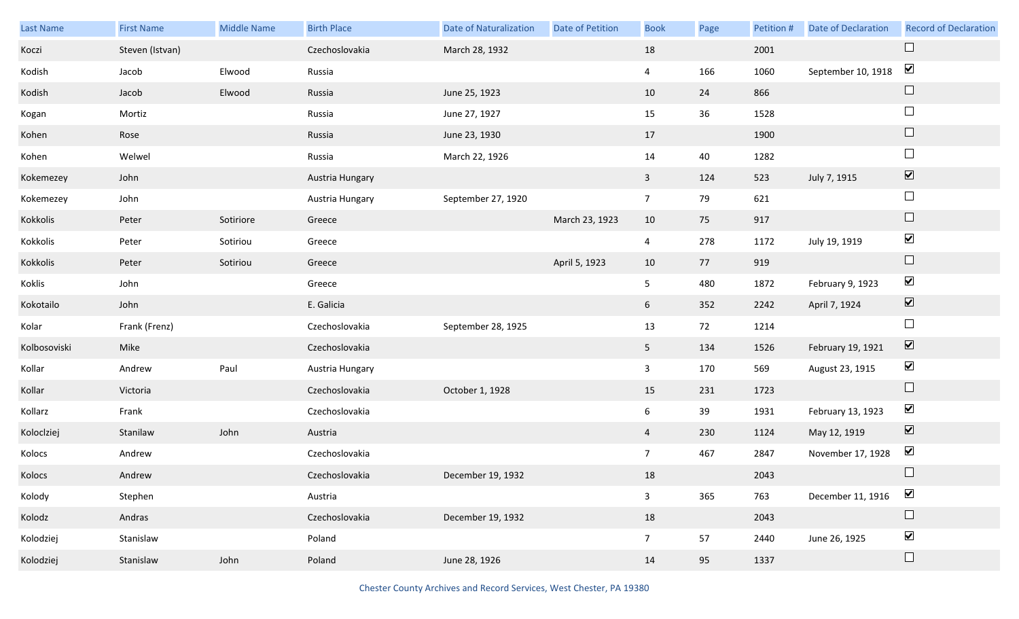| Last Name    | <b>First Name</b> | <b>Middle Name</b> | <b>Birth Place</b> | <b>Date of Naturalization</b> | <b>Date of Petition</b> | <b>Book</b>    | Page | Petition # | <b>Date of Declaration</b> | <b>Record of Declaration</b> |
|--------------|-------------------|--------------------|--------------------|-------------------------------|-------------------------|----------------|------|------------|----------------------------|------------------------------|
| Koczi        | Steven (Istvan)   |                    | Czechoslovakia     | March 28, 1932                |                         | 18             |      | 2001       |                            | $\Box$                       |
| Kodish       | Jacob             | Elwood             | Russia             |                               |                         | $\overline{4}$ | 166  | 1060       | September 10, 1918         | $\blacktriangledown$         |
| Kodish       | Jacob             | Elwood             | Russia             | June 25, 1923                 |                         | 10             | 24   | 866        |                            | $\Box$                       |
| Kogan        | Mortiz            |                    | Russia             | June 27, 1927                 |                         | 15             | 36   | 1528       |                            | $\Box$                       |
| Kohen        | Rose              |                    | Russia             | June 23, 1930                 |                         | 17             |      | 1900       |                            | $\Box$                       |
| Kohen        | Welwel            |                    | Russia             | March 22, 1926                |                         | 14             | 40   | 1282       |                            | $\Box$                       |
| Kokemezey    | John              |                    | Austria Hungary    |                               |                         | $\mathbf{3}$   | 124  | 523        | July 7, 1915               | $\overline{\mathbf{v}}$      |
| Kokemezey    | John              |                    | Austria Hungary    | September 27, 1920            |                         | $\overline{7}$ | 79   | 621        |                            | $\Box$                       |
| Kokkolis     | Peter             | Sotiriore          | Greece             |                               | March 23, 1923          | 10             | 75   | 917        |                            | $\Box$                       |
| Kokkolis     | Peter             | Sotiriou           | Greece             |                               |                         | 4              | 278  | 1172       | July 19, 1919              | $\blacktriangledown$         |
| Kokkolis     | Peter             | Sotiriou           | Greece             |                               | April 5, 1923           | 10             | 77   | 919        |                            | $\Box$                       |
| Koklis       | John              |                    | Greece             |                               |                         | 5              | 480  | 1872       | February 9, 1923           | $\blacktriangledown$         |
| Kokotailo    | John              |                    | E. Galicia         |                               |                         | 6 <sup>1</sup> | 352  | 2242       | April 7, 1924              | $\blacktriangledown$         |
| Kolar        | Frank (Frenz)     |                    | Czechoslovakia     | September 28, 1925            |                         | 13             | 72   | 1214       |                            | $\Box$                       |
| Kolbosoviski | Mike              |                    | Czechoslovakia     |                               |                         | 5 <sub>1</sub> | 134  | 1526       | February 19, 1921          | $\overline{\mathbf{v}}$      |
| Kollar       | Andrew            | Paul               | Austria Hungary    |                               |                         | $\mathbf{3}$   | 170  | 569        | August 23, 1915            | $\blacktriangledown$         |
| Kollar       | Victoria          |                    | Czechoslovakia     | October 1, 1928               |                         | 15             | 231  | 1723       |                            | $\Box$                       |
| Kollarz      | Frank             |                    | Czechoslovakia     |                               |                         | 6              | 39   | 1931       | February 13, 1923          | $\blacktriangledown$         |
| Koloclziej   | Stanilaw          | John               | Austria            |                               |                         | $\overline{4}$ | 230  | 1124       | May 12, 1919               | $\blacktriangledown$         |
| Kolocs       | Andrew            |                    | Czechoslovakia     |                               |                         | 7 <sup>7</sup> | 467  | 2847       | November 17, 1928          | $\blacktriangledown$         |
| Kolocs       | Andrew            |                    | Czechoslovakia     | December 19, 1932             |                         | 18             |      | 2043       |                            | $\Box$                       |
| Kolody       | Stephen           |                    | Austria            |                               |                         | $\mathbf{3}$   | 365  | 763        | December 11, 1916          | $\blacktriangledown$         |
| Kolodz       | Andras            |                    | Czechoslovakia     | December 19, 1932             |                         | 18             |      | 2043       |                            | $\Box$                       |
| Kolodziej    | Stanislaw         |                    | Poland             |                               |                         | 7 <sup>7</sup> | 57   | 2440       | June 26, 1925              | $\blacktriangledown$         |
| Kolodziej    | Stanislaw         | John               | Poland             | June 28, 1926                 |                         | 14             | 95   | 1337       |                            | $\Box$                       |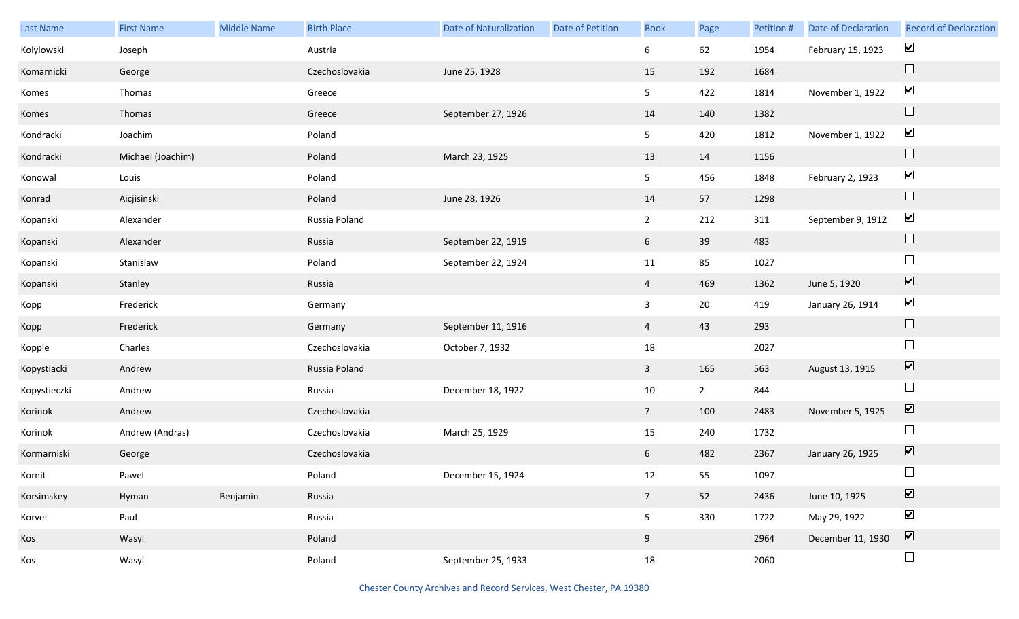| Last Name    | <b>First Name</b> | <b>Middle Name</b> | <b>Birth Place</b> | <b>Date of Naturalization</b> | Date of Petition | <b>Book</b>     | Page        | Petition # | Date of Declaration | <b>Record of Declaration</b>    |
|--------------|-------------------|--------------------|--------------------|-------------------------------|------------------|-----------------|-------------|------------|---------------------|---------------------------------|
| Kolylowski   | Joseph            |                    | Austria            |                               |                  | 6               | 62          | 1954       | February 15, 1923   | $\blacktriangledown$            |
| Komarnicki   | George            |                    | Czechoslovakia     | June 25, 1928                 |                  | 15              | 192         | 1684       |                     | $\Box$                          |
| Komes        | Thomas            |                    | Greece             |                               |                  | 5 <sub>1</sub>  | 422         | 1814       | November 1, 1922    | $\blacktriangledown$            |
| Komes        | Thomas            |                    | Greece             | September 27, 1926            |                  | 14              | 140         | 1382       |                     | $\Box$                          |
| Kondracki    | Joachim           |                    | Poland             |                               |                  | 5 <sub>1</sub>  | 420         | 1812       | November 1, 1922    | $\blacktriangledown$            |
| Kondracki    | Michael (Joachim) |                    | Poland             | March 23, 1925                |                  | 13              | 14          | 1156       |                     | $\Box$                          |
| Konowal      | Louis             |                    | Poland             |                               |                  | 5 <sub>1</sub>  | 456         | 1848       | February 2, 1923    | $\blacktriangledown$            |
| Konrad       | Aicjisinski       |                    | Poland             | June 28, 1926                 |                  | 14              | 57          | 1298       |                     | $\hfill \square$                |
| Kopanski     | Alexander         |                    | Russia Poland      |                               |                  | $\overline{2}$  | 212         | 311        | September 9, 1912   | $\blacktriangledown$            |
| Kopanski     | Alexander         |                    | Russia             | September 22, 1919            |                  | 6               | 39          | 483        |                     | $\Box$                          |
| Kopanski     | Stanislaw         |                    | Poland             | September 22, 1924            |                  | 11              | 85          | 1027       |                     | $\Box$                          |
| Kopanski     | Stanley           |                    | Russia             |                               |                  | $\overline{4}$  | 469         | 1362       | June 5, 1920        | $\boxed{\blacktriangledown}$    |
| Kopp         | Frederick         |                    | Germany            |                               |                  | $\mathbf{3}$    | $20\,$      | 419        | January 26, 1914    | $\blacktriangledown$            |
| Kopp         | Frederick         |                    | Germany            | September 11, 1916            |                  | $\overline{4}$  | 43          | 293        |                     | $\Box$                          |
| Kopple       | Charles           |                    | Czechoslovakia     | October 7, 1932               |                  | 18              |             | 2027       |                     | $\Box$                          |
| Kopystiacki  | Andrew            |                    | Russia Poland      |                               |                  | $\mathbf{3}$    | 165         | 563        | August 13, 1915     | $\overline{\mathbf{v}}$         |
| Kopystieczki | Andrew            |                    | Russia             | December 18, 1922             |                  | $10\,$          | $2^{\circ}$ | 844        |                     | $\Box$                          |
| Korinok      | Andrew            |                    | Czechoslovakia     |                               |                  | $7\overline{ }$ | 100         | 2483       | November 5, 1925    | $\overline{\mathbf{v}}$         |
| Korinok      | Andrew (Andras)   |                    | Czechoslovakia     | March 25, 1929                |                  | 15              | 240         | 1732       |                     | $\Box$                          |
| Kormarniski  | George            |                    | Czechoslovakia     |                               |                  | 6 <sup>1</sup>  | 482         | 2367       | January 26, 1925    | $\boxed{\blacktriangledown}$    |
| Kornit       | Pawel             |                    | Poland             | December 15, 1924             |                  | 12              | 55          | 1097       |                     | $\Box$                          |
| Korsimskey   | Hyman             | Benjamin           | Russia             |                               |                  | $7\overline{ }$ | 52          | 2436       | June 10, 1925       | $\overline{\blacktriangledown}$ |
| Korvet       | Paul              |                    | Russia             |                               |                  | 5 <sub>1</sub>  | 330         | 1722       | May 29, 1922        | $\blacktriangledown$            |
| Kos          | Wasyl             |                    | Poland             |                               |                  | 9               |             | 2964       | December 11, 1930   | $\overline{\mathbf{v}}$         |
| Kos          | Wasyl             |                    | Poland             | September 25, 1933            |                  | 18              |             | 2060       |                     | $\Box$                          |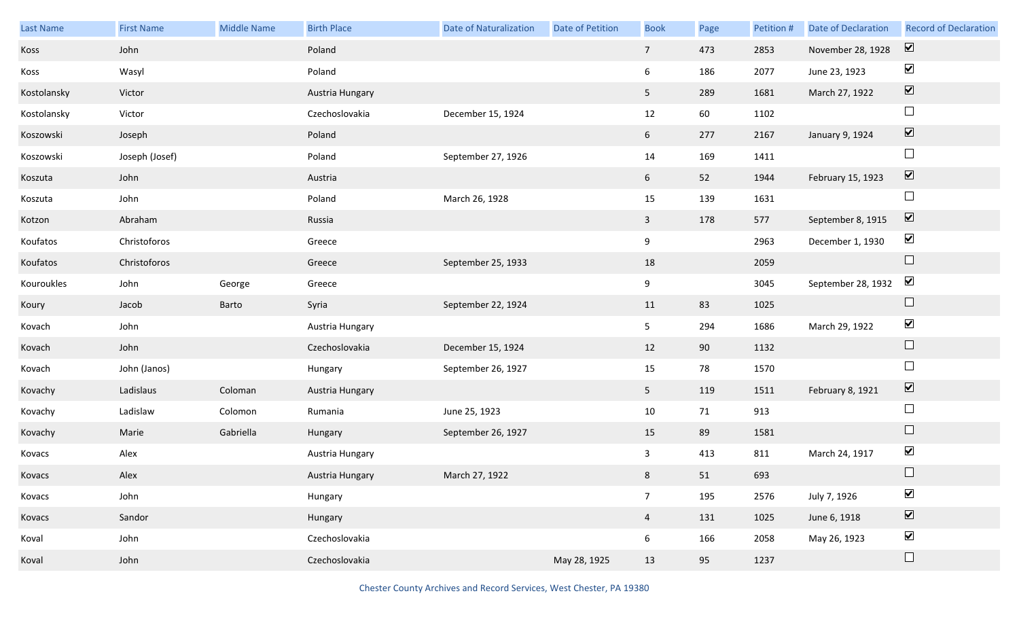| Last Name   | <b>First Name</b> | <b>Middle Name</b> | <b>Birth Place</b> | <b>Date of Naturalization</b> | Date of Petition | <b>Book</b>     | Page | Petition # | <b>Date of Declaration</b> | <b>Record of Declaration</b> |
|-------------|-------------------|--------------------|--------------------|-------------------------------|------------------|-----------------|------|------------|----------------------------|------------------------------|
| Koss        | John              |                    | Poland             |                               |                  | $7\overline{ }$ | 473  | 2853       | November 28, 1928          | $\boxed{\mathbf{v}}$         |
| Koss        | Wasyl             |                    | Poland             |                               |                  | 6               | 186  | 2077       | June 23, 1923              | $\blacktriangledown$         |
| Kostolansky | Victor            |                    | Austria Hungary    |                               |                  | 5 <sub>1</sub>  | 289  | 1681       | March 27, 1922             | $\boxed{\blacktriangledown}$ |
| Kostolansky | Victor            |                    | Czechoslovakia     | December 15, 1924             |                  | 12              | 60   | 1102       |                            | $\Box$                       |
| Koszowski   | Joseph            |                    | Poland             |                               |                  | 6 <sup>1</sup>  | 277  | 2167       | January 9, 1924            | $\boxed{\blacktriangledown}$ |
| Koszowski   | Joseph (Josef)    |                    | Poland             | September 27, 1926            |                  | 14              | 169  | 1411       |                            | $\Box$                       |
| Koszuta     | John              |                    | Austria            |                               |                  | 6               | 52   | 1944       | February 15, 1923          | $\boxed{\blacktriangledown}$ |
| Koszuta     | John              |                    | Poland             | March 26, 1928                |                  | 15              | 139  | 1631       |                            | $\Box$                       |
| Kotzon      | Abraham           |                    | Russia             |                               |                  | $\mathbf{3}$    | 178  | 577        | September 8, 1915          | $\overline{\mathbf{v}}$      |
| Koufatos    | Christoforos      |                    | Greece             |                               |                  | 9               |      | 2963       | December 1, 1930           | $\blacktriangledown$         |
| Koufatos    | Christoforos      |                    | Greece             | September 25, 1933            |                  | 18              |      | 2059       |                            | $\Box$                       |
| Kouroukles  | John              | George             | Greece             |                               |                  | 9               |      | 3045       | September 28, 1932         | $\blacktriangledown$         |
| Koury       | Jacob             | Barto              | Syria              | September 22, 1924            |                  | 11              | 83   | 1025       |                            | $\Box$                       |
| Kovach      | John              |                    | Austria Hungary    |                               |                  | 5 <sub>5</sub>  | 294  | 1686       | March 29, 1922             | $\blacktriangledown$         |
| Kovach      | John              |                    | Czechoslovakia     | December 15, 1924             |                  | 12              | 90   | 1132       |                            | $\Box$                       |
| Kovach      | John (Janos)      |                    | Hungary            | September 26, 1927            |                  | 15              | 78   | 1570       |                            | $\Box$                       |
| Kovachy     | Ladislaus         | Coloman            | Austria Hungary    |                               |                  | 5 <sub>1</sub>  | 119  | 1511       | February 8, 1921           | $\overline{\mathbf{v}}$      |
| Kovachy     | Ladislaw          | Colomon            | Rumania            | June 25, 1923                 |                  | 10              | 71   | 913        |                            | $\Box$                       |
| Kovachy     | Marie             | Gabriella          | Hungary            | September 26, 1927            |                  | 15              | 89   | 1581       |                            | $\Box$                       |
| Kovacs      | Alex              |                    | Austria Hungary    |                               |                  | $\mathbf{3}$    | 413  | 811        | March 24, 1917             | $\blacktriangledown$         |
| Kovacs      | Alex              |                    | Austria Hungary    | March 27, 1922                |                  | 8 <sub>1</sub>  | 51   | 693        |                            |                              |
| Kovacs      | John              |                    | Hungary            |                               |                  | 7 <sup>7</sup>  | 195  | 2576       | July 7, 1926               | $\blacktriangledown$         |
| Kovacs      | Sandor            |                    | Hungary            |                               |                  | $\overline{4}$  | 131  | 1025       | June 6, 1918               | $\boxed{\blacktriangledown}$ |
| Koval       | John              |                    | Czechoslovakia     |                               |                  | $6\overline{6}$ | 166  | 2058       | May 26, 1923               | $\blacktriangledown$         |
| Koval       | John              |                    | Czechoslovakia     |                               | May 28, 1925     | 13              | 95   | 1237       |                            | $\Box$                       |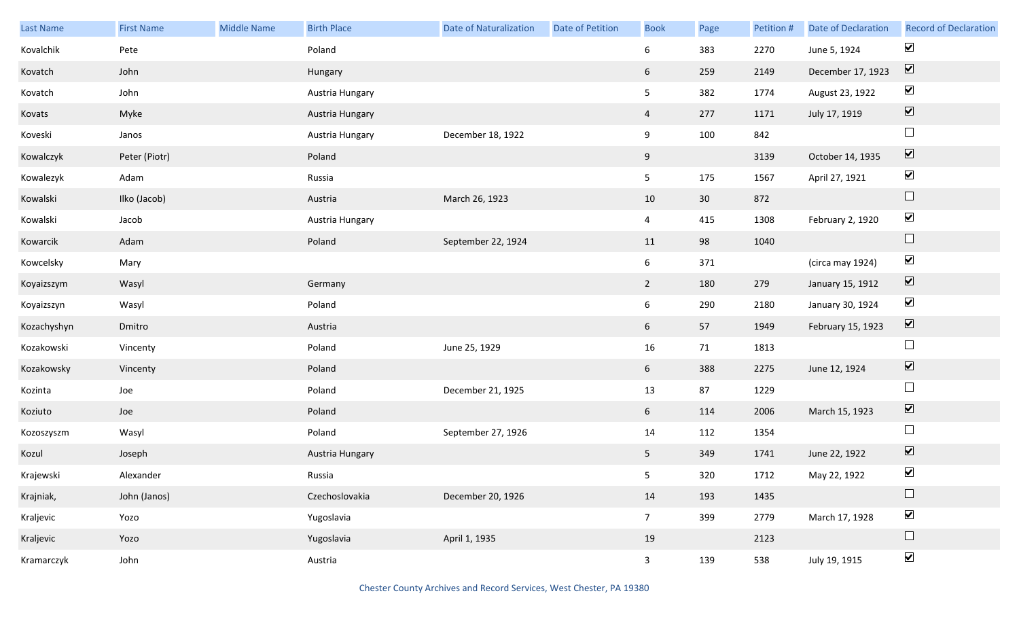| Last Name   | <b>First Name</b> | Middle Name | <b>Birth Place</b> | <b>Date of Naturalization</b> | <b>Date of Petition</b> | <b>Book</b>     | Page            | Petition # | Date of Declaration | <b>Record of Declaration</b> |
|-------------|-------------------|-------------|--------------------|-------------------------------|-------------------------|-----------------|-----------------|------------|---------------------|------------------------------|
| Kovalchik   | Pete              |             | Poland             |                               |                         | 6               | 383             | 2270       | June 5, 1924        | $\blacktriangledown$         |
| Kovatch     | John              |             | Hungary            |                               |                         | $6\overline{6}$ | 259             | 2149       | December 17, 1923   | $\boxed{\blacktriangledown}$ |
| Kovatch     | John              |             | Austria Hungary    |                               |                         | 5 <sub>5</sub>  | 382             | 1774       | August 23, 1922     | $\blacktriangledown$         |
| Kovats      | Myke              |             | Austria Hungary    |                               |                         | $\overline{4}$  | 277             | 1171       | July 17, 1919       | $\boxed{\blacktriangledown}$ |
| Koveski     | Janos             |             | Austria Hungary    | December 18, 1922             |                         | 9               | 100             | 842        |                     | $\Box$                       |
| Kowalczyk   | Peter (Piotr)     |             | Poland             |                               |                         | 9               |                 | 3139       | October 14, 1935    | $\boxed{\blacktriangledown}$ |
| Kowalezyk   | Adam              |             | Russia             |                               |                         | 5 <sub>5</sub>  | 175             | 1567       | April 27, 1921      | $\blacktriangledown$         |
| Kowalski    | Ilko (Jacob)      |             | Austria            | March 26, 1923                |                         | 10              | 30 <sup>°</sup> | 872        |                     | $\hfill \square$             |
| Kowalski    | Jacob             |             | Austria Hungary    |                               |                         | $\overline{4}$  | 415             | 1308       | February 2, 1920    | $\blacktriangledown$         |
| Kowarcik    | Adam              |             | Poland             | September 22, 1924            |                         | 11              | 98              | 1040       |                     | $\hfill \square$             |
| Kowcelsky   | Mary              |             |                    |                               |                         | $6\overline{6}$ | 371             |            | (circa may 1924)    | $\blacktriangledown$         |
| Koyaizszym  | Wasyl             |             | Germany            |                               |                         | $2^{\circ}$     | 180             | 279        | January 15, 1912    | $\overline{\mathbf{V}}$      |
| Koyaizszyn  | Wasyl             |             | Poland             |                               |                         | $6\overline{6}$ | 290             | 2180       | January 30, 1924    | $\blacktriangledown$         |
| Kozachyshyn | Dmitro            |             | Austria            |                               |                         | $6\overline{6}$ | 57              | 1949       | February 15, 1923   | $\boxed{\blacktriangledown}$ |
| Kozakowski  | Vincenty          |             | Poland             | June 25, 1929                 |                         | 16              | 71              | 1813       |                     | $\Box$                       |
| Kozakowsky  | Vincenty          |             | Poland             |                               |                         | $6\overline{6}$ | 388             | 2275       | June 12, 1924       | $\overline{\mathbf{v}}$      |
| Kozinta     | Joe               |             | Poland             | December 21, 1925             |                         | 13              | 87              | 1229       |                     | $\Box$                       |
| Koziuto     | Joe               |             | Poland             |                               |                         | 6               | 114             | 2006       | March 15, 1923      | $\boxed{\blacktriangledown}$ |
| Kozoszyszm  | Wasyl             |             | Poland             | September 27, 1926            |                         | 14              | 112             | 1354       |                     | $\Box$                       |
| Kozul       | Joseph            |             | Austria Hungary    |                               |                         | 5 <sub>5</sub>  | 349             | 1741       | June 22, 1922       | $\boxed{\blacktriangledown}$ |
| Krajewski   | Alexander         |             | Russia             |                               |                         | 5 <sub>1</sub>  | 320             | 1712       | May 22, 1922        | $\blacktriangledown$         |
| Krajniak,   | John (Janos)      |             | Czechoslovakia     | December 20, 1926             |                         | 14              | 193             | 1435       |                     | $\hfill \square$             |
| Kraljevic   | Yozo              |             | Yugoslavia         |                               |                         | 7 <sup>7</sup>  | 399             | 2779       | March 17, 1928      | $\blacktriangledown$         |
| Kraljevic   | Yozo              |             | Yugoslavia         | April 1, 1935                 |                         | 19              |                 | 2123       |                     | $\Box$                       |
| Kramarczyk  | John              |             | Austria            |                               |                         | $\overline{3}$  | 139             | 538        | July 19, 1915       | $\blacktriangledown$         |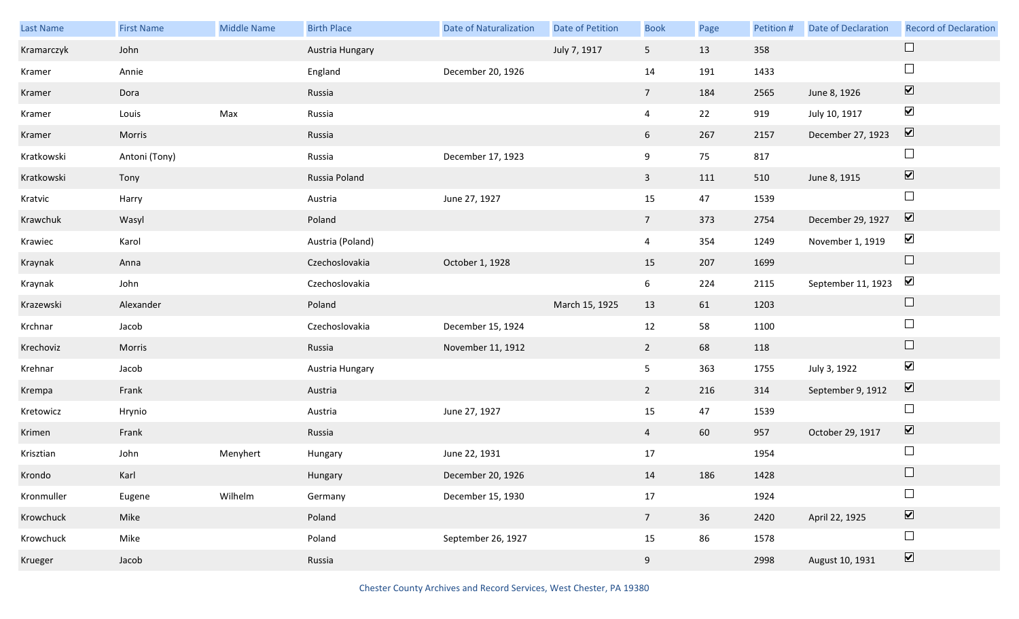| Last Name  | <b>First Name</b> | Middle Name | <b>Birth Place</b> | <b>Date of Naturalization</b> | Date of Petition | <b>Book</b>     | Page | Petition # | <b>Date of Declaration</b> | <b>Record of Declaration</b> |
|------------|-------------------|-------------|--------------------|-------------------------------|------------------|-----------------|------|------------|----------------------------|------------------------------|
| Kramarczyk | John              |             | Austria Hungary    |                               | July 7, 1917     | 5 <sub>5</sub>  | 13   | 358        |                            |                              |
| Kramer     | Annie             |             | England            | December 20, 1926             |                  | 14              | 191  | 1433       |                            | $\Box$                       |
| Kramer     | Dora              |             | Russia             |                               |                  | $7\overline{ }$ | 184  | 2565       | June 8, 1926               | $\boxed{\blacktriangledown}$ |
| Kramer     | Louis             | Max         | Russia             |                               |                  | $\overline{4}$  | 22   | 919        | July 10, 1917              | $\blacktriangledown$         |
| Kramer     | Morris            |             | Russia             |                               |                  | 6               | 267  | 2157       | December 27, 1923          | $\boxed{\blacktriangledown}$ |
| Kratkowski | Antoni (Tony)     |             | Russia             | December 17, 1923             |                  | 9               | 75   | 817        |                            | $\Box$                       |
| Kratkowski | Tony              |             | Russia Poland      |                               |                  | $\mathbf{3}$    | 111  | 510        | June 8, 1915               | $\boxed{\blacktriangledown}$ |
| Kratvic    | Harry             |             | Austria            | June 27, 1927                 |                  | 15              | 47   | 1539       |                            | $\Box$                       |
| Krawchuk   | Wasyl             |             | Poland             |                               |                  | $7\overline{ }$ | 373  | 2754       | December 29, 1927          | $\overline{\mathbf{v}}$      |
| Krawiec    | Karol             |             | Austria (Poland)   |                               |                  | $\overline{4}$  | 354  | 1249       | November 1, 1919           | $\blacktriangledown$         |
| Kraynak    | Anna              |             | Czechoslovakia     | October 1, 1928               |                  | 15              | 207  | 1699       |                            | $\Box$                       |
| Kraynak    | John              |             | Czechoslovakia     |                               |                  | 6               | 224  | 2115       | September 11, 1923         | $\blacktriangledown$         |
| Krazewski  | Alexander         |             | Poland             |                               | March 15, 1925   | 13              | 61   | 1203       |                            | $\Box$                       |
| Krchnar    | Jacob             |             | Czechoslovakia     | December 15, 1924             |                  | 12              | 58   | 1100       |                            | $\Box$                       |
| Krechoviz  | Morris            |             | Russia             | November 11, 1912             |                  | $\overline{2}$  | 68   | 118        |                            | $\Box$                       |
| Krehnar    | Jacob             |             | Austria Hungary    |                               |                  | 5 <sub>5</sub>  | 363  | 1755       | July 3, 1922               | $\blacktriangledown$         |
| Krempa     | Frank             |             | Austria            |                               |                  | $\overline{2}$  | 216  | 314        | September 9, 1912          | $\overline{\mathbf{v}}$      |
| Kretowicz  | Hrynio            |             | Austria            | June 27, 1927                 |                  | 15              | 47   | 1539       |                            | $\Box$                       |
| Krimen     | Frank             |             | Russia             |                               |                  | $\overline{4}$  | 60   | 957        | October 29, 1917           | $\overline{\mathbf{v}}$      |
| Krisztian  | John              | Menyhert    | Hungary            | June 22, 1931                 |                  | 17              |      | 1954       |                            | $\Box$                       |
| Krondo     | Karl              |             | Hungary            | December 20, 1926             |                  | 14              | 186  | 1428       |                            |                              |
| Kronmuller | Eugene            | Wilhelm     | Germany            | December 15, 1930             |                  | 17              |      | 1924       |                            | $\Box$                       |
| Krowchuck  | Mike              |             | Poland             |                               |                  | $7\overline{ }$ | 36   | 2420       | April 22, 1925             | $\boxed{\blacktriangledown}$ |
| Krowchuck  | Mike              |             | Poland             | September 26, 1927            |                  | 15              | 86   | 1578       |                            | $\Box$                       |
| Krueger    | Jacob             |             | Russia             |                               |                  | 9               |      | 2998       | August 10, 1931            | $\boxed{\blacktriangledown}$ |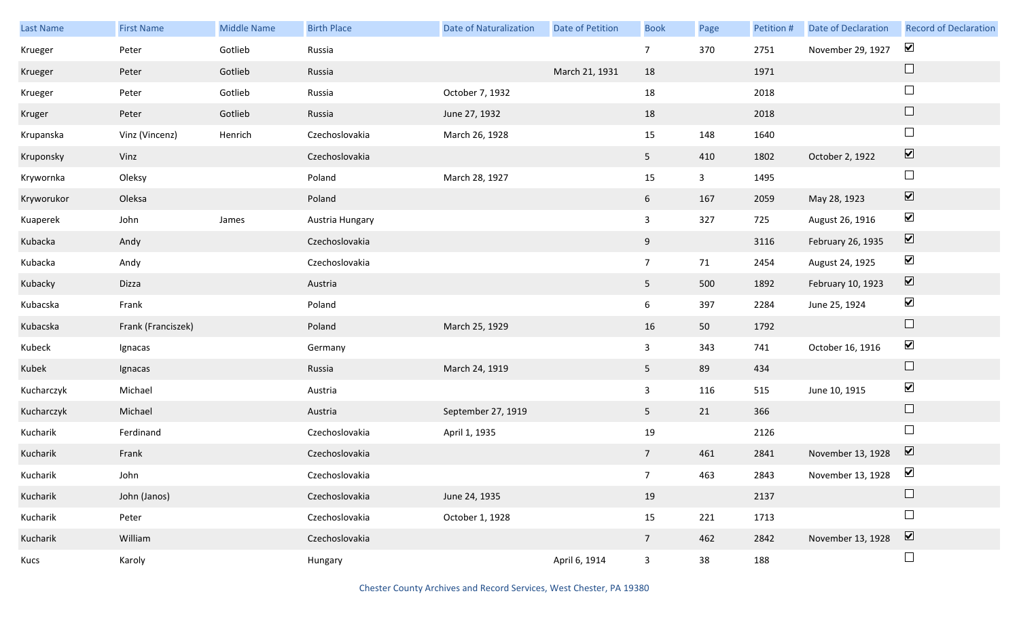| Last Name  | <b>First Name</b>  | <b>Middle Name</b> | <b>Birth Place</b> | <b>Date of Naturalization</b> | Date of Petition | <b>Book</b>     | Page         | Petition # | Date of Declaration              | <b>Record of Declaration</b> |
|------------|--------------------|--------------------|--------------------|-------------------------------|------------------|-----------------|--------------|------------|----------------------------------|------------------------------|
| Krueger    | Peter              | Gotlieb            | Russia             |                               |                  | $7\overline{ }$ | 370          | 2751       | November 29, 1927                | $\blacktriangledown$         |
| Krueger    | Peter              | Gotlieb            | Russia             |                               | March 21, 1931   | 18              |              | 1971       |                                  | $\Box$                       |
| Krueger    | Peter              | Gotlieb            | Russia             | October 7, 1932               |                  | 18              |              | 2018       |                                  | $\Box$                       |
| Kruger     | Peter              | Gotlieb            | Russia             | June 27, 1932                 |                  | 18              |              | 2018       |                                  | $\Box$                       |
| Krupanska  | Vinz (Vincenz)     | Henrich            | Czechoslovakia     | March 26, 1928                |                  | 15              | 148          | 1640       |                                  | $\Box$                       |
| Kruponsky  | Vinz               |                    | Czechoslovakia     |                               |                  | 5 <sub>5</sub>  | 410          | 1802       | October 2, 1922                  | $\boxed{\blacktriangledown}$ |
| Krywornka  | Oleksy             |                    | Poland             | March 28, 1927                |                  | 15              | $\mathbf{3}$ | 1495       |                                  | $\Box$                       |
| Kryworukor | Oleksa             |                    | Poland             |                               |                  | $6\overline{6}$ | 167          | 2059       | May 28, 1923                     | $\boxed{\blacktriangledown}$ |
| Kuaperek   | John               | James              | Austria Hungary    |                               |                  | $\mathbf{3}$    | 327          | 725        | August 26, 1916                  | $\blacktriangledown$         |
| Kubacka    | Andy               |                    | Czechoslovakia     |                               |                  | 9               |              | 3116       | February 26, 1935                | $\boxed{\blacktriangledown}$ |
| Kubacka    | Andy               |                    | Czechoslovakia     |                               |                  | $7\overline{ }$ | 71           | 2454       | August 24, 1925                  | $\blacktriangledown$         |
| Kubacky    | Dizza              |                    | Austria            |                               |                  | 5 <sup>5</sup>  | 500          | 1892       | February 10, 1923                | $\boxed{\blacktriangledown}$ |
| Kubacska   | Frank              |                    | Poland             |                               |                  | 6               | 397          | 2284       | June 25, 1924                    | $\blacktriangledown$         |
| Kubacska   | Frank (Franciszek) |                    | Poland             | March 25, 1929                |                  | 16              | 50           | 1792       |                                  | $\Box$                       |
| Kubeck     | Ignacas            |                    | Germany            |                               |                  | $\mathbf{3}$    | 343          | 741        | October 16, 1916                 | $\blacktriangledown$         |
| Kubek      | Ignacas            |                    | Russia             | March 24, 1919                |                  | 5 <sup>5</sup>  | 89           | 434        |                                  | $\Box$                       |
| Kucharczyk | Michael            |                    | Austria            |                               |                  | $\mathbf{3}$    | 116          | 515        | June 10, 1915                    | $\blacktriangledown$         |
| Kucharczyk | Michael            |                    | Austria            | September 27, 1919            |                  | 5 <sub>1</sub>  | 21           | 366        |                                  | $\Box$                       |
| Kucharik   | Ferdinand          |                    | Czechoslovakia     | April 1, 1935                 |                  | 19              |              | 2126       |                                  | $\Box$                       |
| Kucharik   | Frank              |                    | Czechoslovakia     |                               |                  | $7\overline{ }$ | 461          | 2841       | November 13, 1928                | $\overline{\mathbf{v}}$      |
| Kucharik   | John               |                    | Czechoslovakia     |                               |                  | 7 <sup>7</sup>  | 463          | 2843       | November 13, 1928 $\blacksquare$ |                              |
| Kucharik   | John (Janos)       |                    | Czechoslovakia     | June 24, 1935                 |                  | 19              |              | 2137       |                                  |                              |
| Kucharik   | Peter              |                    | Czechoslovakia     | October 1, 1928               |                  | 15              | 221          | 1713       |                                  | $\Box$                       |
| Kucharik   | William            |                    | Czechoslovakia     |                               |                  | $7\overline{ }$ | 462          | 2842       | November 13, 1928                | $\boxed{\blacktriangledown}$ |
| Kucs       | Karoly             |                    | Hungary            |                               | April 6, 1914    | $\mathbf{3}$    | 38           | 188        |                                  | $\Box$                       |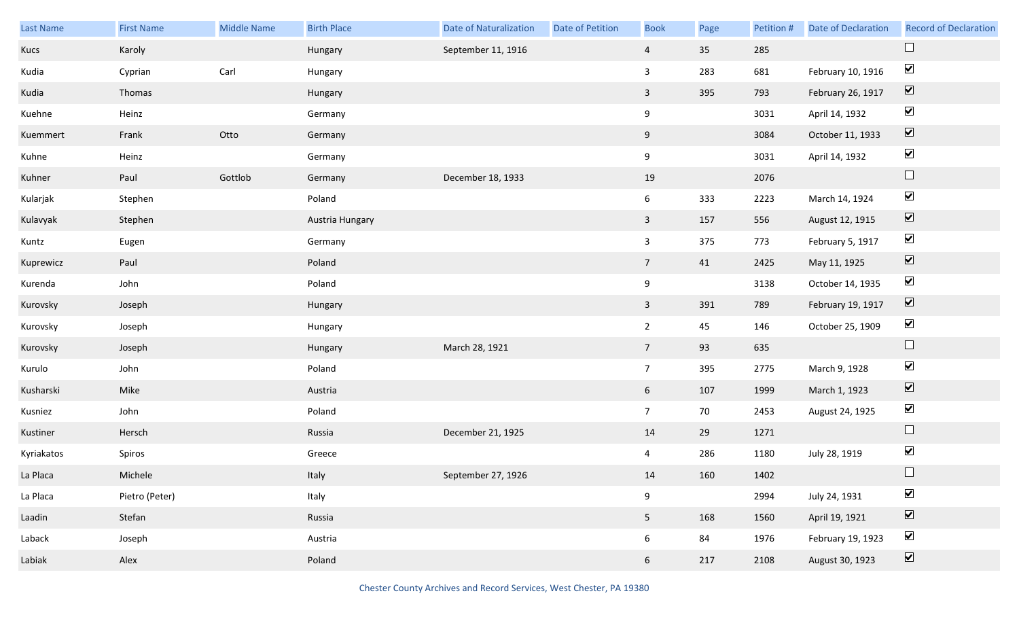| Last Name  | <b>First Name</b> | <b>Middle Name</b> | <b>Birth Place</b> | <b>Date of Naturalization</b> | Date of Petition | <b>Book</b>     | Page | Petition # | Date of Declaration | <b>Record of Declaration</b> |
|------------|-------------------|--------------------|--------------------|-------------------------------|------------------|-----------------|------|------------|---------------------|------------------------------|
| Kucs       | Karoly            |                    | Hungary            | September 11, 1916            |                  | $\overline{4}$  | 35   | 285        |                     |                              |
| Kudia      | Cyprian           | Carl               | Hungary            |                               |                  | $\mathbf{3}$    | 283  | 681        | February 10, 1916   | $\blacktriangledown$         |
| Kudia      | Thomas            |                    | Hungary            |                               |                  | $\overline{3}$  | 395  | 793        | February 26, 1917   | $\boxed{\blacktriangledown}$ |
| Kuehne     | Heinz             |                    | Germany            |                               |                  | $9\,$           |      | 3031       | April 14, 1932      | $\blacktriangledown$         |
| Kuemmert   | Frank             | Otto               | Germany            |                               |                  | 9               |      | 3084       | October 11, 1933    | $\boxed{\blacktriangledown}$ |
| Kuhne      | Heinz             |                    | Germany            |                               |                  | 9               |      | 3031       | April 14, 1932      | $\blacktriangledown$         |
| Kuhner     | Paul              | Gottlob            | Germany            | December 18, 1933             |                  | 19              |      | 2076       |                     | $\Box$                       |
| Kularjak   | Stephen           |                    | Poland             |                               |                  | 6               | 333  | 2223       | March 14, 1924      | $\blacktriangledown$         |
| Kulavyak   | Stephen           |                    | Austria Hungary    |                               |                  | $\overline{3}$  | 157  | 556        | August 12, 1915     | $\boxed{\blacktriangledown}$ |
| Kuntz      | Eugen             |                    | Germany            |                               |                  | $\mathbf{3}$    | 375  | 773        | February 5, 1917    | $\blacktriangledown$         |
| Kuprewicz  | Paul              |                    | Poland             |                               |                  | 7 <sup>7</sup>  | 41   | 2425       | May 11, 1925        | $\boxed{\blacktriangledown}$ |
| Kurenda    | John              |                    | Poland             |                               |                  | 9               |      | 3138       | October 14, 1935    | $\blacktriangledown$         |
| Kurovsky   | Joseph            |                    | Hungary            |                               |                  | $\mathbf{3}$    | 391  | 789        | February 19, 1917   | $\boxed{\blacktriangledown}$ |
| Kurovsky   | Joseph            |                    | Hungary            |                               |                  | $\overline{2}$  | 45   | 146        | October 25, 1909    | $\blacktriangledown$         |
| Kurovsky   | Joseph            |                    | Hungary            | March 28, 1921                |                  | 7 <sup>7</sup>  | 93   | 635        |                     | $\hfill \square$             |
| Kurulo     | John              |                    | Poland             |                               |                  | $7\overline{ }$ | 395  | 2775       | March 9, 1928       | $\blacktriangledown$         |
| Kusharski  | Mike              |                    | Austria            |                               |                  | 6 <sup>1</sup>  | 107  | 1999       | March 1, 1923       | $\boxed{\blacktriangledown}$ |
| Kusniez    | John              |                    | Poland             |                               |                  | $7\overline{ }$ | 70   | 2453       | August 24, 1925     | $\blacktriangledown$         |
| Kustiner   | Hersch            |                    | Russia             | December 21, 1925             |                  | 14              | 29   | 1271       |                     | $\Box$                       |
| Kyriakatos | Spiros            |                    | Greece             |                               |                  | $\overline{4}$  | 286  | 1180       | July 28, 1919       | $\blacktriangledown$         |
| La Placa   | Michele           |                    | Italy              | September 27, 1926            |                  | 14              | 160  | 1402       |                     | $\Box$                       |
| La Placa   | Pietro (Peter)    |                    | Italy              |                               |                  | $9\,$           |      | 2994       | July 24, 1931       | $\blacktriangledown$         |
| Laadin     | Stefan            |                    | Russia             |                               |                  | 5 <sub>1</sub>  | 168  | 1560       | April 19, 1921      | $\boxed{\blacktriangledown}$ |
| Laback     | Joseph            |                    | Austria            |                               |                  | 6               | 84   | 1976       | February 19, 1923   | $\blacktriangledown$         |
| Labiak     | Alex              |                    | Poland             |                               |                  | 6               | 217  | 2108       | August 30, 1923     | $\boxed{\blacktriangledown}$ |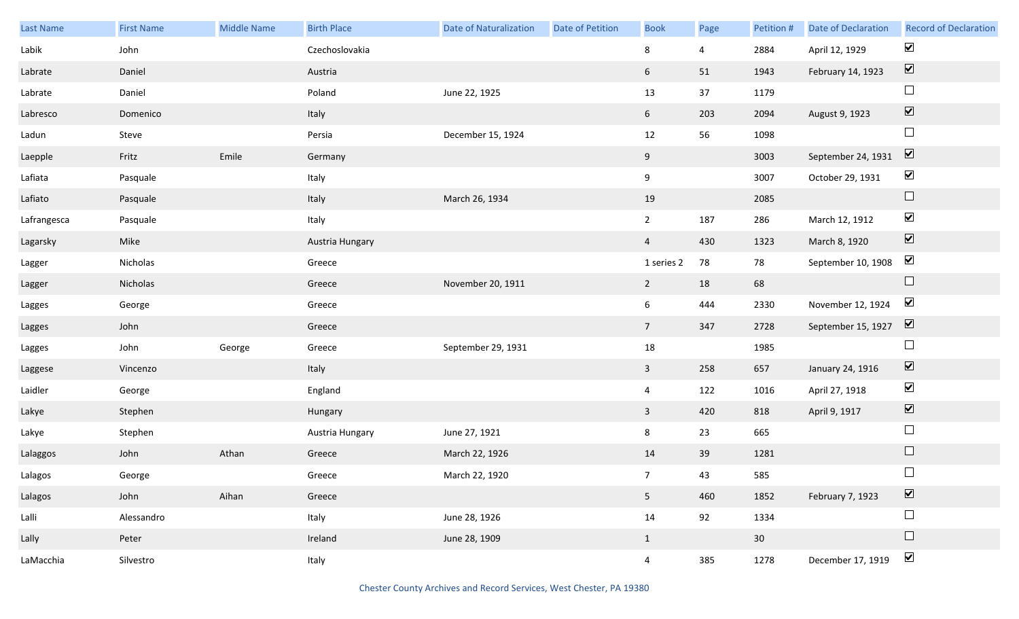| Last Name   | <b>First Name</b> | <b>Middle Name</b> | <b>Birth Place</b> | <b>Date of Naturalization</b> | <b>Date of Petition</b> | <b>Book</b>     | Page | Petition # | Date of Declaration | <b>Record of Declaration</b> |
|-------------|-------------------|--------------------|--------------------|-------------------------------|-------------------------|-----------------|------|------------|---------------------|------------------------------|
| Labik       | John              |                    | Czechoslovakia     |                               |                         | 8               | 4    | 2884       | April 12, 1929      | $\blacktriangleright$        |
| Labrate     | Daniel            |                    | Austria            |                               |                         | 6               | 51   | 1943       | February 14, 1923   | $\boxed{\blacktriangledown}$ |
| Labrate     | Daniel            |                    | Poland             | June 22, 1925                 |                         | 13              | 37   | 1179       |                     | $\Box$                       |
| Labresco    | Domenico          |                    | Italy              |                               |                         | $6\overline{6}$ | 203  | 2094       | August 9, 1923      | $\boxed{\blacktriangledown}$ |
| Ladun       | Steve             |                    | Persia             | December 15, 1924             |                         | $12\,$          | 56   | 1098       |                     | $\Box$                       |
| Laepple     | Fritz             | Emile              | Germany            |                               |                         | 9               |      | 3003       | September 24, 1931  | $\boxed{\blacktriangledown}$ |
| Lafiata     | Pasquale          |                    | Italy              |                               |                         | 9               |      | 3007       | October 29, 1931    | $\blacktriangledown$         |
| Lafiato     | Pasquale          |                    | Italy              | March 26, 1934                |                         | 19              |      | 2085       |                     | $\Box$                       |
| Lafrangesca | Pasquale          |                    | Italy              |                               |                         | $2^{\circ}$     | 187  | 286        | March 12, 1912      | $\blacktriangledown$         |
| Lagarsky    | Mike              |                    | Austria Hungary    |                               |                         | $\overline{4}$  | 430  | 1323       | March 8, 1920       | $\boxed{\blacktriangledown}$ |
| Lagger      | Nicholas          |                    | Greece             |                               |                         | 1 series 2      | 78   | 78         | September 10, 1908  | $\blacktriangledown$         |
| Lagger      | Nicholas          |                    | Greece             | November 20, 1911             |                         | $\overline{2}$  | 18   | 68         |                     | $\Box$                       |
| Lagges      | George            |                    | Greece             |                               |                         | $6\overline{6}$ | 444  | 2330       | November 12, 1924   | $\blacktriangledown$         |
| Lagges      | John              |                    | Greece             |                               |                         | $7\overline{ }$ | 347  | 2728       | September 15, 1927  | $\overline{\mathbf{v}}$      |
| Lagges      | John              | George             | Greece             | September 29, 1931            |                         | 18              |      | 1985       |                     | $\Box$                       |
| Laggese     | Vincenzo          |                    | Italy              |                               |                         | $\overline{3}$  | 258  | 657        | January 24, 1916    | $\blacktriangledown$         |
| Laidler     | George            |                    | England            |                               |                         | $\overline{4}$  | 122  | 1016       | April 27, 1918      | $\blacktriangledown$         |
| Lakye       | Stephen           |                    | Hungary            |                               |                         | $\mathbf{3}$    | 420  | 818        | April 9, 1917       | $\boxed{\blacktriangledown}$ |
| Lakye       | Stephen           |                    | Austria Hungary    | June 27, 1921                 |                         | 8               | 23   | 665        |                     | $\Box$                       |
| Lalaggos    | John              | Athan              | Greece             | March 22, 1926                |                         | 14              | 39   | 1281       |                     | $\Box$                       |
| Lalagos     | George            |                    | Greece             | March 22, 1920                |                         | 7 <sup>7</sup>  | 43   | 585        |                     | $\Box$                       |
| Lalagos     | John              | Aihan              | Greece             |                               |                         | 5 <sub>1</sub>  | 460  | 1852       | February 7, 1923    | $\boxed{\blacktriangledown}$ |
| Lalli       | Alessandro        |                    | Italy              | June 28, 1926                 |                         | 14              | 92   | 1334       |                     | $\Box$                       |
| Lally       | Peter             |                    | Ireland            | June 28, 1909                 |                         | $\mathbf{1}$    |      | 30         |                     | $\Box$                       |
| LaMacchia   | Silvestro         |                    | Italy              |                               |                         | $\overline{4}$  | 385  | 1278       | December 17, 1919   | $\blacktriangledown$         |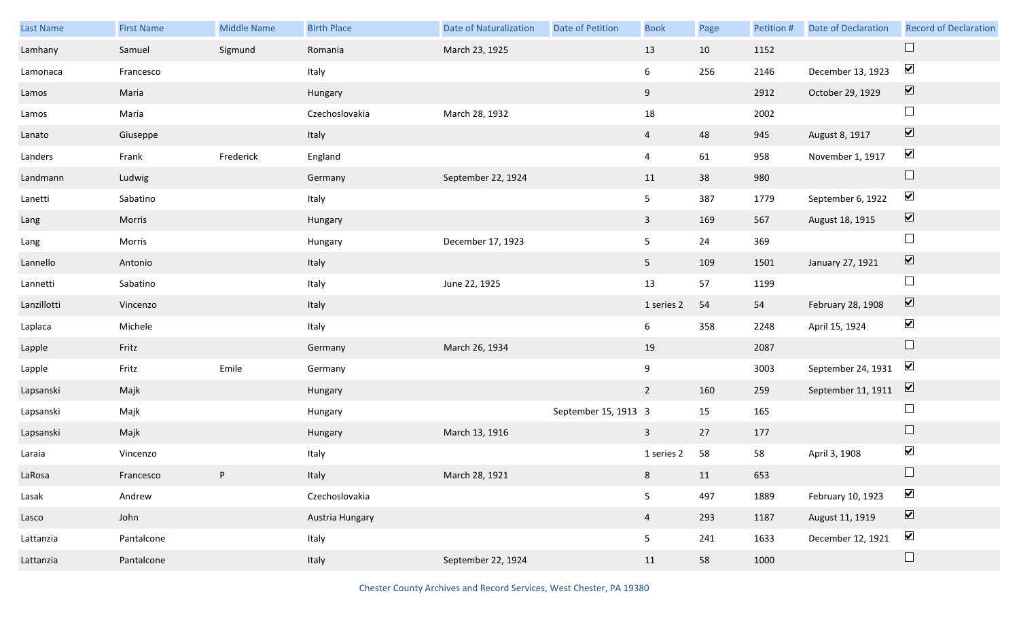| Last Name   | <b>First Name</b> | <b>Middle Name</b> | <b>Birth Place</b> | <b>Date of Naturalization</b> | Date of Petition     | <b>Book</b>    | Page | Petition # | Date of Declaration | <b>Record of Declaration</b> |
|-------------|-------------------|--------------------|--------------------|-------------------------------|----------------------|----------------|------|------------|---------------------|------------------------------|
| Lamhany     | Samuel            | Sigmund            | Romania            | March 23, 1925                |                      | 13             | 10   | 1152       |                     | $\Box$                       |
| Lamonaca    | Francesco         |                    | Italy              |                               |                      | 6              | 256  | 2146       | December 13, 1923   | $\blacktriangledown$         |
| Lamos       | Maria             |                    | Hungary            |                               |                      | 9              |      | 2912       | October 29, 1929    | $\boxed{\blacktriangledown}$ |
| Lamos       | Maria             |                    | Czechoslovakia     | March 28, 1932                |                      | 18             |      | 2002       |                     | $\Box$                       |
| Lanato      | Giuseppe          |                    | Italy              |                               |                      | $\overline{4}$ | 48   | 945        | August 8, 1917      | $\boxed{\blacktriangledown}$ |
| Landers     | Frank             | Frederick          | England            |                               |                      | $\overline{4}$ | 61   | 958        | November 1, 1917    | $\blacktriangledown$         |
| Landmann    | Ludwig            |                    | Germany            | September 22, 1924            |                      | 11             | 38   | 980        |                     | $\Box$                       |
| Lanetti     | Sabatino          |                    | Italy              |                               |                      | 5 <sub>5</sub> | 387  | 1779       | September 6, 1922   | $\blacktriangledown$         |
| Lang        | Morris            |                    | Hungary            |                               |                      | $\mathbf{3}$   | 169  | 567        | August 18, 1915     | $\boxed{\blacktriangledown}$ |
| Lang        | Morris            |                    | Hungary            | December 17, 1923             |                      | 5              | 24   | 369        |                     | $\Box$                       |
| Lannello    | Antonio           |                    | Italy              |                               |                      | 5 <sub>1</sub> | 109  | 1501       | January 27, 1921    | $\boxed{\blacktriangledown}$ |
| Lannetti    | Sabatino          |                    | Italy              | June 22, 1925                 |                      | 13             | 57   | 1199       |                     | $\Box$                       |
| Lanzillotti | Vincenzo          |                    | Italy              |                               |                      | 1 series 2     | 54   | 54         | February 28, 1908   | $\boxed{\blacktriangledown}$ |
| Laplaca     | Michele           |                    | Italy              |                               |                      | 6              | 358  | 2248       | April 15, 1924      | $\blacktriangledown$         |
| Lapple      | Fritz             |                    | Germany            | March 26, 1934                |                      | 19             |      | 2087       |                     | $\Box$                       |
| Lapple      | Fritz             | Emile              | Germany            |                               |                      | 9              |      | 3003       | September 24, 1931  | $\blacktriangledown$         |
| Lapsanski   | Majk              |                    | Hungary            |                               |                      | $2^{\circ}$    | 160  | 259        | September 11, 1911  | $\overline{\mathbf{v}}$      |
| Lapsanski   | Majk              |                    | Hungary            |                               | September 15, 1913 3 |                | 15   | 165        |                     | $\Box$                       |
| Lapsanski   | Majk              |                    | Hungary            | March 13, 1916                |                      | $\mathbf{3}$   | 27   | 177        |                     | $\Box$                       |
| Laraia      | Vincenzo          |                    | Italy              |                               |                      | 1 series 2     | 58   | 58         | April 3, 1908       | $\blacktriangledown$         |
| LaRosa      | Francesco         | P                  | Italy              | March 28, 1921                |                      | 8 <sub>1</sub> | 11   | 653        |                     | $\Box$                       |
| Lasak       | Andrew            |                    | Czechoslovakia     |                               |                      | 5              | 497  | 1889       | February 10, 1923   | $\blacktriangledown$         |
| Lasco       | John              |                    | Austria Hungary    |                               |                      | $\overline{4}$ | 293  | 1187       | August 11, 1919     | $\boxed{\blacktriangledown}$ |
| Lattanzia   | Pantalcone        |                    | Italy              |                               |                      | 5              | 241  | 1633       | December 12, 1921   | $\blacktriangledown$         |
| Lattanzia   | Pantalcone        |                    | Italy              | September 22, 1924            |                      | 11             | 58   | 1000       |                     | $\Box$                       |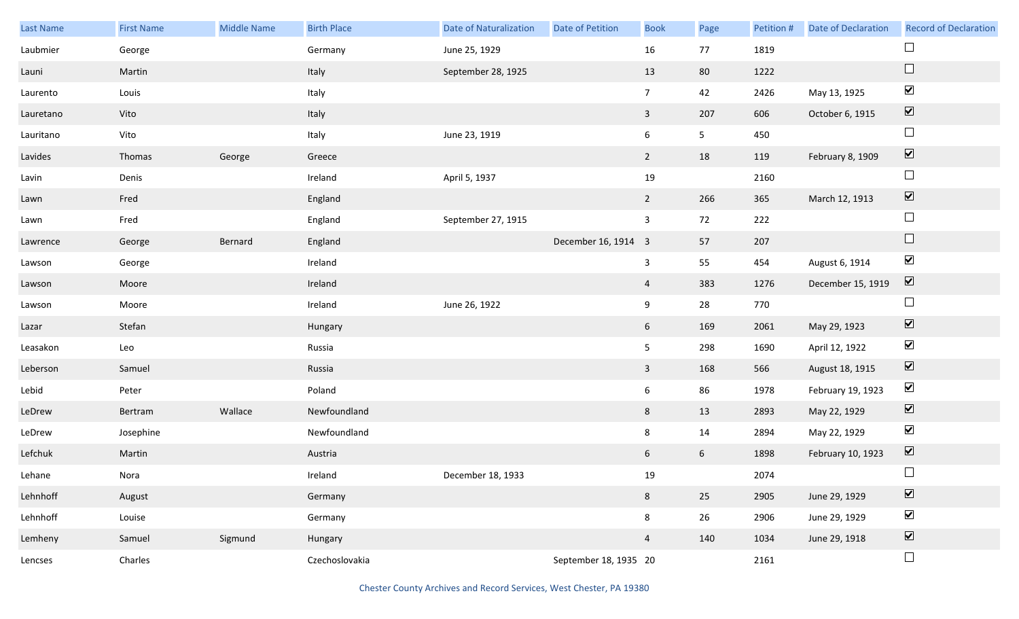| <b>Last Name</b> | <b>First Name</b> | <b>Middle Name</b> | <b>Birth Place</b> | <b>Date of Naturalization</b> | Date of Petition      | <b>Book</b>     | Page            | Petition # | Date of Declaration | <b>Record of Declaration</b> |
|------------------|-------------------|--------------------|--------------------|-------------------------------|-----------------------|-----------------|-----------------|------------|---------------------|------------------------------|
| Laubmier         | George            |                    | Germany            | June 25, 1929                 |                       | 16              | 77              | 1819       |                     | $\Box$                       |
| Launi            | Martin            |                    | Italy              | September 28, 1925            |                       | 13              | 80              | 1222       |                     | $\Box$                       |
| Laurento         | Louis             |                    | Italy              |                               |                       | 7 <sup>7</sup>  | 42              | 2426       | May 13, 1925        | $\blacktriangledown$         |
| Lauretano        | Vito              |                    | Italy              |                               |                       | $\overline{3}$  | 207             | 606        | October 6, 1915     | $\boxed{\blacktriangledown}$ |
| Lauritano        | Vito              |                    | Italy              | June 23, 1919                 |                       | 6               | 5 <sub>1</sub>  | 450        |                     | $\Box$                       |
| Lavides          | Thomas            | George             | Greece             |                               |                       | $\overline{2}$  | 18              | 119        | February 8, 1909    | $\boxed{\blacktriangledown}$ |
| Lavin            | Denis             |                    | Ireland            | April 5, 1937                 |                       | 19              |                 | 2160       |                     | $\Box$                       |
| Lawn             | Fred              |                    | England            |                               |                       | 2               | 266             | 365        | March 12, 1913      | $\boxed{\blacktriangledown}$ |
| Lawn             | Fred              |                    | England            | September 27, 1915            |                       | $\mathbf{3}$    | 72              | 222        |                     | $\Box$                       |
| Lawrence         | George            | Bernard            | England            |                               | December 16, 1914 3   |                 | 57              | 207        |                     | $\hfill \square$             |
| Lawson           | George            |                    | Ireland            |                               |                       | $\mathbf{3}$    | 55              | 454        | August 6, 1914      | $\blacktriangledown$         |
| Lawson           | Moore             |                    | Ireland            |                               |                       | $\overline{4}$  | 383             | 1276       | December 15, 1919   | $\overline{\mathbf{v}}$      |
| Lawson           | Moore             |                    | Ireland            | June 26, 1922                 |                       | 9               | 28              | 770        |                     | $\Box$                       |
| Lazar            | Stefan            |                    | Hungary            |                               |                       | $6\overline{6}$ | 169             | 2061       | May 29, 1923        | $\blacktriangledown$         |
| Leasakon         | Leo               |                    | Russia             |                               |                       | 5 <sub>5</sub>  | 298             | 1690       | April 12, 1922      | $\blacktriangledown$         |
| Leberson         | Samuel            |                    | Russia             |                               |                       | $\overline{3}$  | 168             | 566        | August 18, 1915     | $\boxed{\blacktriangledown}$ |
| Lebid            | Peter             |                    | Poland             |                               |                       | 6               | 86              | 1978       | February 19, 1923   | $\blacktriangledown$         |
| LeDrew           | Bertram           | Wallace            | Newfoundland       |                               |                       | 8               | 13              | 2893       | May 22, 1929        | $\overline{\mathbf{V}}$      |
| LeDrew           | Josephine         |                    | Newfoundland       |                               |                       | 8               | $14\,$          | 2894       | May 22, 1929        | $\blacktriangledown$         |
| Lefchuk          | Martin            |                    | Austria            |                               |                       | 6               | $6\overline{6}$ | 1898       | February 10, 1923   | $\boxed{\blacktriangledown}$ |
| Lehane           | Nora              |                    | Ireland            | December 18, 1933             |                       | 19              |                 | 2074       |                     | $\Box$                       |
| Lehnhoff         | August            |                    | Germany            |                               |                       | 8               | 25              | 2905       | June 29, 1929       | $\overline{\mathbf{v}}$      |
| Lehnhoff         | Louise            |                    | Germany            |                               |                       | 8               | 26              | 2906       | June 29, 1929       | $\blacktriangledown$         |
| Lemheny          | Samuel            | Sigmund            | Hungary            |                               |                       | $\overline{4}$  | 140             | 1034       | June 29, 1918       | $\overline{\mathbf{v}}$      |
| Lencses          | Charles           |                    | Czechoslovakia     |                               | September 18, 1935 20 |                 |                 | 2161       |                     | $\Box$                       |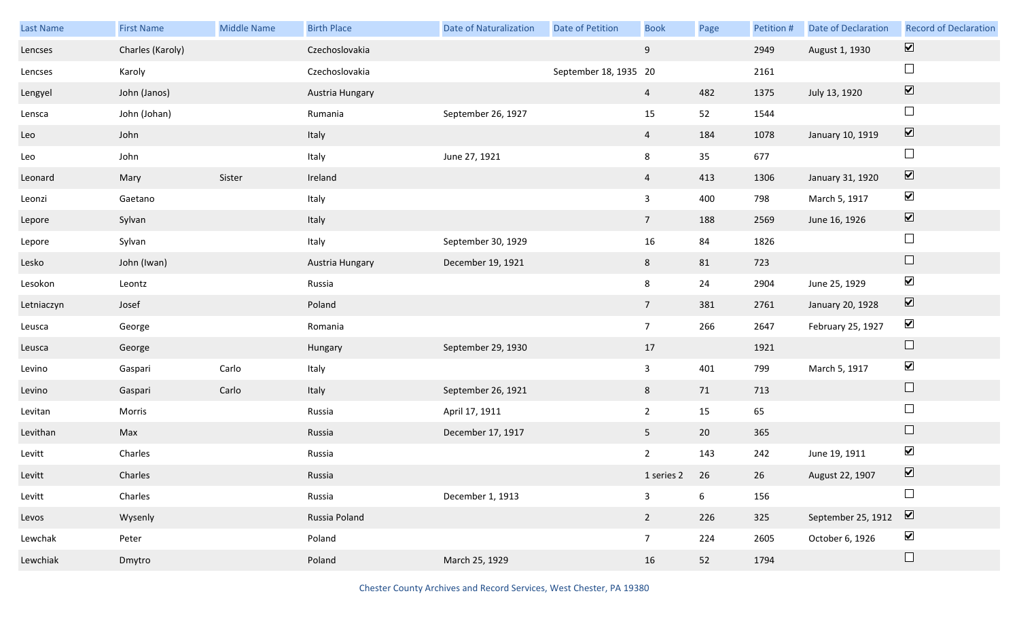| Last Name  | <b>First Name</b> | Middle Name | <b>Birth Place</b> | Date of Naturalization | Date of Petition      | <b>Book</b>     | Page | Petition # | <b>Date of Declaration</b> | <b>Record of Declaration</b>             |
|------------|-------------------|-------------|--------------------|------------------------|-----------------------|-----------------|------|------------|----------------------------|------------------------------------------|
| Lencses    | Charles (Karoly)  |             | Czechoslovakia     |                        |                       | 9               |      | 2949       | August 1, 1930             | $\boxed{\blacktriangledown}$             |
| Lencses    | Karoly            |             | Czechoslovakia     |                        | September 18, 1935 20 |                 |      | 2161       |                            | $\Box$                                   |
| Lengyel    | John (Janos)      |             | Austria Hungary    |                        |                       | $\overline{4}$  | 482  | 1375       | July 13, 1920              | $\boxed{\blacktriangledown}$             |
| Lensca     | John (Johan)      |             | Rumania            | September 26, 1927     |                       | 15              | 52   | 1544       |                            | $\Box$                                   |
| Leo        | John              |             | Italy              |                        |                       | $\overline{4}$  | 184  | 1078       | January 10, 1919           | $\boxed{\color{red} \blacktriangledown}$ |
| Leo        | John              |             | Italy              | June 27, 1921          |                       | 8               | 35   | 677        |                            | $\Box$                                   |
| Leonard    | Mary              | Sister      | Ireland            |                        |                       | $\overline{4}$  | 413  | 1306       | January 31, 1920           | $\boxed{\blacktriangledown}$             |
| Leonzi     | Gaetano           |             | Italy              |                        |                       | $\mathbf{3}$    | 400  | 798        | March 5, 1917              | $\blacktriangledown$                     |
| Lepore     | Sylvan            |             | Italy              |                        |                       | 7 <sup>7</sup>  | 188  | 2569       | June 16, 1926              | $\boxed{\blacktriangledown}$             |
| Lepore     | Sylvan            |             | Italy              | September 30, 1929     |                       | 16              | 84   | 1826       |                            | $\Box$                                   |
| Lesko      | John (Iwan)       |             | Austria Hungary    | December 19, 1921      |                       | 8               | 81   | 723        |                            | $\Box$                                   |
| Lesokon    | Leontz            |             | Russia             |                        |                       | 8               | 24   | 2904       | June 25, 1929              | $\blacktriangledown$                     |
| Letniaczyn | Josef             |             | Poland             |                        |                       | 7 <sup>7</sup>  | 381  | 2761       | January 20, 1928           | $\boxed{\blacktriangledown}$             |
| Leusca     | George            |             | Romania            |                        |                       | $7\overline{ }$ | 266  | 2647       | February 25, 1927          | $\blacktriangledown$                     |
| Leusca     | George            |             | Hungary            | September 29, 1930     |                       | 17              |      | 1921       |                            | $\Box$                                   |
| Levino     | Gaspari           | Carlo       | Italy              |                        |                       | $\mathbf{3}$    | 401  | 799        | March 5, 1917              | $\blacktriangledown$                     |
| Levino     | Gaspari           | Carlo       | Italy              | September 26, 1921     |                       | 8               | 71   | 713        |                            | $\Box$                                   |
| Levitan    | Morris            |             | Russia             | April 17, 1911         |                       | $2^{\circ}$     | 15   | 65         |                            | $\Box$                                   |
| Levithan   | Max               |             | Russia             | December 17, 1917      |                       | 5 <sub>1</sub>  | 20   | 365        |                            | $\Box$                                   |
| Levitt     | Charles           |             | Russia             |                        |                       | $2^{\circ}$     | 143  | 242        | June 19, 1911              | $\blacktriangledown$                     |
| Levitt     | Charles           |             | Russia             |                        |                       | 1 series 2 26   |      | 26         | August 22, 1907            | $\boxed{\blacktriangledown}$             |
| Levitt     | Charles           |             | Russia             | December 1, 1913       |                       | 3               | 6    | 156        |                            | $\Box$                                   |
| Levos      | Wysenly           |             | Russia Poland      |                        |                       | $2^{\circ}$     | 226  | 325        | September 25, 1912         | $\boxed{\blacktriangledown}$             |
| Lewchak    | Peter             |             | Poland             |                        |                       | $7\overline{ }$ | 224  | 2605       | October 6, 1926            | $\blacktriangledown$                     |
| Lewchiak   | Dmytro            |             | Poland             | March 25, 1929         |                       | 16              | 52   | 1794       |                            | $\Box$                                   |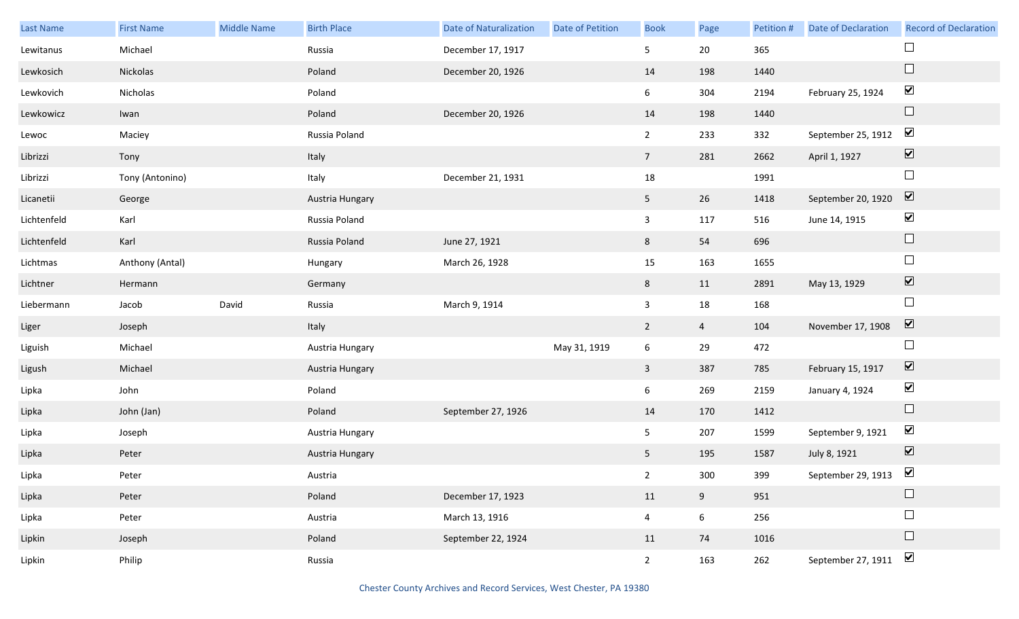| Last Name   | <b>First Name</b> | <b>Middle Name</b> | <b>Birth Place</b> | <b>Date of Naturalization</b> | Date of Petition | <b>Book</b>    | Page            | Petition # | Date of Declaration | <b>Record of Declaration</b> |
|-------------|-------------------|--------------------|--------------------|-------------------------------|------------------|----------------|-----------------|------------|---------------------|------------------------------|
| Lewitanus   | Michael           |                    | Russia             | December 17, 1917             |                  | 5              | 20              | 365        |                     | $\Box$                       |
| Lewkosich   | Nickolas          |                    | Poland             | December 20, 1926             |                  | 14             | 198             | 1440       |                     | $\Box$                       |
| Lewkovich   | Nicholas          |                    | Poland             |                               |                  | 6              | 304             | 2194       | February 25, 1924   | $\blacktriangledown$         |
| Lewkowicz   | Iwan              |                    | Poland             | December 20, 1926             |                  | 14             | 198             | 1440       |                     | $\Box$                       |
| Lewoc       | Maciey            |                    | Russia Poland      |                               |                  | $2^{\circ}$    | 233             | 332        | September 25, 1912  | $\blacktriangledown$         |
| Librizzi    | Tony              |                    | Italy              |                               |                  | 7 <sup>7</sup> | 281             | 2662       | April 1, 1927       | $\boxed{\blacktriangledown}$ |
| Librizzi    | Tony (Antonino)   |                    | Italy              | December 21, 1931             |                  | $18\,$         |                 | 1991       |                     | $\Box$                       |
| Licanetii   | George            |                    | Austria Hungary    |                               |                  | 5 <sub>1</sub> | 26              | 1418       | September 20, 1920  | $\overline{\mathbf{v}}$      |
| Lichtenfeld | Karl              |                    | Russia Poland      |                               |                  | $\mathbf{3}$   | 117             | 516        | June 14, 1915       | $\blacktriangledown$         |
| Lichtenfeld | Karl              |                    | Russia Poland      | June 27, 1921                 |                  | 8              | 54              | 696        |                     | $\hfill \square$             |
| Lichtmas    | Anthony (Antal)   |                    | Hungary            | March 26, 1928                |                  | 15             | 163             | 1655       |                     | $\Box$                       |
| Lichtner    | Hermann           |                    | Germany            |                               |                  | 8              | 11              | 2891       | May 13, 1929        | $\boxed{\blacktriangledown}$ |
| Liebermann  | Jacob             | David              | Russia             | March 9, 1914                 |                  | $\mathbf{3}$   | 18              | 168        |                     | $\Box$                       |
| Liger       | Joseph            |                    | Italy              |                               |                  | $\overline{2}$ | $\overline{4}$  | 104        | November 17, 1908   | $\overline{\mathbf{v}}$      |
| Liguish     | Michael           |                    | Austria Hungary    |                               | May 31, 1919     | $6\,$          | 29              | 472        |                     | $\Box$                       |
| Ligush      | Michael           |                    | Austria Hungary    |                               |                  | $\mathbf{3}$   | 387             | 785        | February 15, 1917   | $\boxed{\blacktriangledown}$ |
| Lipka       | John              |                    | Poland             |                               |                  | 6              | 269             | 2159       | January 4, 1924     | $\blacktriangledown$         |
| Lipka       | John (Jan)        |                    | Poland             | September 27, 1926            |                  | 14             | 170             | 1412       |                     | $\hfill \square$             |
| Lipka       | Joseph            |                    | Austria Hungary    |                               |                  | 5              | 207             | 1599       | September 9, 1921   | $\blacktriangledown$         |
| Lipka       | Peter             |                    | Austria Hungary    |                               |                  | 5 <sub>1</sub> | 195             | 1587       | July 8, 1921        | $\boxed{\blacktriangledown}$ |
| Lipka       | Peter             |                    | Austria            |                               |                  | $2^{\circ}$    | 300             | 399        | September 29, 1913  | $\blacktriangledown$         |
| Lipka       | Peter             |                    | Poland             | December 17, 1923             |                  | 11             | 9               | 951        |                     | $\Box$                       |
| Lipka       | Peter             |                    | Austria            | March 13, 1916                |                  | $\overline{4}$ | $6\overline{6}$ | 256        |                     | $\Box$                       |
| Lipkin      | Joseph            |                    | Poland             | September 22, 1924            |                  | 11             | 74              | 1016       |                     | $\Box$                       |
| Lipkin      | Philip            |                    | Russia             |                               |                  | $2^{\circ}$    | 163             | 262        | September 27, 1911  | $\blacktriangledown$         |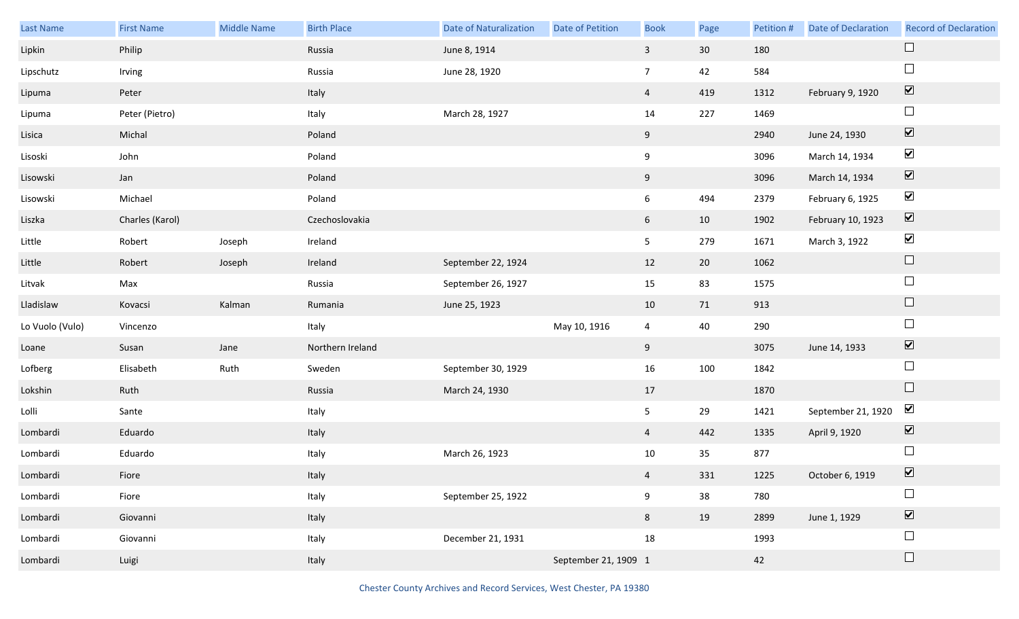| Last Name       | <b>First Name</b> | <b>Middle Name</b> | <b>Birth Place</b> | <b>Date of Naturalization</b> | Date of Petition     | <b>Book</b>     | Page   | Petition # | Date of Declaration | <b>Record of Declaration</b> |
|-----------------|-------------------|--------------------|--------------------|-------------------------------|----------------------|-----------------|--------|------------|---------------------|------------------------------|
| Lipkin          | Philip            |                    | Russia             | June 8, 1914                  |                      | $\mathbf{3}$    | 30     | 180        |                     |                              |
| Lipschutz       | Irving            |                    | Russia             | June 28, 1920                 |                      | $7\overline{ }$ | 42     | 584        |                     | $\Box$                       |
| Lipuma          | Peter             |                    | Italy              |                               |                      | $\overline{4}$  | 419    | 1312       | February 9, 1920    | $\boxed{\blacktriangledown}$ |
| Lipuma          | Peter (Pietro)    |                    | Italy              | March 28, 1927                |                      | 14              | 227    | 1469       |                     | $\Box$                       |
| Lisica          | Michal            |                    | Poland             |                               |                      | 9               |        | 2940       | June 24, 1930       | $\boxed{\blacktriangledown}$ |
| Lisoski         | John              |                    | Poland             |                               |                      | 9               |        | 3096       | March 14, 1934      | $\blacktriangledown$         |
| Lisowski        | Jan               |                    | Poland             |                               |                      | 9               |        | 3096       | March 14, 1934      | $\boxed{\blacktriangledown}$ |
| Lisowski        | Michael           |                    | Poland             |                               |                      | $6\overline{6}$ | 494    | 2379       | February 6, 1925    | $\blacktriangledown$         |
| Liszka          | Charles (Karol)   |                    | Czechoslovakia     |                               |                      | 6 <sup>1</sup>  | 10     | 1902       | February 10, 1923   | $\boxed{\blacktriangledown}$ |
| Little          | Robert            | Joseph             | Ireland            |                               |                      | 5 <sub>1</sub>  | 279    | 1671       | March 3, 1922       | $\blacktriangledown$         |
| Little          | Robert            | Joseph             | Ireland            | September 22, 1924            |                      | 12              | $20\,$ | 1062       |                     | $\Box$                       |
| Litvak          | Max               |                    | Russia             | September 26, 1927            |                      | 15              | 83     | 1575       |                     | $\Box$                       |
| Lladislaw       | Kovacsi           | Kalman             | Rumania            | June 25, 1923                 |                      | 10              | 71     | 913        |                     | $\Box$                       |
| Lo Vuolo (Vulo) | Vincenzo          |                    | Italy              |                               | May 10, 1916         | $\overline{4}$  | 40     | 290        |                     | $\Box$                       |
| Loane           | Susan             | Jane               | Northern Ireland   |                               |                      | 9               |        | 3075       | June 14, 1933       | $\overline{\mathbf{v}}$      |
| Lofberg         | Elisabeth         | Ruth               | Sweden             | September 30, 1929            |                      | 16              | 100    | 1842       |                     | $\Box$                       |
| Lokshin         | Ruth              |                    | Russia             | March 24, 1930                |                      | 17              |        | 1870       |                     | $\Box$                       |
| Lolli           | Sante             |                    | Italy              |                               |                      | 5 <sub>5</sub>  | 29     | 1421       | September 21, 1920  | $\blacktriangledown$         |
| Lombardi        | Eduardo           |                    | Italy              |                               |                      | $\overline{4}$  | 442    | 1335       | April 9, 1920       | $\overline{\mathbf{v}}$      |
| Lombardi        | Eduardo           |                    | Italy              | March 26, 1923                |                      | $10\,$          | 35     | 877        |                     | $\Box$                       |
| Lombardi        | Fiore             |                    | Italy              |                               |                      | $\overline{4}$  | 331    | 1225       | October 6, 1919     | $\boxed{\blacktriangledown}$ |
| Lombardi        | Fiore             |                    | Italy              | September 25, 1922            |                      | 9               | 38     | 780        |                     | $\Box$                       |
| Lombardi        | Giovanni          |                    | Italy              |                               |                      | $8\phantom{.}$  | 19     | 2899       | June 1, 1929        | $\boxed{\blacktriangledown}$ |
| Lombardi        | Giovanni          |                    | Italy              | December 21, 1931             |                      | 18              |        | 1993       |                     | $\Box$                       |
| Lombardi        | Luigi             |                    | Italy              |                               | September 21, 1909 1 |                 |        | 42         |                     | $\Box$                       |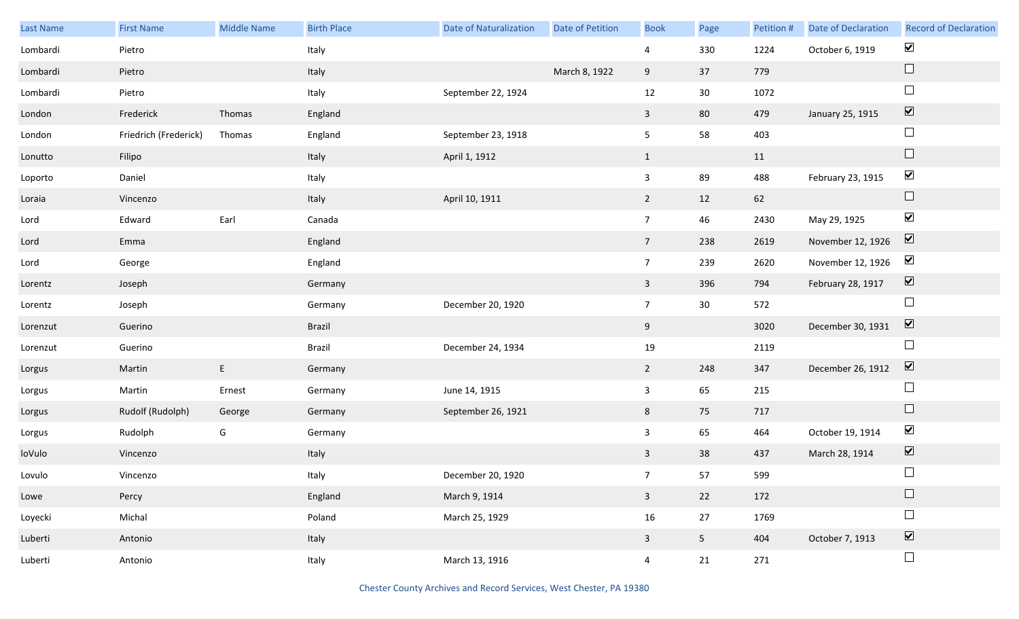| Last Name | <b>First Name</b>     | Middle Name | <b>Birth Place</b> | <b>Date of Naturalization</b> | <b>Date of Petition</b> | <b>Book</b>     | Page           | Petition # | <b>Date of Declaration</b> | <b>Record of Declaration</b> |
|-----------|-----------------------|-------------|--------------------|-------------------------------|-------------------------|-----------------|----------------|------------|----------------------------|------------------------------|
| Lombardi  | Pietro                |             | Italy              |                               |                         | 4               | 330            | 1224       | October 6, 1919            | $\blacktriangledown$         |
| Lombardi  | Pietro                |             | Italy              |                               | March 8, 1922           | 9               | 37             | 779        |                            | $\Box$                       |
| Lombardi  | Pietro                |             | Italy              | September 22, 1924            |                         | 12              | 30             | 1072       |                            | $\Box$                       |
| London    | Frederick             | Thomas      | England            |                               |                         | $\mathbf{3}$    | 80             | 479        | January 25, 1915           | $\boxed{\blacktriangledown}$ |
| London    | Friedrich (Frederick) | Thomas      | England            | September 23, 1918            |                         | 5 <sub>1</sub>  | 58             | 403        |                            | $\Box$                       |
| Lonutto   | Filipo                |             | Italy              | April 1, 1912                 |                         | $\mathbf{1}$    |                | 11         |                            | $\Box$                       |
| Loporto   | Daniel                |             | Italy              |                               |                         | $\mathbf{3}$    | 89             | 488        | February 23, 1915          | $\blacktriangledown$         |
| Loraia    | Vincenzo              |             | Italy              | April 10, 1911                |                         | $\overline{2}$  | 12             | 62         |                            | $\Box$                       |
| Lord      | Edward                | Earl        | Canada             |                               |                         | $7\overline{ }$ | 46             | 2430       | May 29, 1925               | $\blacktriangledown$         |
| Lord      | Emma                  |             | England            |                               |                         | $7\overline{ }$ | 238            | 2619       | November 12, 1926          | $\boxed{\blacktriangledown}$ |
| Lord      | George                |             | England            |                               |                         | $7\overline{ }$ | 239            | 2620       | November 12, 1926          | $\blacktriangledown$         |
| Lorentz   | Joseph                |             | Germany            |                               |                         | $\mathbf{3}$    | 396            | 794        | February 28, 1917          | $\boxed{\blacktriangledown}$ |
| Lorentz   | Joseph                |             | Germany            | December 20, 1920             |                         | 7 <sup>7</sup>  | 30             | 572        |                            | $\Box$                       |
| Lorenzut  | Guerino               |             | Brazil             |                               |                         | 9               |                | 3020       | December 30, 1931          | $\overline{\mathbf{v}}$      |
| Lorenzut  | Guerino               |             | Brazil             | December 24, 1934             |                         | 19              |                | 2119       |                            | $\Box$                       |
| Lorgus    | Martin                | E           | Germany            |                               |                         | $2^{\circ}$     | 248            | 347        | December 26, 1912          | $\overline{\mathbf{v}}$      |
| Lorgus    | Martin                | Ernest      | Germany            | June 14, 1915                 |                         | $\mathbf{3}$    | 65             | 215        |                            | $\Box$                       |
| Lorgus    | Rudolf (Rudolph)      | George      | Germany            | September 26, 1921            |                         | 8               | 75             | 717        |                            | $\Box$                       |
| Lorgus    | Rudolph               | G           | Germany            |                               |                         | $\mathbf{3}$    | 65             | 464        | October 19, 1914           | $\blacktriangledown$         |
| loVulo    | Vincenzo              |             | Italy              |                               |                         | $\mathbf{3}$    | 38             | 437        | March 28, 1914             | $\overline{\mathbf{v}}$      |
| Lovulo    | Vincenzo              |             | Italy              | December 20, 1920             |                         | 7 <sup>7</sup>  | 57             | 599        |                            | $\Box$                       |
| Lowe      | Percy                 |             | England            | March 9, 1914                 |                         | $\mathbf{3}$    | 22             | 172        |                            | $\Box$                       |
| Loyecki   | Michal                |             | Poland             | March 25, 1929                |                         | $16\,$          | 27             | 1769       |                            | $\Box$                       |
| Luberti   | Antonio               |             | Italy              |                               |                         | $\mathbf{3}$    | 5 <sub>1</sub> | 404        | October 7, 1913            | $\boxed{\blacktriangledown}$ |
| Luberti   | Antonio               |             | Italy              | March 13, 1916                |                         | $\overline{4}$  | 21             | 271        |                            | $\Box$                       |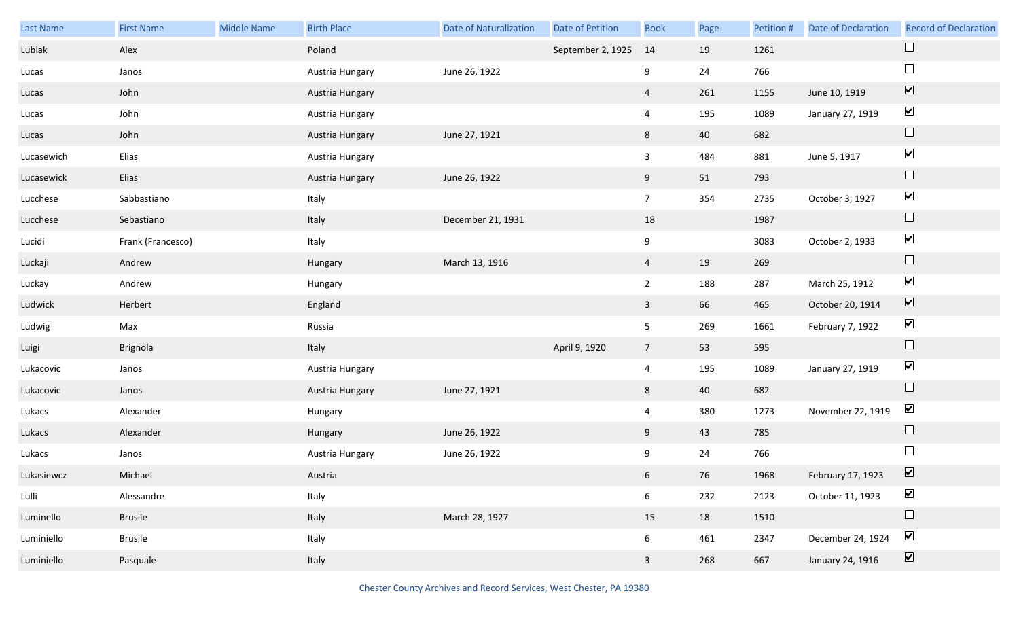| Last Name  | <b>First Name</b> | Middle Name | <b>Birth Place</b> | Date of Naturalization | Date of Petition  | <b>Book</b>     | Page | Petition # | <b>Date of Declaration</b> | <b>Record of Declaration</b> |
|------------|-------------------|-------------|--------------------|------------------------|-------------------|-----------------|------|------------|----------------------------|------------------------------|
| Lubiak     | Alex              |             | Poland             |                        | September 2, 1925 | 14              | 19   | 1261       |                            | $\Box$                       |
| Lucas      | Janos             |             | Austria Hungary    | June 26, 1922          |                   | 9               | 24   | 766        |                            | $\Box$                       |
| Lucas      | John              |             | Austria Hungary    |                        |                   | $\overline{4}$  | 261  | 1155       | June 10, 1919              | $\overline{\mathbf{v}}$      |
| Lucas      | John              |             | Austria Hungary    |                        |                   | $\overline{4}$  | 195  | 1089       | January 27, 1919           | $\blacktriangledown$         |
| Lucas      | John              |             | Austria Hungary    | June 27, 1921          |                   | 8               | 40   | 682        |                            | $\Box$                       |
| Lucasewich | Elias             |             | Austria Hungary    |                        |                   | $\mathbf{3}$    | 484  | 881        | June 5, 1917               | $\blacktriangledown$         |
| Lucasewick | Elias             |             | Austria Hungary    | June 26, 1922          |                   | 9               | 51   | 793        |                            | $\Box$                       |
| Lucchese   | Sabbastiano       |             | Italy              |                        |                   | 7 <sup>7</sup>  | 354  | 2735       | October 3, 1927            | $\blacktriangledown$         |
| Lucchese   | Sebastiano        |             | Italy              | December 21, 1931      |                   | 18              |      | 1987       |                            | $\Box$                       |
| Lucidi     | Frank (Francesco) |             | Italy              |                        |                   | 9               |      | 3083       | October 2, 1933            | $\blacktriangledown$         |
| Luckaji    | Andrew            |             | Hungary            | March 13, 1916         |                   | $\overline{4}$  | 19   | 269        |                            | $\Box$                       |
| Luckay     | Andrew            |             | Hungary            |                        |                   | $2^{\circ}$     | 188  | 287        | March 25, 1912             | $\blacktriangledown$         |
| Ludwick    | Herbert           |             | England            |                        |                   | $\mathbf{3}$    | 66   | 465        | October 20, 1914           | $\blacktriangledown$         |
| Ludwig     | Max               |             | Russia             |                        |                   | 5               | 269  | 1661       | February 7, 1922           | $\blacktriangledown$         |
| Luigi      | Brignola          |             | Italy              |                        | April 9, 1920     | $7\overline{ }$ | 53   | 595        |                            | $\Box$                       |
| Lukacovic  | Janos             |             | Austria Hungary    |                        |                   | $\overline{4}$  | 195  | 1089       | January 27, 1919           | $\blacktriangledown$         |
| Lukacovic  | Janos             |             | Austria Hungary    | June 27, 1921          |                   | 8               | 40   | 682        |                            | $\Box$                       |
| Lukacs     | Alexander         |             | Hungary            |                        |                   | $\overline{4}$  | 380  | 1273       | November 22, 1919          | $\blacktriangledown$         |
| Lukacs     | Alexander         |             | Hungary            | June 26, 1922          |                   | 9               | 43   | 785        |                            | $\Box$                       |
| Lukacs     | Janos             |             | Austria Hungary    | June 26, 1922          |                   | 9               | 24   | 766        |                            | $\Box$                       |
| Lukasiewcz | Michael           |             | Austria            |                        |                   | $6\overline{6}$ | 76   | 1968       | February 17, 1923          | $\boxed{\mathbf{v}}$         |
| Lulli      | Alessandre        |             | Italy              |                        |                   | 6               | 232  | 2123       | October 11, 1923           | $\blacktriangledown$         |
| Luminello  | <b>Brusile</b>    |             | Italy              | March 28, 1927         |                   | 15              | 18   | 1510       |                            | $\Box$                       |
| Luminiello | <b>Brusile</b>    |             | Italy              |                        |                   | 6               | 461  | 2347       | December 24, 1924          | $\blacktriangledown$         |
| Luminiello | Pasquale          |             | Italy              |                        |                   | $\overline{3}$  | 268  | 667        | January 24, 1916           | $\overline{\mathbf{v}}$      |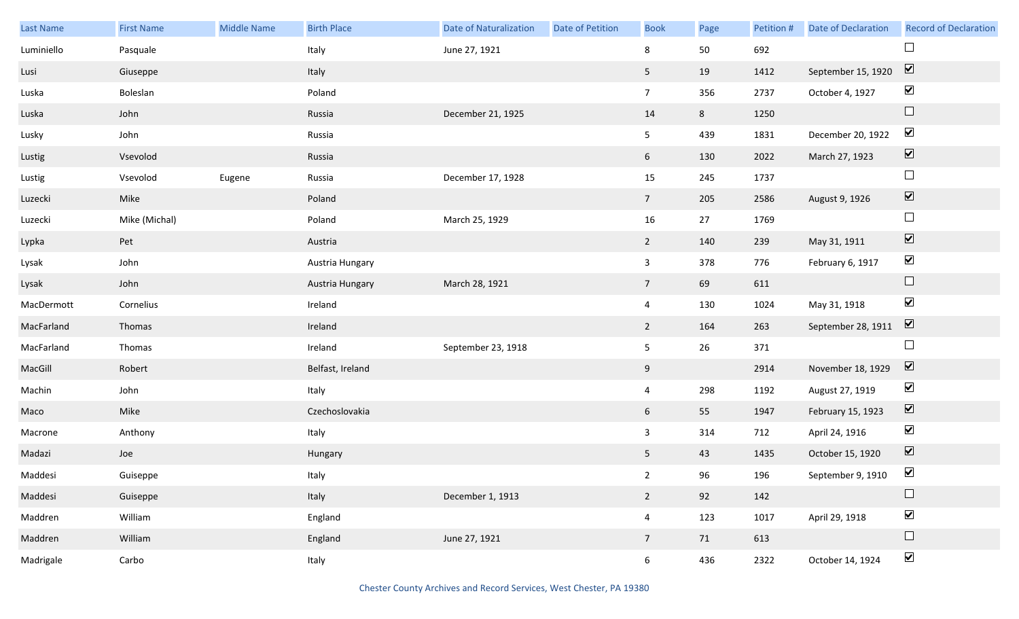| Last Name  | <b>First Name</b> | <b>Middle Name</b> | <b>Birth Place</b> | <b>Date of Naturalization</b> | Date of Petition | <b>Book</b>     | Page | Petition # | <b>Date of Declaration</b> | <b>Record of Declaration</b>    |
|------------|-------------------|--------------------|--------------------|-------------------------------|------------------|-----------------|------|------------|----------------------------|---------------------------------|
| Luminiello | Pasquale          |                    | Italy              | June 27, 1921                 |                  | 8               | 50   | 692        |                            | $\Box$                          |
| Lusi       | Giuseppe          |                    | Italy              |                               |                  | 5               | 19   | 1412       | September 15, 1920         | $\overline{\mathbf{v}}$         |
| Luska      | Boleslan          |                    | Poland             |                               |                  | 7 <sup>7</sup>  | 356  | 2737       | October 4, 1927            | $\blacktriangledown$            |
| Luska      | John              |                    | Russia             | December 21, 1925             |                  | 14              | 8    | 1250       |                            | $\hfill \square$                |
| Lusky      | John              |                    | Russia             |                               |                  | 5 <sub>1</sub>  | 439  | 1831       | December 20, 1922          | $\blacktriangledown$            |
| Lustig     | Vsevolod          |                    | Russia             |                               |                  | 6               | 130  | 2022       | March 27, 1923             | $\blacktriangledown$            |
| Lustig     | Vsevolod          | Eugene             | Russia             | December 17, 1928             |                  | 15              | 245  | 1737       |                            | $\Box$                          |
| Luzecki    | Mike              |                    | Poland             |                               |                  | 7 <sup>7</sup>  | 205  | 2586       | August 9, 1926             | $\overline{\blacktriangledown}$ |
| Luzecki    | Mike (Michal)     |                    | Poland             | March 25, 1929                |                  | 16              | 27   | 1769       |                            | $\Box$                          |
| Lypka      | Pet               |                    | Austria            |                               |                  | $\overline{2}$  | 140  | 239        | May 31, 1911               | $\blacktriangledown$            |
| Lysak      | John              |                    | Austria Hungary    |                               |                  | $\mathbf{3}$    | 378  | 776        | February 6, 1917           | $\blacktriangledown$            |
| Lysak      | John              |                    | Austria Hungary    | March 28, 1921                |                  | $7\overline{ }$ | 69   | 611        |                            | $\Box$                          |
| MacDermott | Cornelius         |                    | Ireland            |                               |                  | $\overline{4}$  | 130  | 1024       | May 31, 1918               | $\blacktriangledown$            |
| MacFarland | Thomas            |                    | Ireland            |                               |                  | $\overline{2}$  | 164  | 263        | September 28, 1911         | $\boxed{\blacktriangledown}$    |
| MacFarland | Thomas            |                    | Ireland            | September 23, 1918            |                  | 5               | 26   | 371        |                            | $\Box$                          |
| MacGill    | Robert            |                    | Belfast, Ireland   |                               |                  | 9               |      | 2914       | November 18, 1929          | $\boxed{\blacktriangledown}$    |
| Machin     | John              |                    | Italy              |                               |                  | $\overline{4}$  | 298  | 1192       | August 27, 1919            | $\blacktriangledown$            |
| Maco       | Mike              |                    | Czechoslovakia     |                               |                  | 6 <sup>1</sup>  | 55   | 1947       | February 15, 1923          | $\blacktriangledown$            |
| Macrone    | Anthony           |                    | Italy              |                               |                  | $\mathbf{3}$    | 314  | 712        | April 24, 1916             | $\blacktriangledown$            |
| Madazi     | Joe               |                    | Hungary            |                               |                  | 5 <sub>1</sub>  | 43   | 1435       | October 15, 1920           | $\boxed{\blacktriangledown}$    |
| Maddesi    | Guiseppe          |                    | Italy              |                               |                  | $2^{\circ}$     | 96   | 196        | September 9, 1910          | $\blacktriangledown$            |
| Maddesi    | Guiseppe          |                    | Italy              | December 1, 1913              |                  | $2^{\circ}$     | 92   | 142        |                            | $\Box$                          |
| Maddren    | William           |                    | England            |                               |                  | $\overline{4}$  | 123  | 1017       | April 29, 1918             | $\blacktriangledown$            |
| Maddren    | William           |                    | England            | June 27, 1921                 |                  | 7 <sup>7</sup>  | 71   | 613        |                            | $\Box$                          |
| Madrigale  | Carbo             |                    | Italy              |                               |                  | 6               | 436  | 2322       | October 14, 1924           | $\blacktriangledown$            |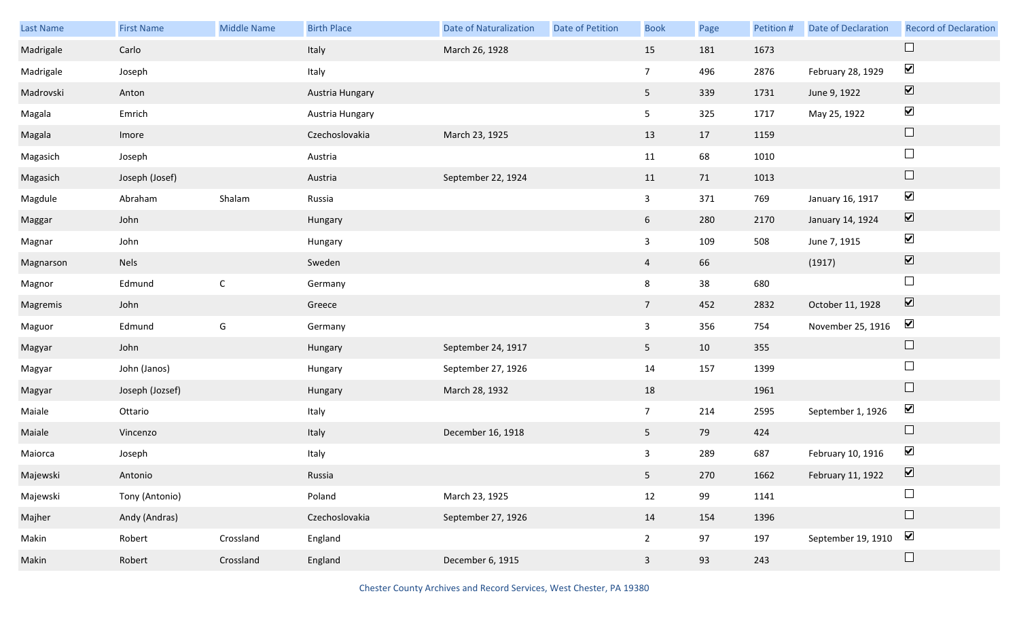| <b>Last Name</b> | <b>First Name</b> | Middle Name | <b>Birth Place</b> | <b>Date of Naturalization</b> | Date of Petition | <b>Book</b>     | Page | Petition # | <b>Date of Declaration</b> | <b>Record of Declaration</b> |
|------------------|-------------------|-------------|--------------------|-------------------------------|------------------|-----------------|------|------------|----------------------------|------------------------------|
| Madrigale        | Carlo             |             | Italy              | March 26, 1928                |                  | 15              | 181  | 1673       |                            | $\Box$                       |
| Madrigale        | Joseph            |             | Italy              |                               |                  | $7\overline{ }$ | 496  | 2876       | February 28, 1929          | $\blacktriangledown$         |
| Madrovski        | Anton             |             | Austria Hungary    |                               |                  | 5 <sub>1</sub>  | 339  | 1731       | June 9, 1922               | $\boxed{\blacktriangledown}$ |
| Magala           | Emrich            |             | Austria Hungary    |                               |                  | 5               | 325  | 1717       | May 25, 1922               | $\blacktriangledown$         |
| Magala           | Imore             |             | Czechoslovakia     | March 23, 1925                |                  | 13              | 17   | 1159       |                            | $\Box$                       |
| Magasich         | Joseph            |             | Austria            |                               |                  | 11              | 68   | 1010       |                            | $\Box$                       |
| Magasich         | Joseph (Josef)    |             | Austria            | September 22, 1924            |                  | 11              | 71   | 1013       |                            | $\Box$                       |
| Magdule          | Abraham           | Shalam      | Russia             |                               |                  | $\mathbf{3}$    | 371  | 769        | January 16, 1917           | $\blacktriangledown$         |
| Maggar           | John              |             | Hungary            |                               |                  | 6               | 280  | 2170       | January 14, 1924           | $\boxed{\blacktriangledown}$ |
| Magnar           | John              |             | Hungary            |                               |                  | $\mathbf{3}$    | 109  | 508        | June 7, 1915               | $\blacktriangledown$         |
| Magnarson        | <b>Nels</b>       |             | Sweden             |                               |                  | $\overline{4}$  | 66   |            | (1917)                     | $\boxed{\blacktriangledown}$ |
| Magnor           | Edmund            | $\mathsf C$ | Germany            |                               |                  | 8               | 38   | 680        |                            | $\Box$                       |
| Magremis         | John              |             | Greece             |                               |                  | 7 <sup>7</sup>  | 452  | 2832       | October 11, 1928           | $\boxed{\blacktriangledown}$ |
| Maguor           | Edmund            | G           | Germany            |                               |                  | $\mathbf{3}$    | 356  | 754        | November 25, 1916          | $\blacktriangledown$         |
| Magyar           | John              |             | Hungary            | September 24, 1917            |                  | 5 <sub>1</sub>  | 10   | 355        |                            | $\Box$                       |
| Magyar           | John (Janos)      |             | Hungary            | September 27, 1926            |                  | 14              | 157  | 1399       |                            | $\Box$                       |
| Magyar           | Joseph (Jozsef)   |             | Hungary            | March 28, 1932                |                  | 18              |      | 1961       |                            | $\Box$                       |
| Maiale           | Ottario           |             | Italy              |                               |                  | 7 <sup>7</sup>  | 214  | 2595       | September 1, 1926          | $\blacktriangledown$         |
| Maiale           | Vincenzo          |             | Italy              | December 16, 1918             |                  | 5 <sub>1</sub>  | 79   | 424        |                            | $\Box$                       |
| Maiorca          | Joseph            |             | Italy              |                               |                  | 3               | 289  | 687        | February 10, 1916          | $\blacktriangledown$         |
| Majewski         | Antonio           |             | Russia             |                               |                  | 5 <sub>1</sub>  | 270  | 1662       | February 11, 1922          | $\boxed{\mathbf{v}}$         |
| Majewski         | Tony (Antonio)    |             | Poland             | March 23, 1925                |                  | 12              | 99   | 1141       |                            | $\Box$                       |
| Majher           | Andy (Andras)     |             | Czechoslovakia     | September 27, 1926            |                  | 14              | 154  | 1396       |                            | $\Box$                       |
| Makin            | Robert            | Crossland   | England            |                               |                  | $2^{\circ}$     | 97   | 197        | September 19, 1910         | $\blacktriangledown$         |
| Makin            | Robert            | Crossland   | England            | December 6, 1915              |                  | $\mathbf{3}$    | 93   | 243        |                            | $\Box$                       |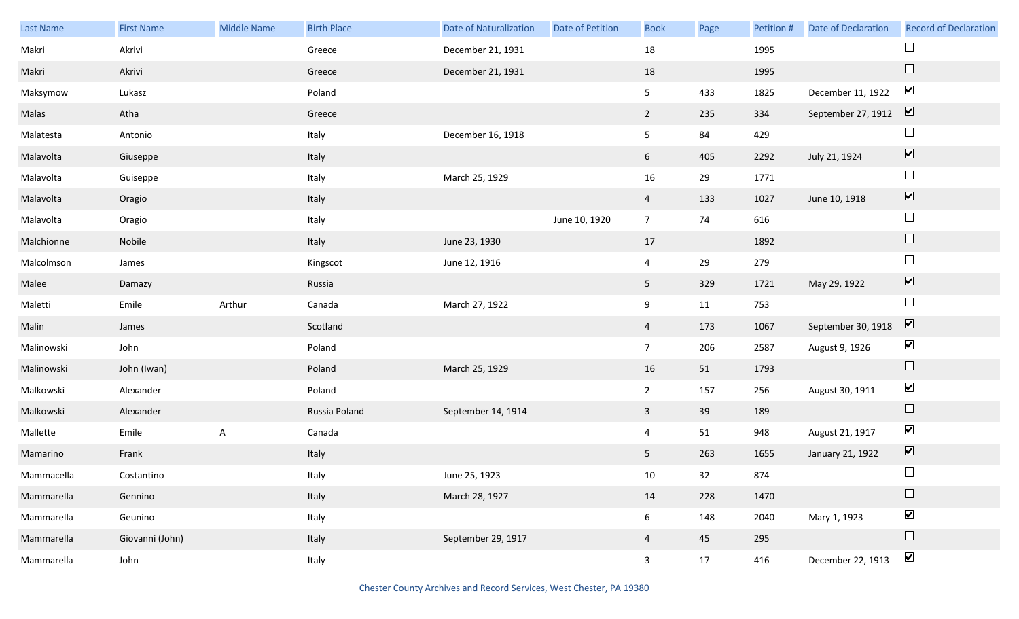| Last Name  | <b>First Name</b> | <b>Middle Name</b> | <b>Birth Place</b> | <b>Date of Naturalization</b> | Date of Petition | <b>Book</b>     | Page | Petition # | Date of Declaration                        | <b>Record of Declaration</b> |
|------------|-------------------|--------------------|--------------------|-------------------------------|------------------|-----------------|------|------------|--------------------------------------------|------------------------------|
| Makri      | Akrivi            |                    | Greece             | December 21, 1931             |                  | 18              |      | 1995       |                                            |                              |
| Makri      | Akrivi            |                    | Greece             | December 21, 1931             |                  | 18              |      | 1995       |                                            | $\Box$                       |
| Maksymow   | Lukasz            |                    | Poland             |                               |                  | 5 <sub>1</sub>  | 433  | 1825       | December 11, 1922                          | $\blacktriangledown$         |
| Malas      | Atha              |                    | Greece             |                               |                  | $\overline{2}$  | 235  | 334        | September 27, 1912 $\boxed{\triangledown}$ |                              |
| Malatesta  | Antonio           |                    | Italy              | December 16, 1918             |                  | 5 <sub>5</sub>  | 84   | 429        |                                            | $\Box$                       |
| Malavolta  | Giuseppe          |                    | Italy              |                               |                  | 6               | 405  | 2292       | July 21, 1924                              | $\boxed{\blacktriangledown}$ |
| Malavolta  | Guiseppe          |                    | Italy              | March 25, 1929                |                  | 16              | 29   | 1771       |                                            | $\Box$                       |
| Malavolta  | Oragio            |                    | Italy              |                               |                  | $\overline{4}$  | 133  | 1027       | June 10, 1918                              | $\boxed{\blacktriangledown}$ |
| Malavolta  | Oragio            |                    | Italy              |                               | June 10, 1920    | 7 <sup>7</sup>  | 74   | 616        |                                            | $\Box$                       |
| Malchionne | Nobile            |                    | Italy              | June 23, 1930                 |                  | 17              |      | 1892       |                                            | $\Box$                       |
| Malcolmson | James             |                    | Kingscot           | June 12, 1916                 |                  | $\overline{4}$  | 29   | 279        |                                            | $\Box$                       |
| Malee      | Damazy            |                    | Russia             |                               |                  | 5 <sub>5</sub>  | 329  | 1721       | May 29, 1922                               | $\boxed{\blacktriangledown}$ |
| Maletti    | Emile             | Arthur             | Canada             | March 27, 1922                |                  | 9               | 11   | 753        |                                            | $\Box$                       |
| Malin      | James             |                    | Scotland           |                               |                  | $\overline{4}$  | 173  | 1067       | September 30, 1918                         | $\boxed{\blacktriangledown}$ |
| Malinowski | John              |                    | Poland             |                               |                  | 7 <sup>7</sup>  | 206  | 2587       | August 9, 1926                             | $\blacktriangledown$         |
| Malinowski | John (Iwan)       |                    | Poland             | March 25, 1929                |                  | 16              | 51   | 1793       |                                            | $\Box$                       |
| Malkowski  | Alexander         |                    | Poland             |                               |                  | $\overline{2}$  | 157  | 256        | August 30, 1911                            | $\blacktriangledown$         |
| Malkowski  | Alexander         |                    | Russia Poland      | September 14, 1914            |                  | $\mathbf{3}$    | 39   | 189        |                                            | $\Box$                       |
| Mallette   | Emile             | A                  | Canada             |                               |                  | $\overline{4}$  | 51   | 948        | August 21, 1917                            | $\blacktriangledown$         |
| Mamarino   | Frank             |                    | Italy              |                               |                  | 5 <sub>5</sub>  | 263  | 1655       | January 21, 1922                           | $\boxed{\blacktriangledown}$ |
| Mammacella | Costantino        |                    | Italy              | June 25, 1923                 |                  | 10              | 32   | 874        |                                            | $\Box$                       |
| Mammarella | Gennino           |                    | Italy              | March 28, 1927                |                  | 14              | 228  | 1470       |                                            | $\Box$                       |
| Mammarella | Geunino           |                    | Italy              |                               |                  | $6\overline{6}$ | 148  | 2040       | Mary 1, 1923                               | $\blacktriangledown$         |
| Mammarella | Giovanni (John)   |                    | Italy              | September 29, 1917            |                  | $\overline{4}$  | 45   | 295        |                                            | $\Box$                       |
| Mammarella | John              |                    | Italy              |                               |                  | $\mathbf{3}$    | 17   | 416        | December 22, 1913                          | $\blacktriangledown$         |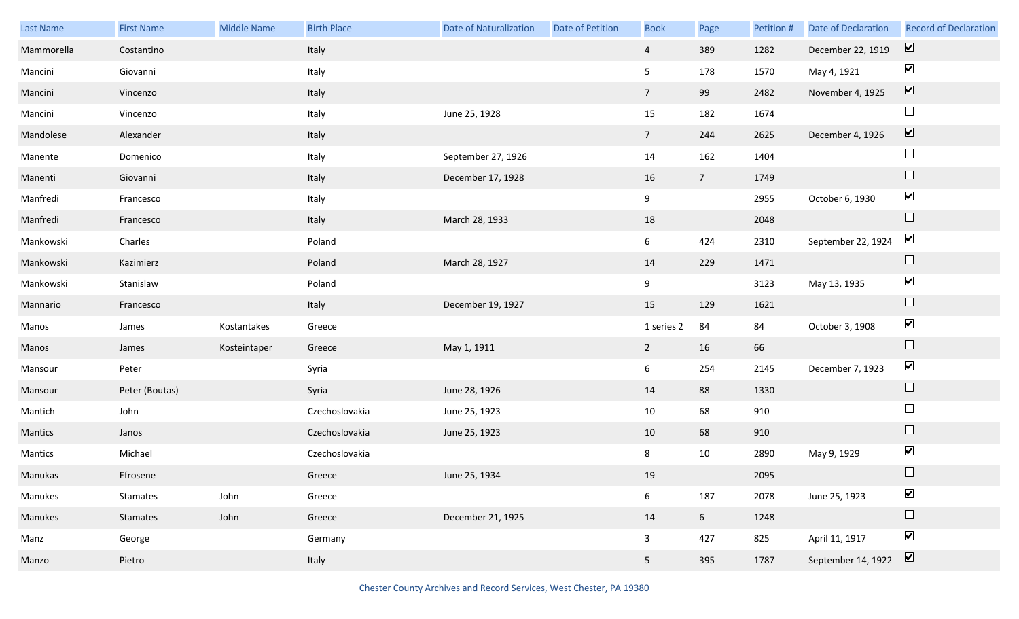| Last Name  | <b>First Name</b> | <b>Middle Name</b> | <b>Birth Place</b> | <b>Date of Naturalization</b> | Date of Petition | <b>Book</b>     | Page           | Petition # | Date of Declaration | <b>Record of Declaration</b> |
|------------|-------------------|--------------------|--------------------|-------------------------------|------------------|-----------------|----------------|------------|---------------------|------------------------------|
| Mammorella | Costantino        |                    | Italy              |                               |                  | $\overline{4}$  | 389            | 1282       | December 22, 1919   | $\boxed{\blacktriangledown}$ |
| Mancini    | Giovanni          |                    | Italy              |                               |                  | 5 <sub>5</sub>  | 178            | 1570       | May 4, 1921         | $\blacktriangleright$        |
| Mancini    | Vincenzo          |                    | Italy              |                               |                  | $7\overline{ }$ | 99             | 2482       | November 4, 1925    | $\boxed{\blacktriangledown}$ |
| Mancini    | Vincenzo          |                    | Italy              | June 25, 1928                 |                  | 15              | 182            | 1674       |                     | $\Box$                       |
| Mandolese  | Alexander         |                    | Italy              |                               |                  | 7 <sup>7</sup>  | 244            | 2625       | December 4, 1926    | $\boxed{\blacktriangledown}$ |
| Manente    | Domenico          |                    | Italy              | September 27, 1926            |                  | 14              | 162            | 1404       |                     | $\Box$                       |
| Manenti    | Giovanni          |                    | Italy              | December 17, 1928             |                  | 16              | 7 <sup>7</sup> | 1749       |                     | $\Box$                       |
| Manfredi   | Francesco         |                    | Italy              |                               |                  | 9               |                | 2955       | October 6, 1930     | $\blacktriangledown$         |
| Manfredi   | Francesco         |                    | Italy              | March 28, 1933                |                  | 18              |                | 2048       |                     | $\Box$                       |
| Mankowski  | Charles           |                    | Poland             |                               |                  | 6               | 424            | 2310       | September 22, 1924  | $\blacktriangledown$         |
| Mankowski  | Kazimierz         |                    | Poland             | March 28, 1927                |                  | 14              | 229            | 1471       |                     | $\Box$                       |
| Mankowski  | Stanislaw         |                    | Poland             |                               |                  | 9               |                | 3123       | May 13, 1935        | $\blacktriangledown$         |
| Mannario   | Francesco         |                    | Italy              | December 19, 1927             |                  | 15              | 129            | 1621       |                     | $\Box$                       |
| Manos      | James             | Kostantakes        | Greece             |                               |                  | 1 series 2      | 84             | 84         | October 3, 1908     | $\blacktriangledown$         |
| Manos      | James             | Kosteintaper       | Greece             | May 1, 1911                   |                  | $\overline{2}$  | 16             | 66         |                     | $\Box$                       |
| Mansour    | Peter             |                    | Syria              |                               |                  | 6               | 254            | 2145       | December 7, 1923    | $\blacktriangledown$         |
| Mansour    | Peter (Boutas)    |                    | Syria              | June 28, 1926                 |                  | 14              | 88             | 1330       |                     | $\Box$                       |
| Mantich    | John              |                    | Czechoslovakia     | June 25, 1923                 |                  | 10              | 68             | 910        |                     | $\Box$                       |
| Mantics    | Janos             |                    | Czechoslovakia     | June 25, 1923                 |                  | 10              | 68             | 910        |                     | $\Box$                       |
| Mantics    | Michael           |                    | Czechoslovakia     |                               |                  | 8               | 10             | 2890       | May 9, 1929         | $\blacktriangledown$         |
| Manukas    | Efrosene          |                    | Greece             | June 25, 1934                 |                  | 19              |                | 2095       |                     | $\Box$                       |
| Manukes    | Stamates          | John               | Greece             |                               |                  | $6\overline{6}$ | 187            | 2078       | June 25, 1923       | $\blacktriangledown$         |
| Manukes    | Stamates          | John               | Greece             | December 21, 1925             |                  | 14              | 6 <sup>1</sup> | 1248       |                     | $\Box$                       |
| Manz       | George            |                    | Germany            |                               |                  | $\mathbf{3}$    | 427            | 825        | April 11, 1917      | $\blacktriangledown$         |
| Manzo      | Pietro            |                    | Italy              |                               |                  | 5 <sub>1</sub>  | 395            | 1787       | September 14, 1922  | $\boxed{\blacktriangledown}$ |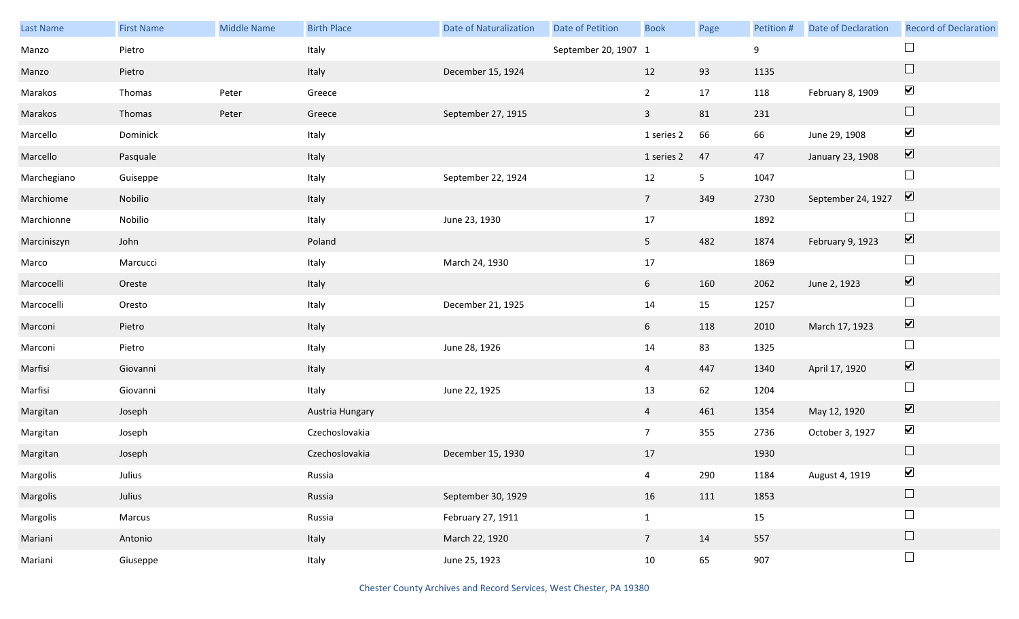| Last Name   | <b>First Name</b> | Middle Name | <b>Birth Place</b> | <b>Date of Naturalization</b> | Date of Petition     | <b>Book</b>     | Page           | Petition # | <b>Date of Declaration</b> | <b>Record of Declaration</b> |
|-------------|-------------------|-------------|--------------------|-------------------------------|----------------------|-----------------|----------------|------------|----------------------------|------------------------------|
| Manzo       | Pietro            |             | Italy              |                               | September 20, 1907 1 |                 |                | 9          |                            | $\Box$                       |
| Manzo       | Pietro            |             | Italy              | December 15, 1924             |                      | 12              | 93             | 1135       |                            | $\Box$                       |
| Marakos     | Thomas            | Peter       | Greece             |                               |                      | $\overline{2}$  | 17             | 118        | February 8, 1909           | $\blacktriangledown$         |
| Marakos     | Thomas            | Peter       | Greece             | September 27, 1915            |                      | $\mathbf{3}$    | 81             | 231        |                            | $\hfill \square$             |
| Marcello    | Dominick          |             | Italy              |                               |                      | 1 series 2      | 66             | 66         | June 29, 1908              | $\blacktriangledown$         |
| Marcello    | Pasquale          |             | Italy              |                               |                      | 1 series 2      | 47             | 47         | January 23, 1908           | $\boxed{\textbf{v}}$         |
| Marchegiano | Guiseppe          |             | Italy              | September 22, 1924            |                      | 12              | 5 <sub>1</sub> | 1047       |                            | $\Box$                       |
| Marchiome   | Nobilio           |             | Italy              |                               |                      | $7\overline{ }$ | 349            | 2730       | September 24, 1927         | $\overline{\mathbf{v}}$      |
| Marchionne  | Nobilio           |             | Italy              | June 23, 1930                 |                      | 17              |                | 1892       |                            | $\hfill \square$             |
| Marciniszyn | John              |             | Poland             |                               |                      | 5 <sub>1</sub>  | 482            | 1874       | February 9, 1923           | $\overline{\mathbf{v}}$      |
| Marco       | Marcucci          |             | Italy              | March 24, 1930                |                      | 17              |                | 1869       |                            | $\Box$                       |
| Marcocelli  | Oreste            |             | Italy              |                               |                      | 6 <sup>1</sup>  | 160            | 2062       | June 2, 1923               | $\boxed{\blacktriangledown}$ |
| Marcocelli  | Oresto            |             | Italy              | December 21, 1925             |                      | 14              | 15             | 1257       |                            | $\Box$                       |
| Marconi     | Pietro            |             | Italy              |                               |                      | 6               | 118            | 2010       | March 17, 1923             | $\boxed{\blacktriangledown}$ |
| Marconi     | Pietro            |             | Italy              | June 28, 1926                 |                      | $14\,$          | 83             | 1325       |                            | $\Box$                       |
| Marfisi     | Giovanni          |             | Italy              |                               |                      | $\overline{4}$  | 447            | 1340       | April 17, 1920             | $\blacktriangledown$         |
| Marfisi     | Giovanni          |             | Italy              | June 22, 1925                 |                      | 13              | 62             | 1204       |                            | $\Box$                       |
| Margitan    | Joseph            |             | Austria Hungary    |                               |                      | $\overline{4}$  | 461            | 1354       | May 12, 1920               | $\overline{\mathbf{v}}$      |
| Margitan    | Joseph            |             | Czechoslovakia     |                               |                      | $7\overline{ }$ | 355            | 2736       | October 3, 1927            | $\blacktriangledown$         |
| Margitan    | Joseph            |             | Czechoslovakia     | December 15, 1930             |                      | 17              |                | 1930       |                            | $\Box$                       |
| Margolis    | Julius            |             | Russia             |                               |                      | $\overline{4}$  | 290            | 1184       | August 4, 1919             | $\blacktriangledown$         |
| Margolis    | Julius            |             | Russia             | September 30, 1929            |                      | 16              | 111            | 1853       |                            | $\hfill \square$             |
| Margolis    | Marcus            |             | Russia             | February 27, 1911             |                      | $\mathbf{1}$    |                | 15         |                            | $\Box$                       |
| Mariani     | Antonio           |             | Italy              | March 22, 1920                |                      | $7\overline{ }$ | 14             | 557        |                            | $\Box$                       |
| Mariani     | Giuseppe          |             | Italy              | June 25, 1923                 |                      | 10              | 65             | 907        |                            | $\Box$                       |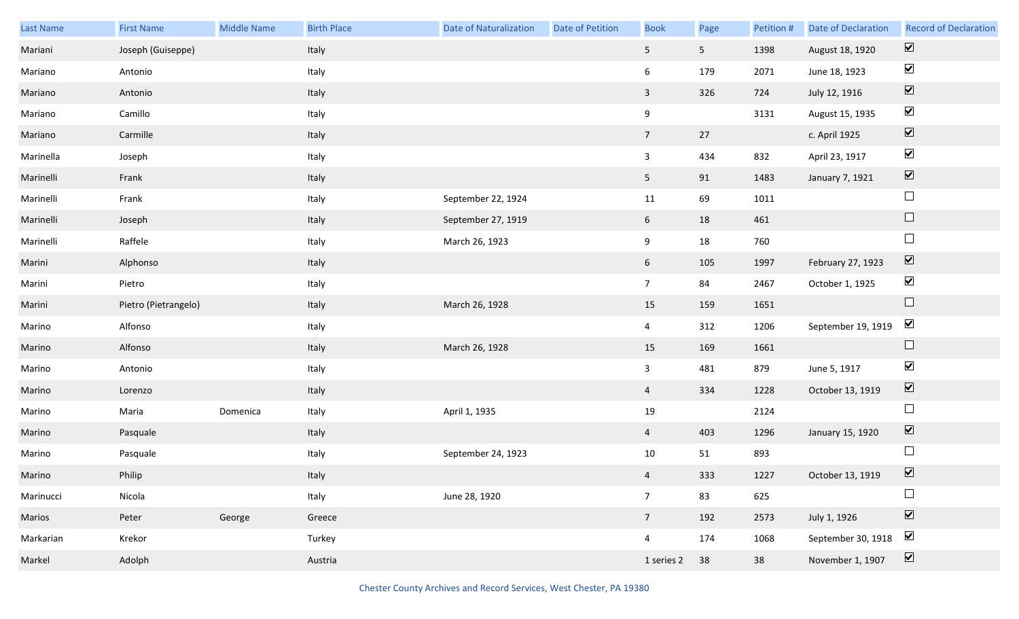| Last Name | <b>First Name</b>    | Middle Name | <b>Birth Place</b> | <b>Date of Naturalization</b> | <b>Date of Petition</b> | <b>Book</b>      | Page           | Petition # | <b>Date of Declaration</b> | <b>Record of Declaration</b> |
|-----------|----------------------|-------------|--------------------|-------------------------------|-------------------------|------------------|----------------|------------|----------------------------|------------------------------|
| Mariani   | Joseph (Guiseppe)    |             | Italy              |                               |                         | 5 <sub>5</sub>   | 5 <sub>1</sub> | 1398       | August 18, 1920            | $\overline{\mathbf{v}}$      |
| Mariano   | Antonio              |             | Italy              |                               |                         | 6                | 179            | 2071       | June 18, 1923              | $\blacktriangledown$         |
| Mariano   | Antonio              |             | Italy              |                               |                         | $\overline{3}$   | 326            | 724        | July 12, 1916              | $\boxed{\blacktriangledown}$ |
| Mariano   | Camillo              |             | Italy              |                               |                         | $\boldsymbol{9}$ |                | 3131       | August 15, 1935            | $\blacktriangledown$         |
| Mariano   | Carmille             |             | Italy              |                               |                         | 7 <sup>7</sup>   | 27             |            | c. April 1925              | $\boxed{\blacktriangledown}$ |
| Marinella | Joseph               |             | Italy              |                               |                         | $\mathbf{3}$     | 434            | 832        | April 23, 1917             | $\blacktriangledown$         |
| Marinelli | Frank                |             | Italy              |                               |                         | 5 <sub>1</sub>   | 91             | 1483       | January 7, 1921            | $\boxed{\blacktriangledown}$ |
| Marinelli | Frank                |             | Italy              | September 22, 1924            |                         | 11               | 69             | 1011       |                            | $\Box$                       |
| Marinelli | Joseph               |             | Italy              | September 27, 1919            |                         | $6\overline{6}$  | 18             | 461        |                            | $\Box$                       |
| Marinelli | Raffele              |             | Italy              | March 26, 1923                |                         | 9                | 18             | 760        |                            | $\Box$                       |
| Marini    | Alphonso             |             | Italy              |                               |                         | $6\overline{6}$  | 105            | 1997       | February 27, 1923          | $\boxed{\blacktriangledown}$ |
| Marini    | Pietro               |             | Italy              |                               |                         | 7 <sup>7</sup>   | 84             | 2467       | October 1, 1925            | $\blacktriangledown$         |
| Marini    | Pietro (Pietrangelo) |             | Italy              | March 26, 1928                |                         | 15               | 159            | 1651       |                            | $\Box$                       |
| Marino    | Alfonso              |             | Italy              |                               |                         | $\overline{4}$   | 312            | 1206       | September 19, 1919         | $\blacktriangledown$         |
| Marino    | Alfonso              |             | Italy              | March 26, 1928                |                         | 15               | 169            | 1661       |                            | $\Box$                       |
| Marino    | Antonio              |             | Italy              |                               |                         | $\mathbf{3}$     | 481            | 879        | June 5, 1917               | $\blacktriangledown$         |
| Marino    | Lorenzo              |             | Italy              |                               |                         | $\overline{4}$   | 334            | 1228       | October 13, 1919           | $\boxed{\blacktriangledown}$ |
| Marino    | Maria                | Domenica    | Italy              | April 1, 1935                 |                         | 19               |                | 2124       |                            | $\Box$                       |
| Marino    | Pasquale             |             | Italy              |                               |                         | $\overline{4}$   | 403            | 1296       | January 15, 1920           | $\boxed{\blacktriangledown}$ |
| Marino    | Pasquale             |             | Italy              | September 24, 1923            |                         | 10               | 51             | 893        |                            | $\Box$                       |
| Marino    | Philip               |             | Italy              |                               |                         | $\overline{4}$   | 333            | 1227       | October 13, 1919           | $\overline{\mathbf{v}}$      |
| Marinucci | Nicola               |             | Italy              | June 28, 1920                 |                         | 7 <sup>7</sup>   | 83             | 625        |                            | $\Box$                       |
| Marios    | Peter                | George      | Greece             |                               |                         | 7 <sup>7</sup>   | 192            | 2573       | July 1, 1926               | $\boxed{\blacktriangledown}$ |
| Markarian | Krekor               |             | Turkey             |                               |                         | $\overline{4}$   | 174            | 1068       | September 30, 1918         | $\blacktriangleright$        |
| Markel    | Adolph               |             | Austria            |                               |                         | 1 series 2       | 38             | 38         | November 1, 1907           | $\boxed{\blacktriangledown}$ |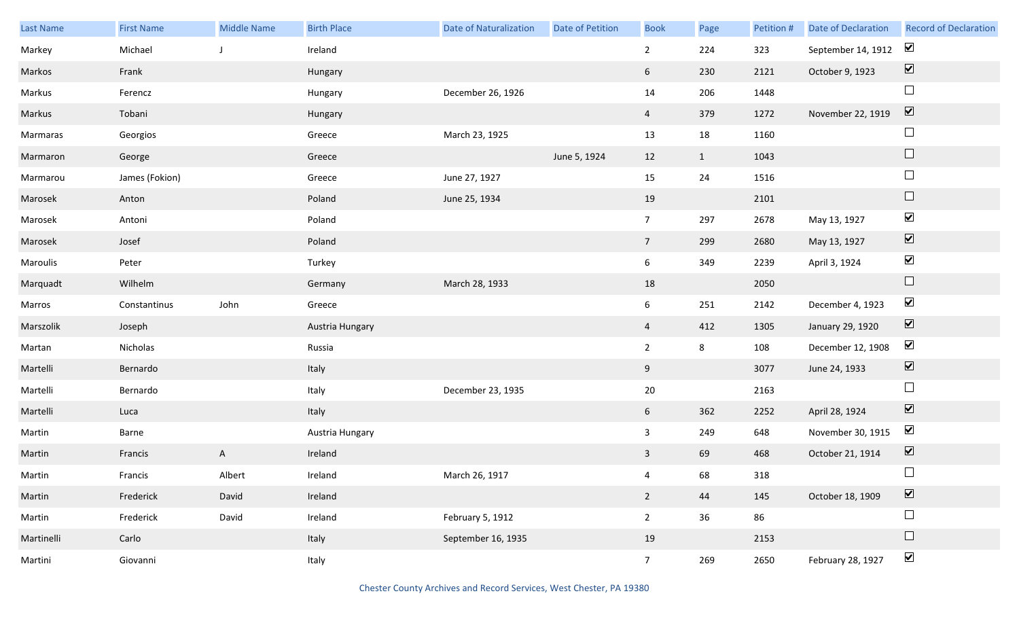| <b>Last Name</b> | <b>First Name</b> | Middle Name  | <b>Birth Place</b> | <b>Date of Naturalization</b> | <b>Date of Petition</b> | <b>Book</b>     | Page           | Petition # | <b>Date of Declaration</b> | <b>Record of Declaration</b> |
|------------------|-------------------|--------------|--------------------|-------------------------------|-------------------------|-----------------|----------------|------------|----------------------------|------------------------------|
| Markey           | Michael           |              | Ireland            |                               |                         | $\overline{2}$  | 224            | 323        | September 14, 1912         | $\blacktriangledown$         |
| Markos           | Frank             |              | Hungary            |                               |                         | 6 <sup>1</sup>  | 230            | 2121       | October 9, 1923            | $\boxed{\blacktriangledown}$ |
| Markus           | Ferencz           |              | Hungary            | December 26, 1926             |                         | 14              | 206            | 1448       |                            | $\Box$                       |
| Markus           | Tobani            |              | Hungary            |                               |                         | $\overline{4}$  | 379            | 1272       | November 22, 1919          | $\boxed{\blacktriangledown}$ |
| Marmaras         | Georgios          |              | Greece             | March 23, 1925                |                         | 13              | 18             | 1160       |                            | $\Box$                       |
| Marmaron         | George            |              | Greece             |                               | June 5, 1924            | 12              | $\mathbf{1}$   | 1043       |                            | $\hfill \square$             |
| Marmarou         | James (Fokion)    |              | Greece             | June 27, 1927                 |                         | 15              | 24             | 1516       |                            | $\Box$                       |
| Marosek          | Anton             |              | Poland             | June 25, 1934                 |                         | 19              |                | 2101       |                            | $\hfill \square$             |
| Marosek          | Antoni            |              | Poland             |                               |                         | 7 <sup>7</sup>  | 297            | 2678       | May 13, 1927               | $\blacktriangledown$         |
| Marosek          | Josef             |              | Poland             |                               |                         | 7 <sup>7</sup>  | 299            | 2680       | May 13, 1927               | $\blacktriangledown$         |
| Maroulis         | Peter             |              | Turkey             |                               |                         | 6               | 349            | 2239       | April 3, 1924              | $\blacktriangledown$         |
| Marquadt         | Wilhelm           |              | Germany            | March 28, 1933                |                         | 18              |                | 2050       |                            | $\Box$                       |
| Marros           | Constantinus      | John         | Greece             |                               |                         | 6               | 251            | 2142       | December 4, 1923           | $\blacktriangledown$         |
| Marszolik        | Joseph            |              | Austria Hungary    |                               |                         | $\overline{4}$  | 412            | 1305       | January 29, 1920           | $\blacktriangledown$         |
| Martan           | Nicholas          |              | Russia             |                               |                         | $\overline{2}$  | $8\phantom{1}$ | 108        | December 12, 1908          | $\blacktriangledown$         |
| Martelli         | Bernardo          |              | Italy              |                               |                         | 9               |                | 3077       | June 24, 1933              | $\blacktriangledown$         |
| Martelli         | Bernardo          |              | Italy              | December 23, 1935             |                         | $20\,$          |                | 2163       |                            | $\Box$                       |
| Martelli         | Luca              |              | Italy              |                               |                         | 6 <sup>1</sup>  | 362            | 2252       | April 28, 1924             | $\overline{\mathbf{v}}$      |
| Martin           | Barne             |              | Austria Hungary    |                               |                         | $\mathbf{3}$    | 249            | 648        | November 30, 1915          | $\blacktriangledown$         |
| Martin           | Francis           | $\mathsf{A}$ | Ireland            |                               |                         | $\mathbf{3}$    | 69             | 468        | October 21, 1914           | $\boxed{\blacktriangledown}$ |
| Martin           | Francis           | Albert       | Ireland            | March 26, 1917                |                         | $\overline{4}$  | 68             | 318        |                            | $\Box$                       |
| Martin           | Frederick         | David        | Ireland            |                               |                         | $2^{\circ}$     | 44             | 145        | October 18, 1909           | $\overline{\mathbf{v}}$      |
| Martin           | Frederick         | David        | Ireland            | February 5, 1912              |                         | $2^{\circ}$     | 36             | 86         |                            | $\Box$                       |
| Martinelli       | Carlo             |              | Italy              | September 16, 1935            |                         | 19              |                | 2153       |                            | $\Box$                       |
| Martini          | Giovanni          |              | Italy              |                               |                         | $7\overline{ }$ | 269            | 2650       | February 28, 1927          | $\blacktriangledown$         |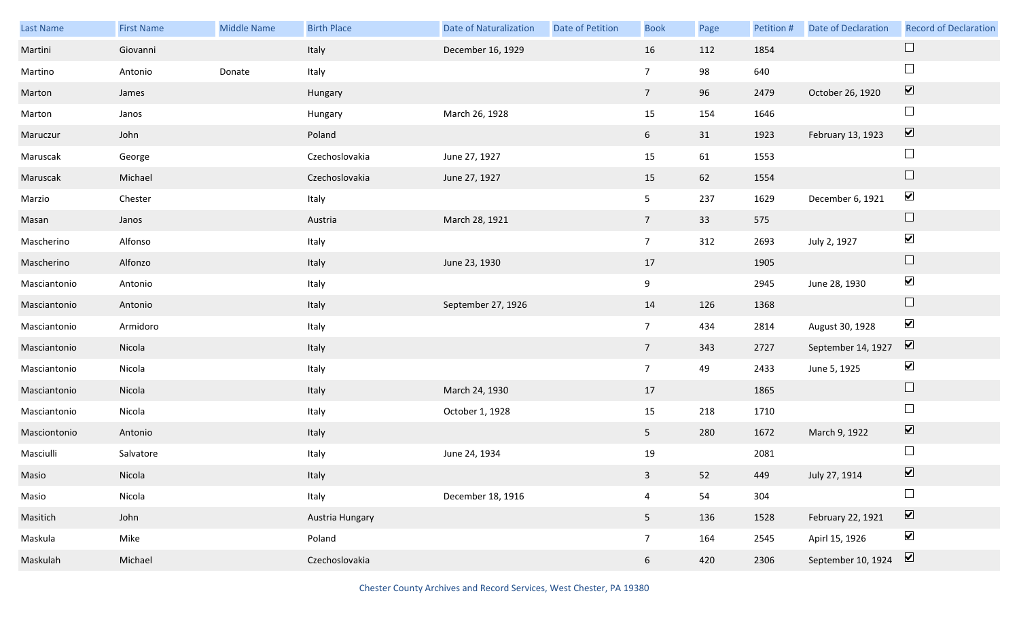| Last Name    | <b>First Name</b> | Middle Name | <b>Birth Place</b> | <b>Date of Naturalization</b> | Date of Petition | <b>Book</b>     | Page | Petition # | Date of Declaration | <b>Record of Declaration</b> |
|--------------|-------------------|-------------|--------------------|-------------------------------|------------------|-----------------|------|------------|---------------------|------------------------------|
| Martini      | Giovanni          |             | Italy              | December 16, 1929             |                  | 16              | 112  | 1854       |                     | $\Box$                       |
| Martino      | Antonio           | Donate      | Italy              |                               |                  | $\overline{7}$  | 98   | 640        |                     | $\Box$                       |
| Marton       | James             |             | Hungary            |                               |                  | 7 <sup>7</sup>  | 96   | 2479       | October 26, 1920    | $\overline{\mathbf{v}}$      |
| Marton       | Janos             |             | Hungary            | March 26, 1928                |                  | 15              | 154  | 1646       |                     | $\Box$                       |
| Maruczur     | John              |             | Poland             |                               |                  | 6               | 31   | 1923       | February 13, 1923   | $\boxed{\blacktriangledown}$ |
| Maruscak     | George            |             | Czechoslovakia     | June 27, 1927                 |                  | 15              | 61   | 1553       |                     | $\Box$                       |
| Maruscak     | Michael           |             | Czechoslovakia     | June 27, 1927                 |                  | 15              | 62   | 1554       |                     | $\Box$                       |
| Marzio       | Chester           |             | Italy              |                               |                  | 5 <sub>5</sub>  | 237  | 1629       | December 6, 1921    | $\blacktriangledown$         |
| Masan        | Janos             |             | Austria            | March 28, 1921                |                  | 7 <sup>7</sup>  | 33   | 575        |                     | $\Box$                       |
| Mascherino   | Alfonso           |             | Italy              |                               |                  | 7 <sup>7</sup>  | 312  | 2693       | July 2, 1927        | $\blacktriangledown$         |
| Mascherino   | Alfonzo           |             | Italy              | June 23, 1930                 |                  | 17              |      | 1905       |                     | $\Box$                       |
| Masciantonio | Antonio           |             | Italy              |                               |                  | 9               |      | 2945       | June 28, 1930       | $\blacktriangledown$         |
| Masciantonio | Antonio           |             | Italy              | September 27, 1926            |                  | 14              | 126  | 1368       |                     | $\Box$                       |
| Masciantonio | Armidoro          |             | Italy              |                               |                  | 7 <sup>7</sup>  | 434  | 2814       | August 30, 1928     | $\blacktriangledown$         |
| Masciantonio | Nicola            |             | Italy              |                               |                  | 7 <sup>7</sup>  | 343  | 2727       | September 14, 1927  | $\overline{\mathbf{v}}$      |
| Masciantonio | Nicola            |             | Italy              |                               |                  | 7 <sup>7</sup>  | 49   | 2433       | June 5, 1925        | $\blacktriangledown$         |
| Masciantonio | Nicola            |             | Italy              | March 24, 1930                |                  | 17              |      | 1865       |                     | $\Box$                       |
| Masciantonio | Nicola            |             | Italy              | October 1, 1928               |                  | 15              | 218  | 1710       |                     | $\Box$                       |
| Masciontonio | Antonio           |             | Italy              |                               |                  | 5 <sub>1</sub>  | 280  | 1672       | March 9, 1922       | $\blacktriangledown$         |
| Masciulli    | Salvatore         |             | Italy              | June 24, 1934                 |                  | 19              |      | 2081       |                     | $\Box$                       |
| Masio        | Nicola            |             | Italy              |                               |                  | 3 <sup>7</sup>  | 52   | 449        | July 27, 1914       | $\boxed{\mathbf{v}}$         |
| Masio        | Nicola            |             | Italy              | December 18, 1916             |                  | $\overline{4}$  | 54   | 304        |                     | $\Box$                       |
| Masitich     | John              |             | Austria Hungary    |                               |                  | 5 <sub>1</sub>  | 136  | 1528       | February 22, 1921   | $\boxed{\blacktriangledown}$ |
| Maskula      | Mike              |             | Poland             |                               |                  | 7 <sup>7</sup>  | 164  | 2545       | Apirl 15, 1926      | $\blacktriangledown$         |
| Maskulah     | Michael           |             | Czechoslovakia     |                               |                  | $6\phantom{.0}$ | 420  | 2306       | September 10, 1924  | $\boxed{\blacktriangledown}$ |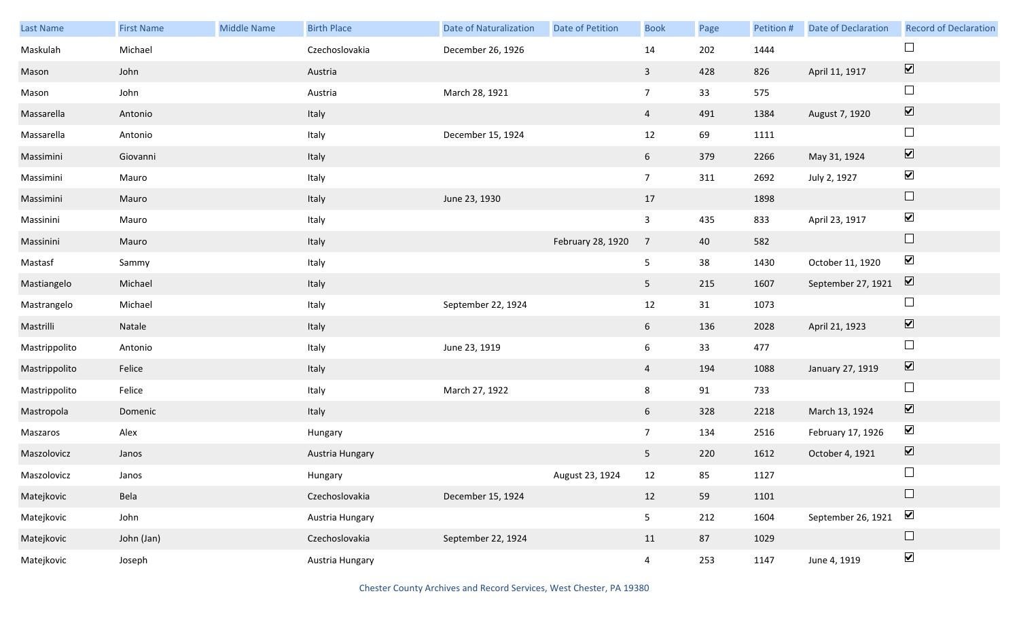| <b>Last Name</b> | <b>First Name</b> | <b>Middle Name</b> | <b>Birth Place</b> | <b>Date of Naturalization</b> | Date of Petition  | <b>Book</b>             | Page | Petition # | <b>Date of Declaration</b> | <b>Record of Declaration</b>    |
|------------------|-------------------|--------------------|--------------------|-------------------------------|-------------------|-------------------------|------|------------|----------------------------|---------------------------------|
| Maskulah         | Michael           |                    | Czechoslovakia     | December 26, 1926             |                   | $14\,$                  | 202  | 1444       |                            | $\Box$                          |
| Mason            | John              |                    | Austria            |                               |                   | $\mathbf{3}$            | 428  | 826        | April 11, 1917             | $\overline{\blacktriangledown}$ |
| Mason            | John              |                    | Austria            | March 28, 1921                |                   | 7 <sup>7</sup>          | 33   | 575        |                            | $\Box$                          |
| Massarella       | Antonio           |                    | Italy              |                               |                   | 4                       | 491  | 1384       | August 7, 1920             | $\boxed{\blacktriangledown}$    |
| Massarella       | Antonio           |                    | Italy              | December 15, 1924             |                   | 12                      | 69   | 1111       |                            | $\Box$                          |
| Massimini        | Giovanni          |                    | Italy              |                               |                   | 6                       | 379  | 2266       | May 31, 1924               | $\blacktriangledown$            |
| Massimini        | Mauro             |                    | Italy              |                               |                   | 7 <sup>7</sup>          | 311  | 2692       | July 2, 1927               | $\blacktriangledown$            |
| Massimini        | Mauro             |                    | Italy              | June 23, 1930                 |                   | 17                      |      | 1898       |                            | $\hfill \square$                |
| Massinini        | Mauro             |                    | Italy              |                               |                   | $\overline{\mathbf{3}}$ | 435  | 833        | April 23, 1917             | $\blacktriangledown$            |
| Massinini        | Mauro             |                    | Italy              |                               | February 28, 1920 | $\overline{7}$          | 40   | 582        |                            | $\Box$                          |
| Mastasf          | Sammy             |                    | Italy              |                               |                   | 5                       | 38   | 1430       | October 11, 1920           | $\blacktriangledown$            |
| Mastiangelo      | Michael           |                    | Italy              |                               |                   | 5                       | 215  | 1607       | September 27, 1921         | $\boxed{\blacktriangledown}$    |
| Mastrangelo      | Michael           |                    | Italy              | September 22, 1924            |                   | 12                      | 31   | 1073       |                            | $\Box$                          |
| Mastrilli        | Natale            |                    | Italy              |                               |                   | 6                       | 136  | 2028       | April 21, 1923             | $\blacktriangledown$            |
| Mastrippolito    | Antonio           |                    | Italy              | June 23, 1919                 |                   | $\boldsymbol{6}$        | 33   | 477        |                            | $\Box$                          |
| Mastrippolito    | Felice            |                    | Italy              |                               |                   | 4                       | 194  | 1088       | January 27, 1919           | $\blacktriangledown$            |
| Mastrippolito    | Felice            |                    | Italy              | March 27, 1922                |                   | 8                       | 91   | 733        |                            | $\Box$                          |
| Mastropola       | Domenic           |                    | Italy              |                               |                   | 6                       | 328  | 2218       | March 13, 1924             | $\overline{\mathbf{v}}$         |
| Maszaros         | Alex              |                    | Hungary            |                               |                   | 7 <sup>7</sup>          | 134  | 2516       | February 17, 1926          | $\blacktriangledown$            |
| Maszolovicz      | Janos             |                    | Austria Hungary    |                               |                   | 5                       | 220  | 1612       | October 4, 1921            | $\boxed{\blacktriangledown}$    |
| Maszolovicz      | Janos             |                    | Hungary            |                               | August 23, 1924   | 12                      | 85   | 1127       |                            | $\Box$                          |
| Matejkovic       | Bela              |                    | Czechoslovakia     | December 15, 1924             |                   | 12                      | 59   | 1101       |                            | $\Box$                          |
| Matejkovic       | John              |                    | Austria Hungary    |                               |                   | 5 <sub>5</sub>          | 212  | 1604       | September 26, 1921         | $\blacktriangledown$            |
| Matejkovic       | John (Jan)        |                    | Czechoslovakia     | September 22, 1924            |                   | 11                      | 87   | 1029       |                            | $\Box$                          |
| Matejkovic       | Joseph            |                    | Austria Hungary    |                               |                   | $\overline{4}$          | 253  | 1147       | June 4, 1919               | $\blacktriangledown$            |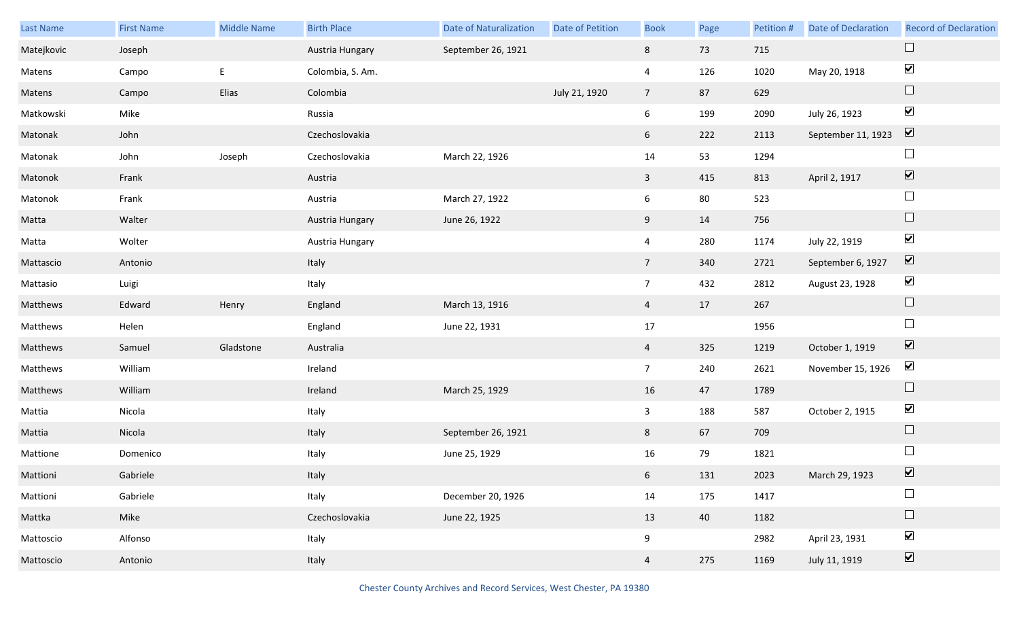| Last Name  | <b>First Name</b> | Middle Name | <b>Birth Place</b> | <b>Date of Naturalization</b> | Date of Petition | <b>Book</b>     | Page | Petition # | <b>Date of Declaration</b> | <b>Record of Declaration</b> |
|------------|-------------------|-------------|--------------------|-------------------------------|------------------|-----------------|------|------------|----------------------------|------------------------------|
| Matejkovic | Joseph            |             | Austria Hungary    | September 26, 1921            |                  | 8               | 73   | 715        |                            |                              |
| Matens     | Campo             | E           | Colombia, S. Am.   |                               |                  | $\overline{4}$  | 126  | 1020       | May 20, 1918               | $\blacktriangledown$         |
| Matens     | Campo             | Elias       | Colombia           |                               | July 21, 1920    | $7\overline{ }$ | 87   | 629        |                            | $\Box$                       |
| Matkowski  | Mike              |             | Russia             |                               |                  | $6\overline{6}$ | 199  | 2090       | July 26, 1923              | $\blacktriangledown$         |
| Matonak    | John              |             | Czechoslovakia     |                               |                  | 6 <sup>1</sup>  | 222  | 2113       | September 11, 1923         | $\boxed{\mathbf{v}}$         |
| Matonak    | John              | Joseph      | Czechoslovakia     | March 22, 1926                |                  | 14              | 53   | 1294       |                            | $\Box$                       |
| Matonok    | Frank             |             | Austria            |                               |                  | $\mathbf{3}$    | 415  | 813        | April 2, 1917              | $\boxed{\blacktriangledown}$ |
| Matonok    | Frank             |             | Austria            | March 27, 1922                |                  | $6\overline{6}$ | 80   | 523        |                            | $\Box$                       |
| Matta      | Walter            |             | Austria Hungary    | June 26, 1922                 |                  | 9               | 14   | 756        |                            | $\Box$                       |
| Matta      | Wolter            |             | Austria Hungary    |                               |                  | $\overline{4}$  | 280  | 1174       | July 22, 1919              | $\blacktriangledown$         |
| Mattascio  | Antonio           |             | Italy              |                               |                  | 7 <sup>7</sup>  | 340  | 2721       | September 6, 1927          | $\boxed{\mathbf{v}}$         |
| Mattasio   | Luigi             |             | Italy              |                               |                  | $7\overline{ }$ | 432  | 2812       | August 23, 1928            | $\blacktriangledown$         |
| Matthews   | Edward            | Henry       | England            | March 13, 1916                |                  | $\overline{4}$  | 17   | 267        |                            | $\Box$                       |
| Matthews   | Helen             |             | England            | June 22, 1931                 |                  | 17              |      | 1956       |                            | $\Box$                       |
| Matthews   | Samuel            | Gladstone   | Australia          |                               |                  | $\overline{4}$  | 325  | 1219       | October 1, 1919            | $\boxed{\blacktriangledown}$ |
| Matthews   | William           |             | Ireland            |                               |                  | $7\overline{ }$ | 240  | 2621       | November 15, 1926          | $\blacktriangledown$         |
| Matthews   | William           |             | Ireland            | March 25, 1929                |                  | $16\,$          | 47   | 1789       |                            | $\Box$                       |
| Mattia     | Nicola            |             | Italy              |                               |                  | $\mathbf{3}$    | 188  | 587        | October 2, 1915            | $\blacktriangledown$         |
| Mattia     | Nicola            |             | Italy              | September 26, 1921            |                  | 8               | 67   | 709        |                            | $\Box$                       |
| Mattione   | Domenico          |             | Italy              | June 25, 1929                 |                  | 16              | 79   | 1821       |                            | $\Box$                       |
| Mattioni   | Gabriele          |             | Italy              |                               |                  | $6\overline{6}$ | 131  | 2023       | March 29, 1923             | $\boxed{\blacktriangledown}$ |
| Mattioni   | Gabriele          |             | Italy              | December 20, 1926             |                  | 14              | 175  | 1417       |                            | $\Box$                       |
| Mattka     | Mike              |             | Czechoslovakia     | June 22, 1925                 |                  | 13              | 40   | 1182       |                            | $\Box$                       |
| Mattoscio  | Alfonso           |             | Italy              |                               |                  | 9               |      | 2982       | April 23, 1931             | $\blacktriangledown$         |
| Mattoscio  | Antonio           |             | Italy              |                               |                  | $\overline{4}$  | 275  | 1169       | July 11, 1919              | $\boxed{\blacktriangledown}$ |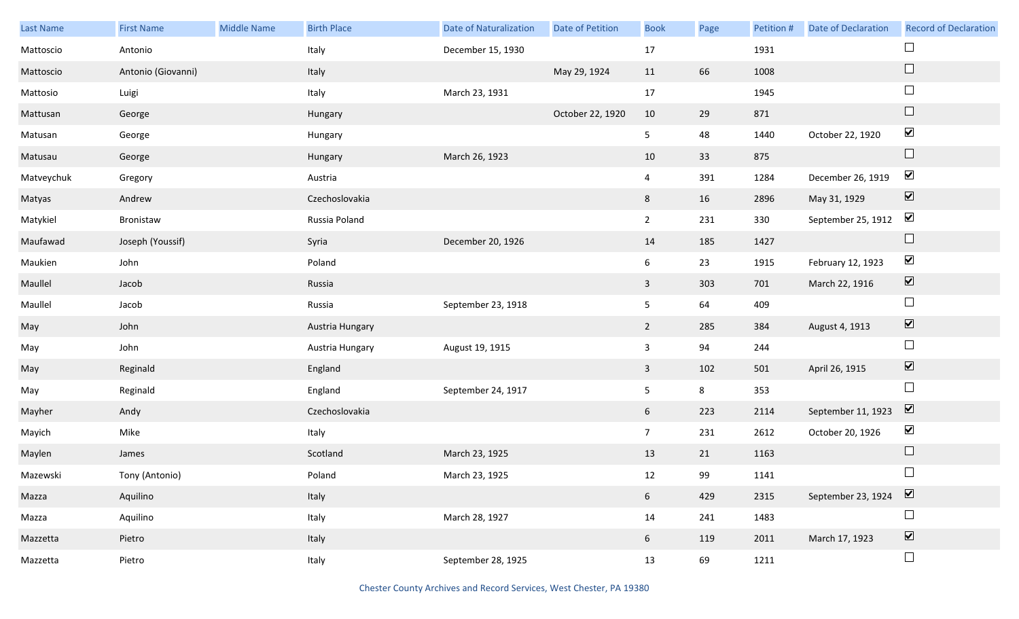| Last Name  | <b>First Name</b>  | Middle Name | <b>Birth Place</b> | <b>Date of Naturalization</b> | Date of Petition | <b>Book</b>     | Page           | Petition # | <b>Date of Declaration</b> | <b>Record of Declaration</b>    |
|------------|--------------------|-------------|--------------------|-------------------------------|------------------|-----------------|----------------|------------|----------------------------|---------------------------------|
| Mattoscio  | Antonio            |             | Italy              | December 15, 1930             |                  | 17              |                | 1931       |                            | $\Box$                          |
| Mattoscio  | Antonio (Giovanni) |             | Italy              |                               | May 29, 1924     | 11              | 66             | 1008       |                            | $\Box$                          |
| Mattosio   | Luigi              |             | Italy              | March 23, 1931                |                  | 17              |                | 1945       |                            | $\Box$                          |
| Mattusan   | George             |             | Hungary            |                               | October 22, 1920 | 10              | 29             | 871        |                            | $\Box$                          |
| Matusan    | George             |             | Hungary            |                               |                  | 5 <sub>1</sub>  | 48             | 1440       | October 22, 1920           | $\blacktriangledown$            |
| Matusau    | George             |             | Hungary            | March 26, 1923                |                  | 10              | 33             | 875        |                            | $\hfill \square$                |
| Matveychuk | Gregory            |             | Austria            |                               |                  | $\overline{4}$  | 391            | 1284       | December 26, 1919          | $\blacktriangledown$            |
| Matyas     | Andrew             |             | Czechoslovakia     |                               |                  | 8               | 16             | 2896       | May 31, 1929               | $\boxed{\blacktriangledown}$    |
| Matykiel   | Bronistaw          |             | Russia Poland      |                               |                  | $\overline{2}$  | 231            | 330        | September 25, 1912         | $\blacktriangledown$            |
| Maufawad   | Joseph (Youssif)   |             | Syria              | December 20, 1926             |                  | 14              | 185            | 1427       |                            | $\Box$                          |
| Maukien    | John               |             | Poland             |                               |                  | 6               | 23             | 1915       | February 12, 1923          | $\blacktriangledown$            |
| Maullel    | Jacob              |             | Russia             |                               |                  | $\mathbf{3}$    | 303            | 701        | March 22, 1916             | $\blacktriangledown$            |
| Maullel    | Jacob              |             | Russia             | September 23, 1918            |                  | 5 <sub>1</sub>  | 64             | 409        |                            | $\Box$                          |
| May        | John               |             | Austria Hungary    |                               |                  | $\overline{2}$  | 285            | 384        | August 4, 1913             | $\blacktriangledown$            |
| May        | John               |             | Austria Hungary    | August 19, 1915               |                  | $\mathbf{3}$    | 94             | 244        |                            | $\Box$                          |
| May        | Reginald           |             | England            |                               |                  | $\mathbf{3}$    | 102            | 501        | April 26, 1915             | $\blacktriangledown$            |
| May        | Reginald           |             | England            | September 24, 1917            |                  | 5               | $8\phantom{1}$ | 353        |                            | $\Box$                          |
| Mayher     | Andy               |             | Czechoslovakia     |                               |                  | 6               | 223            | 2114       | September 11, 1923         | $\overline{\mathbf{v}}$         |
| Mayich     | Mike               |             | Italy              |                               |                  | $7\overline{ }$ | 231            | 2612       | October 20, 1926           | $\blacktriangledown$            |
| Maylen     | James              |             | Scotland           | March 23, 1925                |                  | 13              | 21             | 1163       |                            | $\Box$                          |
| Mazewski   | Tony (Antonio)     |             | Poland             | March 23, 1925                |                  | 12              | 99             | 1141       |                            | $\Box$                          |
| Mazza      | Aquilino           |             | Italy              |                               |                  | 6 <sup>1</sup>  | 429            | 2315       | September 23, 1924         | $\boxed{\blacktriangledown}$    |
| Mazza      | Aquilino           |             | Italy              | March 28, 1927                |                  | 14              | 241            | 1483       |                            | $\Box$                          |
| Mazzetta   | Pietro             |             | Italy              |                               |                  | 6 <sup>1</sup>  | 119            | 2011       | March 17, 1923             | $\overline{\blacktriangledown}$ |
| Mazzetta   | Pietro             |             | Italy              | September 28, 1925            |                  | 13              | 69             | 1211       |                            | $\Box$                          |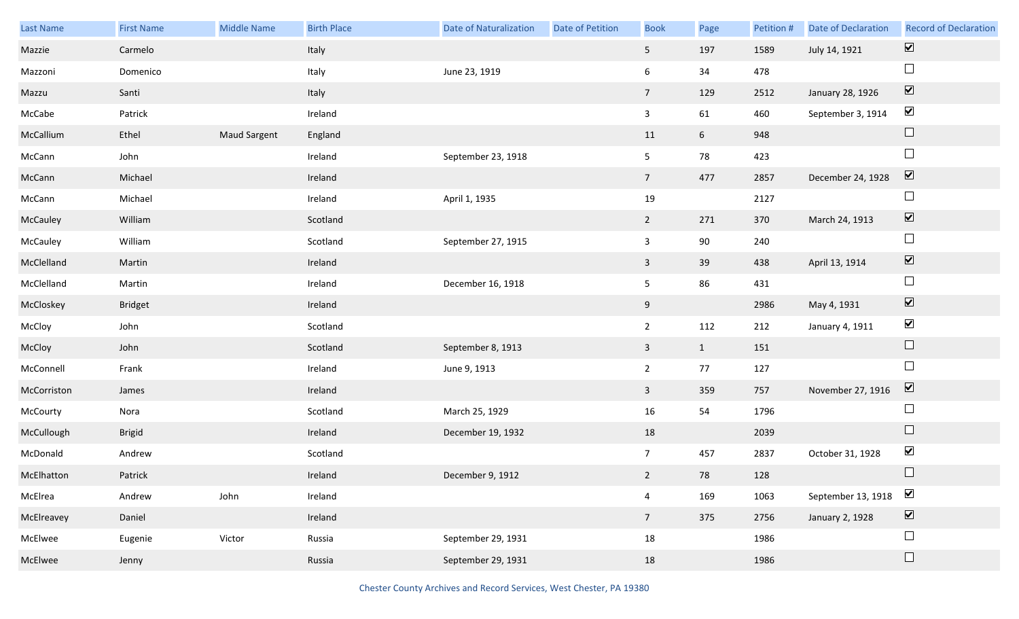| Last Name   | <b>First Name</b> | Middle Name         | <b>Birth Place</b> | <b>Date of Naturalization</b> | Date of Petition | <b>Book</b>             | Page            | Petition # | Date of Declaration | <b>Record of Declaration</b> |
|-------------|-------------------|---------------------|--------------------|-------------------------------|------------------|-------------------------|-----------------|------------|---------------------|------------------------------|
| Mazzie      | Carmelo           |                     | Italy              |                               |                  | 5 <sub>1</sub>          | 197             | 1589       | July 14, 1921       | $\boxed{\blacktriangledown}$ |
| Mazzoni     | Domenico          |                     | Italy              | June 23, 1919                 |                  | 6                       | 34              | 478        |                     | $\Box$                       |
| Mazzu       | Santi             |                     | Italy              |                               |                  | 7 <sup>7</sup>          | 129             | 2512       | January 28, 1926    | $\boxed{\blacktriangledown}$ |
| McCabe      | Patrick           |                     | Ireland            |                               |                  | $\overline{\mathbf{3}}$ | 61              | 460        | September 3, 1914   | $\blacktriangledown$         |
| McCallium   | Ethel             | <b>Maud Sargent</b> | England            |                               |                  | 11                      | $6\overline{6}$ | 948        |                     | $\Box$                       |
| McCann      | John              |                     | Ireland            | September 23, 1918            |                  | 5                       | 78              | 423        |                     | $\Box$                       |
| McCann      | Michael           |                     | Ireland            |                               |                  | 7 <sup>7</sup>          | 477             | 2857       | December 24, 1928   | $\boxed{\blacktriangledown}$ |
| McCann      | Michael           |                     | Ireland            | April 1, 1935                 |                  | 19                      |                 | 2127       |                     | $\Box$                       |
| McCauley    | William           |                     | Scotland           |                               |                  | $2^{\circ}$             | 271             | 370        | March 24, 1913      | $\boxed{\blacktriangledown}$ |
| McCauley    | William           |                     | Scotland           | September 27, 1915            |                  | $\mathsf{3}$            | 90              | 240        |                     | $\Box$                       |
| McClelland  | Martin            |                     | Ireland            |                               |                  | $\mathbf{3}$            | 39              | 438        | April 13, 1914      | $\boxed{\blacktriangledown}$ |
| McClelland  | Martin            |                     | Ireland            | December 16, 1918             |                  | 5                       | 86              | 431        |                     | $\Box$                       |
| McCloskey   | <b>Bridget</b>    |                     | Ireland            |                               |                  | 9                       |                 | 2986       | May 4, 1931         | $\boxed{\blacktriangledown}$ |
| McCloy      | John              |                     | Scotland           |                               |                  | $\overline{2}$          | 112             | 212        | January 4, 1911     | $\blacktriangledown$         |
| McCloy      | John              |                     | Scotland           | September 8, 1913             |                  | $\mathbf{3}$            | $\mathbf{1}$    | 151        |                     | $\Box$                       |
| McConnell   | Frank             |                     | Ireland            | June 9, 1913                  |                  | $\overline{2}$          | 77              | 127        |                     | $\Box$                       |
| McCorriston | James             |                     | Ireland            |                               |                  | $\mathbf{3}$            | 359             | 757        | November 27, 1916   | $\overline{\mathbf{v}}$      |
| McCourty    | Nora              |                     | Scotland           | March 25, 1929                |                  | 16                      | 54              | 1796       |                     | $\Box$                       |
| McCullough  | <b>Brigid</b>     |                     | Ireland            | December 19, 1932             |                  | 18                      |                 | 2039       |                     | $\Box$                       |
| McDonald    | Andrew            |                     | Scotland           |                               |                  | 7 <sup>7</sup>          | 457             | 2837       | October 31, 1928    | $\blacktriangledown$         |
| McElhatton  | Patrick           |                     | Ireland            | December 9, 1912              |                  | $2^{\circ}$             | 78              | 128        |                     | $\Box$                       |
| McElrea     | Andrew            | John                | Ireland            |                               |                  | $\overline{4}$          | 169             | 1063       | September 13, 1918  | $\blacktriangledown$         |
| McElreavey  | Daniel            |                     | Ireland            |                               |                  | 7 <sup>7</sup>          | 375             | 2756       | January 2, 1928     | $\boxed{\blacktriangledown}$ |
| McElwee     | Eugenie           | Victor              | Russia             | September 29, 1931            |                  | 18                      |                 | 1986       |                     | $\Box$                       |
| McElwee     | Jenny             |                     | Russia             | September 29, 1931            |                  | 18                      |                 | 1986       |                     | $\Box$                       |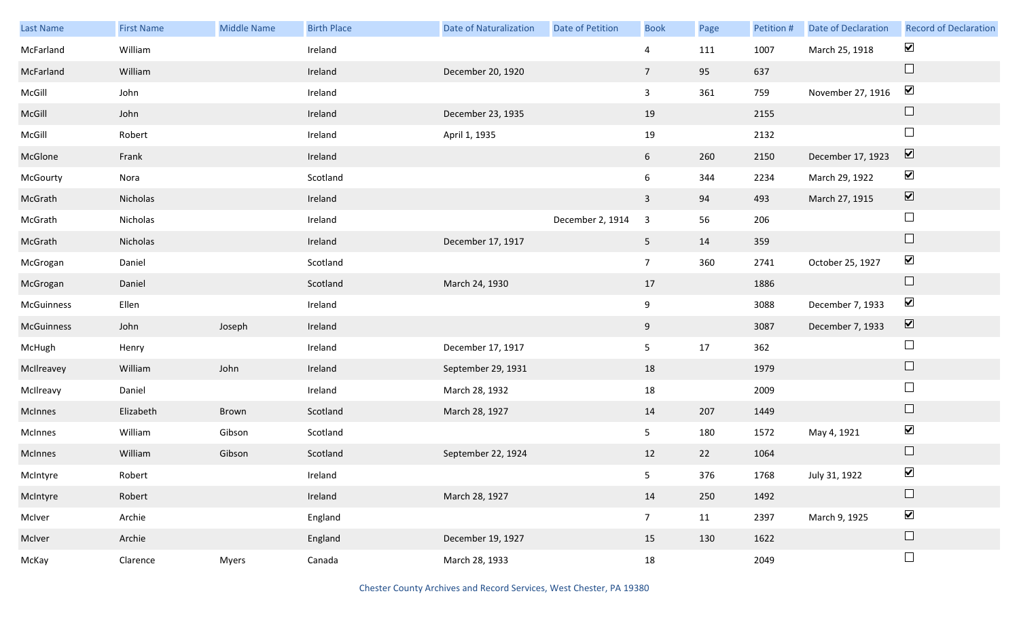| Last Name  | <b>First Name</b> | <b>Middle Name</b> | <b>Birth Place</b> | <b>Date of Naturalization</b> | <b>Date of Petition</b> | <b>Book</b>     | Page | Petition # | Date of Declaration | <b>Record of Declaration</b> |
|------------|-------------------|--------------------|--------------------|-------------------------------|-------------------------|-----------------|------|------------|---------------------|------------------------------|
| McFarland  | William           |                    | Ireland            |                               |                         | $\overline{4}$  | 111  | 1007       | March 25, 1918      | $\blacktriangledown$         |
| McFarland  | William           |                    | Ireland            | December 20, 1920             |                         | $\overline{7}$  | 95   | 637        |                     | $\Box$                       |
| McGill     | John              |                    | Ireland            |                               |                         | $\mathbf{3}$    | 361  | 759        | November 27, 1916   | $\blacktriangledown$         |
| McGill     | John              |                    | Ireland            | December 23, 1935             |                         | 19              |      | 2155       |                     | $\Box$                       |
| McGill     | Robert            |                    | Ireland            | April 1, 1935                 |                         | 19              |      | 2132       |                     | $\Box$                       |
| McGlone    | Frank             |                    | Ireland            |                               |                         | $6\overline{6}$ | 260  | 2150       | December 17, 1923   | $\boxed{\blacktriangledown}$ |
| McGourty   | Nora              |                    | Scotland           |                               |                         | $6\overline{6}$ | 344  | 2234       | March 29, 1922      | $\blacktriangledown$         |
| McGrath    | Nicholas          |                    | Ireland            |                               |                         | $\mathbf{3}$    | 94   | 493        | March 27, 1915      | $\boxed{\blacktriangledown}$ |
| McGrath    | Nicholas          |                    | Ireland            |                               | December 2, 1914        | 3               | 56   | 206        |                     | $\Box$                       |
| McGrath    | Nicholas          |                    | Ireland            | December 17, 1917             |                         | 5 <sub>5</sub>  | 14   | 359        |                     | $\Box$                       |
| McGrogan   | Daniel            |                    | Scotland           |                               |                         | $7\overline{ }$ | 360  | 2741       | October 25, 1927    | $\blacktriangledown$         |
| McGrogan   | Daniel            |                    | Scotland           | March 24, 1930                |                         | 17              |      | 1886       |                     | $\hfill \square$             |
| McGuinness | Ellen             |                    | Ireland            |                               |                         | 9               |      | 3088       | December 7, 1933    | $\blacktriangledown$         |
| McGuinness | John              | Joseph             | Ireland            |                               |                         | 9               |      | 3087       | December 7, 1933    | $\overline{\mathbf{v}}$      |
| McHugh     | Henry             |                    | Ireland            | December 17, 1917             |                         | 5 <sub>1</sub>  | 17   | 362        |                     | $\Box$                       |
| McIlreavey | William           | John               | Ireland            | September 29, 1931            |                         | 18              |      | 1979       |                     | $\Box$                       |
| McIlreavy  | Daniel            |                    | Ireland            | March 28, 1932                |                         | 18              |      | 2009       |                     | $\Box$                       |
| McInnes    | Elizabeth         | Brown              | Scotland           | March 28, 1927                |                         | 14              | 207  | 1449       |                     | $\Box$                       |
| McInnes    | William           | Gibson             | Scotland           |                               |                         | 5 <sub>1</sub>  | 180  | 1572       | May 4, 1921         | $\blacktriangledown$         |
| McInnes    | William           | Gibson             | Scotland           | September 22, 1924            |                         | 12              | 22   | 1064       |                     | $\Box$                       |
| McIntyre   | Robert            |                    | Ireland            |                               |                         | 5 <sub>1</sub>  | 376  | 1768       | July 31, 1922       | $\blacktriangledown$         |
| McIntyre   | Robert            |                    | Ireland            | March 28, 1927                |                         | 14              | 250  | 1492       |                     | $\Box$                       |
| McIver     | Archie            |                    | England            |                               |                         | 7 <sup>7</sup>  | 11   | 2397       | March 9, 1925       | $\blacktriangledown$         |
| McIver     | Archie            |                    | England            | December 19, 1927             |                         | 15              | 130  | 1622       |                     | $\Box$                       |
| McKay      | Clarence          | Myers              | Canada             | March 28, 1933                |                         | 18              |      | 2049       |                     | $\Box$                       |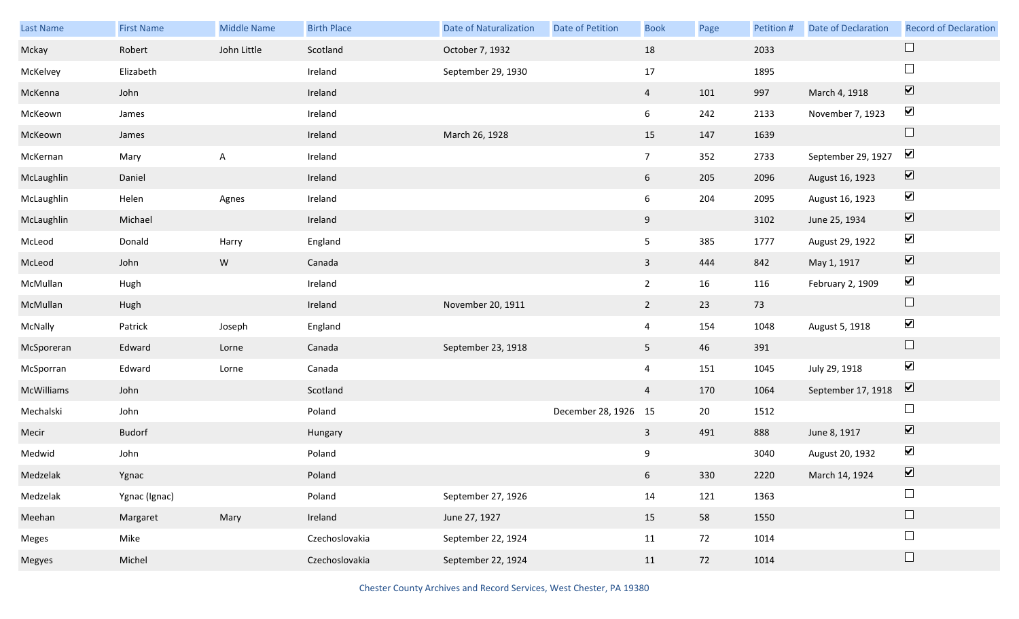| Last Name  | <b>First Name</b> | <b>Middle Name</b> | <b>Birth Place</b> | <b>Date of Naturalization</b> | Date of Petition     | <b>Book</b>     | Page | Petition # | <b>Date of Declaration</b> | <b>Record of Declaration</b> |
|------------|-------------------|--------------------|--------------------|-------------------------------|----------------------|-----------------|------|------------|----------------------------|------------------------------|
| Mckay      | Robert            | John Little        | Scotland           | October 7, 1932               |                      | 18              |      | 2033       |                            | $\Box$                       |
| McKelvey   | Elizabeth         |                    | Ireland            | September 29, 1930            |                      | 17              |      | 1895       |                            | $\Box$                       |
| McKenna    | John              |                    | Ireland            |                               |                      | $\overline{4}$  | 101  | 997        | March 4, 1918              | $\boxed{\blacktriangledown}$ |
| McKeown    | James             |                    | Ireland            |                               |                      | 6               | 242  | 2133       | November 7, 1923           | $\blacktriangledown$         |
| McKeown    | James             |                    | Ireland            | March 26, 1928                |                      | 15              | 147  | 1639       |                            | $\Box$                       |
| McKernan   | Mary              | Α                  | Ireland            |                               |                      | 7 <sup>7</sup>  | 352  | 2733       | September 29, 1927         | $\blacktriangledown$         |
| McLaughlin | Daniel            |                    | Ireland            |                               |                      | 6               | 205  | 2096       | August 16, 1923            | $\overline{\mathbf{v}}$      |
| McLaughlin | Helen             | Agnes              | Ireland            |                               |                      | 6               | 204  | 2095       | August 16, 1923            | $\blacktriangledown$         |
| McLaughlin | Michael           |                    | Ireland            |                               |                      | 9               |      | 3102       | June 25, 1934              | $\overline{\mathbf{v}}$      |
| McLeod     | Donald            | Harry              | England            |                               |                      | 5               | 385  | 1777       | August 29, 1922            | $\blacktriangledown$         |
| McLeod     | John              | W                  | Canada             |                               |                      | $\mathbf{3}$    | 444  | 842        | May 1, 1917                | $\overline{\mathbf{v}}$      |
| McMullan   | Hugh              |                    | Ireland            |                               |                      | $2^{\circ}$     | 16   | 116        | February 2, 1909           | $\blacktriangledown$         |
| McMullan   | Hugh              |                    | Ireland            | November 20, 1911             |                      | $2^{\circ}$     | 23   | 73         |                            | $\Box$                       |
| McNally    | Patrick           | Joseph             | England            |                               |                      | $\overline{4}$  | 154  | 1048       | August 5, 1918             | $\blacktriangledown$         |
| McSporeran | Edward            | Lorne              | Canada             | September 23, 1918            |                      | 5 <sub>1</sub>  | 46   | 391        |                            | $\Box$                       |
| McSporran  | Edward            | Lorne              | Canada             |                               |                      | 4               | 151  | 1045       | July 29, 1918              | $\blacktriangledown$         |
| McWilliams | John              |                    | Scotland           |                               |                      | $\overline{4}$  | 170  | 1064       | September 17, 1918         | $\overline{\mathbf{v}}$      |
| Mechalski  | John              |                    | Poland             |                               | December 28, 1926 15 |                 | 20   | 1512       |                            | $\Box$                       |
| Mecir      | <b>Budorf</b>     |                    | Hungary            |                               |                      | $\mathbf{3}$    | 491  | 888        | June 8, 1917               | $\overline{\mathbf{v}}$      |
| Medwid     | John              |                    | Poland             |                               |                      | 9               |      | 3040       | August 20, 1932            | $\blacktriangledown$         |
| Medzelak   | Ygnac             |                    | Poland             |                               |                      | $6\overline{6}$ | 330  | 2220       | March 14, 1924             | $\boxed{\mathbf{v}}$         |
| Medzelak   | Ygnac (Ignac)     |                    | Poland             | September 27, 1926            |                      | 14              | 121  | 1363       |                            | $\Box$                       |
| Meehan     | Margaret          | Mary               | Ireland            | June 27, 1927                 |                      | 15              | 58   | 1550       |                            | $\hfill \square$             |
| Meges      | Mike              |                    | Czechoslovakia     | September 22, 1924            |                      | 11              | 72   | 1014       |                            | $\Box$                       |
| Megyes     | Michel            |                    | Czechoslovakia     | September 22, 1924            |                      | 11              | 72   | 1014       |                            | $\Box$                       |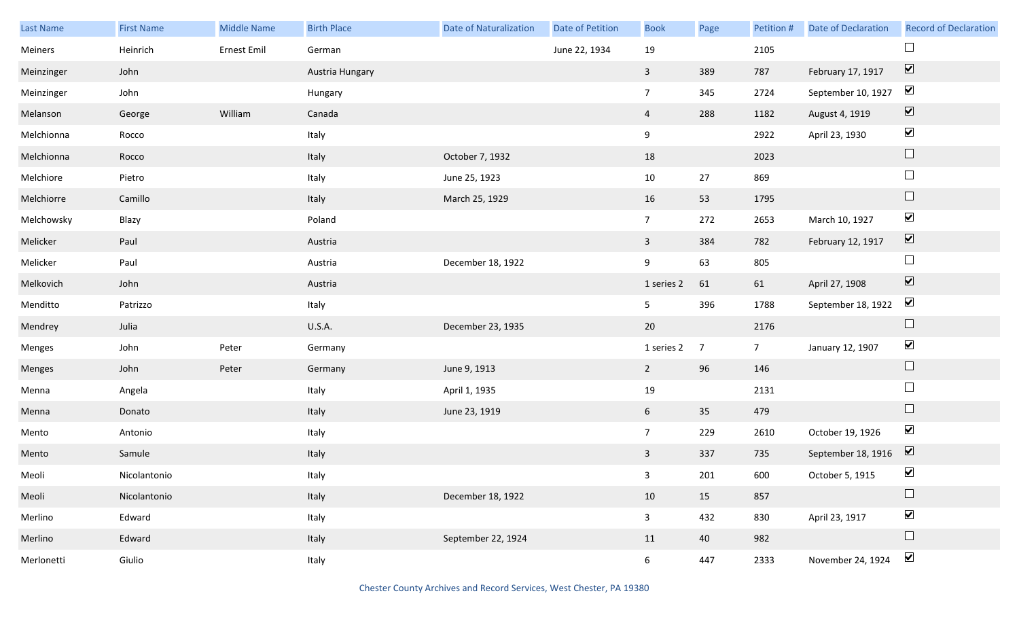| Last Name  | <b>First Name</b> | <b>Middle Name</b> | <b>Birth Place</b> | <b>Date of Naturalization</b> | Date of Petition | <b>Book</b>     | Page           | Petition #     | Date of Declaration | <b>Record of Declaration</b> |
|------------|-------------------|--------------------|--------------------|-------------------------------|------------------|-----------------|----------------|----------------|---------------------|------------------------------|
| Meiners    | Heinrich          | Ernest Emil        | German             |                               | June 22, 1934    | 19              |                | 2105           |                     |                              |
| Meinzinger | John              |                    | Austria Hungary    |                               |                  | $\overline{3}$  | 389            | 787            | February 17, 1917   | $\overline{\mathbf{v}}$      |
| Meinzinger | John              |                    | Hungary            |                               |                  | 7 <sup>7</sup>  | 345            | 2724           | September 10, 1927  | $\blacktriangledown$         |
| Melanson   | George            | William            | Canada             |                               |                  | $\overline{4}$  | 288            | 1182           | August 4, 1919      | $\boxed{\blacktriangledown}$ |
| Melchionna | Rocco             |                    | Italy              |                               |                  | 9               |                | 2922           | April 23, 1930      | $\blacktriangledown$         |
| Melchionna | Rocco             |                    | Italy              | October 7, 1932               |                  | 18              |                | 2023           |                     | $\Box$                       |
| Melchiore  | Pietro            |                    | Italy              | June 25, 1923                 |                  | 10              | 27             | 869            |                     | $\hfill \square$             |
| Melchiorre | Camillo           |                    | Italy              | March 25, 1929                |                  | 16              | 53             | 1795           |                     | $\Box$                       |
| Melchowsky | Blazy             |                    | Poland             |                               |                  | 7 <sup>7</sup>  | 272            | 2653           | March 10, 1927      | $\blacktriangledown$         |
| Melicker   | Paul              |                    | Austria            |                               |                  | $\mathbf{3}$    | 384            | 782            | February 12, 1917   | $\boxed{\blacktriangledown}$ |
| Melicker   | Paul              |                    | Austria            | December 18, 1922             |                  | 9               | 63             | 805            |                     | $\Box$                       |
| Melkovich  | John              |                    | Austria            |                               |                  | 1 series 2      | 61             | 61             | April 27, 1908      | $\boxed{\blacktriangledown}$ |
| Menditto   | Patrizzo          |                    | Italy              |                               |                  | 5 <sub>1</sub>  | 396            | 1788           | September 18, 1922  | $\blacktriangledown$         |
| Mendrey    | Julia             |                    | <b>U.S.A.</b>      | December 23, 1935             |                  | 20              |                | 2176           |                     | $\Box$                       |
| Menges     | John              | Peter              | Germany            |                               |                  | 1 series 2      | $\overline{7}$ | 7 <sup>7</sup> | January 12, 1907    | $\blacktriangledown$         |
| Menges     | John              | Peter              | Germany            | June 9, 1913                  |                  | $\overline{2}$  | 96             | 146            |                     | $\Box$                       |
| Menna      | Angela            |                    | Italy              | April 1, 1935                 |                  | 19              |                | 2131           |                     | $\Box$                       |
| Menna      | Donato            |                    | Italy              | June 23, 1919                 |                  | $6\overline{6}$ | 35             | 479            |                     | $\Box$                       |
| Mento      | Antonio           |                    | Italy              |                               |                  | $7\overline{ }$ | 229            | 2610           | October 19, 1926    | $\blacktriangledown$         |
| Mento      | Samule            |                    | Italy              |                               |                  | $\mathbf{3}$    | 337            | 735            | September 18, 1916  | $\overline{\mathbf{v}}$      |
| Meoli      | Nicolantonio      |                    | Italy              |                               |                  | 3 <sup>7</sup>  | 201            | 600            | October 5, 1915     | $\blacktriangledown$         |
| Meoli      | Nicolantonio      |                    | Italy              | December 18, 1922             |                  | 10              | 15             | 857            |                     | $\Box$                       |
| Merlino    | Edward            |                    | Italy              |                               |                  | $\overline{3}$  | 432            | 830            | April 23, 1917      | $\blacktriangledown$         |
| Merlino    | Edward            |                    | Italy              | September 22, 1924            |                  | 11              | 40             | 982            |                     | $\Box$                       |
| Merlonetti | Giulio            |                    | Italy              |                               |                  | 6 <sup>1</sup>  | 447            | 2333           | November 24, 1924   | $\blacktriangledown$         |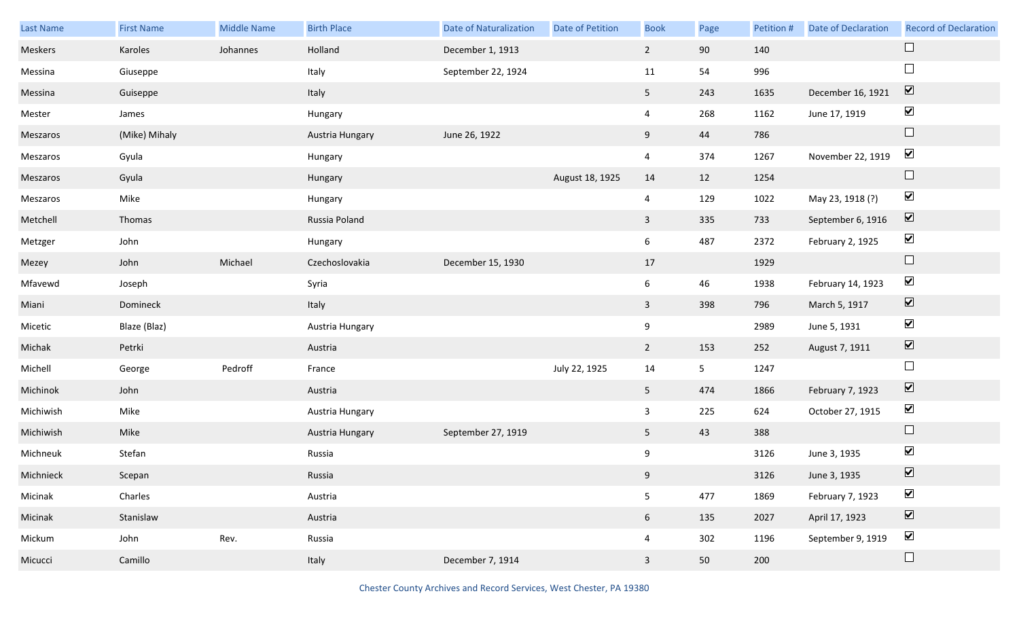| Last Name | <b>First Name</b> | <b>Middle Name</b> | <b>Birth Place</b> | <b>Date of Naturalization</b> | Date of Petition | <b>Book</b>    | Page           | Petition # | <b>Date of Declaration</b> | <b>Record of Declaration</b> |
|-----------|-------------------|--------------------|--------------------|-------------------------------|------------------|----------------|----------------|------------|----------------------------|------------------------------|
| Meskers   | Karoles           | Johannes           | Holland            | December 1, 1913              |                  | $2^{\circ}$    | 90             | 140        |                            | $\Box$                       |
| Messina   | Giuseppe          |                    | Italy              | September 22, 1924            |                  | 11             | 54             | 996        |                            | $\Box$                       |
| Messina   | Guiseppe          |                    | Italy              |                               |                  | 5 <sub>1</sub> | 243            | 1635       | December 16, 1921          | $\boxed{\mathbf{v}}$         |
| Mester    | James             |                    | Hungary            |                               |                  | $\overline{4}$ | 268            | 1162       | June 17, 1919              | $\blacktriangledown$         |
| Meszaros  | (Mike) Mihaly     |                    | Austria Hungary    | June 26, 1922                 |                  | 9              | 44             | 786        |                            | $\Box$                       |
| Meszaros  | Gyula             |                    | Hungary            |                               |                  | $\overline{4}$ | 374            | 1267       | November 22, 1919          | $\blacktriangledown$         |
| Meszaros  | Gyula             |                    | Hungary            |                               | August 18, 1925  | 14             | 12             | 1254       |                            | $\Box$                       |
| Meszaros  | Mike              |                    | Hungary            |                               |                  | $\overline{4}$ | 129            | 1022       | May 23, 1918 (?)           | $\blacktriangledown$         |
| Metchell  | Thomas            |                    | Russia Poland      |                               |                  | $\mathbf{3}$   | 335            | 733        | September 6, 1916          | $\overline{\mathbf{v}}$      |
| Metzger   | John              |                    | Hungary            |                               |                  | 6              | 487            | 2372       | February 2, 1925           | $\blacktriangledown$         |
| Mezey     | John              | Michael            | Czechoslovakia     | December 15, 1930             |                  | 17             |                | 1929       |                            | $\Box$                       |
| Mfavewd   | Joseph            |                    | Syria              |                               |                  | 6              | 46             | 1938       | February 14, 1923          | $\blacktriangledown$         |
| Miani     | Domineck          |                    | Italy              |                               |                  | $\mathbf{3}$   | 398            | 796        | March 5, 1917              | $\blacktriangledown$         |
| Micetic   | Blaze (Blaz)      |                    | Austria Hungary    |                               |                  | 9              |                | 2989       | June 5, 1931               | $\blacktriangledown$         |
| Michak    | Petrki            |                    | Austria            |                               |                  | $2^{\circ}$    | 153            | 252        | August 7, 1911             | $\blacktriangledown$         |
| Michell   | George            | Pedroff            | France             |                               | July 22, 1925    | 14             | 5 <sub>5</sub> | 1247       |                            | $\Box$                       |
| Michinok  | John              |                    | Austria            |                               |                  | 5 <sub>5</sub> | 474            | 1866       | February 7, 1923           | $\boxed{\blacktriangledown}$ |
| Michiwish | Mike              |                    | Austria Hungary    |                               |                  | $\overline{3}$ | 225            | 624        | October 27, 1915           | $\blacktriangledown$         |
| Michiwish | Mike              |                    | Austria Hungary    | September 27, 1919            |                  | 5              | 43             | 388        |                            | $\Box$                       |
| Michneuk  | Stefan            |                    | Russia             |                               |                  | 9              |                | 3126       | June 3, 1935               | $\blacktriangledown$         |
| Michnieck | Scepan            |                    | Russia             |                               |                  | 9              |                | 3126       | June 3, 1935               | $\boxed{\blacktriangledown}$ |
| Micinak   | Charles           |                    | Austria            |                               |                  | 5              | 477            | 1869       | February 7, 1923           | $\blacktriangledown$         |
| Micinak   | Stanislaw         |                    | Austria            |                               |                  | 6 <sup>1</sup> | 135            | 2027       | April 17, 1923             | $\blacktriangledown$         |
| Mickum    | John              | Rev.               | Russia             |                               |                  | $\overline{4}$ | 302            | 1196       | September 9, 1919          | $\blacktriangledown$         |
| Micucci   | Camillo           |                    | Italy              | December 7, 1914              |                  | $\mathbf{3}$   | 50             | 200        |                            | $\Box$                       |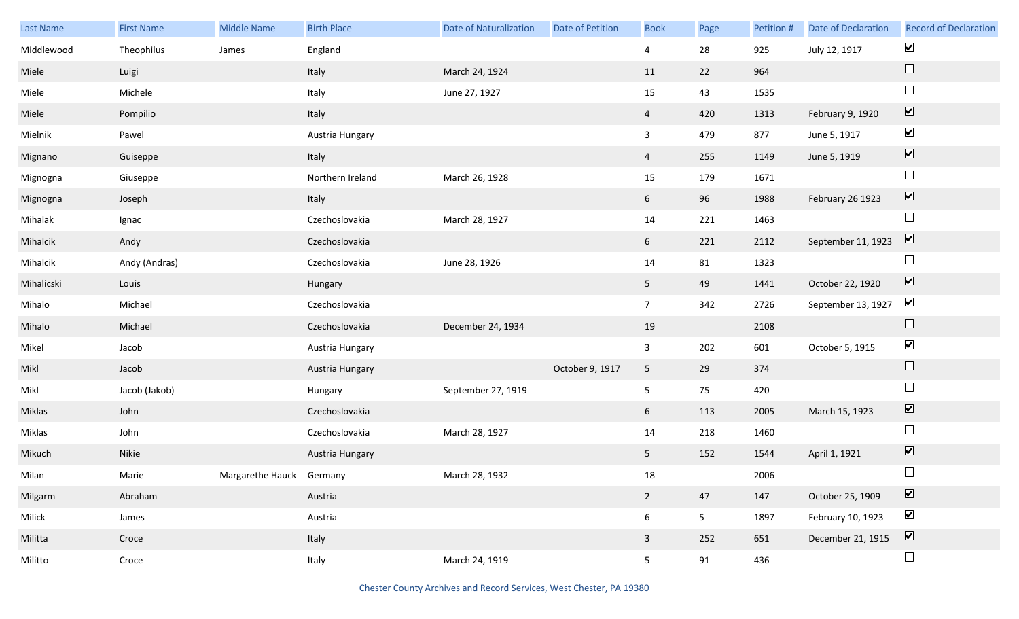| Last Name  | <b>First Name</b> | <b>Middle Name</b>       | <b>Birth Place</b> | <b>Date of Naturalization</b> | <b>Date of Petition</b> | <b>Book</b>     | Page           | Petition # | <b>Date of Declaration</b> | <b>Record of Declaration</b> |
|------------|-------------------|--------------------------|--------------------|-------------------------------|-------------------------|-----------------|----------------|------------|----------------------------|------------------------------|
| Middlewood | Theophilus        | James                    | England            |                               |                         | $\overline{4}$  | 28             | 925        | July 12, 1917              | $\blacktriangledown$         |
| Miele      | Luigi             |                          | Italy              | March 24, 1924                |                         | 11              | 22             | 964        |                            | $\Box$                       |
| Miele      | Michele           |                          | Italy              | June 27, 1927                 |                         | 15              | 43             | 1535       |                            | $\Box$                       |
| Miele      | Pompilio          |                          | Italy              |                               |                         | $\overline{4}$  | 420            | 1313       | February 9, 1920           | $\boxed{\blacktriangledown}$ |
| Mielnik    | Pawel             |                          | Austria Hungary    |                               |                         | $\mathbf{3}$    | 479            | 877        | June 5, 1917               | $\blacktriangledown$         |
| Mignano    | Guiseppe          |                          | Italy              |                               |                         | $\overline{4}$  | 255            | 1149       | June 5, 1919               | $\overline{\mathbf{v}}$      |
| Mignogna   | Giuseppe          |                          | Northern Ireland   | March 26, 1928                |                         | 15              | 179            | 1671       |                            | $\Box$                       |
| Mignogna   | Joseph            |                          | Italy              |                               |                         | 6 <sup>1</sup>  | 96             | 1988       | February 26 1923           | $\boxed{\blacktriangledown}$ |
| Mihalak    | Ignac             |                          | Czechoslovakia     | March 28, 1927                |                         | 14              | 221            | 1463       |                            | $\Box$                       |
| Mihalcik   | Andy              |                          | Czechoslovakia     |                               |                         | $6\overline{6}$ | 221            | 2112       | September 11, 1923         | $\boxed{\mathbf{v}}$         |
| Mihalcik   | Andy (Andras)     |                          | Czechoslovakia     | June 28, 1926                 |                         | 14              | 81             | 1323       |                            | $\Box$                       |
| Mihalicski | Louis             |                          | Hungary            |                               |                         | 5 <sub>5</sub>  | 49             | 1441       | October 22, 1920           | $\overline{\mathbf{v}}$      |
| Mihalo     | Michael           |                          | Czechoslovakia     |                               |                         | 7 <sup>7</sup>  | 342            | 2726       | September 13, 1927         | $\blacktriangledown$         |
| Mihalo     | Michael           |                          | Czechoslovakia     | December 24, 1934             |                         | 19              |                | 2108       |                            | $\hfill \square$             |
| Mikel      | Jacob             |                          | Austria Hungary    |                               |                         | $\mathbf{3}$    | 202            | 601        | October 5, 1915            | $\blacktriangledown$         |
| Mikl       | Jacob             |                          | Austria Hungary    |                               | October 9, 1917         | 5 <sub>5</sub>  | 29             | 374        |                            | $\Box$                       |
| Mikl       | Jacob (Jakob)     |                          | Hungary            | September 27, 1919            |                         | 5 <sub>1</sub>  | 75             | 420        |                            | $\Box$                       |
| Miklas     | John              |                          | Czechoslovakia     |                               |                         | 6 <sup>1</sup>  | 113            | 2005       | March 15, 1923             | $\boxed{\blacktriangledown}$ |
| Miklas     | John              |                          | Czechoslovakia     | March 28, 1927                |                         | 14              | 218            | 1460       |                            | $\Box$                       |
| Mikuch     | Nikie             |                          | Austria Hungary    |                               |                         | 5 <sub>1</sub>  | 152            | 1544       | April 1, 1921              | $\boxed{\blacktriangledown}$ |
| Milan      | Marie             | Margarethe Hauck Germany |                    | March 28, 1932                |                         | 18              |                | 2006       |                            | $\Box$                       |
| Milgarm    | Abraham           |                          | Austria            |                               |                         | $2^{\circ}$     | 47             | 147        | October 25, 1909           | $\boxed{\blacktriangledown}$ |
| Milick     | James             |                          | Austria            |                               |                         | $6\phantom{.0}$ | 5 <sub>1</sub> | 1897       | February 10, 1923          | $\blacktriangledown$         |
| Militta    | Croce             |                          | Italy              |                               |                         | $\mathbf{3}$    | 252            | 651        | December 21, 1915          | $\boxed{\blacktriangledown}$ |
| Militto    | Croce             |                          | Italy              | March 24, 1919                |                         | 5 <sub>1</sub>  | 91             | 436        |                            | $\Box$                       |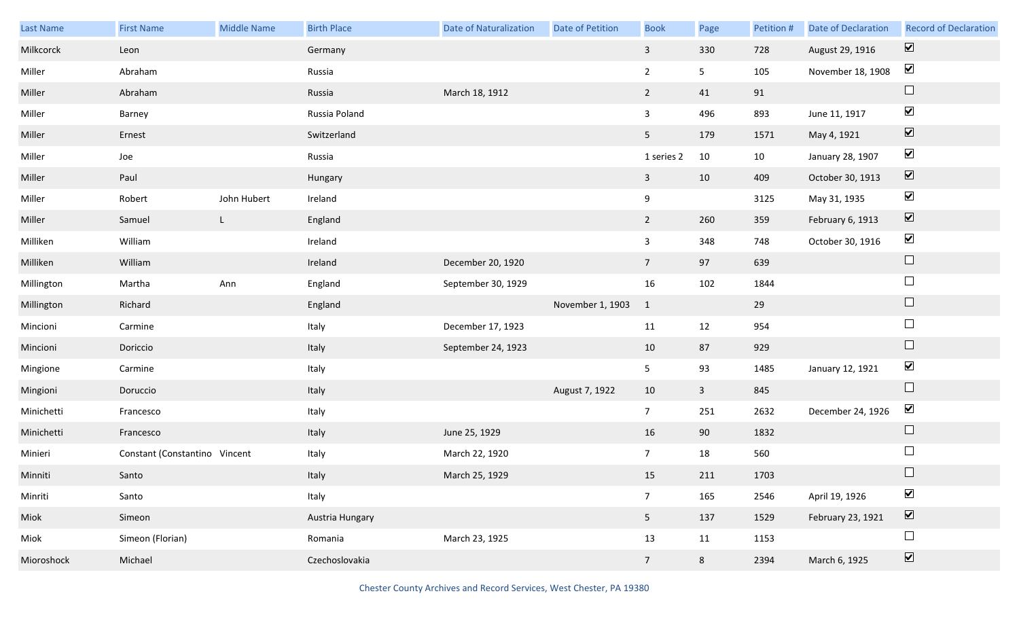| <b>Last Name</b> | <b>First Name</b>             | <b>Middle Name</b> | <b>Birth Place</b> | <b>Date of Naturalization</b> | <b>Date of Petition</b> | <b>Book</b>             | Page           | Petition # | Date of Declaration | <b>Record of Declaration</b>    |
|------------------|-------------------------------|--------------------|--------------------|-------------------------------|-------------------------|-------------------------|----------------|------------|---------------------|---------------------------------|
| Milkcorck        | Leon                          |                    | Germany            |                               |                         | $\mathbf{3}$            | 330            | 728        | August 29, 1916     | $\overline{\mathbf{v}}$         |
| Miller           | Abraham                       |                    | Russia             |                               |                         | $\overline{2}$          | 5 <sub>1</sub> | 105        | November 18, 1908   | $\blacktriangledown$            |
| Miller           | Abraham                       |                    | Russia             | March 18, 1912                |                         | $2^{\circ}$             | 41             | 91         |                     | $\Box$                          |
| Miller           | Barney                        |                    | Russia Poland      |                               |                         | $\mathbf{3}$            | 496            | 893        | June 11, 1917       | $\blacktriangledown$            |
| Miller           | Ernest                        |                    | Switzerland        |                               |                         | 5 <sub>1</sub>          | 179            | 1571       | May 4, 1921         | $\overline{\mathbf{v}}$         |
| Miller           | Joe                           |                    | Russia             |                               |                         | 1 series 2              | 10             | 10         | January 28, 1907    | $\blacktriangledown$            |
| Miller           | Paul                          |                    | Hungary            |                               |                         | $\overline{3}$          | 10             | 409        | October 30, 1913    | $\overline{\mathbf{v}}$         |
| Miller           | Robert                        | John Hubert        | Ireland            |                               |                         | 9                       |                | 3125       | May 31, 1935        | $\blacktriangledown$            |
| Miller           | Samuel                        | L.                 | England            |                               |                         | $2^{\circ}$             | 260            | 359        | February 6, 1913    | $\boxed{\blacktriangledown}$    |
| Milliken         | William                       |                    | Ireland            |                               |                         | $\mathbf{3}$            | 348            | 748        | October 30, 1916    | $\blacktriangledown$            |
| Milliken         | William                       |                    | Ireland            | December 20, 1920             |                         | $7\overline{ }$         | 97             | 639        |                     | $\Box$                          |
| Millington       | Martha                        | Ann                | England            | September 30, 1929            |                         | 16                      | 102            | 1844       |                     | $\Box$                          |
| Millington       | Richard                       |                    | England            |                               | November 1, 1903        | $\overline{\mathbf{1}}$ |                | 29         |                     | $\Box$                          |
| Mincioni         | Carmine                       |                    | Italy              | December 17, 1923             |                         | 11                      | 12             | 954        |                     | $\Box$                          |
| Mincioni         | Doriccio                      |                    | Italy              | September 24, 1923            |                         | 10                      | 87             | 929        |                     | $\Box$                          |
| Mingione         | Carmine                       |                    | Italy              |                               |                         | 5 <sub>1</sub>          | 93             | 1485       | January 12, 1921    | $\blacktriangledown$            |
| Mingioni         | Doruccio                      |                    | Italy              |                               | August 7, 1922          | 10                      | $\mathbf{3}$   | 845        |                     | $\Box$                          |
| Minichetti       | Francesco                     |                    | Italy              |                               |                         | $7\overline{ }$         | 251            | 2632       | December 24, 1926   | $\blacktriangledown$            |
| Minichetti       | Francesco                     |                    | Italy              | June 25, 1929                 |                         | 16                      | 90             | 1832       |                     | $\Box$                          |
| Minieri          | Constant (Constantino Vincent |                    | Italy              | March 22, 1920                |                         | $7\overline{ }$         | 18             | 560        |                     | $\Box$                          |
| Minniti          | Santo                         |                    | Italy              | March 25, 1929                |                         | 15                      | 211            | 1703       |                     |                                 |
| Minriti          | Santo                         |                    | Italy              |                               |                         | 7 <sup>7</sup>          | 165            | 2546       | April 19, 1926      | $\blacktriangledown$            |
| Miok             | Simeon                        |                    | Austria Hungary    |                               |                         | 5 <sub>1</sub>          | 137            | 1529       | February 23, 1921   | $\overline{\blacktriangledown}$ |
| Miok             | Simeon (Florian)              |                    | Romania            | March 23, 1925                |                         | 13                      | 11             | 1153       |                     | $\Box$                          |
| Mioroshock       | Michael                       |                    | Czechoslovakia     |                               |                         | 7 <sup>7</sup>          | $8\phantom{1}$ | 2394       | March 6, 1925       | $\overline{\blacktriangledown}$ |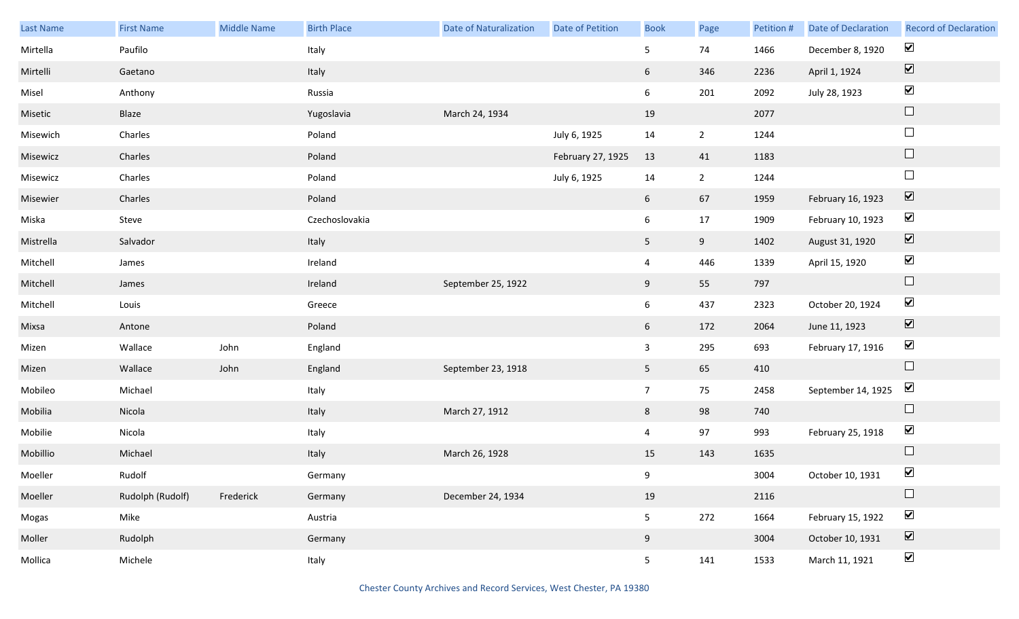| Last Name | <b>First Name</b> | Middle Name | <b>Birth Place</b> | <b>Date of Naturalization</b> | <b>Date of Petition</b> | <b>Book</b>     | Page        | Petition # | Date of Declaration | <b>Record of Declaration</b> |
|-----------|-------------------|-------------|--------------------|-------------------------------|-------------------------|-----------------|-------------|------------|---------------------|------------------------------|
| Mirtella  | Paufilo           |             | Italy              |                               |                         | 5 <sub>5</sub>  | 74          | 1466       | December 8, 1920    | $\blacktriangleright$        |
| Mirtelli  | Gaetano           |             | Italy              |                               |                         | 6               | 346         | 2236       | April 1, 1924       | $\boxed{\blacktriangledown}$ |
| Misel     | Anthony           |             | Russia             |                               |                         | $6\overline{6}$ | 201         | 2092       | July 28, 1923       | $\blacktriangleright$        |
| Misetic   | Blaze             |             | Yugoslavia         | March 24, 1934                |                         | 19              |             | 2077       |                     | $\Box$                       |
| Misewich  | Charles           |             | Poland             |                               | July 6, 1925            | 14              | $2^{\circ}$ | 1244       |                     | $\Box$                       |
| Misewicz  | Charles           |             | Poland             |                               | February 27, 1925       | 13              | 41          | 1183       |                     | $\Box$                       |
| Misewicz  | Charles           |             | Poland             |                               | July 6, 1925            | 14              | $2^{\circ}$ | 1244       |                     | $\hfill \square$             |
| Misewier  | Charles           |             | Poland             |                               |                         | $6\overline{6}$ | 67          | 1959       | February 16, 1923   | $\boxed{\blacktriangledown}$ |
| Miska     | Steve             |             | Czechoslovakia     |                               |                         | $6\overline{6}$ | $17\,$      | 1909       | February 10, 1923   | $\blacktriangledown$         |
| Mistrella | Salvador          |             | Italy              |                               |                         | 5 <sub>1</sub>  | 9           | 1402       | August 31, 1920     | $\boxed{\blacktriangledown}$ |
| Mitchell  | James             |             | Ireland            |                               |                         | $\overline{4}$  | 446         | 1339       | April 15, 1920      | $\blacktriangledown$         |
| Mitchell  | James             |             | Ireland            | September 25, 1922            |                         | 9               | 55          | 797        |                     | $\hfill \square$             |
| Mitchell  | Louis             |             | Greece             |                               |                         | $6\overline{6}$ | 437         | 2323       | October 20, 1924    | $\blacktriangledown$         |
| Mixsa     | Antone            |             | Poland             |                               |                         | 6               | 172         | 2064       | June 11, 1923       | $\blacktriangledown$         |
| Mizen     | Wallace           | John        | England            |                               |                         | $\mathbf{3}$    | 295         | 693        | February 17, 1916   | $\blacktriangledown$         |
| Mizen     | Wallace           | John        | England            | September 23, 1918            |                         | 5 <sub>1</sub>  | 65          | 410        |                     | $\Box$                       |
| Mobileo   | Michael           |             | Italy              |                               |                         | 7 <sup>7</sup>  | 75          | 2458       | September 14, 1925  | $\blacktriangledown$         |
| Mobilia   | Nicola            |             | Italy              | March 27, 1912                |                         | 8               | 98          | 740        |                     | $\Box$                       |
| Mobilie   | Nicola            |             | Italy              |                               |                         | $\overline{4}$  | 97          | 993        | February 25, 1918   | $\blacktriangledown$         |
| Mobillio  | Michael           |             | Italy              | March 26, 1928                |                         | 15              | 143         | 1635       |                     | $\Box$                       |
| Moeller   | Rudolf            |             | Germany            |                               |                         | 9               |             | 3004       | October 10, 1931    | $\blacktriangledown$         |
| Moeller   | Rudolph (Rudolf)  | Frederick   | Germany            | December 24, 1934             |                         | 19              |             | 2116       |                     | $\Box$                       |
| Mogas     | Mike              |             | Austria            |                               |                         | 5 <sub>5</sub>  | 272         | 1664       | February 15, 1922   | $\blacktriangledown$         |
| Moller    | Rudolph           |             | Germany            |                               |                         | 9               |             | 3004       | October 10, 1931    | $\boxed{\blacktriangledown}$ |
| Mollica   | Michele           |             | Italy              |                               |                         | 5 <sub>1</sub>  | 141         | 1533       | March 11, 1921      | $\blacktriangledown$         |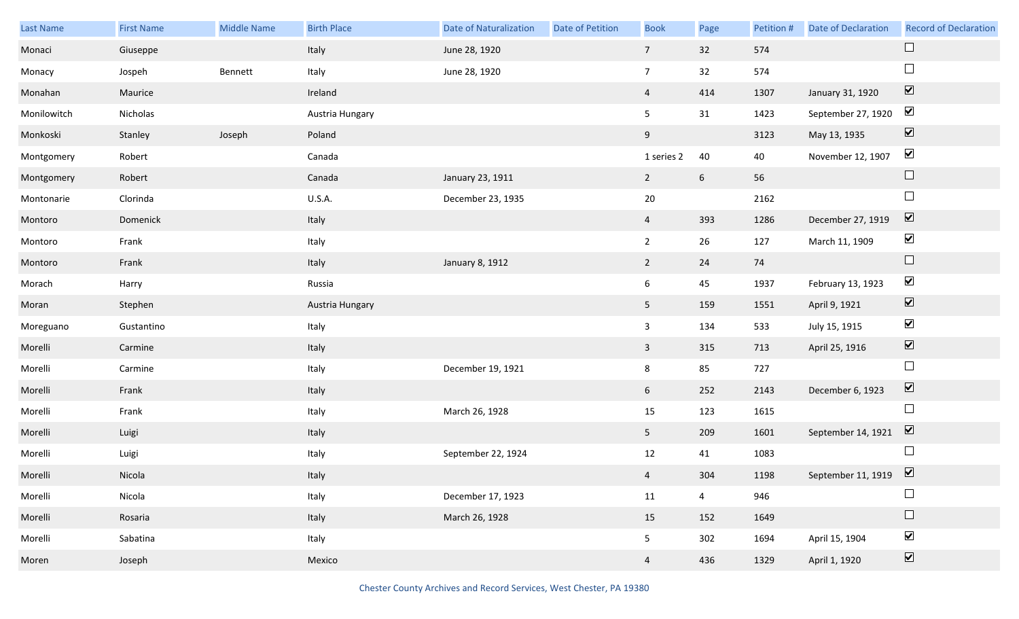| Last Name   | <b>First Name</b> | <b>Middle Name</b> | <b>Birth Place</b> | <b>Date of Naturalization</b> | <b>Date of Petition</b> | <b>Book</b>     | Page            | Petition # | <b>Date of Declaration</b>                 | <b>Record of Declaration</b> |
|-------------|-------------------|--------------------|--------------------|-------------------------------|-------------------------|-----------------|-----------------|------------|--------------------------------------------|------------------------------|
| Monaci      | Giuseppe          |                    | Italy              | June 28, 1920                 |                         | $7\overline{ }$ | 32              | 574        |                                            | $\Box$                       |
| Monacy      | Jospeh            | Bennett            | Italy              | June 28, 1920                 |                         | $\overline{7}$  | 32              | 574        |                                            | $\Box$                       |
| Monahan     | Maurice           |                    | Ireland            |                               |                         | $\overline{4}$  | 414             | 1307       | January 31, 1920                           | $\boxed{\blacktriangledown}$ |
| Monilowitch | Nicholas          |                    | Austria Hungary    |                               |                         | 5               | 31              | 1423       | September 27, 1920                         | $\blacktriangledown$         |
| Monkoski    | Stanley           | Joseph             | Poland             |                               |                         | 9               |                 | 3123       | May 13, 1935                               | $\boxed{\blacktriangledown}$ |
| Montgomery  | Robert            |                    | Canada             |                               |                         | 1 series 2      | 40              | 40         | November 12, 1907                          | $\blacktriangledown$         |
| Montgomery  | Robert            |                    | Canada             | January 23, 1911              |                         | $2^{\circ}$     | $6\phantom{.}6$ | 56         |                                            | $\Box$                       |
| Montonarie  | Clorinda          |                    | U.S.A.             | December 23, 1935             |                         | $20\,$          |                 | 2162       |                                            | $\Box$                       |
| Montoro     | Domenick          |                    | Italy              |                               |                         | $\overline{4}$  | 393             | 1286       | December 27, 1919                          | $\boxed{\blacktriangledown}$ |
| Montoro     | Frank             |                    | Italy              |                               |                         | $\overline{2}$  | 26              | 127        | March 11, 1909                             | $\blacktriangledown$         |
| Montoro     | Frank             |                    | Italy              | January 8, 1912               |                         | $2^{\circ}$     | 24              | 74         |                                            | $\Box$                       |
| Morach      | Harry             |                    | Russia             |                               |                         | 6               | 45              | 1937       | February 13, 1923                          | $\blacktriangledown$         |
| Moran       | Stephen           |                    | Austria Hungary    |                               |                         | 5 <sub>1</sub>  | 159             | 1551       | April 9, 1921                              | $\overline{\mathbf{v}}$      |
| Moreguano   | Gustantino        |                    | Italy              |                               |                         | 3               | 134             | 533        | July 15, 1915                              | $\blacktriangledown$         |
| Morelli     | Carmine           |                    | Italy              |                               |                         | $\mathbf{3}$    | 315             | 713        | April 25, 1916                             | $\boxed{\blacktriangledown}$ |
| Morelli     | Carmine           |                    | Italy              | December 19, 1921             |                         | 8               | 85              | 727        |                                            | $\Box$                       |
| Morelli     | Frank             |                    | Italy              |                               |                         | 6               | 252             | 2143       | December 6, 1923                           | $\boxed{\blacktriangledown}$ |
| Morelli     | Frank             |                    | Italy              | March 26, 1928                |                         | 15              | 123             | 1615       |                                            | $\Box$                       |
| Morelli     | Luigi             |                    | Italy              |                               |                         | 5               | 209             | 1601       | September 14, 1921                         | $\boxed{\blacktriangledown}$ |
| Morelli     | Luigi             |                    | Italy              | September 22, 1924            |                         | 12              | 41              | 1083       |                                            |                              |
| Morelli     | Nicola            |                    | Italy              |                               |                         | $\overline{4}$  | 304             | 1198       | September 11, 1919 $\boxed{\triangledown}$ |                              |
| Morelli     | Nicola            |                    | Italy              | December 17, 1923             |                         | 11              | $\overline{4}$  | 946        |                                            |                              |
| Morelli     | Rosaria           |                    | Italy              | March 26, 1928                |                         | 15              | 152             | 1649       |                                            | $\Box$                       |
| Morelli     | Sabatina          |                    | Italy              |                               |                         | 5               | 302             | 1694       | April 15, 1904                             | $\blacktriangledown$         |
| Moren       | Joseph            |                    | Mexico             |                               |                         | $\overline{4}$  | 436             | 1329       | April 1, 1920                              | $\boxed{\blacktriangledown}$ |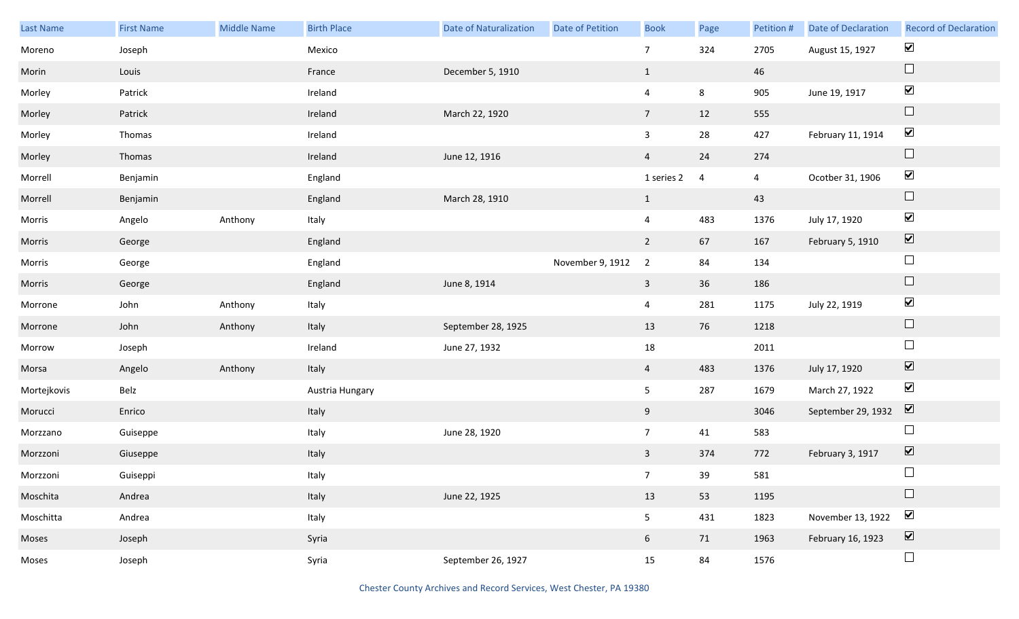| Last Name   | <b>First Name</b> | <b>Middle Name</b> | <b>Birth Place</b> | Date of Naturalization | Date of Petition | <b>Book</b>     | Page       | Petition #     | Date of Declaration | <b>Record of Declaration</b> |
|-------------|-------------------|--------------------|--------------------|------------------------|------------------|-----------------|------------|----------------|---------------------|------------------------------|
| Moreno      | Joseph            |                    | Mexico             |                        |                  | $7\overline{ }$ | 324        | 2705           | August 15, 1927     | $\blacktriangledown$         |
| Morin       | Louis             |                    | France             | December 5, 1910       |                  | $\mathbf{1}$    |            | 46             |                     | $\Box$                       |
| Morley      | Patrick           |                    | Ireland            |                        |                  | $\overline{4}$  | 8          | 905            | June 19, 1917       | $\blacktriangledown$         |
| Morley      | Patrick           |                    | Ireland            | March 22, 1920         |                  | $7\overline{ }$ | 12         | 555            |                     | $\Box$                       |
| Morley      | Thomas            |                    | Ireland            |                        |                  | $\mathbf{3}$    | ${\bf 28}$ | 427            | February 11, 1914   | $\blacktriangledown$         |
| Morley      | Thomas            |                    | Ireland            | June 12, 1916          |                  | $\overline{4}$  | 24         | 274            |                     | $\Box$                       |
| Morrell     | Benjamin          |                    | England            |                        |                  | 1 series 2      | 4          | $\overline{4}$ | Ocotber 31, 1906    | $\blacktriangledown$         |
| Morrell     | Benjamin          |                    | England            | March 28, 1910         |                  | $\mathbf{1}$    |            | 43             |                     | $\Box$                       |
| Morris      | Angelo            | Anthony            | Italy              |                        |                  | $\overline{4}$  | 483        | 1376           | July 17, 1920       | $\blacktriangledown$         |
| Morris      | George            |                    | England            |                        |                  | $\overline{2}$  | 67         | 167            | February 5, 1910    | $\boxed{\blacktriangledown}$ |
| Morris      | George            |                    | England            |                        | November 9, 1912 | $\overline{2}$  | 84         | 134            |                     | $\Box$                       |
| Morris      | George            |                    | England            | June 8, 1914           |                  | $\mathbf{3}$    | 36         | 186            |                     | $\Box$                       |
| Morrone     | John              | Anthony            | Italy              |                        |                  | $\overline{4}$  | 281        | 1175           | July 22, 1919       | $\blacktriangledown$         |
| Morrone     | John              | Anthony            | Italy              | September 28, 1925     |                  | 13              | 76         | 1218           |                     | $\Box$                       |
| Morrow      | Joseph            |                    | Ireland            | June 27, 1932          |                  | 18              |            | 2011           |                     | $\Box$                       |
| Morsa       | Angelo            | Anthony            | Italy              |                        |                  | $\overline{4}$  | 483        | 1376           | July 17, 1920       | $\boxed{\blacktriangledown}$ |
| Mortejkovis | Belz              |                    | Austria Hungary    |                        |                  | 5 <sub>1</sub>  | 287        | 1679           | March 27, 1922      | $\blacktriangledown$         |
| Morucci     | Enrico            |                    | Italy              |                        |                  | 9               |            | 3046           | September 29, 1932  | $\overline{\mathbf{v}}$      |
| Morzzano    | Guiseppe          |                    | Italy              | June 28, 1920          |                  | $7\overline{ }$ | 41         | 583            |                     | $\Box$                       |
| Morzzoni    | Giuseppe          |                    | Italy              |                        |                  | $\mathbf{3}$    | 374        | 772            | February 3, 1917    | $\boxed{\blacktriangledown}$ |
| Morzzoni    | Guiseppi          |                    | Italy              |                        |                  | 7 <sup>7</sup>  | 39         | 581            |                     | $\Box$                       |
| Moschita    | Andrea            |                    | Italy              | June 22, 1925          |                  | 13              | 53         | 1195           |                     | $\Box$                       |
| Moschitta   | Andrea            |                    | Italy              |                        |                  | 5 <sub>5</sub>  | 431        | 1823           | November 13, 1922   | $\blacktriangledown$         |
| Moses       | Joseph            |                    | Syria              |                        |                  | $6\overline{6}$ | 71         | 1963           | February 16, 1923   | $\boxed{\blacktriangledown}$ |
| Moses       | Joseph            |                    | Syria              | September 26, 1927     |                  | 15              | 84         | 1576           |                     | $\Box$                       |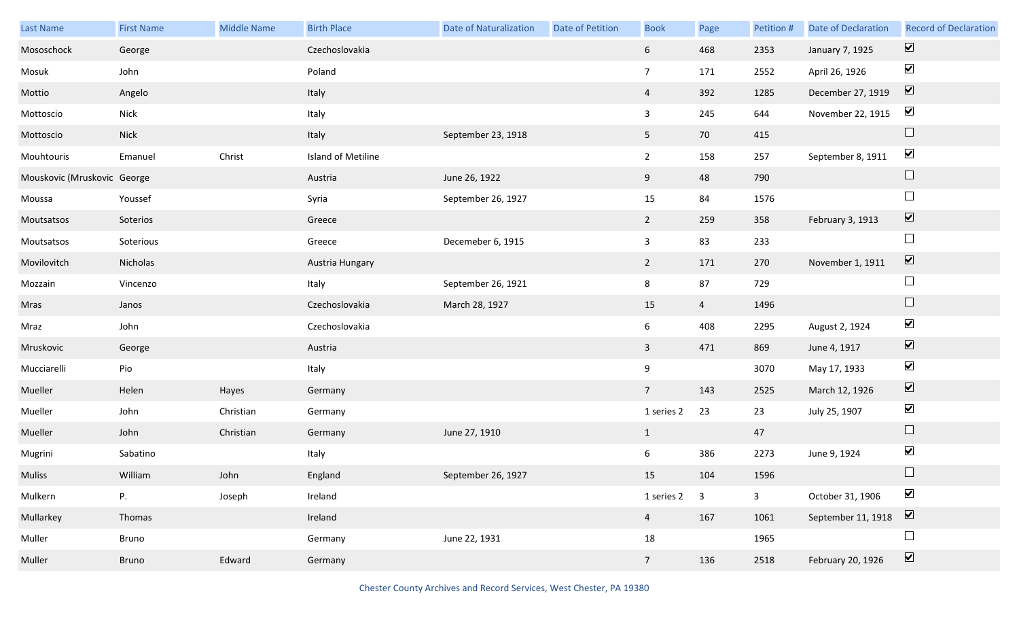| Last Name                   | <b>First Name</b> | Middle Name | <b>Birth Place</b> | <b>Date of Naturalization</b> | Date of Petition | <b>Book</b>    | Page           | Petition #     | <b>Date of Declaration</b> | <b>Record of Declaration</b> |
|-----------------------------|-------------------|-------------|--------------------|-------------------------------|------------------|----------------|----------------|----------------|----------------------------|------------------------------|
| Mososchock                  | George            |             | Czechoslovakia     |                               |                  | 6 <sup>1</sup> | 468            | 2353           | January 7, 1925            | $\overline{\mathbf{v}}$      |
| Mosuk                       | John              |             | Poland             |                               |                  | 7 <sup>7</sup> | 171            | 2552           | April 26, 1926             | $\blacktriangledown$         |
| Mottio                      | Angelo            |             | Italy              |                               |                  | $\overline{4}$ | 392            | 1285           | December 27, 1919          | $\boxed{\mathbf{v}}$         |
| Mottoscio                   | <b>Nick</b>       |             | Italy              |                               |                  | $\mathbf{3}$   | 245            | 644            | November 22, 1915          | $\blacktriangledown$         |
| Mottoscio                   | <b>Nick</b>       |             | Italy              | September 23, 1918            |                  | 5 <sub>1</sub> | 70             | 415            |                            | $\Box$                       |
| Mouhtouris                  | Emanuel           | Christ      | Island of Metiline |                               |                  | $\overline{2}$ | 158            | 257            | September 8, 1911          | $\blacktriangledown$         |
| Mouskovic (Mruskovic George |                   |             | Austria            | June 26, 1922                 |                  | 9              | 48             | 790            |                            | $\Box$                       |
| Moussa                      | Youssef           |             | Syria              | September 26, 1927            |                  | 15             | 84             | 1576           |                            | $\Box$                       |
| Moutsatsos                  | Soterios          |             | Greece             |                               |                  | $2^{\circ}$    | 259            | 358            | February 3, 1913           | $\overline{\mathbf{v}}$      |
| Moutsatsos                  | Soterious         |             | Greece             | Decemeber 6, 1915             |                  | $\mathbf{3}$   | 83             | 233            |                            | $\Box$                       |
| Movilovitch                 | Nicholas          |             | Austria Hungary    |                               |                  | $2^{\circ}$    | 171            | 270            | November 1, 1911           | $\boxed{\mathbf{v}}$         |
| Mozzain                     | Vincenzo          |             | Italy              | September 26, 1921            |                  | 8              | 87             | 729            |                            | $\Box$                       |
| Mras                        | Janos             |             | Czechoslovakia     | March 28, 1927                |                  | $15\,$         | $\overline{4}$ | 1496           |                            | $\Box$                       |
| Mraz                        | John              |             | Czechoslovakia     |                               |                  | 6              | 408            | 2295           | August 2, 1924             | $\blacktriangledown$         |
| Mruskovic                   | George            |             | Austria            |                               |                  | $\mathbf{3}$   | 471            | 869            | June 4, 1917               | $\overline{\mathbf{v}}$      |
| Mucciarelli                 | Pio               |             | Italy              |                               |                  | 9              |                | 3070           | May 17, 1933               | $\blacktriangledown$         |
| Mueller                     | Helen             | Hayes       | Germany            |                               |                  | 7 <sup>7</sup> | 143            | 2525           | March 12, 1926             | $\blacktriangledown$         |
| Mueller                     | John              | Christian   | Germany            |                               |                  | 1 series 2     | 23             | 23             | July 25, 1907              | $\blacktriangledown$         |
| Mueller                     | John              | Christian   | Germany            | June 27, 1910                 |                  | $\mathbf{1}$   |                | 47             |                            | $\Box$                       |
| Mugrini                     | Sabatino          |             | Italy              |                               |                  | 6              | 386            | 2273           | June 9, 1924               | $\blacktriangledown$         |
| Muliss                      | William           | John        | England            | September 26, 1927            |                  | 15             | 104            | 1596           |                            | $\Box$                       |
| Mulkern                     | P.                | Joseph      | Ireland            |                               |                  | 1 series 2     | $\overline{3}$ | $\overline{3}$ | October 31, 1906           | $\blacktriangledown$         |
| Mullarkey                   | Thomas            |             | Ireland            |                               |                  | 4              | 167            | 1061           | September 11, 1918         | $\sum$                       |
| Muller                      | Bruno             |             | Germany            | June 22, 1931                 |                  | 18             |                | 1965           |                            | $\Box$                       |
| Muller                      | Bruno             | Edward      | Germany            |                               |                  | 7 <sup>7</sup> | 136            | 2518           | February 20, 1926          | $\overline{\mathbf{v}}$      |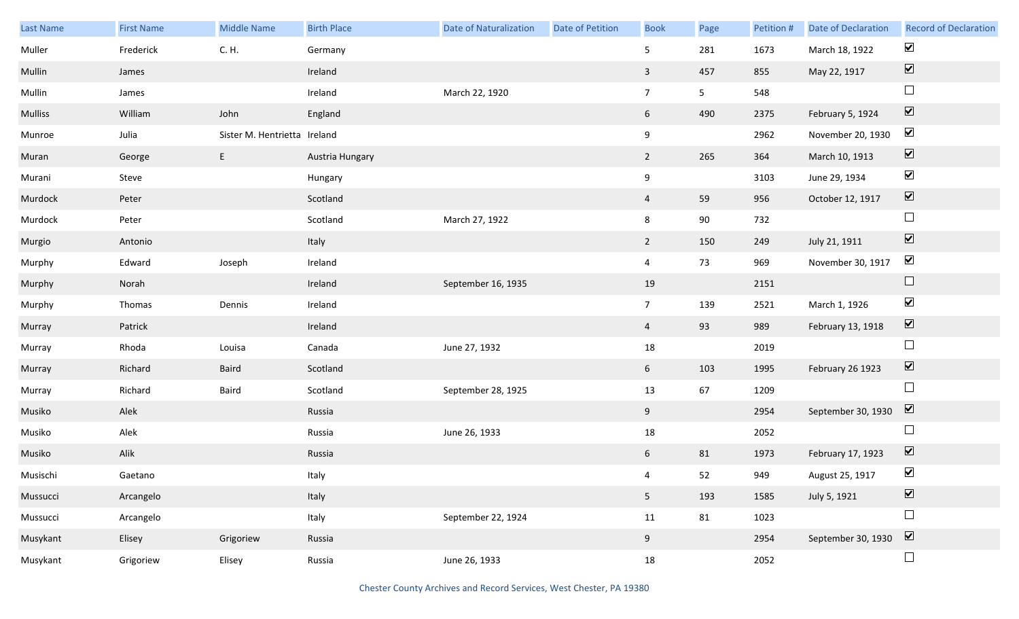| Last Name      | <b>First Name</b> | <b>Middle Name</b>           | <b>Birth Place</b> | <b>Date of Naturalization</b> | Date of Petition | <b>Book</b>    | Page           | Petition # | Date of Declaration | <b>Record of Declaration</b>             |
|----------------|-------------------|------------------------------|--------------------|-------------------------------|------------------|----------------|----------------|------------|---------------------|------------------------------------------|
| Muller         | Frederick         | C. H.                        | Germany            |                               |                  | 5              | 281            | 1673       | March 18, 1922      | $\blacktriangledown$                     |
| Mullin         | James             |                              | Ireland            |                               |                  | $\mathbf{3}$   | 457            | 855        | May 22, 1917        | $\boxed{\color{red} \blacktriangledown}$ |
| Mullin         | James             |                              | Ireland            | March 22, 1920                |                  | 7 <sup>7</sup> | 5 <sub>1</sub> | 548        |                     | $\Box$                                   |
| <b>Mulliss</b> | William           | John                         | England            |                               |                  | 6 <sup>1</sup> | 490            | 2375       | February 5, 1924    | $\boxed{\blacktriangledown}$             |
| Munroe         | Julia             | Sister M. Hentrietta Ireland |                    |                               |                  | 9              |                | 2962       | November 20, 1930   | $\blacktriangledown$                     |
| Muran          | George            | E                            | Austria Hungary    |                               |                  | $\overline{2}$ | 265            | 364        | March 10, 1913      | $\boxed{\blacktriangledown}$             |
| Murani         | Steve             |                              | Hungary            |                               |                  | 9              |                | 3103       | June 29, 1934       | $\blacktriangledown$                     |
| Murdock        | Peter             |                              | Scotland           |                               |                  | $\overline{4}$ | 59             | 956        | October 12, 1917    | $\boxed{\blacktriangledown}$             |
| Murdock        | Peter             |                              | Scotland           | March 27, 1922                |                  | 8              | $90\,$         | 732        |                     | $\Box$                                   |
| Murgio         | Antonio           |                              | Italy              |                               |                  | $2^{\circ}$    | 150            | 249        | July 21, 1911       | $\boxed{\blacktriangledown}$             |
| Murphy         | Edward            | Joseph                       | Ireland            |                               |                  | $\overline{4}$ | 73             | 969        | November 30, 1917   | $\blacktriangledown$                     |
| Murphy         | Norah             |                              | Ireland            | September 16, 1935            |                  | 19             |                | 2151       |                     | $\Box$                                   |
| Murphy         | Thomas            | Dennis                       | Ireland            |                               |                  | 7 <sup>7</sup> | 139            | 2521       | March 1, 1926       | $\blacktriangledown$                     |
| Murray         | Patrick           |                              | Ireland            |                               |                  | $\overline{4}$ | 93             | 989        | February 13, 1918   | $\boxed{\blacktriangledown}$             |
| Murray         | Rhoda             | Louisa                       | Canada             | June 27, 1932                 |                  | 18             |                | 2019       |                     | $\Box$                                   |
| Murray         | Richard           | Baird                        | Scotland           |                               |                  | 6 <sup>1</sup> | 103            | 1995       | February 26 1923    | $\boxed{\blacktriangledown}$             |
| Murray         | Richard           | Baird                        | Scotland           | September 28, 1925            |                  | 13             | 67             | 1209       |                     | $\Box$                                   |
| Musiko         | Alek              |                              | Russia             |                               |                  | 9              |                | 2954       | September 30, 1930  | $\triangledown$                          |
| Musiko         | Alek              |                              | Russia             | June 26, 1933                 |                  | 18             |                | 2052       |                     | $\Box$                                   |
| Musiko         | Alik              |                              | Russia             |                               |                  | 6              | 81             | 1973       | February 17, 1923   | $\boxed{\blacktriangledown}$             |
| Musischi       | Gaetano           |                              | Italy              |                               |                  | $\overline{4}$ | 52             | 949        | August 25, 1917     | $\blacktriangledown$                     |
| Mussucci       | Arcangelo         |                              | Italy              |                               |                  | 5 <sub>1</sub> | 193            | 1585       | July 5, 1921        | $\boxed{\blacktriangledown}$             |
| Mussucci       | Arcangelo         |                              | Italy              | September 22, 1924            |                  | 11             | 81             | 1023       |                     | $\Box$                                   |
| Musykant       | Elisey            | Grigoriew                    | Russia             |                               |                  | 9              |                | 2954       | September 30, 1930  | $\boxed{\blacktriangledown}$             |
| Musykant       | Grigoriew         | Elisey                       | Russia             | June 26, 1933                 |                  | 18             |                | 2052       |                     | $\Box$                                   |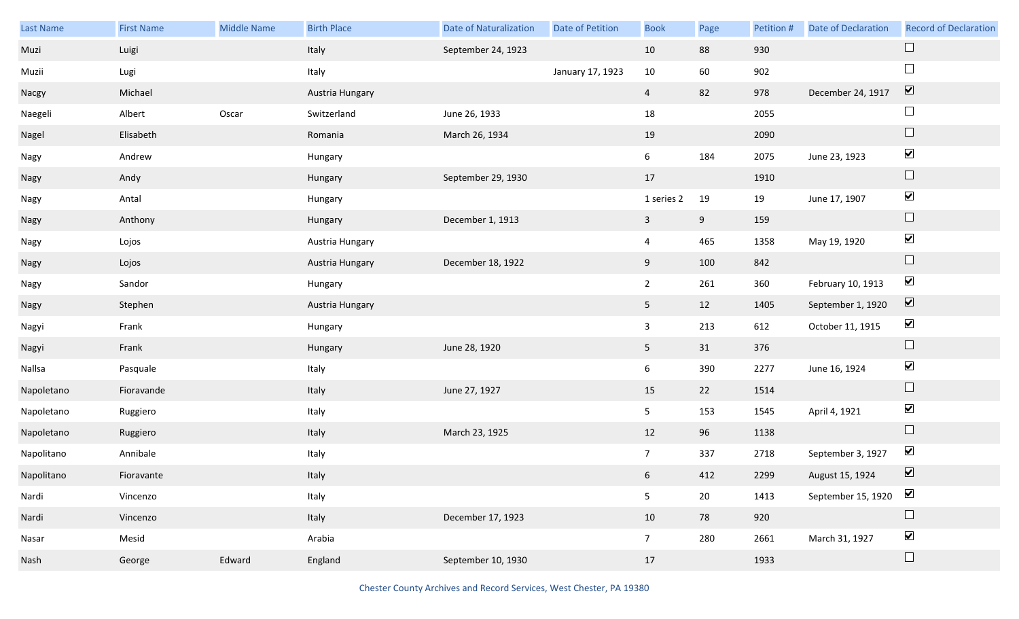| Last Name  | <b>First Name</b> | Middle Name | <b>Birth Place</b> | <b>Date of Naturalization</b> | Date of Petition | <b>Book</b>     | Page   | Petition # | Date of Declaration | <b>Record of Declaration</b> |
|------------|-------------------|-------------|--------------------|-------------------------------|------------------|-----------------|--------|------------|---------------------|------------------------------|
| Muzi       | Luigi             |             | Italy              | September 24, 1923            |                  | 10              | 88     | 930        |                     | $\Box$                       |
| Muzii      | Lugi              |             | Italy              |                               | January 17, 1923 | 10              | 60     | 902        |                     | $\Box$                       |
| Nacgy      | Michael           |             | Austria Hungary    |                               |                  | $\overline{4}$  | 82     | 978        | December 24, 1917   | $\overline{\mathbf{v}}$      |
| Naegeli    | Albert            | Oscar       | Switzerland        | June 26, 1933                 |                  | 18              |        | 2055       |                     | $\Box$                       |
| Nagel      | Elisabeth         |             | Romania            | March 26, 1934                |                  | 19              |        | 2090       |                     | $\Box$                       |
| Nagy       | Andrew            |             | Hungary            |                               |                  | 6               | 184    | 2075       | June 23, 1923       | $\blacktriangledown$         |
| Nagy       | Andy              |             | Hungary            | September 29, 1930            |                  | 17              |        | 1910       |                     | $\Box$                       |
| Nagy       | Antal             |             | Hungary            |                               |                  | 1 series 2      | 19     | 19         | June 17, 1907       | $\blacktriangledown$         |
| Nagy       | Anthony           |             | Hungary            | December 1, 1913              |                  | $\mathbf{3}$    | 9      | 159        |                     | $\Box$                       |
| Nagy       | Lojos             |             | Austria Hungary    |                               |                  | $\overline{4}$  | 465    | 1358       | May 19, 1920        | $\blacktriangledown$         |
| Nagy       | Lojos             |             | Austria Hungary    | December 18, 1922             |                  | 9               | 100    | 842        |                     | $\Box$                       |
| Nagy       | Sandor            |             | Hungary            |                               |                  | $\overline{2}$  | 261    | 360        | February 10, 1913   | $\blacktriangledown$         |
| Nagy       | Stephen           |             | Austria Hungary    |                               |                  | 5 <sub>1</sub>  | 12     | 1405       | September 1, 1920   | $\blacktriangledown$         |
| Nagyi      | Frank             |             | Hungary            |                               |                  | $\overline{3}$  | 213    | 612        | October 11, 1915    | $\blacktriangledown$         |
| Nagyi      | Frank             |             | Hungary            | June 28, 1920                 |                  | 5 <sub>1</sub>  | 31     | 376        |                     | $\Box$                       |
| Nallsa     | Pasquale          |             | Italy              |                               |                  | 6               | 390    | 2277       | June 16, 1924       | $\blacktriangledown$         |
| Napoletano | Fioravande        |             | Italy              | June 27, 1927                 |                  | 15              | 22     | 1514       |                     | $\Box$                       |
| Napoletano | Ruggiero          |             | Italy              |                               |                  | 5 <sub>1</sub>  | 153    | 1545       | April 4, 1921       | $\blacktriangledown$         |
| Napoletano | Ruggiero          |             | Italy              | March 23, 1925                |                  | 12              | 96     | 1138       |                     | $\Box$                       |
| Napolitano | Annibale          |             | Italy              |                               |                  | 7 <sup>7</sup>  | 337    | 2718       | September 3, 1927   | $\blacktriangledown$         |
| Napolitano | Fioravante        |             | Italy              |                               |                  | $6\overline{6}$ | 412    | 2299       | August 15, 1924     | $\boxed{\blacktriangledown}$ |
| Nardi      | Vincenzo          |             | Italy              |                               |                  | 5               | $20\,$ | 1413       | September 15, 1920  | $\blacktriangledown$         |
| Nardi      | Vincenzo          |             | Italy              | December 17, 1923             |                  | 10              | 78     | 920        |                     | $\Box$                       |
| Nasar      | Mesid             |             | Arabia             |                               |                  | $7\overline{ }$ | 280    | 2661       | March 31, 1927      | $\blacktriangledown$         |
| Nash       | George            | Edward      | England            | September 10, 1930            |                  | 17              |        | 1933       |                     | $\Box$                       |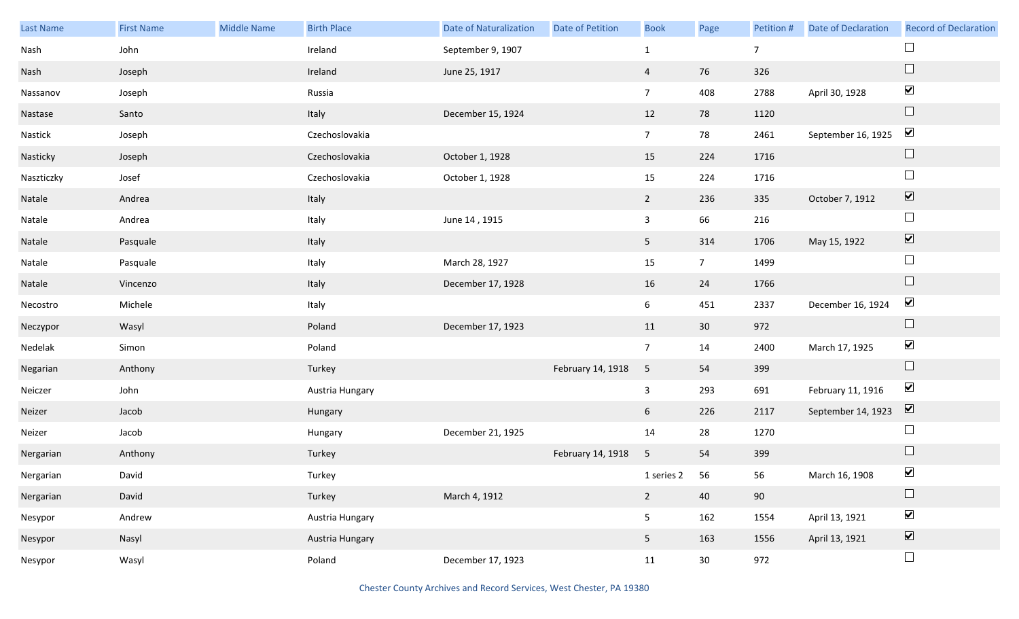| Last Name  | <b>First Name</b> | <b>Middle Name</b> | <b>Birth Place</b> | <b>Date of Naturalization</b> | Date of Petition  | <b>Book</b>     | Page           | Petition #     | <b>Date of Declaration</b> | <b>Record of Declaration</b> |
|------------|-------------------|--------------------|--------------------|-------------------------------|-------------------|-----------------|----------------|----------------|----------------------------|------------------------------|
| Nash       | John              |                    | Ireland            | September 9, 1907             |                   | $\mathbf{1}$    |                | $\overline{7}$ |                            |                              |
| Nash       | Joseph            |                    | Ireland            | June 25, 1917                 |                   | $\overline{4}$  | 76             | 326            |                            | $\Box$                       |
| Nassanov   | Joseph            |                    | Russia             |                               |                   | $7\overline{ }$ | 408            | 2788           | April 30, 1928             | $\blacktriangledown$         |
| Nastase    | Santo             |                    | Italy              | December 15, 1924             |                   | 12              | 78             | 1120           |                            | $\Box$                       |
| Nastick    | Joseph            |                    | Czechoslovakia     |                               |                   | 7 <sup>7</sup>  | 78             | 2461           | September 16, 1925         | $\blacktriangledown$         |
| Nasticky   | Joseph            |                    | Czechoslovakia     | October 1, 1928               |                   | 15              | 224            | 1716           |                            | $\Box$                       |
| Naszticzky | Josef             |                    | Czechoslovakia     | October 1, 1928               |                   | 15              | 224            | 1716           |                            | $\Box$                       |
| Natale     | Andrea            |                    | Italy              |                               |                   | $\overline{2}$  | 236            | 335            | October 7, 1912            | $\boxed{\blacktriangledown}$ |
| Natale     | Andrea            |                    | Italy              | June 14, 1915                 |                   | $\mathbf{3}$    | 66             | 216            |                            | $\Box$                       |
| Natale     | Pasquale          |                    | Italy              |                               |                   | 5 <sub>1</sub>  | 314            | 1706           | May 15, 1922               | $\boxed{\blacktriangledown}$ |
| Natale     | Pasquale          |                    | Italy              | March 28, 1927                |                   | 15              | $\overline{7}$ | 1499           |                            | $\Box$                       |
| Natale     | Vincenzo          |                    | Italy              | December 17, 1928             |                   | 16              | 24             | 1766           |                            | $\Box$                       |
| Necostro   | Michele           |                    | Italy              |                               |                   | 6 <sup>1</sup>  | 451            | 2337           | December 16, 1924          | $\blacktriangledown$         |
| Neczypor   | Wasyl             |                    | Poland             | December 17, 1923             |                   | 11              | 30             | 972            |                            | $\Box$                       |
| Nedelak    | Simon             |                    | Poland             |                               |                   | $7\overline{ }$ | 14             | 2400           | March 17, 1925             | $\blacktriangledown$         |
| Negarian   | Anthony           |                    | Turkey             |                               | February 14, 1918 | 5               | 54             | 399            |                            | $\hfill \square$             |
| Neiczer    | John              |                    | Austria Hungary    |                               |                   | $\mathbf{3}$    | 293            | 691            | February 11, 1916          | $\blacktriangledown$         |
| Neizer     | Jacob             |                    | Hungary            |                               |                   | 6               | 226            | 2117           | September 14, 1923         | $\boxed{\blacktriangledown}$ |
| Neizer     | Jacob             |                    | Hungary            | December 21, 1925             |                   | 14              | 28             | 1270           |                            | $\Box$                       |
| Nergarian  | Anthony           |                    | Turkey             |                               | February 14, 1918 | 5               | 54             | 399            |                            | $\Box$                       |
| Nergarian  | David             |                    | Turkey             |                               |                   | 1 series 2 56   |                | 56             | March 16, 1908             | $\blacktriangledown$         |
| Nergarian  | David             |                    | Turkey             | March 4, 1912                 |                   | $\overline{2}$  | 40             | 90             |                            | $\Box$                       |
| Nesypor    | Andrew            |                    | Austria Hungary    |                               |                   | 5 <sub>1</sub>  | 162            | 1554           | April 13, 1921             | $\blacktriangledown$         |
| Nesypor    | Nasyl             |                    | Austria Hungary    |                               |                   | 5 <sub>5</sub>  | 163            | 1556           | April 13, 1921             | $\boxed{\blacktriangledown}$ |
| Nesypor    | Wasyl             |                    | Poland             | December 17, 1923             |                   | 11              | 30             | 972            |                            | $\Box$                       |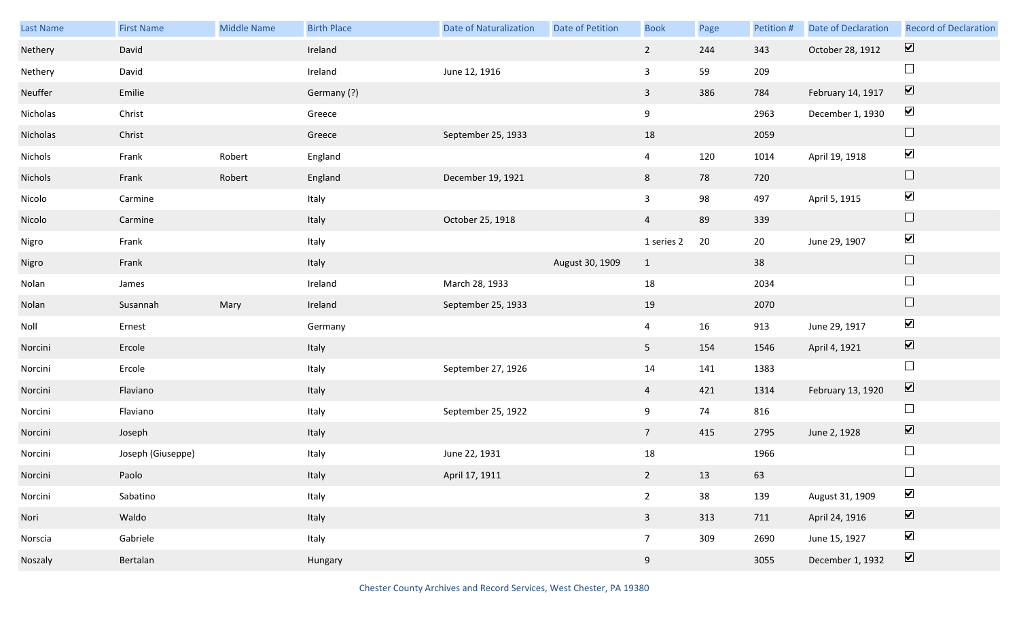| Last Name | <b>First Name</b> | <b>Middle Name</b> | <b>Birth Place</b> | <b>Date of Naturalization</b> | Date of Petition | <b>Book</b>     | Page | Petition # | <b>Date of Declaration</b> | <b>Record of Declaration</b> |
|-----------|-------------------|--------------------|--------------------|-------------------------------|------------------|-----------------|------|------------|----------------------------|------------------------------|
| Nethery   | David             |                    | Ireland            |                               |                  | $2\overline{ }$ | 244  | 343        | October 28, 1912           | $\boxed{\blacktriangledown}$ |
| Nethery   | David             |                    | Ireland            | June 12, 1916                 |                  | 3               | 59   | 209        |                            | $\Box$                       |
| Neuffer   | Emilie            |                    | Germany (?)        |                               |                  | $\mathbf{3}$    | 386  | 784        | February 14, 1917          | $\boxed{\blacktriangledown}$ |
| Nicholas  | Christ            |                    | Greece             |                               |                  | 9               |      | 2963       | December 1, 1930           | $\blacktriangledown$         |
| Nicholas  | Christ            |                    | Greece             | September 25, 1933            |                  | 18              |      | 2059       |                            | $\Box$                       |
| Nichols   | Frank             | Robert             | England            |                               |                  | $\overline{4}$  | 120  | 1014       | April 19, 1918             | $\blacktriangledown$         |
| Nichols   | Frank             | Robert             | England            | December 19, 1921             |                  | 8               | 78   | 720        |                            | $\Box$                       |
| Nicolo    | Carmine           |                    | Italy              |                               |                  | $\mathbf{3}$    | 98   | 497        | April 5, 1915              | $\blacktriangledown$         |
| Nicolo    | Carmine           |                    | Italy              | October 25, 1918              |                  | $\overline{4}$  | 89   | 339        |                            | $\Box$                       |
| Nigro     | Frank             |                    | Italy              |                               |                  | 1 series 2      | 20   | 20         | June 29, 1907              | $\blacktriangledown$         |
| Nigro     | Frank             |                    | Italy              |                               | August 30, 1909  | $\mathbf{1}$    |      | 38         |                            | $\Box$                       |
| Nolan     | James             |                    | Ireland            | March 28, 1933                |                  | 18              |      | 2034       |                            | $\Box$                       |
| Nolan     | Susannah          | Mary               | Ireland            | September 25, 1933            |                  | 19              |      | 2070       |                            | $\Box$                       |
| Noll      | Ernest            |                    | Germany            |                               |                  | $\overline{4}$  | 16   | 913        | June 29, 1917              | $\blacktriangledown$         |
| Norcini   | Ercole            |                    | Italy              |                               |                  | 5 <sub>1</sub>  | 154  | 1546       | April 4, 1921              | $\boxed{\blacktriangledown}$ |
| Norcini   | Ercole            |                    | Italy              | September 27, 1926            |                  | 14              | 141  | 1383       |                            | $\Box$                       |
| Norcini   | Flaviano          |                    | Italy              |                               |                  | $\overline{4}$  | 421  | 1314       | February 13, 1920          | $\boxed{\blacktriangledown}$ |
| Norcini   | Flaviano          |                    | Italy              | September 25, 1922            |                  | 9               | 74   | 816        |                            | $\Box$                       |
| Norcini   | Joseph            |                    | Italy              |                               |                  | 7 <sup>7</sup>  | 415  | 2795       | June 2, 1928               | $\boxed{\blacktriangledown}$ |
| Norcini   | Joseph (Giuseppe) |                    | Italy              | June 22, 1931                 |                  | 18              |      | 1966       |                            | $\Box$                       |
| Norcini   | Paolo             |                    | Italy              | April 17, 1911                |                  | $2^{\circ}$     | 13   | 63         |                            |                              |
| Norcini   | Sabatino          |                    | Italy              |                               |                  | $2^{\circ}$     | 38   | 139        | August 31, 1909            | $\blacktriangledown$         |
| Nori      | Waldo             |                    | Italy              |                               |                  | $\mathbf{3}$    | 313  | 711        | April 24, 1916             | $\boxed{\blacktriangledown}$ |
| Norscia   | Gabriele          |                    | Italy              |                               |                  | $7\overline{ }$ | 309  | 2690       | June 15, 1927              | $\blacktriangledown$         |
| Noszaly   | Bertalan          |                    | Hungary            |                               |                  | 9               |      | 3055       | December 1, 1932           | $\boxed{\blacktriangledown}$ |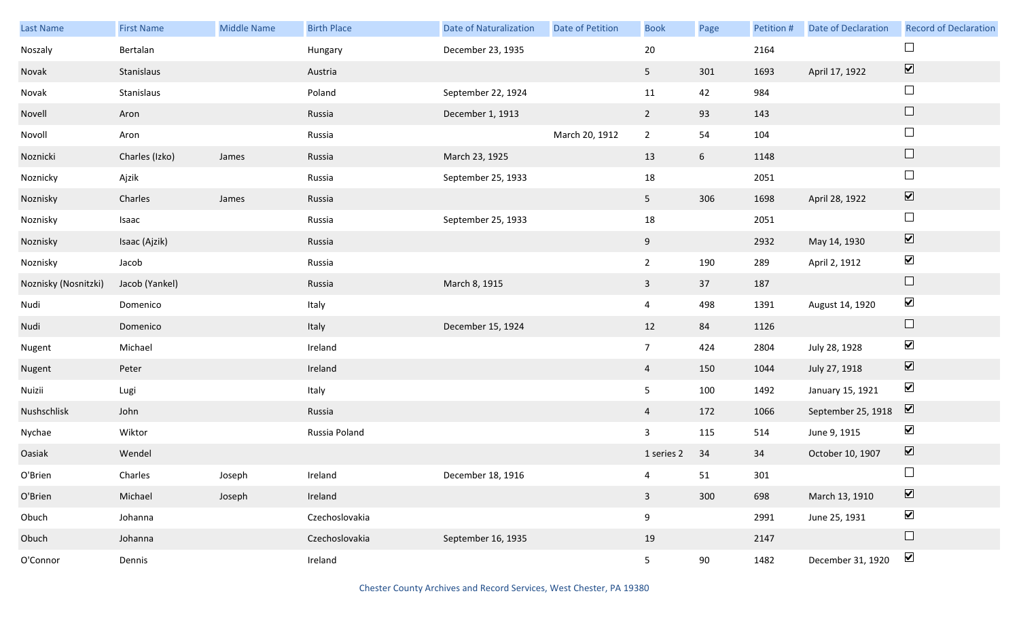| Last Name            | <b>First Name</b> | Middle Name | <b>Birth Place</b> | <b>Date of Naturalization</b> | Date of Petition | <b>Book</b>    | Page            | Petition # | <b>Date of Declaration</b> | <b>Record of Declaration</b>    |
|----------------------|-------------------|-------------|--------------------|-------------------------------|------------------|----------------|-----------------|------------|----------------------------|---------------------------------|
| Noszaly              | Bertalan          |             | Hungary            | December 23, 1935             |                  | 20             |                 | 2164       |                            | $\Box$                          |
| Novak                | Stanislaus        |             | Austria            |                               |                  | 5 <sub>1</sub> | 301             | 1693       | April 17, 1922             | $\overline{\blacktriangledown}$ |
| Novak                | Stanislaus        |             | Poland             | September 22, 1924            |                  | 11             | 42              | 984        |                            | $\Box$                          |
| Novell               | Aron              |             | Russia             | December 1, 1913              |                  | $\overline{2}$ | 93              | 143        |                            | $\Box$                          |
| Novoll               | Aron              |             | Russia             |                               | March 20, 1912   | $\overline{2}$ | 54              | 104        |                            | $\Box$                          |
| Noznicki             | Charles (Izko)    | James       | Russia             | March 23, 1925                |                  | 13             | $6\overline{6}$ | 1148       |                            | $\hfill \square$                |
| Noznicky             | Ajzik             |             | Russia             | September 25, 1933            |                  | 18             |                 | 2051       |                            | $\Box$                          |
| Noznisky             | Charles           | James       | Russia             |                               |                  | 5 <sub>1</sub> | 306             | 1698       | April 28, 1922             | $\blacktriangledown$            |
| Noznisky             | Isaac             |             | Russia             | September 25, 1933            |                  | 18             |                 | 2051       |                            | $\Box$                          |
| Noznisky             | Isaac (Ajzik)     |             | Russia             |                               |                  | 9              |                 | 2932       | May 14, 1930               | $\overline{\blacktriangledown}$ |
| Noznisky             | Jacob             |             | Russia             |                               |                  | $\overline{2}$ | 190             | 289        | April 2, 1912              | $\blacktriangledown$            |
| Noznisky (Nosnitzki) | Jacob (Yankel)    |             | Russia             | March 8, 1915                 |                  | $\mathbf{3}$   | 37              | 187        |                            | $\Box$                          |
| Nudi                 | Domenico          |             | Italy              |                               |                  | $\overline{4}$ | 498             | 1391       | August 14, 1920            | $\blacktriangledown$            |
| Nudi                 | Domenico          |             | Italy              | December 15, 1924             |                  | 12             | 84              | 1126       |                            | $\Box$                          |
| Nugent               | Michael           |             | Ireland            |                               |                  | 7 <sup>7</sup> | 424             | 2804       | July 28, 1928              | $\blacktriangledown$            |
| Nugent               | Peter             |             | Ireland            |                               |                  | $\overline{4}$ | 150             | 1044       | July 27, 1918              | $\blacktriangledown$            |
| Nuizii               | Lugi              |             | Italy              |                               |                  | 5              | 100             | 1492       | January 15, 1921           | $\blacktriangledown$            |
| Nushschlisk          | John              |             | Russia             |                               |                  | $\overline{4}$ | 172             | 1066       | September 25, 1918         | $\overline{\mathbf{v}}$         |
| Nychae               | Wiktor            |             | Russia Poland      |                               |                  | $\mathbf{3}$   | 115             | 514        | June 9, 1915               | $\blacktriangledown$            |
| Oasiak               | Wendel            |             |                    |                               |                  | 1 series 2     | 34              | 34         | October 10, 1907           | $\boxed{\blacktriangledown}$    |
| O'Brien              | Charles           | Joseph      | Ireland            | December 18, 1916             |                  | $\overline{4}$ | 51              | 301        |                            | $\Box$                          |
| O'Brien              | Michael           | Joseph      | Ireland            |                               |                  | $\mathbf{3}$   | 300             | 698        | March 13, 1910             | $\overline{\blacktriangledown}$ |
| Obuch                | Johanna           |             | Czechoslovakia     |                               |                  | 9              |                 | 2991       | June 25, 1931              | $\blacktriangledown$            |
| Obuch                | Johanna           |             | Czechoslovakia     | September 16, 1935            |                  | 19             |                 | 2147       |                            | $\hfill \square$                |
| O'Connor             | Dennis            |             | Ireland            |                               |                  | 5 <sub>1</sub> | 90              | 1482       | December 31, 1920          | $\blacktriangledown$            |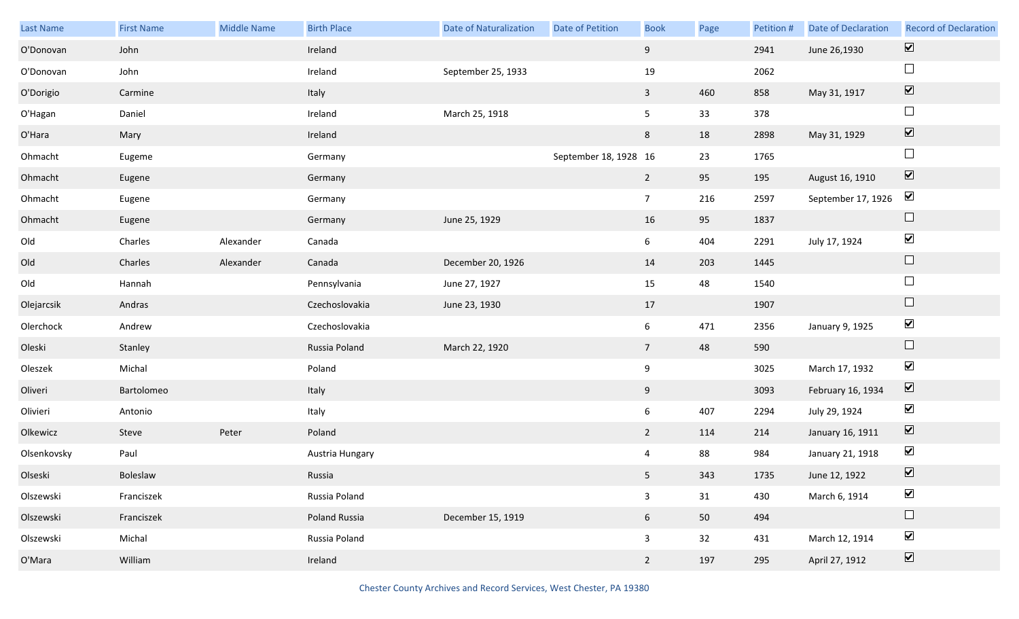| Last Name   | <b>First Name</b> | Middle Name | <b>Birth Place</b> | <b>Date of Naturalization</b> | Date of Petition      | <b>Book</b>     | Page | Petition # | <b>Date of Declaration</b> | <b>Record of Declaration</b> |
|-------------|-------------------|-------------|--------------------|-------------------------------|-----------------------|-----------------|------|------------|----------------------------|------------------------------|
| O'Donovan   | John              |             | Ireland            |                               |                       | 9               |      | 2941       | June 26,1930               | $\overline{\mathbf{v}}$      |
| O'Donovan   | John              |             | Ireland            | September 25, 1933            |                       | 19              |      | 2062       |                            | $\Box$                       |
| O'Dorigio   | Carmine           |             | Italy              |                               |                       | $\overline{3}$  | 460  | 858        | May 31, 1917               | $\boxed{\blacktriangledown}$ |
| O'Hagan     | Daniel            |             | Ireland            | March 25, 1918                |                       | 5 <sub>5</sub>  | 33   | 378        |                            | $\Box$                       |
| O'Hara      | Mary              |             | Ireland            |                               |                       | 8               | 18   | 2898       | May 31, 1929               | $\boxed{\blacktriangledown}$ |
| Ohmacht     | Eugeme            |             | Germany            |                               | September 18, 1928 16 |                 | 23   | 1765       |                            | $\Box$                       |
| Ohmacht     | Eugene            |             | Germany            |                               |                       | $2^{\circ}$     | 95   | 195        | August 16, 1910            | $\boxed{\blacktriangledown}$ |
| Ohmacht     | Eugene            |             | Germany            |                               |                       | $7\overline{ }$ | 216  | 2597       | September 17, 1926         | $\blacktriangledown$         |
| Ohmacht     | Eugene            |             | Germany            | June 25, 1929                 |                       | 16              | 95   | 1837       |                            | $\Box$                       |
| Old         | Charles           | Alexander   | Canada             |                               |                       | 6               | 404  | 2291       | July 17, 1924              | $\blacktriangledown$         |
| Old         | Charles           | Alexander   | Canada             | December 20, 1926             |                       | 14              | 203  | 1445       |                            | $\Box$                       |
| Old         | Hannah            |             | Pennsylvania       | June 27, 1927                 |                       | 15              | 48   | 1540       |                            | $\Box$                       |
| Olejarcsik  | Andras            |             | Czechoslovakia     | June 23, 1930                 |                       | 17              |      | 1907       |                            | $\Box$                       |
| Olerchock   | Andrew            |             | Czechoslovakia     |                               |                       | $6\overline{6}$ | 471  | 2356       | January 9, 1925            | $\blacktriangledown$         |
| Oleski      | Stanley           |             | Russia Poland      | March 22, 1920                |                       | $7\overline{ }$ | 48   | 590        |                            | $\Box$                       |
| Oleszek     | Michal            |             | Poland             |                               |                       | 9               |      | 3025       | March 17, 1932             | $\blacktriangledown$         |
| Oliveri     | Bartolomeo        |             | Italy              |                               |                       | 9               |      | 3093       | February 16, 1934          | $\overline{\mathbf{v}}$      |
| Olivieri    | Antonio           |             | Italy              |                               |                       | $6\overline{6}$ | 407  | 2294       | July 29, 1924              | $\blacktriangledown$         |
| Olkewicz    | Steve             | Peter       | Poland             |                               |                       | $2^{\circ}$     | 114  | 214        | January 16, 1911           | $\overline{\mathbf{v}}$      |
| Olsenkovsky | Paul              |             | Austria Hungary    |                               |                       | $\overline{4}$  | 88   | 984        | January 21, 1918           | $\blacktriangledown$         |
| Olseski     | Boleslaw          |             | Russia             |                               |                       | 5 <sub>1</sub>  | 343  | 1735       | June 12, 1922              | $\boxed{\mathbf{v}}$         |
| Olszewski   | Franciszek        |             | Russia Poland      |                               |                       | $\mathbf{3}$    | 31   | 430        | March 6, 1914              | $\blacktriangledown$         |
| Olszewski   | Franciszek        |             | Poland Russia      | December 15, 1919             |                       | 6 <sup>1</sup>  | 50   | 494        |                            | $\Box$                       |
| Olszewski   | Michal            |             | Russia Poland      |                               |                       | $\mathbf{3}$    | 32   | 431        | March 12, 1914             | $\blacktriangledown$         |
| O'Mara      | William           |             | Ireland            |                               |                       | $2^{\circ}$     | 197  | 295        | April 27, 1912             | $\boxed{\blacktriangledown}$ |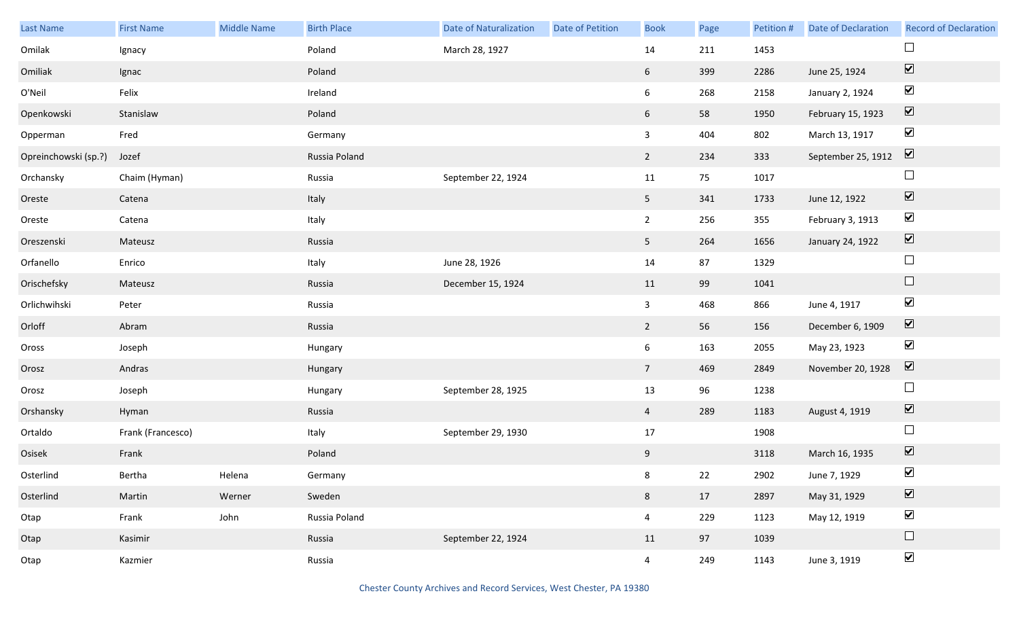| Last Name            | <b>First Name</b> | Middle Name | <b>Birth Place</b> | <b>Date of Naturalization</b> | <b>Date of Petition</b> | <b>Book</b>     | Page | Petition # | <b>Date of Declaration</b> | <b>Record of Declaration</b> |
|----------------------|-------------------|-------------|--------------------|-------------------------------|-------------------------|-----------------|------|------------|----------------------------|------------------------------|
| Omilak               | Ignacy            |             | Poland             | March 28, 1927                |                         | 14              | 211  | 1453       |                            | $\Box$                       |
| Omiliak              | Ignac             |             | Poland             |                               |                         | $6\overline{6}$ | 399  | 2286       | June 25, 1924              | $\boxed{\blacktriangledown}$ |
| O'Neil               | Felix             |             | Ireland            |                               |                         | $6\overline{6}$ | 268  | 2158       | January 2, 1924            | $\blacktriangledown$         |
| Openkowski           | Stanislaw         |             | Poland             |                               |                         | $6\overline{6}$ | 58   | 1950       | February 15, 1923          | $\boxed{\blacktriangledown}$ |
| Opperman             | Fred              |             | Germany            |                               |                         | 3 <sup>7</sup>  | 404  | 802        | March 13, 1917             | $\blacktriangledown$         |
| Opreinchowski (sp.?) | Jozef             |             | Russia Poland      |                               |                         | $2^{\circ}$     | 234  | 333        | September 25, 1912         | $\boxed{\blacktriangledown}$ |
| Orchansky            | Chaim (Hyman)     |             | Russia             | September 22, 1924            |                         | 11              | 75   | 1017       |                            | $\Box$                       |
| Oreste               | Catena            |             | Italy              |                               |                         | 5 <sub>1</sub>  | 341  | 1733       | June 12, 1922              | $\boxed{\blacktriangledown}$ |
| Oreste               | Catena            |             | Italy              |                               |                         | $2^{\circ}$     | 256  | 355        | February 3, 1913           | $\blacktriangledown$         |
| Oreszenski           | Mateusz           |             | Russia             |                               |                         | 5 <sub>1</sub>  | 264  | 1656       | January 24, 1922           | $\boxed{\blacktriangledown}$ |
| Orfanello            | Enrico            |             | Italy              | June 28, 1926                 |                         | 14              | 87   | 1329       |                            | $\Box$                       |
| Orischefsky          | Mateusz           |             | Russia             | December 15, 1924             |                         | 11              | 99   | 1041       |                            | $\Box$                       |
| Orlichwihski         | Peter             |             | Russia             |                               |                         | $\mathbf{3}$    | 468  | 866        | June 4, 1917               | $\blacktriangledown$         |
| Orloff               | Abram             |             | Russia             |                               |                         | $2^{\circ}$     | 56   | 156        | December 6, 1909           | $\overline{\mathbf{v}}$      |
| Oross                | Joseph            |             | Hungary            |                               |                         | $6\overline{6}$ | 163  | 2055       | May 23, 1923               | $\blacktriangledown$         |
| Orosz                | Andras            |             | Hungary            |                               |                         | 7 <sup>7</sup>  | 469  | 2849       | November 20, 1928          | $\overline{\mathbf{V}}$      |
| Orosz                | Joseph            |             | Hungary            | September 28, 1925            |                         | 13              | 96   | 1238       |                            | $\Box$                       |
| Orshansky            | Hyman             |             | Russia             |                               |                         | $\overline{4}$  | 289  | 1183       | August 4, 1919             | $\overline{\mathbf{v}}$      |
| Ortaldo              | Frank (Francesco) |             | Italy              | September 29, 1930            |                         | $17\,$          |      | 1908       |                            | $\hfill \square$             |
| Osisek               | Frank             |             | Poland             |                               |                         | 9               |      | 3118       | March 16, 1935             | $\boxed{\blacktriangledown}$ |
| Osterlind            | Bertha            | Helena      | Germany            |                               |                         | 8               | 22   | 2902       | June 7, 1929               | $\blacktriangledown$         |
| Osterlind            | Martin            | Werner      | Sweden             |                               |                         | 8               | 17   | 2897       | May 31, 1929               | $\boxed{\blacktriangledown}$ |
| Otap                 | Frank             | John        | Russia Poland      |                               |                         | $\overline{4}$  | 229  | 1123       | May 12, 1919               | $\blacktriangledown$         |
| Otap                 | Kasimir           |             | Russia             | September 22, 1924            |                         | 11              | 97   | 1039       |                            | $\Box$                       |
| Otap                 | Kazmier           |             | Russia             |                               |                         | $\overline{4}$  | 249  | 1143       | June 3, 1919               | $\blacktriangledown$         |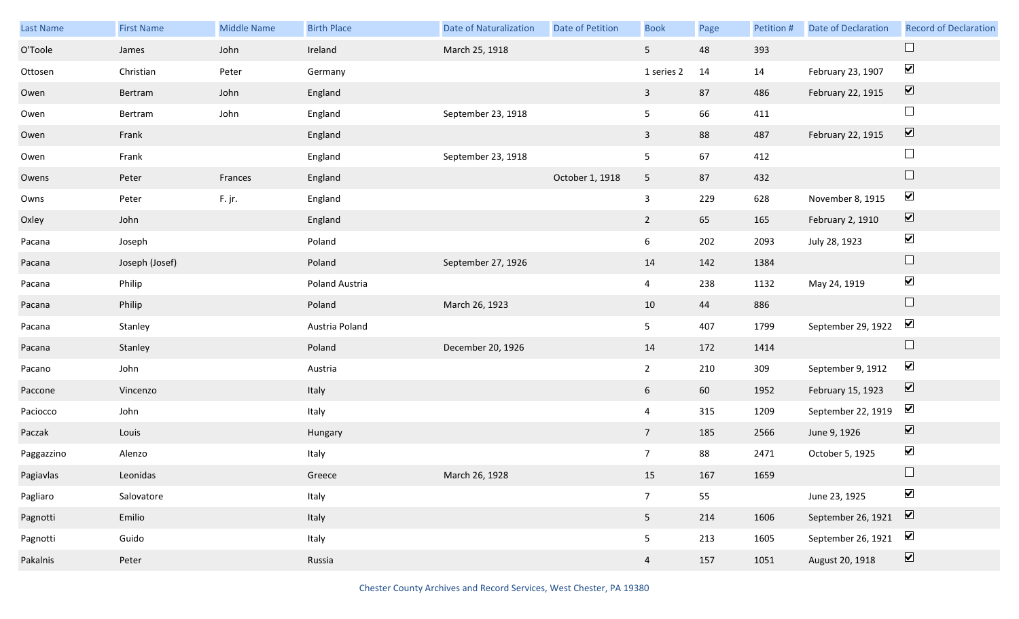| Last Name  | <b>First Name</b> | <b>Middle Name</b> | <b>Birth Place</b> | <b>Date of Naturalization</b> | Date of Petition | <b>Book</b>             | Page | Petition # | <b>Date of Declaration</b> | <b>Record of Declaration</b> |
|------------|-------------------|--------------------|--------------------|-------------------------------|------------------|-------------------------|------|------------|----------------------------|------------------------------|
| O'Toole    | James             | John               | Ireland            | March 25, 1918                |                  | 5 <sub>1</sub>          | 48   | 393        |                            | $\Box$                       |
| Ottosen    | Christian         | Peter              | Germany            |                               |                  | 1 series 2              | 14   | 14         | February 23, 1907          | $\blacktriangledown$         |
| Owen       | Bertram           | John               | England            |                               |                  | $\overline{\mathbf{3}}$ | 87   | 486        | February 22, 1915          | $\boxed{\blacktriangledown}$ |
| Owen       | Bertram           | John               | England            | September 23, 1918            |                  | 5                       | 66   | 411        |                            | $\Box$                       |
| Owen       | Frank             |                    | England            |                               |                  | $\mathbf{3}$            | 88   | 487        | February 22, 1915          | $\boxed{\blacktriangledown}$ |
| Owen       | Frank             |                    | England            | September 23, 1918            |                  | 5                       | 67   | 412        |                            | $\Box$                       |
| Owens      | Peter             | Frances            | England            |                               | October 1, 1918  | $5\phantom{.0}$         | 87   | 432        |                            | $\Box$                       |
| Owns       | Peter             | F. jr.             | England            |                               |                  | $\mathbf{3}$            | 229  | 628        | November 8, 1915           | $\blacktriangledown$         |
| Oxley      | John              |                    | England            |                               |                  | $2^{\circ}$             | 65   | 165        | February 2, 1910           | $\boxed{\blacktriangledown}$ |
| Pacana     | Joseph            |                    | Poland             |                               |                  | 6                       | 202  | 2093       | July 28, 1923              | $\blacktriangledown$         |
| Pacana     | Joseph (Josef)    |                    | Poland             | September 27, 1926            |                  | 14                      | 142  | 1384       |                            | $\Box$                       |
| Pacana     | Philip            |                    | Poland Austria     |                               |                  | $\overline{4}$          | 238  | 1132       | May 24, 1919               | $\blacktriangledown$         |
| Pacana     | Philip            |                    | Poland             | March 26, 1923                |                  | 10                      | 44   | 886        |                            | $\Box$                       |
| Pacana     | Stanley           |                    | Austria Poland     |                               |                  | 5                       | 407  | 1799       | September 29, 1922         | $\blacktriangledown$         |
| Pacana     | Stanley           |                    | Poland             | December 20, 1926             |                  | 14                      | 172  | 1414       |                            | $\Box$                       |
| Pacano     | John              |                    | Austria            |                               |                  | $\overline{2}$          | 210  | 309        | September 9, 1912          | $\blacktriangledown$         |
| Paccone    | Vincenzo          |                    | Italy              |                               |                  | 6                       | 60   | 1952       | February 15, 1923          | $\overline{\mathbf{v}}$      |
| Paciocco   | John              |                    | Italy              |                               |                  | $\overline{4}$          | 315  | 1209       | September 22, 1919         | $\blacktriangledown$         |
| Paczak     | Louis             |                    | Hungary            |                               |                  | 7 <sup>7</sup>          | 185  | 2566       | June 9, 1926               | $\boxed{\blacktriangledown}$ |
| Paggazzino | Alenzo            |                    | Italy              |                               |                  | 7 <sup>7</sup>          | 88   | 2471       | October 5, 1925            | $\blacktriangledown$         |
| Pagiavlas  | Leonidas          |                    | Greece             | March 26, 1928                |                  | 15                      | 167  | 1659       |                            | $\Box$                       |
| Pagliaro   | Salovatore        |                    | Italy              |                               |                  | 7 <sup>7</sup>          | 55   |            | June 23, 1925              | $\blacktriangledown$         |
| Pagnotti   | Emilio            |                    | Italy              |                               |                  | 5 <sub>1</sub>          | 214  | 1606       | September 26, 1921         | $\boxed{\blacktriangledown}$ |
| Pagnotti   | Guido             |                    | Italy              |                               |                  | 5                       | 213  | 1605       | September 26, 1921         | $\blacktriangledown$         |
| Pakalnis   | Peter             |                    | Russia             |                               |                  | $\overline{4}$          | 157  | 1051       | August 20, 1918            | $\overline{\mathbf{v}}$      |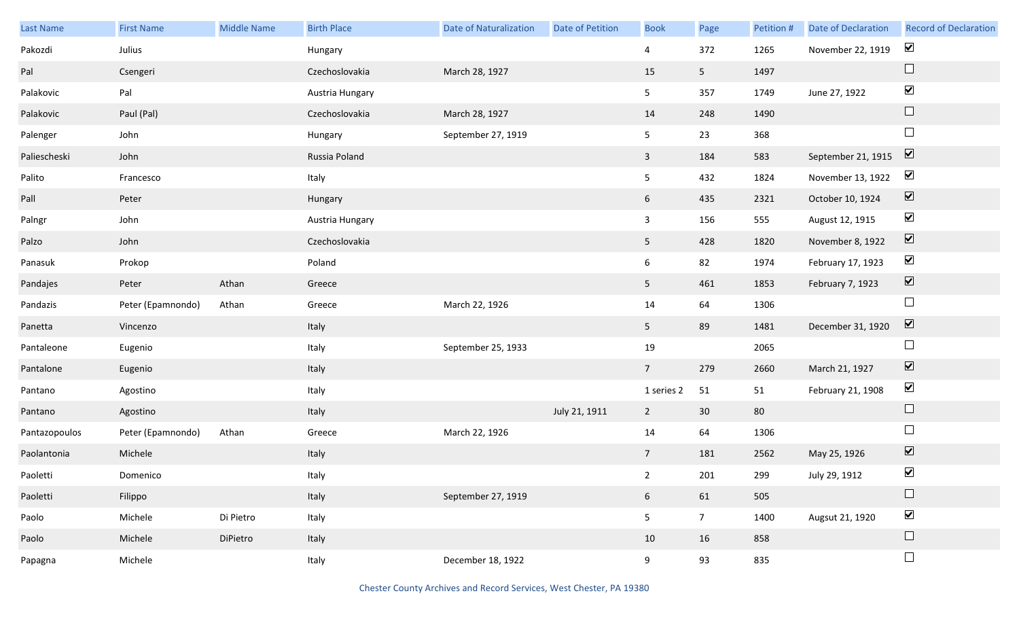| Last Name     | <b>First Name</b> | Middle Name | <b>Birth Place</b> | <b>Date of Naturalization</b> | <b>Date of Petition</b> | <b>Book</b>     | Page            | Petition # | Date of Declaration | <b>Record of Declaration</b> |
|---------------|-------------------|-------------|--------------------|-------------------------------|-------------------------|-----------------|-----------------|------------|---------------------|------------------------------|
| Pakozdi       | Julius            |             | Hungary            |                               |                         | 4               | 372             | 1265       | November 22, 1919   | $\blacktriangledown$         |
| Pal           | Csengeri          |             | Czechoslovakia     | March 28, 1927                |                         | 15              | 5 <sub>1</sub>  | 1497       |                     | $\Box$                       |
| Palakovic     | Pal               |             | Austria Hungary    |                               |                         | 5 <sub>5</sub>  | 357             | 1749       | June 27, 1922       | $\blacktriangledown$         |
| Palakovic     | Paul (Pal)        |             | Czechoslovakia     | March 28, 1927                |                         | 14              | 248             | 1490       |                     | $\Box$                       |
| Palenger      | John              |             | Hungary            | September 27, 1919            |                         | 5 <sub>5</sub>  | 23              | 368        |                     | $\Box$                       |
| Paliescheski  | John              |             | Russia Poland      |                               |                         | $\overline{3}$  | 184             | 583        | September 21, 1915  | $\overline{\mathbf{v}}$      |
| Palito        | Francesco         |             | Italy              |                               |                         | 5 <sub>1</sub>  | 432             | 1824       | November 13, 1922   | $\blacktriangledown$         |
| Pall          | Peter             |             | Hungary            |                               |                         | $6\overline{6}$ | 435             | 2321       | October 10, 1924    | $\boxed{\blacktriangledown}$ |
| Palngr        | John              |             | Austria Hungary    |                               |                         | $\mathbf{3}$    | 156             | 555        | August 12, 1915     | $\blacktriangledown$         |
| Palzo         | John              |             | Czechoslovakia     |                               |                         | 5 <sub>1</sub>  | 428             | 1820       | November 8, 1922    | $\boxed{\blacktriangledown}$ |
| Panasuk       | Prokop            |             | Poland             |                               |                         | $6\overline{6}$ | 82              | 1974       | February 17, 1923   | $\blacktriangledown$         |
| Pandajes      | Peter             | Athan       | Greece             |                               |                         | 5 <sub>1</sub>  | 461             | 1853       | February 7, 1923    | $\boxed{\blacktriangledown}$ |
| Pandazis      | Peter (Epamnondo) | Athan       | Greece             | March 22, 1926                |                         | 14              | 64              | 1306       |                     | $\Box$                       |
| Panetta       | Vincenzo          |             | Italy              |                               |                         | 5 <sub>1</sub>  | 89              | 1481       | December 31, 1920   | $\overline{\mathbf{v}}$      |
| Pantaleone    | Eugenio           |             | Italy              | September 25, 1933            |                         | 19              |                 | 2065       |                     | $\Box$                       |
| Pantalone     | Eugenio           |             | Italy              |                               |                         | $7\overline{ }$ | 279             | 2660       | March 21, 1927      | $\overline{\mathbf{v}}$      |
| Pantano       | Agostino          |             | Italy              |                               |                         | 1 series 2      | 51              | 51         | February 21, 1908   | $\blacktriangledown$         |
| Pantano       | Agostino          |             | Italy              |                               | July 21, 1911           | $\overline{2}$  | 30 <sup>°</sup> | 80         |                     | $\Box$                       |
| Pantazopoulos | Peter (Epamnondo) | Athan       | Greece             | March 22, 1926                |                         | 14              | 64              | 1306       |                     | $\Box$                       |
| Paolantonia   | Michele           |             | Italy              |                               |                         | $7\overline{ }$ | 181             | 2562       | May 25, 1926        | $\boxed{\blacktriangledown}$ |
| Paoletti      | Domenico          |             | Italy              |                               |                         | $2^{\circ}$     | 201             | 299        | July 29, 1912       | $\blacktriangledown$         |
| Paoletti      | Filippo           |             | Italy              | September 27, 1919            |                         | 6 <sup>1</sup>  | 61              | 505        |                     | $\Box$                       |
| Paolo         | Michele           | Di Pietro   | Italy              |                               |                         | 5 <sub>1</sub>  | 7 <sup>7</sup>  | 1400       | Augsut 21, 1920     | $\blacktriangledown$         |
| Paolo         | Michele           | DiPietro    | Italy              |                               |                         | 10              | 16              | 858        |                     | $\Box$                       |
| Papagna       | Michele           |             | Italy              | December 18, 1922             |                         | 9               | 93              | 835        |                     | $\Box$                       |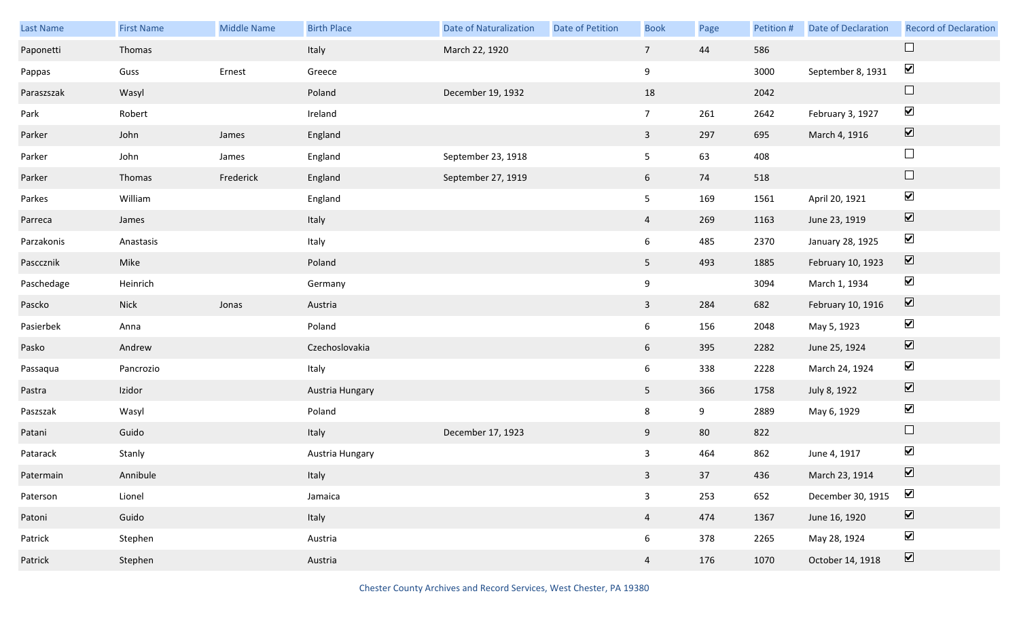| <b>Last Name</b> | <b>First Name</b> | Middle Name | <b>Birth Place</b> | <b>Date of Naturalization</b> | Date of Petition | <b>Book</b>     | Page | Petition # | <b>Date of Declaration</b> | <b>Record of Declaration</b> |
|------------------|-------------------|-------------|--------------------|-------------------------------|------------------|-----------------|------|------------|----------------------------|------------------------------|
| Paponetti        | Thomas            |             | Italy              | March 22, 1920                |                  | $7\overline{ }$ | 44   | 586        |                            | $\Box$                       |
| Pappas           | Guss              | Ernest      | Greece             |                               |                  | 9               |      | 3000       | September 8, 1931          | $\blacktriangledown$         |
| Paraszszak       | Wasyl             |             | Poland             | December 19, 1932             |                  | 18              |      | 2042       |                            | $\Box$                       |
| Park             | Robert            |             | Ireland            |                               |                  | 7 <sup>7</sup>  | 261  | 2642       | February 3, 1927           | $\blacktriangledown$         |
| Parker           | John              | James       | England            |                               |                  | $\mathbf{3}$    | 297  | 695        | March 4, 1916              | $\boxed{\blacktriangledown}$ |
| Parker           | John              | James       | England            | September 23, 1918            |                  | 5               | 63   | 408        |                            | $\Box$                       |
| Parker           | Thomas            | Frederick   | England            | September 27, 1919            |                  | 6 <sup>1</sup>  | 74   | 518        |                            | $\hfill \square$             |
| Parkes           | William           |             | England            |                               |                  | 5               | 169  | 1561       | April 20, 1921             | $\blacktriangledown$         |
| Parreca          | James             |             | Italy              |                               |                  | $\overline{4}$  | 269  | 1163       | June 23, 1919              | $\boxed{\blacktriangledown}$ |
| Parzakonis       | Anastasis         |             | Italy              |                               |                  | 6               | 485  | 2370       | January 28, 1925           | $\blacktriangledown$         |
| Pasccznik        | Mike              |             | Poland             |                               |                  | 5 <sub>1</sub>  | 493  | 1885       | February 10, 1923          | $\boxed{\blacktriangledown}$ |
| Paschedage       | Heinrich          |             | Germany            |                               |                  | 9               |      | 3094       | March 1, 1934              | $\blacktriangledown$         |
| Pascko           | <b>Nick</b>       | Jonas       | Austria            |                               |                  | $\overline{3}$  | 284  | 682        | February 10, 1916          | $\boxed{\blacktriangledown}$ |
| Pasierbek        | Anna              |             | Poland             |                               |                  | 6               | 156  | 2048       | May 5, 1923                | $\blacktriangledown$         |
| Pasko            | Andrew            |             | Czechoslovakia     |                               |                  | 6               | 395  | 2282       | June 25, 1924              | $\boxed{\blacktriangledown}$ |
| Passaqua         | Pancrozio         |             | Italy              |                               |                  | 6               | 338  | 2228       | March 24, 1924             | $\blacktriangledown$         |
| Pastra           | Izidor            |             | Austria Hungary    |                               |                  | 5 <sub>1</sub>  | 366  | 1758       | July 8, 1922               | $\boxed{\blacktriangledown}$ |
| Paszszak         | Wasyl             |             | Poland             |                               |                  | 8               | 9    | 2889       | May 6, 1929                | $\blacktriangledown$         |
| Patani           | Guido             |             | Italy              | December 17, 1923             |                  | 9               | 80   | 822        |                            | $\Box$                       |
| Patarack         | Stanly            |             | Austria Hungary    |                               |                  | 3               | 464  | 862        | June 4, 1917               | $\blacktriangledown$         |
| Patermain        | Annibule          |             | Italy              |                               |                  | 3 <sup>7</sup>  | 37   | 436        | March 23, 1914             | $\blacktriangledown$         |
| Paterson         | Lionel            |             | Jamaica            |                               |                  | $\mathbf{3}$    | 253  | 652        | December 30, 1915          | $\blacktriangledown$         |
| Patoni           | Guido             |             | Italy              |                               |                  | $\overline{4}$  | 474  | 1367       | June 16, 1920              | $\boxed{\mathbf{v}}$         |
| Patrick          | Stephen           |             | Austria            |                               |                  | 6               | 378  | 2265       | May 28, 1924               | $\blacktriangledown$         |
| Patrick          | Stephen           |             | Austria            |                               |                  | $\overline{4}$  | 176  | 1070       | October 14, 1918           | $\boxed{\blacktriangledown}$ |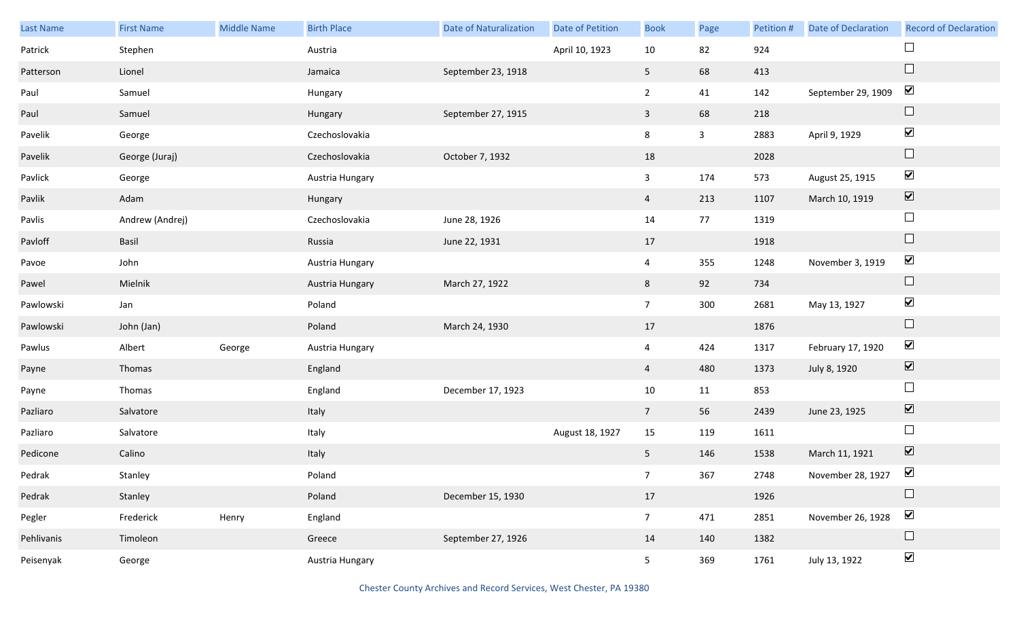| Last Name  | <b>First Name</b> | Middle Name | <b>Birth Place</b> | <b>Date of Naturalization</b> | Date of Petition | <b>Book</b>     | Page         | Petition # | Date of Declaration | <b>Record of Declaration</b> |
|------------|-------------------|-------------|--------------------|-------------------------------|------------------|-----------------|--------------|------------|---------------------|------------------------------|
| Patrick    | Stephen           |             | Austria            |                               | April 10, 1923   | 10              | 82           | 924        |                     |                              |
| Patterson  | Lionel            |             | Jamaica            | September 23, 1918            |                  | 5 <sub>5</sub>  | 68           | 413        |                     | $\Box$                       |
| Paul       | Samuel            |             | Hungary            |                               |                  | $\overline{2}$  | 41           | 142        | September 29, 1909  | $\blacktriangledown$         |
| Paul       | Samuel            |             | Hungary            | September 27, 1915            |                  | $\mathbf{3}$    | 68           | 218        |                     | $\Box$                       |
| Pavelik    | George            |             | Czechoslovakia     |                               |                  | 8               | $\mathbf{3}$ | 2883       | April 9, 1929       | $\blacktriangledown$         |
| Pavelik    | George (Juraj)    |             | Czechoslovakia     | October 7, 1932               |                  | 18              |              | 2028       |                     | $\Box$                       |
| Pavlick    | George            |             | Austria Hungary    |                               |                  | $\mathbf{3}$    | 174          | 573        | August 25, 1915     | $\blacktriangledown$         |
| Pavlik     | Adam              |             | Hungary            |                               |                  | $\overline{4}$  | 213          | 1107       | March 10, 1919      | $\boxed{\blacktriangledown}$ |
| Pavlis     | Andrew (Andrej)   |             | Czechoslovakia     | June 28, 1926                 |                  | 14              | 77           | 1319       |                     | $\Box$                       |
| Pavloff    | Basil             |             | Russia             | June 22, 1931                 |                  | 17              |              | 1918       |                     | $\Box$                       |
| Pavoe      | John              |             | Austria Hungary    |                               |                  | $\overline{4}$  | 355          | 1248       | November 3, 1919    | $\blacktriangledown$         |
| Pawel      | Mielnik           |             | Austria Hungary    | March 27, 1922                |                  | 8               | 92           | 734        |                     | $\Box$                       |
| Pawlowski  | Jan               |             | Poland             |                               |                  | 7 <sup>7</sup>  | 300          | 2681       | May 13, 1927        | $\blacktriangledown$         |
| Pawlowski  | John (Jan)        |             | Poland             | March 24, 1930                |                  | 17              |              | 1876       |                     | $\Box$                       |
| Pawlus     | Albert            | George      | Austria Hungary    |                               |                  | $\overline{4}$  | 424          | 1317       | February 17, 1920   | $\blacktriangledown$         |
| Payne      | Thomas            |             | England            |                               |                  | $\overline{4}$  | 480          | 1373       | July 8, 1920        | $\boxed{\blacktriangledown}$ |
| Payne      | Thomas            |             | England            | December 17, 1923             |                  | 10              | 11           | 853        |                     | $\Box$                       |
| Pazliaro   | Salvatore         |             | Italy              |                               |                  | $7\overline{ }$ | 56           | 2439       | June 23, 1925       | $\boxed{\blacktriangledown}$ |
| Pazliaro   | Salvatore         |             | Italy              |                               | August 18, 1927  | 15              | 119          | 1611       |                     | $\Box$                       |
| Pedicone   | Calino            |             | Italy              |                               |                  | 5 <sub>1</sub>  | 146          | 1538       | March 11, 1921      | $\boxed{\blacktriangledown}$ |
| Pedrak     | Stanley           |             | Poland             |                               |                  | 7 <sup>7</sup>  | 367          | 2748       | November 28, 1927   | $\blacktriangleright$        |
| Pedrak     | Stanley           |             | Poland             | December 15, 1930             |                  | 17              |              | 1926       |                     |                              |
| Pegler     | Frederick         | Henry       | England            |                               |                  | 7 <sup>7</sup>  | 471          | 2851       | November 26, 1928   | $\blacktriangledown$         |
| Pehlivanis | Timoleon          |             | Greece             | September 27, 1926            |                  | 14              | 140          | 1382       |                     | $\Box$                       |
| Peisenyak  | George            |             | Austria Hungary    |                               |                  | 5 <sub>5</sub>  | 369          | 1761       | July 13, 1922       | $\blacktriangledown$         |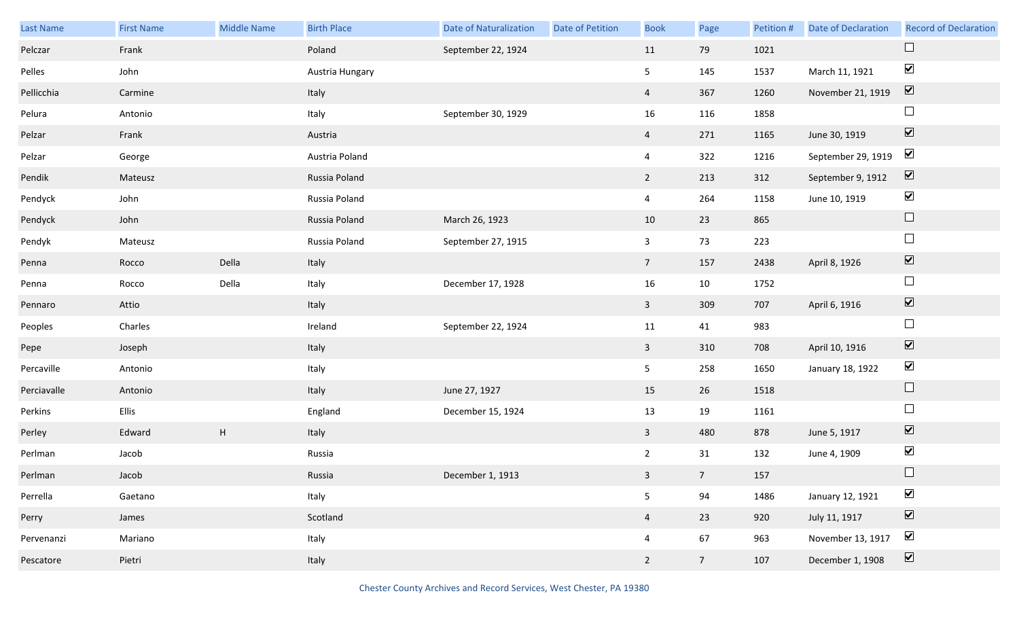| Last Name   | <b>First Name</b> | Middle Name               | <b>Birth Place</b> | <b>Date of Naturalization</b> | Date of Petition | <b>Book</b>    | Page            | Petition # | <b>Date of Declaration</b> | <b>Record of Declaration</b> |
|-------------|-------------------|---------------------------|--------------------|-------------------------------|------------------|----------------|-----------------|------------|----------------------------|------------------------------|
| Pelczar     | Frank             |                           | Poland             | September 22, 1924            |                  | 11             | 79              | 1021       |                            | $\Box$                       |
| Pelles      | John              |                           | Austria Hungary    |                               |                  | 5              | 145             | 1537       | March 11, 1921             | $\blacktriangledown$         |
| Pellicchia  | Carmine           |                           | Italy              |                               |                  | $\overline{4}$ | 367             | 1260       | November 21, 1919          | $\overline{\mathbf{v}}$      |
| Pelura      | Antonio           |                           | Italy              | September 30, 1929            |                  | 16             | 116             | 1858       |                            | $\Box$                       |
| Pelzar      | Frank             |                           | Austria            |                               |                  | $\overline{4}$ | 271             | 1165       | June 30, 1919              | $\boxed{\blacktriangledown}$ |
| Pelzar      | George            |                           | Austria Poland     |                               |                  | $\overline{4}$ | 322             | 1216       | September 29, 1919         | $\blacktriangledown$         |
| Pendik      | Mateusz           |                           | Russia Poland      |                               |                  | $2^{\circ}$    | 213             | 312        | September 9, 1912          | $\boxed{\blacktriangledown}$ |
| Pendyck     | John              |                           | Russia Poland      |                               |                  | $\overline{4}$ | 264             | 1158       | June 10, 1919              | $\blacktriangledown$         |
| Pendyck     | John              |                           | Russia Poland      | March 26, 1923                |                  | 10             | 23              | 865        |                            | $\Box$                       |
| Pendyk      | Mateusz           |                           | Russia Poland      | September 27, 1915            |                  | $\overline{3}$ | 73              | 223        |                            | $\Box$                       |
| Penna       | Rocco             | Della                     | Italy              |                               |                  | 7 <sup>7</sup> | 157             | 2438       | April 8, 1926              | $\boxed{\blacktriangledown}$ |
| Penna       | Rocco             | Della                     | Italy              | December 17, 1928             |                  | 16             | 10              | 1752       |                            | $\Box$                       |
| Pennaro     | Attio             |                           | Italy              |                               |                  | $\mathbf{3}$   | 309             | 707        | April 6, 1916              | $\boxed{\blacktriangledown}$ |
| Peoples     | Charles           |                           | Ireland            | September 22, 1924            |                  | 11             | 41              | 983        |                            | $\Box$                       |
| Pepe        | Joseph            |                           | Italy              |                               |                  | $\mathbf{3}$   | 310             | 708        | April 10, 1916             | $\boxed{\blacktriangledown}$ |
| Percaville  | Antonio           |                           | Italy              |                               |                  | 5 <sub>1</sub> | 258             | 1650       | January 18, 1922           | $\blacktriangledown$         |
| Perciavalle | Antonio           |                           | Italy              | June 27, 1927                 |                  | 15             | 26              | 1518       |                            | $\Box$                       |
| Perkins     | Ellis             |                           | England            | December 15, 1924             |                  | 13             | 19              | 1161       |                            | $\Box$                       |
| Perley      | Edward            | $\boldsymbol{\mathsf{H}}$ | Italy              |                               |                  | $\mathbf{3}$   | 480             | 878        | June 5, 1917               | $\boxed{\blacktriangledown}$ |
| Perlman     | Jacob             |                           | Russia             |                               |                  | $2^{\circ}$    | 31              | 132        | June 4, 1909               | $\blacktriangledown$         |
| Perlman     | Jacob             |                           | Russia             | December 1, 1913              |                  | 3 <sup>7</sup> | 7 <sup>7</sup>  | 157        |                            | $\Box$                       |
| Perrella    | Gaetano           |                           | Italy              |                               |                  | 5              | 94              | 1486       | January 12, 1921           | $\blacktriangledown$         |
| Perry       | James             |                           | Scotland           |                               |                  | $\overline{4}$ | 23              | 920        | July 11, 1917              | $\boxed{\blacktriangledown}$ |
| Pervenanzi  | Mariano           |                           | Italy              |                               |                  | $\overline{4}$ | 67              | 963        | November 13, 1917          | $\blacktriangleright$        |
| Pescatore   | Pietri            |                           | Italy              |                               |                  | $2^{\circ}$    | $7\overline{ }$ | 107        | December 1, 1908           | $\boxed{\blacktriangledown}$ |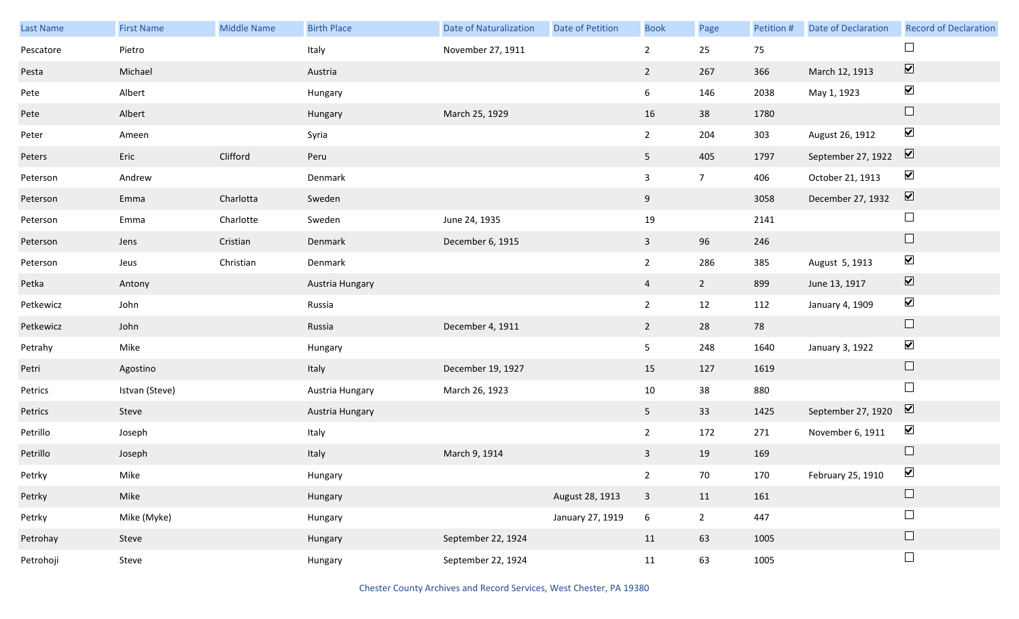| Last Name | <b>First Name</b> | <b>Middle Name</b> | <b>Birth Place</b> | <b>Date of Naturalization</b> | <b>Date of Petition</b> | <b>Book</b>     | Page           | Petition # | <b>Date of Declaration</b> | <b>Record of Declaration</b> |
|-----------|-------------------|--------------------|--------------------|-------------------------------|-------------------------|-----------------|----------------|------------|----------------------------|------------------------------|
| Pescatore | Pietro            |                    | Italy              | November 27, 1911             |                         | $\overline{2}$  | 25             | 75         |                            | $\Box$                       |
| Pesta     | Michael           |                    | Austria            |                               |                         | $\overline{2}$  | 267            | 366        | March 12, 1913             | $\boxed{\blacktriangledown}$ |
| Pete      | Albert            |                    | Hungary            |                               |                         | 6               | 146            | 2038       | May 1, 1923                | $\blacktriangledown$         |
| Pete      | Albert            |                    | Hungary            | March 25, 1929                |                         | 16              | 38             | 1780       |                            | $\Box$                       |
| Peter     | Ameen             |                    | Syria              |                               |                         | $2^{\circ}$     | 204            | 303        | August 26, 1912            | $\blacktriangledown$         |
| Peters    | Eric              | Clifford           | Peru               |                               |                         | 5 <sub>1</sub>  | 405            | 1797       | September 27, 1922         | $\boxed{\blacktriangledown}$ |
| Peterson  | Andrew            |                    | Denmark            |                               |                         | $\overline{3}$  | $\overline{7}$ | 406        | October 21, 1913           | $\blacktriangledown$         |
| Peterson  | Emma              | Charlotta          | Sweden             |                               |                         | 9               |                | 3058       | December 27, 1932          | $\boxed{\blacktriangledown}$ |
| Peterson  | Emma              | Charlotte          | Sweden             | June 24, 1935                 |                         | 19              |                | 2141       |                            | $\Box$                       |
| Peterson  | Jens              | Cristian           | Denmark            | December 6, 1915              |                         | $\mathbf{3}$    | 96             | 246        |                            | $\Box$                       |
| Peterson  | Jeus              | Christian          | Denmark            |                               |                         | $2^{\circ}$     | 286            | 385        | August 5, 1913             | $\blacktriangledown$         |
| Petka     | Antony            |                    | Austria Hungary    |                               |                         | $\overline{4}$  | $\overline{2}$ | 899        | June 13, 1917              | $\boxed{\blacktriangledown}$ |
| Petkewicz | John              |                    | Russia             |                               |                         | $\overline{2}$  | 12             | 112        | January 4, 1909            | $\blacktriangledown$         |
| Petkewicz | John              |                    | Russia             | December 4, 1911              |                         | $\overline{2}$  | 28             | 78         |                            | $\Box$                       |
| Petrahy   | Mike              |                    | Hungary            |                               |                         | 5 <sub>1</sub>  | 248            | 1640       | January 3, 1922            | $\blacktriangledown$         |
| Petri     | Agostino          |                    | Italy              | December 19, 1927             |                         | 15              | 127            | 1619       |                            | $\Box$                       |
| Petrics   | Istvan (Steve)    |                    | Austria Hungary    | March 26, 1923                |                         | 10              | 38             | 880        |                            | $\Box$                       |
| Petrics   | Steve             |                    | Austria Hungary    |                               |                         | 5 <sub>1</sub>  | 33             | 1425       | September 27, 1920         | $\triangledown$              |
| Petrillo  | Joseph            |                    | Italy              |                               |                         | $\overline{2}$  | 172            | 271        | November 6, 1911           | $\blacktriangledown$         |
| Petrillo  | Joseph            |                    | Italy              | March 9, 1914                 |                         | $\mathbf{3}$    | 19             | 169        |                            | $\Box$                       |
| Petrky    | Mike              |                    | Hungary            |                               |                         | $2^{\circ}$     | 70             | 170        | February 25, 1910          | $\sum$                       |
| Petrky    | Mike              |                    | Hungary            |                               | August 28, 1913         | $\mathbf{3}$    | 11             | 161        |                            | $\Box$                       |
| Petrky    | Mike (Myke)       |                    | Hungary            |                               | January 27, 1919        | $6\overline{6}$ | $2^{\circ}$    | 447        |                            | $\Box$                       |
| Petrohay  | Steve             |                    | Hungary            | September 22, 1924            |                         | 11              | 63             | 1005       |                            | $\Box$                       |
| Petrohoji | Steve             |                    | Hungary            | September 22, 1924            |                         | 11              | 63             | 1005       |                            | $\Box$                       |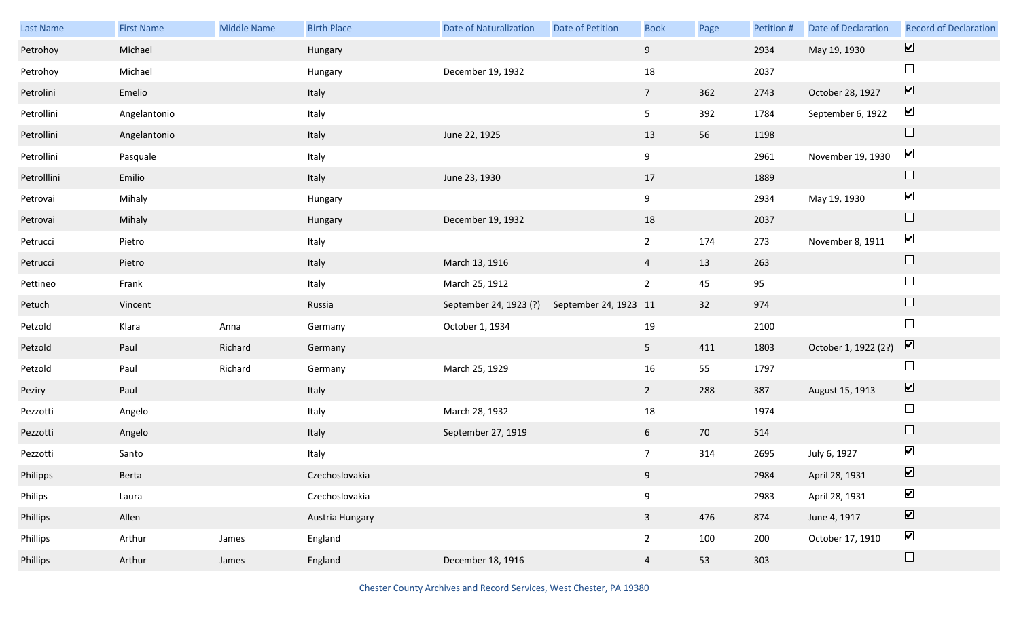| Last Name   | <b>First Name</b> | <b>Middle Name</b> | <b>Birth Place</b> | <b>Date of Naturalization</b> | Date of Petition      | <b>Book</b>     | Page | Petition # | Date of Declaration  | <b>Record of Declaration</b> |
|-------------|-------------------|--------------------|--------------------|-------------------------------|-----------------------|-----------------|------|------------|----------------------|------------------------------|
| Petrohoy    | Michael           |                    | Hungary            |                               |                       | 9               |      | 2934       | May 19, 1930         | $\overline{\mathbf{v}}$      |
| Petrohoy    | Michael           |                    | Hungary            | December 19, 1932             |                       | 18              |      | 2037       |                      | $\Box$                       |
| Petrolini   | Emelio            |                    | Italy              |                               |                       | $7\overline{ }$ | 362  | 2743       | October 28, 1927     | $\boxed{\blacktriangledown}$ |
| Petrollini  | Angelantonio      |                    | Italy              |                               |                       | 5 <sub>1</sub>  | 392  | 1784       | September 6, 1922    | $\blacktriangledown$         |
| Petrollini  | Angelantonio      |                    | Italy              | June 22, 1925                 |                       | 13              | 56   | 1198       |                      | $\Box$                       |
| Petrollini  | Pasquale          |                    | Italy              |                               |                       | 9               |      | 2961       | November 19, 1930    | $\blacktriangledown$         |
| Petrolllini | Emilio            |                    | Italy              | June 23, 1930                 |                       | 17              |      | 1889       |                      | $\Box$                       |
| Petrovai    | Mihaly            |                    | Hungary            |                               |                       | 9               |      | 2934       | May 19, 1930         | $\blacktriangledown$         |
| Petrovai    | Mihaly            |                    | Hungary            | December 19, 1932             |                       | 18              |      | 2037       |                      | $\Box$                       |
| Petrucci    | Pietro            |                    | Italy              |                               |                       | $\overline{2}$  | 174  | 273        | November 8, 1911     | $\blacktriangledown$         |
| Petrucci    | Pietro            |                    | Italy              | March 13, 1916                |                       | $\overline{4}$  | 13   | 263        |                      | $\Box$                       |
| Pettineo    | Frank             |                    | Italy              | March 25, 1912                |                       | $\overline{2}$  | 45   | 95         |                      | $\Box$                       |
| Petuch      | Vincent           |                    | Russia             | September 24, 1923 (?)        | September 24, 1923 11 |                 | 32   | 974        |                      | $\Box$                       |
| Petzold     | Klara             | Anna               | Germany            | October 1, 1934               |                       | 19              |      | 2100       |                      | $\Box$                       |
| Petzold     | Paul              | Richard            | Germany            |                               |                       | 5 <sub>1</sub>  | 411  | 1803       | October 1, 1922 (2?) | $\overline{\mathbf{V}}$      |
| Petzold     | Paul              | Richard            | Germany            | March 25, 1929                |                       | 16              | 55   | 1797       |                      | $\Box$                       |
| Peziry      | Paul              |                    | Italy              |                               |                       | $\overline{2}$  | 288  | 387        | August 15, 1913      | $\boxed{\blacktriangledown}$ |
| Pezzotti    | Angelo            |                    | Italy              | March 28, 1932                |                       | $18\,$          |      | 1974       |                      | $\Box$                       |
| Pezzotti    | Angelo            |                    | Italy              | September 27, 1919            |                       | 6               | 70   | 514        |                      | $\Box$                       |
| Pezzotti    | Santo             |                    | Italy              |                               |                       | $7\overline{ }$ | 314  | 2695       | July 6, 1927         | $\blacktriangledown$         |
| Philipps    | Berta             |                    | Czechoslovakia     |                               |                       | 9               |      | 2984       | April 28, 1931       | $\overline{\mathbf{v}}$      |
| Philips     | Laura             |                    | Czechoslovakia     |                               |                       | $9\,$           |      | 2983       | April 28, 1931       | $\blacktriangledown$         |
| Phillips    | Allen             |                    | Austria Hungary    |                               |                       | $\overline{3}$  | 476  | 874        | June 4, 1917         | $\boxed{\blacktriangledown}$ |
| Phillips    | Arthur            | James              | England            |                               |                       | $\overline{2}$  | 100  | 200        | October 17, 1910     | $\blacktriangledown$         |
| Phillips    | Arthur            | James              | England            | December 18, 1916             |                       | $\overline{4}$  | 53   | 303        |                      | $\Box$                       |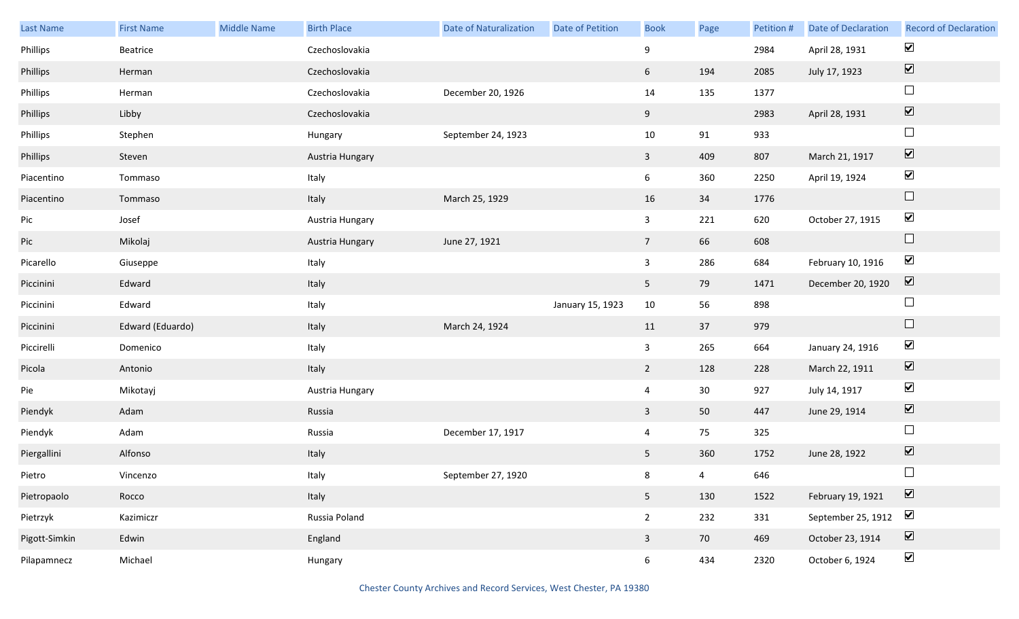| Last Name     | <b>First Name</b> | <b>Middle Name</b> | <b>Birth Place</b> | <b>Date of Naturalization</b> | Date of Petition | <b>Book</b>     | Page           | Petition # | <b>Date of Declaration</b> | <b>Record of Declaration</b> |
|---------------|-------------------|--------------------|--------------------|-------------------------------|------------------|-----------------|----------------|------------|----------------------------|------------------------------|
| Phillips      | Beatrice          |                    | Czechoslovakia     |                               |                  | 9               |                | 2984       | April 28, 1931             | $\blacktriangleright$        |
| Phillips      | Herman            |                    | Czechoslovakia     |                               |                  | 6               | 194            | 2085       | July 17, 1923              | $\boxed{\blacktriangledown}$ |
| Phillips      | Herman            |                    | Czechoslovakia     | December 20, 1926             |                  | 14              | 135            | 1377       |                            | $\Box$                       |
| Phillips      | Libby             |                    | Czechoslovakia     |                               |                  | 9               |                | 2983       | April 28, 1931             | $\boxed{\blacktriangledown}$ |
| Phillips      | Stephen           |                    | Hungary            | September 24, 1923            |                  | $10\,$          | 91             | 933        |                            | $\Box$                       |
| Phillips      | Steven            |                    | Austria Hungary    |                               |                  | $\mathbf{3}$    | 409            | 807        | March 21, 1917             | $\boxed{\blacktriangledown}$ |
| Piacentino    | Tommaso           |                    | Italy              |                               |                  | $6\overline{6}$ | 360            | 2250       | April 19, 1924             | $\blacktriangledown$         |
| Piacentino    | Tommaso           |                    | Italy              | March 25, 1929                |                  | 16              | 34             | 1776       |                            | $\Box$                       |
| Pic           | Josef             |                    | Austria Hungary    |                               |                  | $\mathbf{3}$    | 221            | 620        | October 27, 1915           | $\blacktriangledown$         |
| Pic           | Mikolaj           |                    | Austria Hungary    | June 27, 1921                 |                  | $7\overline{ }$ | 66             | 608        |                            | $\Box$                       |
| Picarello     | Giuseppe          |                    | Italy              |                               |                  | $\mathbf{3}$    | 286            | 684        | February 10, 1916          | $\blacktriangledown$         |
| Piccinini     | Edward            |                    | Italy              |                               |                  | 5 <sub>1</sub>  | 79             | 1471       | December 20, 1920          | $\boxed{\blacktriangledown}$ |
| Piccinini     | Edward            |                    | Italy              |                               | January 15, 1923 | 10              | 56             | 898        |                            | $\Box$                       |
| Piccinini     | Edward (Eduardo)  |                    | Italy              | March 24, 1924                |                  | 11              | 37             | 979        |                            | $\Box$                       |
| Piccirelli    | Domenico          |                    | Italy              |                               |                  | $\mathbf{3}$    | 265            | 664        | January 24, 1916           | $\blacktriangledown$         |
| Picola        | Antonio           |                    | Italy              |                               |                  | $\overline{2}$  | 128            | 228        | March 22, 1911             | $\boxed{\blacktriangledown}$ |
| Pie           | Mikotayj          |                    | Austria Hungary    |                               |                  | $\overline{4}$  | 30             | 927        | July 14, 1917              | $\blacktriangledown$         |
| Piendyk       | Adam              |                    | Russia             |                               |                  | $\mathbf{3}$    | 50             | 447        | June 29, 1914              | $\boxed{\blacktriangledown}$ |
| Piendyk       | Adam              |                    | Russia             | December 17, 1917             |                  | $\overline{4}$  | 75             | 325        |                            | $\Box$                       |
| Piergallini   | Alfonso           |                    | Italy              |                               |                  | 5 <sub>1</sub>  | 360            | 1752       | June 28, 1922              | $\overline{\mathbf{v}}$      |
| Pietro        | Vincenzo          |                    | Italy              | September 27, 1920            |                  | 8               | $\overline{4}$ | 646        |                            | $\Box$                       |
| Pietropaolo   | Rocco             |                    | Italy              |                               |                  | 5 <sub>1</sub>  | 130            | 1522       | February 19, 1921          | $\boxed{\blacktriangledown}$ |
| Pietrzyk      | Kazimiczr         |                    | Russia Poland      |                               |                  | $2^{\circ}$     | 232            | 331        | September 25, 1912         | $\blacktriangledown$         |
| Pigott-Simkin | Edwin             |                    | England            |                               |                  | $\mathbf{3}$    | 70             | 469        | October 23, 1914           | $\boxed{\blacktriangledown}$ |
| Pilapamnecz   | Michael           |                    | Hungary            |                               |                  | $6\overline{6}$ | 434            | 2320       | October 6, 1924            | $\blacktriangleright$        |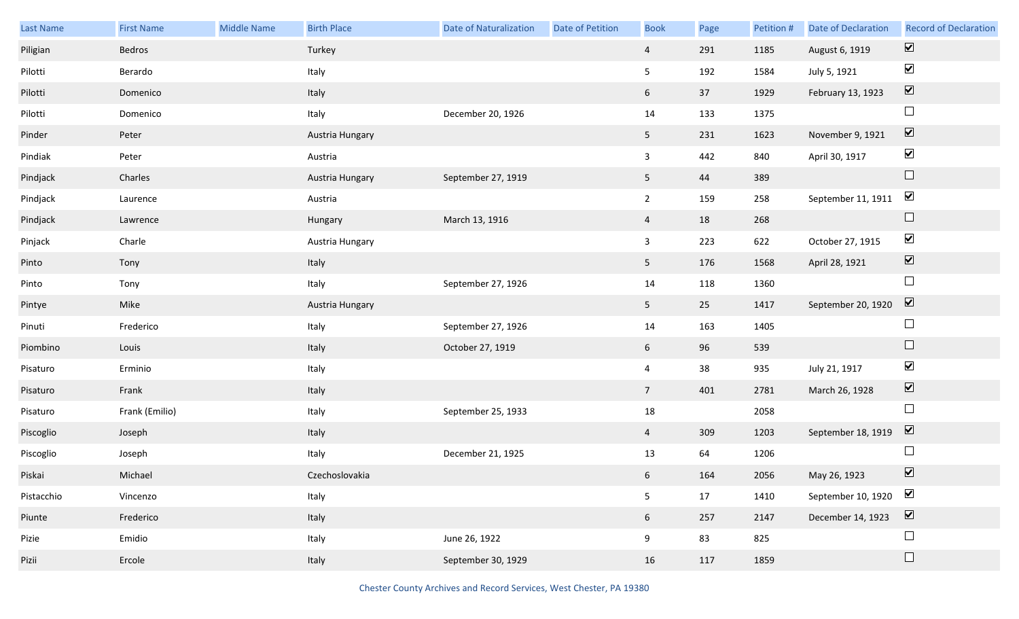| Last Name  | <b>First Name</b> | <b>Middle Name</b> | <b>Birth Place</b> | <b>Date of Naturalization</b> | Date of Petition | <b>Book</b>     | Page | Petition # | <b>Date of Declaration</b> | <b>Record of Declaration</b> |
|------------|-------------------|--------------------|--------------------|-------------------------------|------------------|-----------------|------|------------|----------------------------|------------------------------|
| Piligian   | Bedros            |                    | Turkey             |                               |                  | $\overline{4}$  | 291  | 1185       | August 6, 1919             | $\boxed{\blacktriangledown}$ |
| Pilotti    | Berardo           |                    | Italy              |                               |                  | 5 <sub>5</sub>  | 192  | 1584       | July 5, 1921               | $\blacktriangledown$         |
| Pilotti    | Domenico          |                    | Italy              |                               |                  | 6               | 37   | 1929       | February 13, 1923          | $\boxed{\blacktriangledown}$ |
| Pilotti    | Domenico          |                    | Italy              | December 20, 1926             |                  | 14              | 133  | 1375       |                            | $\Box$                       |
| Pinder     | Peter             |                    | Austria Hungary    |                               |                  | 5 <sub>1</sub>  | 231  | 1623       | November 9, 1921           | $\boxed{\blacktriangledown}$ |
| Pindiak    | Peter             |                    | Austria            |                               |                  | $\mathbf{3}$    | 442  | 840        | April 30, 1917             | $\blacktriangledown$         |
| Pindjack   | Charles           |                    | Austria Hungary    | September 27, 1919            |                  | 5 <sub>1</sub>  | 44   | 389        |                            | $\Box$                       |
| Pindjack   | Laurence          |                    | Austria            |                               |                  | $2^{\circ}$     | 159  | 258        | September 11, 1911         | $\blacktriangledown$         |
| Pindjack   | Lawrence          |                    | Hungary            | March 13, 1916                |                  | $\overline{4}$  | 18   | 268        |                            | $\Box$                       |
| Pinjack    | Charle            |                    | Austria Hungary    |                               |                  | $\mathbf{3}$    | 223  | 622        | October 27, 1915           | $\blacktriangledown$         |
| Pinto      | Tony              |                    | Italy              |                               |                  | 5 <sub>1</sub>  | 176  | 1568       | April 28, 1921             | $\boxed{\blacktriangledown}$ |
| Pinto      | Tony              |                    | Italy              | September 27, 1926            |                  | 14              | 118  | 1360       |                            | $\Box$                       |
| Pintye     | Mike              |                    | Austria Hungary    |                               |                  | 5 <sub>1</sub>  | 25   | 1417       | September 20, 1920         | $\overline{\mathbf{v}}$      |
| Pinuti     | Frederico         |                    | Italy              | September 27, 1926            |                  | 14              | 163  | 1405       |                            | $\Box$                       |
| Piombino   | Louis             |                    | Italy              | October 27, 1919              |                  | 6               | 96   | 539        |                            | $\Box$                       |
| Pisaturo   | Erminio           |                    | Italy              |                               |                  | $\overline{4}$  | 38   | 935        | July 21, 1917              | $\blacktriangledown$         |
| Pisaturo   | Frank             |                    | Italy              |                               |                  | $7\overline{ }$ | 401  | 2781       | March 26, 1928             | $\overline{\mathbf{v}}$      |
| Pisaturo   | Frank (Emilio)    |                    | Italy              | September 25, 1933            |                  | 18              |      | 2058       |                            | $\Box$                       |
| Piscoglio  | Joseph            |                    | Italy              |                               |                  | $\overline{4}$  | 309  | 1203       | September 18, 1919         | $\overline{\mathbf{v}}$      |
| Piscoglio  | Joseph            |                    | Italy              | December 21, 1925             |                  | 13              | 64   | 1206       |                            | $\Box$                       |
| Piskai     | Michael           |                    | Czechoslovakia     |                               |                  | $6\overline{6}$ | 164  | 2056       | May 26, 1923               | $\overline{\mathbf{v}}$      |
| Pistacchio | Vincenzo          |                    | Italy              |                               |                  | 5 <sub>1</sub>  | 17   | 1410       | September 10, 1920         | $\blacktriangledown$         |
| Piunte     | Frederico         |                    | Italy              |                               |                  | 6 <sup>1</sup>  | 257  | 2147       | December 14, 1923          | $\boxed{\blacktriangledown}$ |
| Pizie      | Emidio            |                    | Italy              | June 26, 1922                 |                  | 9               | 83   | 825        |                            | $\Box$                       |
| Pizii      | Ercole            |                    | Italy              | September 30, 1929            |                  | 16              | 117  | 1859       |                            | $\Box$                       |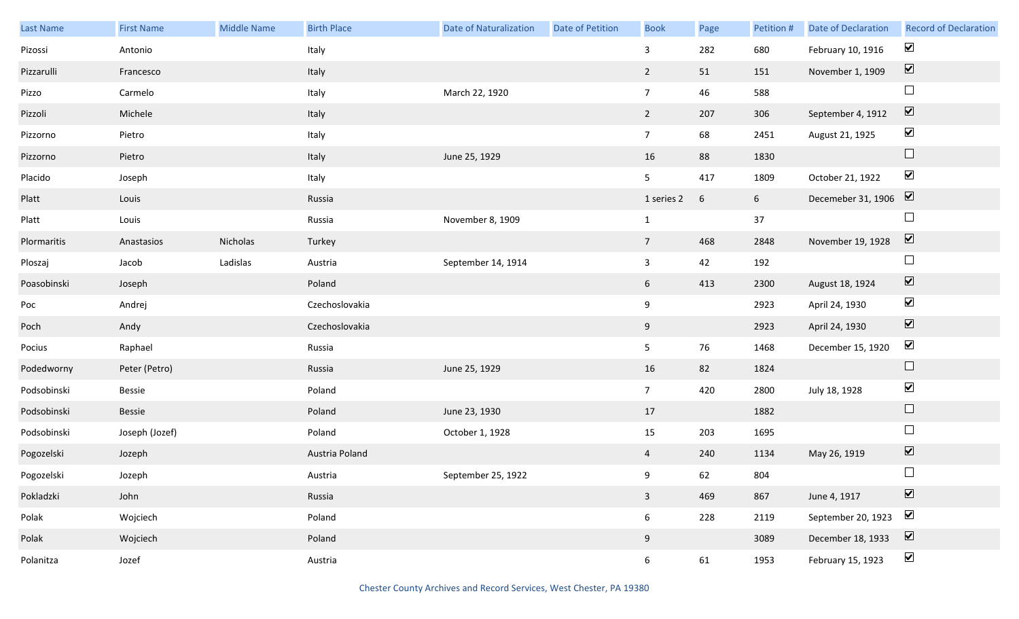| Last Name   | <b>First Name</b> | <b>Middle Name</b> | <b>Birth Place</b> | <b>Date of Naturalization</b> | <b>Date of Petition</b> | <b>Book</b>     | Page | Petition # | <b>Date of Declaration</b>                 | <b>Record of Declaration</b> |
|-------------|-------------------|--------------------|--------------------|-------------------------------|-------------------------|-----------------|------|------------|--------------------------------------------|------------------------------|
| Pizossi     | Antonio           |                    | Italy              |                               |                         | $\mathbf{3}$    | 282  | 680        | February 10, 1916                          | $\blacktriangledown$         |
| Pizzarulli  | Francesco         |                    | Italy              |                               |                         | $\overline{2}$  | 51   | 151        | November 1, 1909                           | $\boxed{\blacktriangledown}$ |
| Pizzo       | Carmelo           |                    | Italy              | March 22, 1920                |                         | $7\overline{ }$ | 46   | 588        |                                            | $\Box$                       |
| Pizzoli     | Michele           |                    | Italy              |                               |                         | $\overline{2}$  | 207  | 306        | September 4, 1912                          | $\boxed{\blacktriangledown}$ |
| Pizzorno    | Pietro            |                    | Italy              |                               |                         | $7\overline{ }$ | 68   | 2451       | August 21, 1925                            | $\blacktriangledown$         |
| Pizzorno    | Pietro            |                    | Italy              | June 25, 1929                 |                         | 16              | 88   | 1830       |                                            | $\Box$                       |
| Placido     | Joseph            |                    | Italy              |                               |                         | 5 <sub>1</sub>  | 417  | 1809       | October 21, 1922                           | $\blacktriangledown$         |
| Platt       | Louis             |                    | Russia             |                               |                         | 1 series 2      | 6    | 6          | Decemeber 31, 1906 $\boxed{\triangledown}$ |                              |
| Platt       | Louis             |                    | Russia             | November 8, 1909              |                         | $\mathbf{1}$    |      | 37         |                                            | $\Box$                       |
| Plormaritis | Anastasios        | Nicholas           | Turkey             |                               |                         | $7\overline{ }$ | 468  | 2848       | November 19, 1928                          | $\boxed{\blacktriangledown}$ |
| Ploszaj     | Jacob             | Ladislas           | Austria            | September 14, 1914            |                         | $\mathbf{3}$    | 42   | 192        |                                            | $\Box$                       |
| Poasobinski | Joseph            |                    | Poland             |                               |                         | 6 <sup>1</sup>  | 413  | 2300       | August 18, 1924                            | $\boxed{\blacktriangledown}$ |
| Poc         | Andrej            |                    | Czechoslovakia     |                               |                         | 9               |      | 2923       | April 24, 1930                             | $\blacktriangledown$         |
| Poch        | Andy              |                    | Czechoslovakia     |                               |                         | 9               |      | 2923       | April 24, 1930                             | $\boxed{\blacktriangledown}$ |
| Pocius      | Raphael           |                    | Russia             |                               |                         | 5 <sub>1</sub>  | 76   | 1468       | December 15, 1920                          | $\blacktriangledown$         |
| Podedworny  | Peter (Petro)     |                    | Russia             | June 25, 1929                 |                         | 16              | 82   | 1824       |                                            | $\Box$                       |
| Podsobinski | Bessie            |                    | Poland             |                               |                         | 7 <sup>7</sup>  | 420  | 2800       | July 18, 1928                              | $\blacktriangledown$         |
| Podsobinski | Bessie            |                    | Poland             | June 23, 1930                 |                         | 17              |      | 1882       |                                            | $\Box$                       |
| Podsobinski | Joseph (Jozef)    |                    | Poland             | October 1, 1928               |                         | 15              | 203  | 1695       |                                            | $\Box$                       |
| Pogozelski  | Jozeph            |                    | Austria Poland     |                               |                         | $\overline{4}$  | 240  | 1134       | May 26, 1919                               | $\boxed{\blacktriangledown}$ |
| Pogozelski  | Jozeph            |                    | Austria            | September 25, 1922            |                         | 9               | 62   | 804        |                                            | $\Box$                       |
| Pokladzki   | John              |                    | Russia             |                               |                         | $\overline{3}$  | 469  | 867        | June 4, 1917                               | $\boxed{\blacktriangledown}$ |
| Polak       | Wojciech          |                    | Poland             |                               |                         | $6\overline{6}$ | 228  | 2119       | September 20, 1923                         | $\blacktriangledown$         |
| Polak       | Wojciech          |                    | Poland             |                               |                         | 9               |      | 3089       | December 18, 1933                          | $\boxed{\blacktriangledown}$ |
| Polanitza   | Jozef             |                    | Austria            |                               |                         | 6 <sup>1</sup>  | 61   | 1953       | February 15, 1923                          | $\blacktriangledown$         |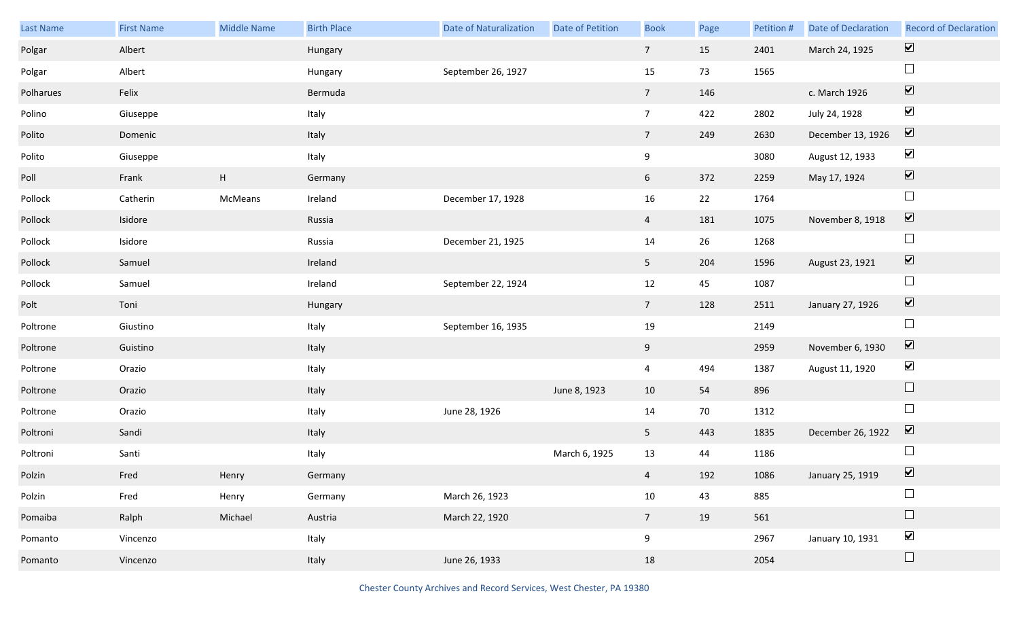| Last Name | <b>First Name</b> | <b>Middle Name</b>        | <b>Birth Place</b> | <b>Date of Naturalization</b> | Date of Petition | <b>Book</b>     | Page | Petition # | Date of Declaration | <b>Record of Declaration</b> |
|-----------|-------------------|---------------------------|--------------------|-------------------------------|------------------|-----------------|------|------------|---------------------|------------------------------|
| Polgar    | Albert            |                           | Hungary            |                               |                  | $7\overline{ }$ | 15   | 2401       | March 24, 1925      | $\overline{\mathbf{v}}$      |
| Polgar    | Albert            |                           | Hungary            | September 26, 1927            |                  | 15              | 73   | 1565       |                     | $\Box$                       |
| Polharues | Felix             |                           | Bermuda            |                               |                  | 7 <sup>7</sup>  | 146  |            | c. March 1926       | $\boxed{\blacktriangledown}$ |
| Polino    | Giuseppe          |                           | Italy              |                               |                  | $7\overline{ }$ | 422  | 2802       | July 24, 1928       | $\blacktriangledown$         |
| Polito    | Domenic           |                           | Italy              |                               |                  | 7 <sup>7</sup>  | 249  | 2630       | December 13, 1926   | $\boxed{\blacktriangledown}$ |
| Polito    | Giuseppe          |                           | Italy              |                               |                  | 9               |      | 3080       | August 12, 1933     | $\blacktriangledown$         |
| Poll      | Frank             | $\boldsymbol{\mathsf{H}}$ | Germany            |                               |                  | 6 <sup>1</sup>  | 372  | 2259       | May 17, 1924        | $\boxed{\blacktriangledown}$ |
| Pollock   | Catherin          | McMeans                   | Ireland            | December 17, 1928             |                  | 16              | 22   | 1764       |                     | $\Box$                       |
| Pollock   | Isidore           |                           | Russia             |                               |                  | $\overline{4}$  | 181  | 1075       | November 8, 1918    | $\boxed{\blacktriangledown}$ |
| Pollock   | Isidore           |                           | Russia             | December 21, 1925             |                  | 14              | 26   | 1268       |                     | $\Box$                       |
| Pollock   | Samuel            |                           | Ireland            |                               |                  | 5 <sub>1</sub>  | 204  | 1596       | August 23, 1921     | $\boxed{\blacktriangledown}$ |
| Pollock   | Samuel            |                           | Ireland            | September 22, 1924            |                  | 12              | 45   | 1087       |                     | $\Box$                       |
| Polt      | Toni              |                           | Hungary            |                               |                  | $7\overline{ }$ | 128  | 2511       | January 27, 1926    | $\boxed{\blacktriangledown}$ |
| Poltrone  | Giustino          |                           | Italy              | September 16, 1935            |                  | 19              |      | 2149       |                     | $\Box$                       |
| Poltrone  | Guistino          |                           | Italy              |                               |                  | 9               |      | 2959       | November 6, 1930    | $\overline{\mathbf{v}}$      |
| Poltrone  | Orazio            |                           | Italy              |                               |                  | $\overline{4}$  | 494  | 1387       | August 11, 1920     | $\blacktriangledown$         |
| Poltrone  | Orazio            |                           | Italy              |                               | June 8, 1923     | 10              | 54   | 896        |                     | $\Box$                       |
| Poltrone  | Orazio            |                           | Italy              | June 28, 1926                 |                  | 14              | 70   | 1312       |                     | $\Box$                       |
| Poltroni  | Sandi             |                           | Italy              |                               |                  | 5 <sub>1</sub>  | 443  | 1835       | December 26, 1922   | $\overline{\mathbf{v}}$      |
| Poltroni  | Santi             |                           | Italy              |                               | March 6, 1925    | 13              | 44   | 1186       |                     | $\Box$                       |
| Polzin    | Fred              | Henry                     | Germany            |                               |                  | $\overline{4}$  | 192  | 1086       | January 25, 1919    | $\overline{\mathbf{v}}$      |
| Polzin    | Fred              | Henry                     | Germany            | March 26, 1923                |                  | $10\,$          | 43   | 885        |                     | $\Box$                       |
| Pomaiba   | Ralph             | Michael                   | Austria            | March 22, 1920                |                  | $7\overline{ }$ | 19   | 561        |                     | $\Box$                       |
| Pomanto   | Vincenzo          |                           | Italy              |                               |                  | 9               |      | 2967       | January 10, 1931    | $\blacktriangledown$         |
| Pomanto   | Vincenzo          |                           | Italy              | June 26, 1933                 |                  | 18              |      | 2054       |                     | $\Box$                       |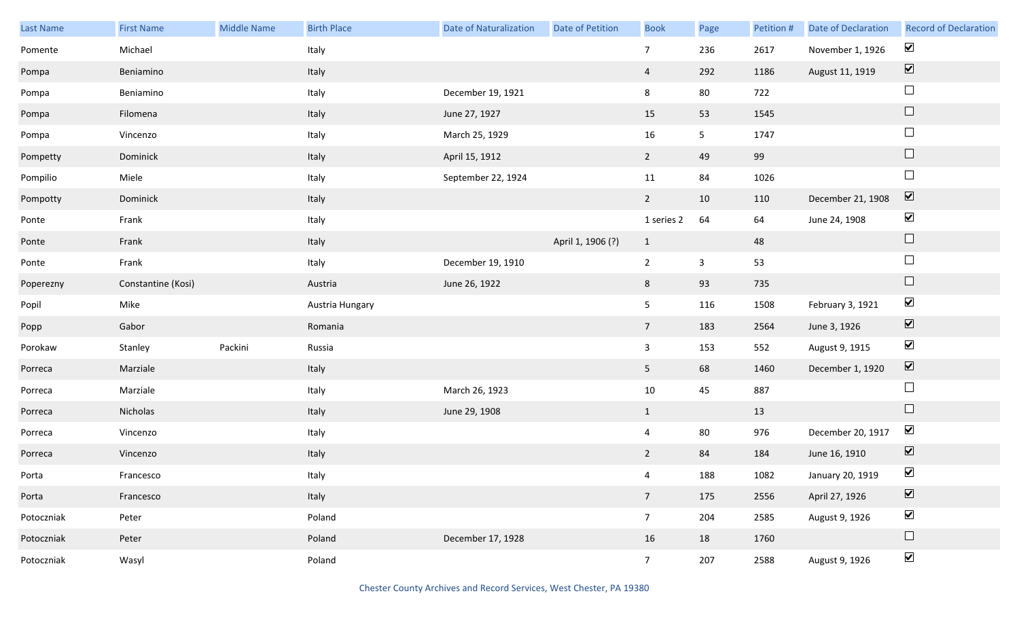| Last Name  | <b>First Name</b>  | Middle Name | <b>Birth Place</b> | <b>Date of Naturalization</b> | Date of Petition  | <b>Book</b>     | Page           | Petition # | Date of Declaration | <b>Record of Declaration</b> |
|------------|--------------------|-------------|--------------------|-------------------------------|-------------------|-----------------|----------------|------------|---------------------|------------------------------|
| Pomente    | Michael            |             | Italy              |                               |                   | $\overline{7}$  | 236            | 2617       | November 1, 1926    | $\blacktriangledown$         |
| Pompa      | Beniamino          |             | Italy              |                               |                   | $\overline{4}$  | 292            | 1186       | August 11, 1919     | $\boxed{\blacktriangledown}$ |
| Pompa      | Beniamino          |             | Italy              | December 19, 1921             |                   | 8               | 80             | 722        |                     | $\Box$                       |
| Pompa      | Filomena           |             | Italy              | June 27, 1927                 |                   | 15              | 53             | 1545       |                     | $\hfill \square$             |
| Pompa      | Vincenzo           |             | Italy              | March 25, 1929                |                   | 16              | 5 <sub>5</sub> | 1747       |                     | $\Box$                       |
| Pompetty   | Dominick           |             | Italy              | April 15, 1912                |                   | $\overline{2}$  | 49             | 99         |                     | $\hfill \square$             |
| Pompilio   | Miele              |             | Italy              | September 22, 1924            |                   | 11              | 84             | 1026       |                     | $\Box$                       |
| Pompotty   | Dominick           |             | Italy              |                               |                   | $\overline{2}$  | 10             | 110        | December 21, 1908   | $\boxed{\blacktriangledown}$ |
| Ponte      | Frank              |             | Italy              |                               |                   | 1 series 2      | 64             | 64         | June 24, 1908       | $\blacktriangledown$         |
| Ponte      | Frank              |             | Italy              |                               | April 1, 1906 (?) | $\mathbf{1}$    |                | 48         |                     | $\hfill \square$             |
| Ponte      | Frank              |             | Italy              | December 19, 1910             |                   | $\overline{2}$  | $\mathbf{3}$   | 53         |                     | $\Box$                       |
| Poperezny  | Constantine (Kosi) |             | Austria            | June 26, 1922                 |                   | 8               | 93             | 735        |                     | $\hfill \square$             |
| Popil      | Mike               |             | Austria Hungary    |                               |                   | 5               | 116            | 1508       | February 3, 1921    | $\blacktriangledown$         |
| Popp       | Gabor              |             | Romania            |                               |                   | $7\overline{ }$ | 183            | 2564       | June 3, 1926        | $\boxed{\blacktriangledown}$ |
| Porokaw    | Stanley            | Packini     | Russia             |                               |                   | $\mathbf{3}$    | 153            | 552        | August 9, 1915      | $\blacktriangledown$         |
| Porreca    | Marziale           |             | Italy              |                               |                   | 5 <sub>1</sub>  | 68             | 1460       | December 1, 1920    | $\boxed{\blacktriangledown}$ |
| Porreca    | Marziale           |             | Italy              | March 26, 1923                |                   | 10              | 45             | 887        |                     | $\Box$                       |
| Porreca    | Nicholas           |             | Italy              | June 29, 1908                 |                   | $\mathbf{1}$    |                | 13         |                     | $\hfill \square$             |
| Porreca    | Vincenzo           |             | Italy              |                               |                   | $\overline{4}$  | 80             | 976        | December 20, 1917   | $\blacktriangledown$         |
| Porreca    | Vincenzo           |             | Italy              |                               |                   | $2^{\circ}$     | 84             | 184        | June 16, 1910       | $\boxed{\blacktriangledown}$ |
| Porta      | Francesco          |             | Italy              |                               |                   | $\overline{4}$  | 188            | 1082       | January 20, 1919    | $\blacktriangledown$         |
| Porta      | Francesco          |             | Italy              |                               |                   | $7\overline{ }$ | 175            | 2556       | April 27, 1926      | $\boxed{\blacktriangledown}$ |
| Potoczniak | Peter              |             | Poland             |                               |                   | 7 <sup>7</sup>  | 204            | 2585       | August 9, 1926      | $\blacktriangledown$         |
| Potoczniak | Peter              |             | Poland             | December 17, 1928             |                   | 16              | 18             | 1760       |                     | $\Box$                       |
| Potoczniak | Wasyl              |             | Poland             |                               |                   | 7 <sup>7</sup>  | 207            | 2588       | August 9, 1926      | $\blacktriangledown$         |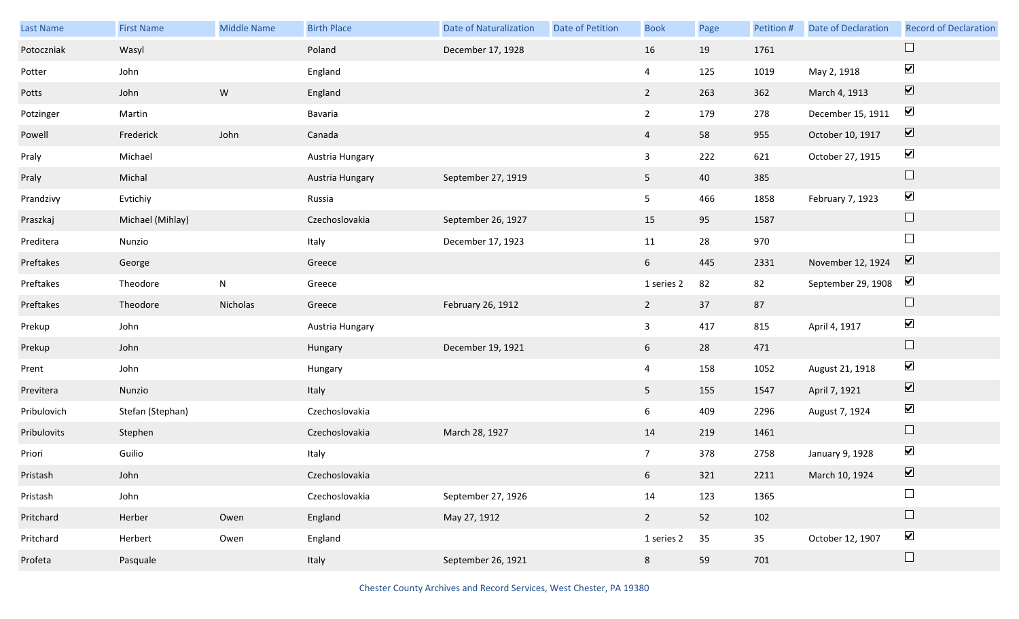| Last Name   | <b>First Name</b> | <b>Middle Name</b> | <b>Birth Place</b> | <b>Date of Naturalization</b> | Date of Petition | <b>Book</b>     | Page | Petition # | Date of Declaration | <b>Record of Declaration</b> |
|-------------|-------------------|--------------------|--------------------|-------------------------------|------------------|-----------------|------|------------|---------------------|------------------------------|
| Potoczniak  | Wasyl             |                    | Poland             | December 17, 1928             |                  | 16              | 19   | 1761       |                     |                              |
| Potter      | John              |                    | England            |                               |                  | $\overline{a}$  | 125  | 1019       | May 2, 1918         | $\blacktriangledown$         |
| Potts       | John              | ${\sf W}$          | England            |                               |                  | $2^{\circ}$     | 263  | 362        | March 4, 1913       | $\boxed{\mathbf{v}}$         |
| Potzinger   | Martin            |                    | Bavaria            |                               |                  | $\overline{2}$  | 179  | 278        | December 15, 1911   | $\blacktriangledown$         |
| Powell      | Frederick         | John               | Canada             |                               |                  | $\overline{4}$  | 58   | 955        | October 10, 1917    | $\boxed{\blacktriangledown}$ |
| Praly       | Michael           |                    | Austria Hungary    |                               |                  | $\mathbf{3}$    | 222  | 621        | October 27, 1915    | $\blacktriangledown$         |
| Praly       | Michal            |                    | Austria Hungary    | September 27, 1919            |                  | 5 <sub>5</sub>  | 40   | 385        |                     | $\Box$                       |
| Prandzivy   | Evtichiy          |                    | Russia             |                               |                  | 5 <sub>5</sub>  | 466  | 1858       | February 7, 1923    | $\blacktriangledown$         |
| Praszkaj    | Michael (Mihlay)  |                    | Czechoslovakia     | September 26, 1927            |                  | 15              | 95   | 1587       |                     | $\Box$                       |
| Preditera   | Nunzio            |                    | Italy              | December 17, 1923             |                  | 11              | 28   | 970        |                     | $\Box$                       |
| Preftakes   | George            |                    | Greece             |                               |                  | 6 <sup>1</sup>  | 445  | 2331       | November 12, 1924   | $\boxed{\mathbf{v}}$         |
| Preftakes   | Theodore          | $\mathsf{N}$       | Greece             |                               |                  | 1 series 2      | 82   | 82         | September 29, 1908  | $\blacktriangledown$         |
| Preftakes   | Theodore          | Nicholas           | Greece             | February 26, 1912             |                  | $\overline{2}$  | 37   | 87         |                     | $\Box$                       |
| Prekup      | John              |                    | Austria Hungary    |                               |                  | $\mathbf{3}$    | 417  | 815        | April 4, 1917       | $\blacktriangledown$         |
| Prekup      | John              |                    | Hungary            | December 19, 1921             |                  | 6               | 28   | 471        |                     | $\hfill \square$             |
| Prent       | John              |                    | Hungary            |                               |                  | $\overline{4}$  | 158  | 1052       | August 21, 1918     | $\blacktriangledown$         |
| Previtera   | Nunzio            |                    | Italy              |                               |                  | 5 <sub>5</sub>  | 155  | 1547       | April 7, 1921       | $\boxed{\blacktriangledown}$ |
| Pribulovich | Stefan (Stephan)  |                    | Czechoslovakia     |                               |                  | 6               | 409  | 2296       | August 7, 1924      | $\blacktriangledown$         |
| Pribulovits | Stephen           |                    | Czechoslovakia     | March 28, 1927                |                  | 14              | 219  | 1461       |                     | $\Box$                       |
| Priori      | Guilio            |                    | Italy              |                               |                  | $7\overline{ }$ | 378  | 2758       | January 9, 1928     | $\blacktriangledown$         |
| Pristash    | John              |                    | Czechoslovakia     |                               |                  | $6\overline{6}$ | 321  | 2211       | March 10, 1924      | $\overline{\mathbf{v}}$      |
| Pristash    | John              |                    | Czechoslovakia     | September 27, 1926            |                  | 14              | 123  | 1365       |                     | $\Box$                       |
| Pritchard   | Herber            | Owen               | England            | May 27, 1912                  |                  | $\overline{2}$  | 52   | 102        |                     | $\Box$                       |
| Pritchard   | Herbert           | Owen               | England            |                               |                  | 1 series 2      | 35   | 35         | October 12, 1907    | $\blacktriangledown$         |
| Profeta     | Pasquale          |                    | Italy              | September 26, 1921            |                  | 8               | 59   | 701        |                     | $\Box$                       |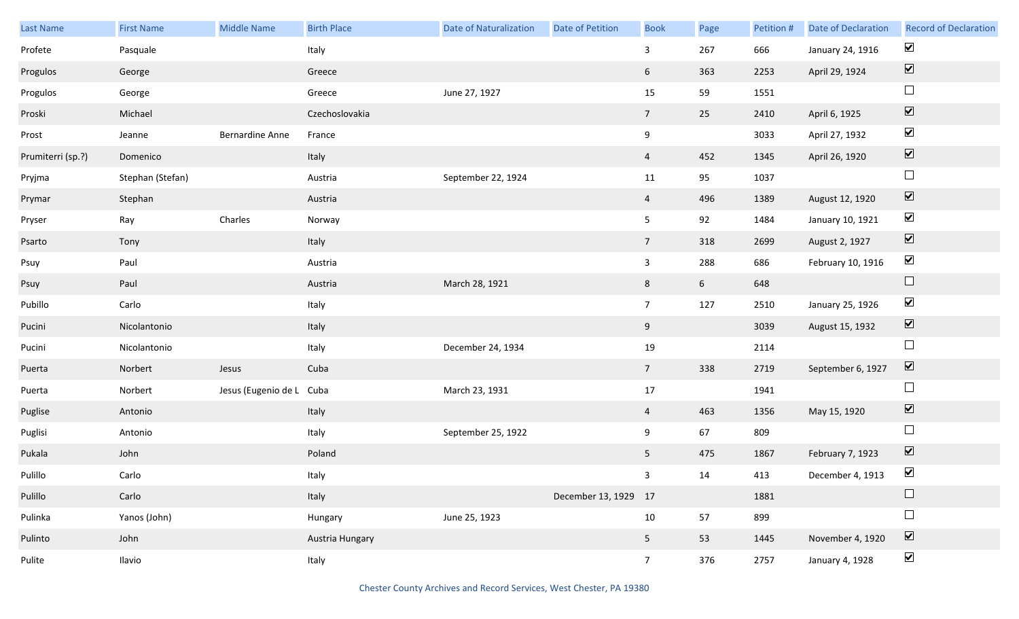| Last Name         | <b>First Name</b> | Middle Name              | <b>Birth Place</b> | <b>Date of Naturalization</b> | Date of Petition     | <b>Book</b>     | Page           | Petition # | <b>Date of Declaration</b> | <b>Record of Declaration</b> |
|-------------------|-------------------|--------------------------|--------------------|-------------------------------|----------------------|-----------------|----------------|------------|----------------------------|------------------------------|
| Profete           | Pasquale          |                          | Italy              |                               |                      | $\mathbf{3}$    | 267            | 666        | January 24, 1916           | $\blacktriangleright$        |
| Progulos          | George            |                          | Greece             |                               |                      | 6               | 363            | 2253       | April 29, 1924             | $\boxed{\text{V}}$           |
| Progulos          | George            |                          | Greece             | June 27, 1927                 |                      | 15              | 59             | 1551       |                            | $\Box$                       |
| Proski            | Michael           |                          | Czechoslovakia     |                               |                      | $7\overline{ }$ | 25             | 2410       | April 6, 1925              | $\boxed{\blacktriangledown}$ |
| Prost             | Jeanne            | <b>Bernardine Anne</b>   | France             |                               |                      | 9               |                | 3033       | April 27, 1932             | $\blacktriangledown$         |
| Prumiterri (sp.?) | Domenico          |                          | Italy              |                               |                      | $\overline{4}$  | 452            | 1345       | April 26, 1920             | $\boxed{\blacktriangledown}$ |
| Pryjma            | Stephan (Stefan)  |                          | Austria            | September 22, 1924            |                      | 11              | 95             | 1037       |                            | $\Box$                       |
| Prymar            | Stephan           |                          | Austria            |                               |                      | $\overline{4}$  | 496            | 1389       | August 12, 1920            | $\boxed{\blacktriangledown}$ |
| Pryser            | Ray               | Charles                  | Norway             |                               |                      | 5 <sub>1</sub>  | 92             | 1484       | January 10, 1921           | $\blacktriangledown$         |
| Psarto            | Tony              |                          | Italy              |                               |                      | $7\overline{ }$ | 318            | 2699       | August 2, 1927             | $\boxed{\blacktriangledown}$ |
| Psuy              | Paul              |                          | Austria            |                               |                      | $\mathbf{3}$    | 288            | 686        | February 10, 1916          | $\blacktriangleright$        |
| Psuy              | Paul              |                          | Austria            | March 28, 1921                |                      | 8               | 6 <sup>1</sup> | 648        |                            | $\hfill \square$             |
| Pubillo           | Carlo             |                          | Italy              |                               |                      | 7 <sup>7</sup>  | 127            | 2510       | January 25, 1926           | $\blacktriangledown$         |
| Pucini            | Nicolantonio      |                          | Italy              |                               |                      | 9               |                | 3039       | August 15, 1932            | $\boxed{\blacktriangledown}$ |
| Pucini            | Nicolantonio      |                          | Italy              | December 24, 1934             |                      | 19              |                | 2114       |                            | $\Box$                       |
| Puerta            | Norbert           | Jesus                    | Cuba               |                               |                      | $7\overline{ }$ | 338            | 2719       | September 6, 1927          | $\boxed{\blacktriangledown}$ |
| Puerta            | Norbert           | Jesus (Eugenio de L Cuba |                    | March 23, 1931                |                      | $17\,$          |                | 1941       |                            | $\Box$                       |
| Puglise           | Antonio           |                          | Italy              |                               |                      | $\overline{4}$  | 463            | 1356       | May 15, 1920               | $\boxed{\blacktriangledown}$ |
| Puglisi           | Antonio           |                          | Italy              | September 25, 1922            |                      | 9               | 67             | 809        |                            | $\Box$                       |
| Pukala            | John              |                          | Poland             |                               |                      | 5 <sub>1</sub>  | 475            | 1867       | February 7, 1923           | $\boxed{\blacktriangledown}$ |
| Pulillo           | Carlo             |                          | Italy              |                               |                      | 3 <sup>7</sup>  | 14             | 413        | December 4, 1913           | $\blacktriangledown$         |
| Pulillo           | Carlo             |                          | Italy              |                               | December 13, 1929 17 |                 |                | 1881       |                            | $\Box$                       |
| Pulinka           | Yanos (John)      |                          | Hungary            | June 25, 1923                 |                      | 10              | 57             | 899        |                            | $\Box$                       |
| Pulinto           | John              |                          | Austria Hungary    |                               |                      | 5 <sub>1</sub>  | 53             | 1445       | November 4, 1920           | $\boxed{\blacktriangledown}$ |
| Pulite            | Ilavio            |                          | Italy              |                               |                      | 7 <sup>7</sup>  | 376            | 2757       | January 4, 1928            | $\blacktriangledown$         |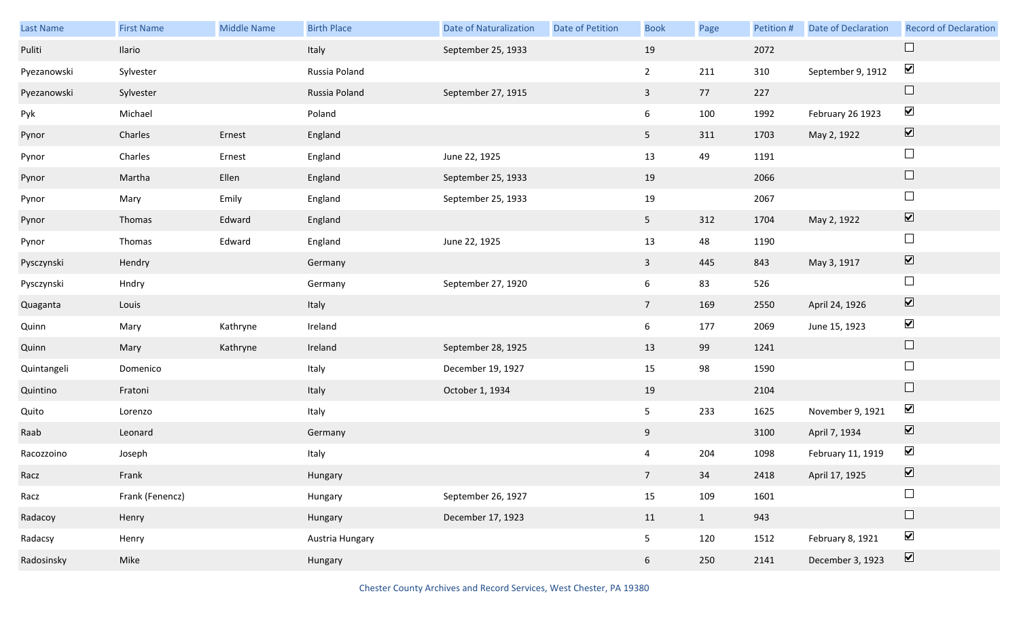| Last Name   | <b>First Name</b> | <b>Middle Name</b> | <b>Birth Place</b> | <b>Date of Naturalization</b> | Date of Petition | <b>Book</b>     | Page         | Petition # | <b>Date of Declaration</b> | <b>Record of Declaration</b> |
|-------------|-------------------|--------------------|--------------------|-------------------------------|------------------|-----------------|--------------|------------|----------------------------|------------------------------|
| Puliti      | Ilario            |                    | Italy              | September 25, 1933            |                  | 19              |              | 2072       |                            | $\Box$                       |
| Pyezanowski | Sylvester         |                    | Russia Poland      |                               |                  | $2^{\circ}$     | 211          | 310        | September 9, 1912          | $\blacktriangledown$         |
| Pyezanowski | Sylvester         |                    | Russia Poland      | September 27, 1915            |                  | $\mathbf{3}$    | 77           | 227        |                            | $\Box$                       |
| Pyk         | Michael           |                    | Poland             |                               |                  | 6               | 100          | 1992       | February 26 1923           | $\blacktriangledown$         |
| Pynor       | Charles           | Ernest             | England            |                               |                  | 5 <sub>1</sub>  | 311          | 1703       | May 2, 1922                | $\boxed{\blacktriangledown}$ |
| Pynor       | Charles           | Ernest             | England            | June 22, 1925                 |                  | 13              | 49           | 1191       |                            | $\Box$                       |
| Pynor       | Martha            | Ellen              | England            | September 25, 1933            |                  | 19              |              | 2066       |                            | $\Box$                       |
| Pynor       | Mary              | Emily              | England            | September 25, 1933            |                  | 19              |              | 2067       |                            | $\Box$                       |
| Pynor       | Thomas            | Edward             | England            |                               |                  | 5 <sub>1</sub>  | 312          | 1704       | May 2, 1922                | $\boxed{\blacktriangledown}$ |
| Pynor       | Thomas            | Edward             | England            | June 22, 1925                 |                  | 13              | 48           | 1190       |                            | $\Box$                       |
| Pysczynski  | Hendry            |                    | Germany            |                               |                  | $\mathbf{3}$    | 445          | 843        | May 3, 1917                | $\boxed{\blacktriangledown}$ |
| Pysczynski  | Hndry             |                    | Germany            | September 27, 1920            |                  | 6               | 83           | 526        |                            | $\Box$                       |
| Quaganta    | Louis             |                    | Italy              |                               |                  | $7\overline{ }$ | 169          | 2550       | April 24, 1926             | $\blacktriangledown$         |
| Quinn       | Mary              | Kathryne           | Ireland            |                               |                  | 6               | 177          | 2069       | June 15, 1923              | $\blacktriangledown$         |
| Quinn       | Mary              | Kathryne           | Ireland            | September 28, 1925            |                  | 13              | 99           | 1241       |                            | $\Box$                       |
| Quintangeli | Domenico          |                    | Italy              | December 19, 1927             |                  | 15              | 98           | 1590       |                            | $\Box$                       |
| Quintino    | Fratoni           |                    | Italy              | October 1, 1934               |                  | 19              |              | 2104       |                            | $\Box$                       |
| Quito       | Lorenzo           |                    | Italy              |                               |                  | 5 <sub>1</sub>  | 233          | 1625       | November 9, 1921           | $\blacktriangledown$         |
| Raab        | Leonard           |                    | Germany            |                               |                  | 9               |              | 3100       | April 7, 1934              | $\overline{\mathbf{v}}$      |
| Racozzoino  | Joseph            |                    | Italy              |                               |                  | 4               | 204          | 1098       | February 11, 1919          | $\blacktriangledown$         |
| Racz        | Frank             |                    | Hungary            |                               |                  | 7 <sup>7</sup>  | 34           | 2418       | April 17, 1925             | $\boxed{\blacktriangledown}$ |
| Racz        | Frank (Fenencz)   |                    | Hungary            | September 26, 1927            |                  | 15              | 109          | 1601       |                            | $\Box$                       |
| Radacoy     | Henry             |                    | Hungary            | December 17, 1923             |                  | 11              | $\mathbf{1}$ | 943        |                            | $\hfill \square$             |
| Radacsy     | Henry             |                    | Austria Hungary    |                               |                  | 5 <sub>1</sub>  | 120          | 1512       | February 8, 1921           | $\blacktriangledown$         |
| Radosinsky  | Mike              |                    | Hungary            |                               |                  | $6\phantom{.0}$ | 250          | 2141       | December 3, 1923           | $\overline{\mathbf{v}}$      |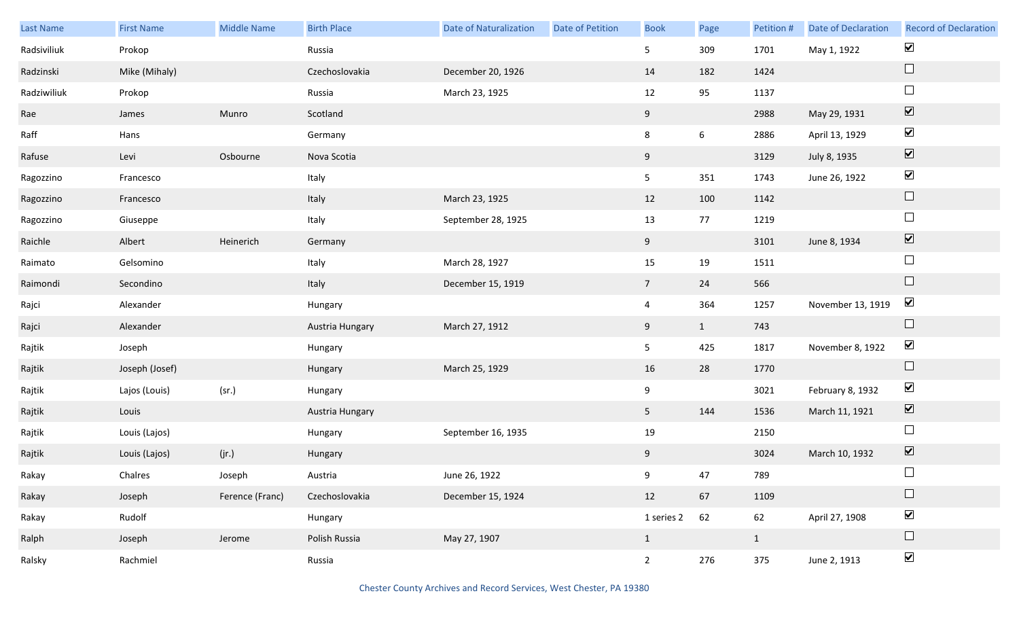| Last Name   | <b>First Name</b> | <b>Middle Name</b> | <b>Birth Place</b> | <b>Date of Naturalization</b> | <b>Date of Petition</b> | <b>Book</b>     | Page            | Petition #   | <b>Date of Declaration</b> | <b>Record of Declaration</b> |
|-------------|-------------------|--------------------|--------------------|-------------------------------|-------------------------|-----------------|-----------------|--------------|----------------------------|------------------------------|
| Radsiviliuk | Prokop            |                    | Russia             |                               |                         | 5 <sub>1</sub>  | 309             | 1701         | May 1, 1922                | $\blacktriangleright$        |
| Radzinski   | Mike (Mihaly)     |                    | Czechoslovakia     | December 20, 1926             |                         | 14              | 182             | 1424         |                            | $\Box$                       |
| Radziwiliuk | Prokop            |                    | Russia             | March 23, 1925                |                         | 12              | 95              | 1137         |                            | $\Box$                       |
| Rae         | James             | Munro              | Scotland           |                               |                         | 9               |                 | 2988         | May 29, 1931               | $\boxed{\blacktriangledown}$ |
| Raff        | Hans              |                    | Germany            |                               |                         | 8               | $6\phantom{.0}$ | 2886         | April 13, 1929             | $\blacktriangledown$         |
| Rafuse      | Levi              | Osbourne           | Nova Scotia        |                               |                         | 9               |                 | 3129         | July 8, 1935               | $\boxed{\blacktriangledown}$ |
| Ragozzino   | Francesco         |                    | Italy              |                               |                         | 5 <sub>1</sub>  | 351             | 1743         | June 26, 1922              | $\blacktriangledown$         |
| Ragozzino   | Francesco         |                    | Italy              | March 23, 1925                |                         | 12              | 100             | 1142         |                            | $\hfill \square$             |
| Ragozzino   | Giuseppe          |                    | Italy              | September 28, 1925            |                         | 13              | 77              | 1219         |                            | $\Box$                       |
| Raichle     | Albert            | Heinerich          | Germany            |                               |                         | 9               |                 | 3101         | June 8, 1934               | $\boxed{\blacktriangledown}$ |
| Raimato     | Gelsomino         |                    | Italy              | March 28, 1927                |                         | 15              | 19              | 1511         |                            | $\Box$                       |
| Raimondi    | Secondino         |                    | Italy              | December 15, 1919             |                         | $7\overline{ }$ | 24              | 566          |                            | $\Box$                       |
| Rajci       | Alexander         |                    | Hungary            |                               |                         | $\overline{4}$  | 364             | 1257         | November 13, 1919          | $\blacktriangledown$         |
| Rajci       | Alexander         |                    | Austria Hungary    | March 27, 1912                |                         | 9               | $\mathbf{1}$    | 743          |                            | $\Box$                       |
| Rajtik      | Joseph            |                    | Hungary            |                               |                         | 5 <sub>1</sub>  | 425             | 1817         | November 8, 1922           | $\blacktriangledown$         |
| Rajtik      | Joseph (Josef)    |                    | Hungary            | March 25, 1929                |                         | 16              | 28              | 1770         |                            | $\Box$                       |
| Rajtik      | Lajos (Louis)     | (sr.)              | Hungary            |                               |                         | 9               |                 | 3021         | February 8, 1932           | $\blacktriangledown$         |
| Rajtik      | Louis             |                    | Austria Hungary    |                               |                         | 5 <sub>1</sub>  | 144             | 1536         | March 11, 1921             | $\boxed{\blacktriangledown}$ |
| Rajtik      | Louis (Lajos)     |                    | Hungary            | September 16, 1935            |                         | $19\,$          |                 | 2150         |                            | $\Box$                       |
| Rajtik      | Louis (Lajos)     | (jr.)              | Hungary            |                               |                         | 9               |                 | 3024         | March 10, 1932             | $\boxed{\blacktriangledown}$ |
| Rakay       | Chalres           | Joseph             | Austria            | June 26, 1922                 |                         | 9               | 47              | 789          |                            | $\Box$                       |
| Rakay       | Joseph            | Ference (Franc)    | Czechoslovakia     | December 15, 1924             |                         | 12              | 67              | 1109         |                            | $\Box$                       |
| Rakay       | Rudolf            |                    | Hungary            |                               |                         | 1 series 2      | 62              | 62           | April 27, 1908             | $\blacktriangledown$         |
| Ralph       | Joseph            | Jerome             | Polish Russia      | May 27, 1907                  |                         | $\mathbf{1}$    |                 | $\mathbf{1}$ |                            | $\Box$                       |
| Ralsky      | Rachmiel          |                    | Russia             |                               |                         | $2^{\circ}$     | 276             | 375          | June 2, 1913               | $\blacktriangledown$         |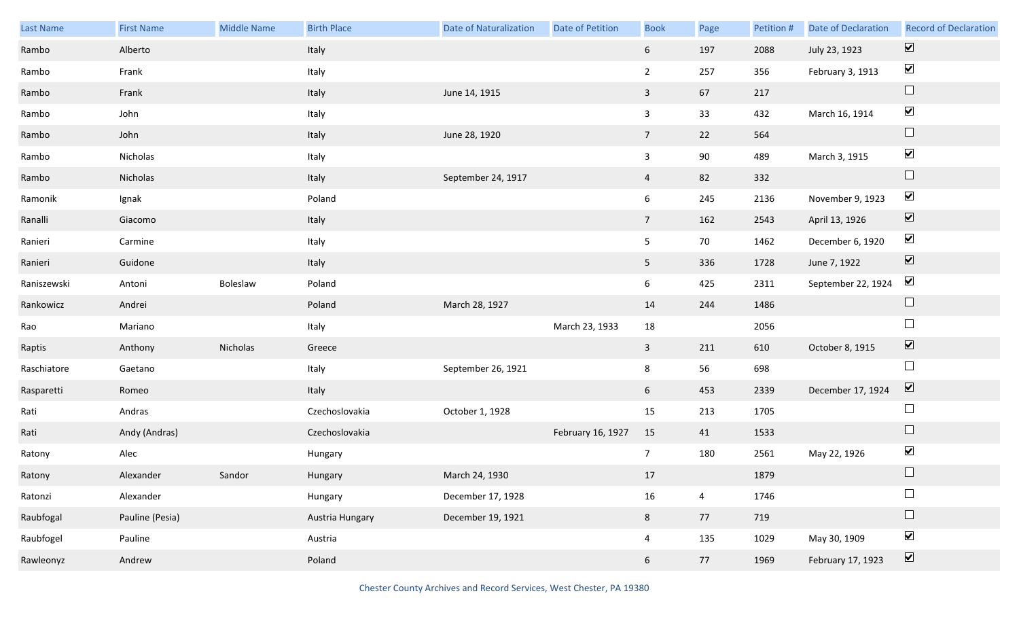| Last Name   | <b>First Name</b> | <b>Middle Name</b> | <b>Birth Place</b> | <b>Date of Naturalization</b> | Date of Petition  | <b>Book</b>     | Page           | Petition # | <b>Date of Declaration</b> | <b>Record of Declaration</b> |
|-------------|-------------------|--------------------|--------------------|-------------------------------|-------------------|-----------------|----------------|------------|----------------------------|------------------------------|
| Rambo       | Alberto           |                    | Italy              |                               |                   | $6\overline{6}$ | 197            | 2088       | July 23, 1923              | $\overline{\mathbf{v}}$      |
| Rambo       | Frank             |                    | Italy              |                               |                   | $\overline{2}$  | 257            | 356        | February 3, 1913           | $\blacktriangleright$        |
| Rambo       | Frank             |                    | Italy              | June 14, 1915                 |                   | $\mathbf{3}$    | 67             | 217        |                            | $\Box$                       |
| Rambo       | John              |                    | Italy              |                               |                   | $\mathbf{3}$    | 33             | 432        | March 16, 1914             | $\blacktriangledown$         |
| Rambo       | John              |                    | Italy              | June 28, 1920                 |                   | $7\overline{ }$ | 22             | 564        |                            | $\Box$                       |
| Rambo       | Nicholas          |                    | Italy              |                               |                   | $\mathbf{3}$    | 90             | 489        | March 3, 1915              | $\blacktriangledown$         |
| Rambo       | Nicholas          |                    | Italy              | September 24, 1917            |                   | $\overline{4}$  | 82             | 332        |                            | $\Box$                       |
| Ramonik     | Ignak             |                    | Poland             |                               |                   | $6\overline{6}$ | 245            | 2136       | November 9, 1923           | $\blacktriangledown$         |
| Ranalli     | Giacomo           |                    | Italy              |                               |                   | $7\overline{ }$ | 162            | 2543       | April 13, 1926             | $\boxed{\blacktriangledown}$ |
| Ranieri     | Carmine           |                    | Italy              |                               |                   | $5\overline{)}$ | 70             | 1462       | December 6, 1920           | $\blacktriangledown$         |
| Ranieri     | Guidone           |                    | Italy              |                               |                   | 5 <sub>1</sub>  | 336            | 1728       | June 7, 1922               | $\boxed{\blacktriangledown}$ |
| Raniszewski | Antoni            | Boleslaw           | Poland             |                               |                   | 6               | 425            | 2311       | September 22, 1924         | $\blacktriangledown$         |
| Rankowicz   | Andrei            |                    | Poland             | March 28, 1927                |                   | 14              | 244            | 1486       |                            | $\Box$                       |
| Rao         | Mariano           |                    | Italy              |                               | March 23, 1933    | 18              |                | 2056       |                            | $\Box$                       |
| Raptis      | Anthony           | Nicholas           | Greece             |                               |                   | $\mathbf{3}$    | 211            | 610        | October 8, 1915            | $\overline{\mathbf{v}}$      |
| Raschiatore | Gaetano           |                    | Italy              | September 26, 1921            |                   | 8               | 56             | 698        |                            | $\Box$                       |
| Rasparetti  | Romeo             |                    | Italy              |                               |                   | 6 <sup>1</sup>  | 453            | 2339       | December 17, 1924          | $\overline{\mathbf{v}}$      |
| Rati        | Andras            |                    | Czechoslovakia     | October 1, 1928               |                   | 15              | 213            | 1705       |                            | $\Box$                       |
| Rati        | Andy (Andras)     |                    | Czechoslovakia     |                               | February 16, 1927 | 15              | 41             | 1533       |                            | $\Box$                       |
| Ratony      | Alec              |                    | Hungary            |                               |                   | $\overline{7}$  | 180            | 2561       | May 22, 1926               | $\blacktriangledown$         |
| Ratony      | Alexander         | Sandor             | Hungary            | March 24, 1930                |                   | 17              |                | 1879       |                            |                              |
| Ratonzi     | Alexander         |                    | Hungary            | December 17, 1928             |                   | 16              | $\overline{4}$ | 1746       |                            | $\Box$                       |
| Raubfogal   | Pauline (Pesia)   |                    | Austria Hungary    | December 19, 1921             |                   | 8               | 77             | 719        |                            | $\Box$                       |
| Raubfogel   | Pauline           |                    | Austria            |                               |                   | $\overline{4}$  | 135            | 1029       | May 30, 1909               | $\blacktriangledown$         |
| Rawleonyz   | Andrew            |                    | Poland             |                               |                   | 6 <sup>1</sup>  | 77             | 1969       | February 17, 1923          | $\boxed{\blacktriangledown}$ |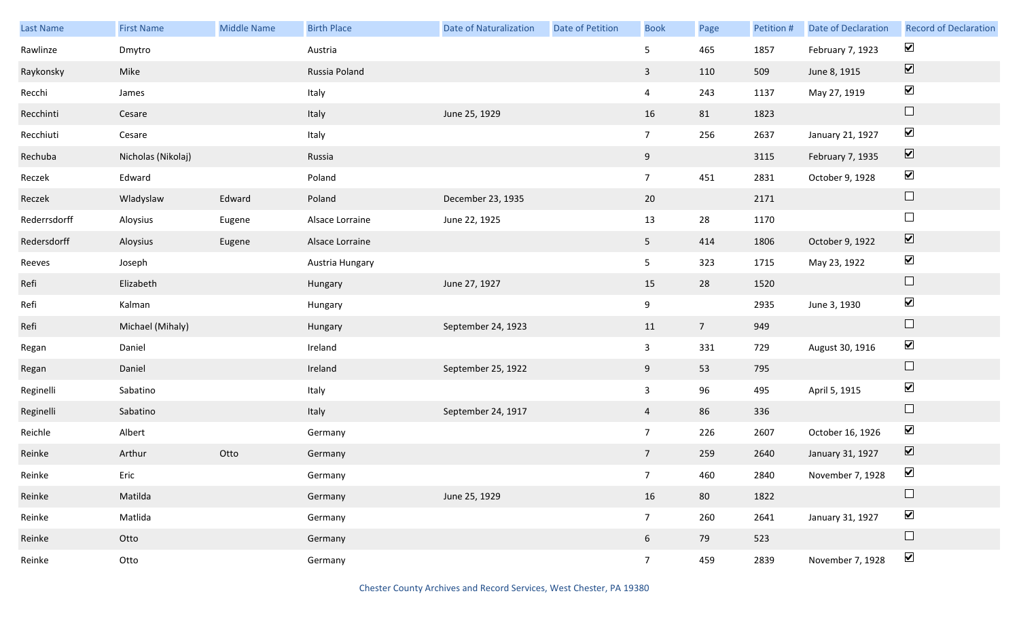| Last Name    | <b>First Name</b>  | Middle Name | <b>Birth Place</b> | <b>Date of Naturalization</b> | Date of Petition | <b>Book</b>     | Page           | Petition # | <b>Date of Declaration</b> | <b>Record of Declaration</b> |
|--------------|--------------------|-------------|--------------------|-------------------------------|------------------|-----------------|----------------|------------|----------------------------|------------------------------|
| Rawlinze     | Dmytro             |             | Austria            |                               |                  | 5 <sub>1</sub>  | 465            | 1857       | February 7, 1923           | $\blacktriangledown$         |
| Raykonsky    | Mike               |             | Russia Poland      |                               |                  | $\mathbf{3}$    | 110            | 509        | June 8, 1915               | $\boxed{\blacktriangledown}$ |
| Recchi       | James              |             | Italy              |                               |                  | $\overline{4}$  | 243            | 1137       | May 27, 1919               | $\blacktriangleright$        |
| Recchinti    | Cesare             |             | Italy              | June 25, 1929                 |                  | 16              | 81             | 1823       |                            | $\Box$                       |
| Recchiuti    | Cesare             |             | Italy              |                               |                  | 7 <sup>7</sup>  | 256            | 2637       | January 21, 1927           | $\blacktriangledown$         |
| Rechuba      | Nicholas (Nikolaj) |             | Russia             |                               |                  | 9               |                | 3115       | February 7, 1935           | $\boxed{\blacktriangledown}$ |
| Reczek       | Edward             |             | Poland             |                               |                  | 7 <sup>7</sup>  | 451            | 2831       | October 9, 1928            | $\blacktriangleright$        |
| Reczek       | Wladyslaw          | Edward      | Poland             | December 23, 1935             |                  | 20              |                | 2171       |                            | $\hfill \square$             |
| Rederrsdorff | Aloysius           | Eugene      | Alsace Lorraine    | June 22, 1925                 |                  | 13              | 28             | 1170       |                            | $\Box$                       |
| Redersdorff  | Aloysius           | Eugene      | Alsace Lorraine    |                               |                  | 5 <sub>1</sub>  | 414            | 1806       | October 9, 1922            | $\boxed{\blacktriangledown}$ |
| Reeves       | Joseph             |             | Austria Hungary    |                               |                  | 5 <sub>1</sub>  | 323            | 1715       | May 23, 1922               | $\blacktriangleright$        |
| Refi         | Elizabeth          |             | Hungary            | June 27, 1927                 |                  | 15              | 28             | 1520       |                            | $\hfill \square$             |
| Refi         | Kalman             |             | Hungary            |                               |                  | 9               |                | 2935       | June 3, 1930               | $\blacktriangledown$         |
| Refi         | Michael (Mihaly)   |             | Hungary            | September 24, 1923            |                  | 11              | $\overline{7}$ | 949        |                            | $\hfill \square$             |
| Regan        | Daniel             |             | Ireland            |                               |                  | $\mathbf{3}$    | 331            | 729        | August 30, 1916            | $\blacktriangledown$         |
| Regan        | Daniel             |             | Ireland            | September 25, 1922            |                  | 9               | 53             | 795        |                            | $\hfill \square$             |
| Reginelli    | Sabatino           |             | Italy              |                               |                  | $\mathbf{3}$    | 96             | 495        | April 5, 1915              | $\blacktriangledown$         |
| Reginelli    | Sabatino           |             | Italy              | September 24, 1917            |                  | $\overline{4}$  | 86             | 336        |                            | $\hfill \square$             |
| Reichle      | Albert             |             | Germany            |                               |                  | 7 <sup>7</sup>  | 226            | 2607       | October 16, 1926           | $\blacktriangleright$        |
| Reinke       | Arthur             | Otto        | Germany            |                               |                  | $7\overline{ }$ | 259            | 2640       | January 31, 1927           | $\boxed{\blacktriangledown}$ |
| Reinke       | Eric               |             | Germany            |                               |                  | 7 <sup>7</sup>  | 460            | 2840       | November 7, 1928           | $\blacktriangledown$         |
| Reinke       | Matilda            |             | Germany            | June 25, 1929                 |                  | 16              | 80             | 1822       |                            | $\Box$                       |
| Reinke       | Matlida            |             | Germany            |                               |                  | 7 <sup>7</sup>  | 260            | 2641       | January 31, 1927           | $\blacktriangledown$         |
| Reinke       | Otto               |             | Germany            |                               |                  | 6 <sup>1</sup>  | 79             | 523        |                            | $\Box$                       |
| Reinke       | Otto               |             | Germany            |                               |                  | 7 <sup>7</sup>  | 459            | 2839       | November 7, 1928           | $\blacktriangledown$         |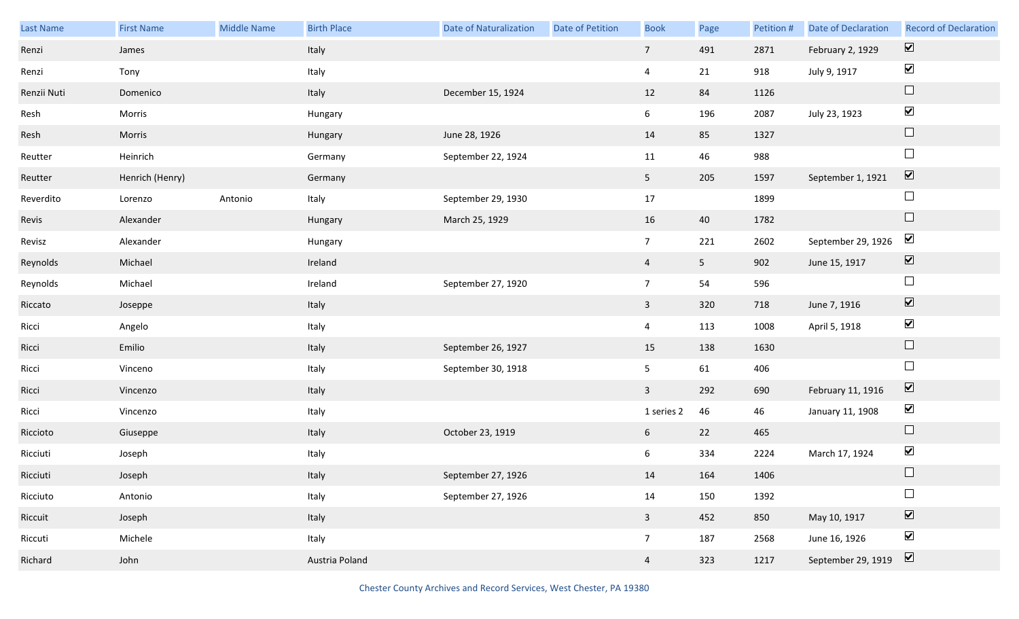| <b>Last Name</b> | <b>First Name</b> | <b>Middle Name</b> | <b>Birth Place</b> | Date of Naturalization | <b>Date of Petition</b> | <b>Book</b>             | Page           | Petition # | <b>Date of Declaration</b> | <b>Record of Declaration</b> |
|------------------|-------------------|--------------------|--------------------|------------------------|-------------------------|-------------------------|----------------|------------|----------------------------|------------------------------|
| Renzi            | James             |                    | Italy              |                        |                         | 7 <sup>7</sup>          | 491            | 2871       | February 2, 1929           | $\overline{\mathbf{v}}$      |
| Renzi            | Tony              |                    | Italy              |                        |                         | $\overline{4}$          | 21             | 918        | July 9, 1917               | $\blacktriangledown$         |
| Renzii Nuti      | Domenico          |                    | Italy              | December 15, 1924      |                         | 12                      | 84             | 1126       |                            | $\Box$                       |
| Resh             | Morris            |                    | Hungary            |                        |                         | $6\overline{6}$         | 196            | 2087       | July 23, 1923              | $\blacktriangledown$         |
| Resh             | Morris            |                    | Hungary            | June 28, 1926          |                         | 14                      | 85             | 1327       |                            | $\Box$                       |
| Reutter          | Heinrich          |                    | Germany            | September 22, 1924     |                         | 11                      | 46             | 988        |                            | $\Box$                       |
| Reutter          | Henrich (Henry)   |                    | Germany            |                        |                         | 5 <sub>1</sub>          | 205            | 1597       | September 1, 1921          | $\overline{\mathbf{v}}$      |
| Reverdito        | Lorenzo           | Antonio            | Italy              | September 29, 1930     |                         | 17                      |                | 1899       |                            | $\Box$                       |
| Revis            | Alexander         |                    | Hungary            | March 25, 1929         |                         | 16                      | 40             | 1782       |                            | $\Box$                       |
| Revisz           | Alexander         |                    | Hungary            |                        |                         | $7\overline{ }$         | 221            | 2602       | September 29, 1926         | $\blacktriangledown$         |
| Reynolds         | Michael           |                    | Ireland            |                        |                         | $\overline{4}$          | 5 <sub>1</sub> | 902        | June 15, 1917              | $\boxed{\blacktriangledown}$ |
| Reynolds         | Michael           |                    | Ireland            | September 27, 1920     |                         | $7\overline{ }$         | 54             | 596        |                            | $\Box$                       |
| Riccato          | Joseppe           |                    | Italy              |                        |                         | $\overline{3}$          | 320            | 718        | June 7, 1916               | $\boxed{\blacktriangledown}$ |
| Ricci            | Angelo            |                    | Italy              |                        |                         | $\overline{4}$          | 113            | 1008       | April 5, 1918              | $\blacktriangledown$         |
| Ricci            | Emilio            |                    | Italy              | September 26, 1927     |                         | 15                      | 138            | 1630       |                            | $\Box$                       |
| Ricci            | Vinceno           |                    | Italy              | September 30, 1918     |                         | 5 <sub>5</sub>          | 61             | 406        |                            | $\Box$                       |
| Ricci            | Vincenzo          |                    | Italy              |                        |                         | $\overline{3}$          | 292            | 690        | February 11, 1916          | $\overline{\mathbf{v}}$      |
| Ricci            | Vincenzo          |                    | Italy              |                        |                         | 1 series 2              | 46             | 46         | January 11, 1908           | $\blacktriangledown$         |
| Riccioto         | Giuseppe          |                    | Italy              | October 23, 1919       |                         | $6\overline{6}$         | 22             | 465        |                            | $\Box$                       |
| Ricciuti         | Joseph            |                    | Italy              |                        |                         | 6                       | 334            | 2224       | March 17, 1924             | $\blacktriangledown$         |
| Ricciuti         | Joseph            |                    | Italy              | September 27, 1926     |                         | 14                      | 164            | 1406       |                            |                              |
| Ricciuto         | Antonio           |                    | Italy              | September 27, 1926     |                         | 14                      | 150            | 1392       |                            | $\Box$                       |
| Riccuit          | Joseph            |                    | Italy              |                        |                         | $\overline{\mathbf{3}}$ | 452            | 850        | May 10, 1917               | $\boxed{\blacktriangledown}$ |
| Riccuti          | Michele           |                    | Italy              |                        |                         | 7 <sup>7</sup>          | 187            | 2568       | June 16, 1926              | $\blacktriangledown$         |
| Richard          | John              |                    | Austria Poland     |                        |                         | $\overline{4}$          | 323            | 1217       | September 29, 1919         | $\boxed{\blacktriangledown}$ |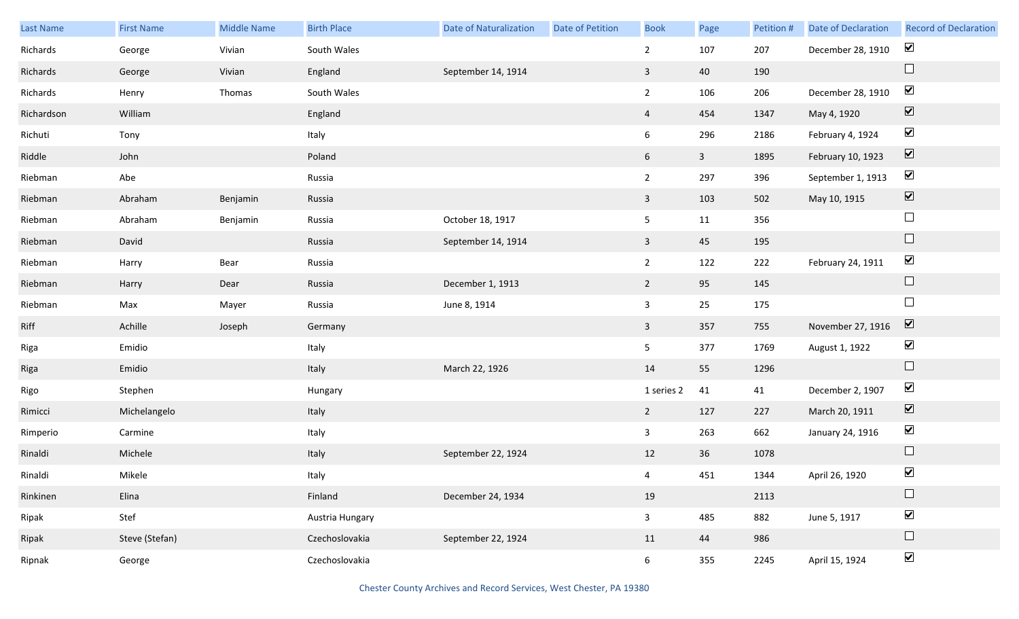| Last Name  | <b>First Name</b> | <b>Middle Name</b> | <b>Birth Place</b> | <b>Date of Naturalization</b> | Date of Petition | <b>Book</b>     | Page         | Petition # | <b>Date of Declaration</b> | <b>Record of Declaration</b> |
|------------|-------------------|--------------------|--------------------|-------------------------------|------------------|-----------------|--------------|------------|----------------------------|------------------------------|
| Richards   | George            | Vivian             | South Wales        |                               |                  | $\overline{2}$  | 107          | 207        | December 28, 1910          | $\blacktriangledown$         |
| Richards   | George            | Vivian             | England            | September 14, 1914            |                  | $\mathbf{3}$    | 40           | 190        |                            | $\Box$                       |
| Richards   | Henry             | Thomas             | South Wales        |                               |                  | $\overline{2}$  | 106          | 206        | December 28, 1910          | $\blacktriangledown$         |
| Richardson | William           |                    | England            |                               |                  | $\overline{4}$  | 454          | 1347       | May 4, 1920                | $\boxed{\blacktriangledown}$ |
| Richuti    | Tony              |                    | Italy              |                               |                  | 6               | 296          | 2186       | February 4, 1924           | $\blacktriangledown$         |
| Riddle     | John              |                    | Poland             |                               |                  | 6               | $\mathbf{3}$ | 1895       | February 10, 1923          | $\boxed{\blacktriangledown}$ |
| Riebman    | Abe               |                    | Russia             |                               |                  | $\overline{2}$  | 297          | 396        | September 1, 1913          | $\blacktriangledown$         |
| Riebman    | Abraham           | Benjamin           | Russia             |                               |                  | $\overline{3}$  | 103          | 502        | May 10, 1915               | $\boxed{\blacktriangledown}$ |
| Riebman    | Abraham           | Benjamin           | Russia             | October 18, 1917              |                  | 5 <sub>5</sub>  | 11           | 356        |                            | $\Box$                       |
| Riebman    | David             |                    | Russia             | September 14, 1914            |                  | $\overline{3}$  | 45           | 195        |                            | $\Box$                       |
| Riebman    | Harry             | Bear               | Russia             |                               |                  | $\overline{2}$  | 122          | 222        | February 24, 1911          | $\blacktriangledown$         |
| Riebman    | Harry             | Dear               | Russia             | December 1, 1913              |                  | $\overline{2}$  | 95           | 145        |                            | $\Box$                       |
| Riebman    | Max               | Mayer              | Russia             | June 8, 1914                  |                  | $\mathbf{3}$    | 25           | 175        |                            | $\Box$                       |
| Riff       | Achille           | Joseph             | Germany            |                               |                  | $\mathbf{3}$    | 357          | 755        | November 27, 1916          | $\overline{\mathbf{V}}$      |
| Riga       | Emidio            |                    | Italy              |                               |                  | 5 <sub>5</sub>  | 377          | 1769       | August 1, 1922             | $\blacktriangledown$         |
| Riga       | Emidio            |                    | Italy              | March 22, 1926                |                  | 14              | 55           | 1296       |                            | $\Box$                       |
| Rigo       | Stephen           |                    | Hungary            |                               |                  | 1 series 2      | 41           | 41         | December 2, 1907           | $\blacktriangledown$         |
| Rimicci    | Michelangelo      |                    | Italy              |                               |                  | 2               | 127          | 227        | March 20, 1911             | $\boxed{\blacktriangledown}$ |
| Rimperio   | Carmine           |                    | Italy              |                               |                  | $\mathbf{3}$    | 263          | 662        | January 24, 1916           | $\blacktriangleright$        |
| Rinaldi    | Michele           |                    | Italy              | September 22, 1924            |                  | 12              | 36           | 1078       |                            | $\Box$                       |
| Rinaldi    | Mikele            |                    | Italy              |                               |                  | $\overline{4}$  | 451          | 1344       | April 26, 1920             | $\blacktriangledown$         |
| Rinkinen   | Elina             |                    | Finland            | December 24, 1934             |                  | 19              |              | 2113       |                            | $\Box$                       |
| Ripak      | Stef              |                    | Austria Hungary    |                               |                  | $\mathbf{3}$    | 485          | 882        | June 5, 1917               | $\blacktriangledown$         |
| Ripak      | Steve (Stefan)    |                    | Czechoslovakia     | September 22, 1924            |                  | 11              | 44           | 986        |                            | $\Box$                       |
| Ripnak     | George            |                    | Czechoslovakia     |                               |                  | $6\overline{6}$ | 355          | 2245       | April 15, 1924             | $\blacktriangledown$         |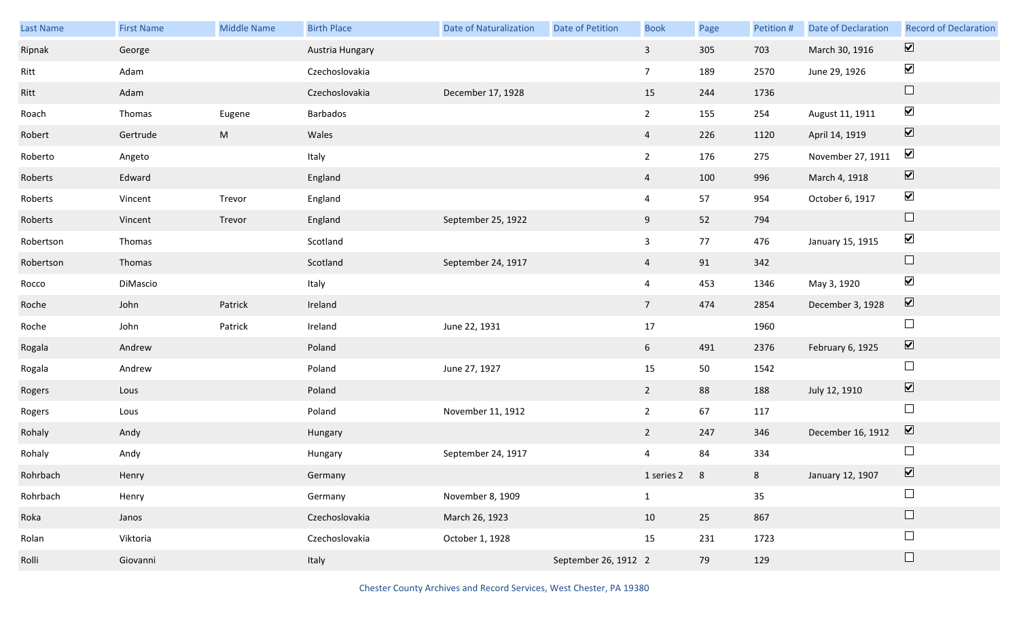| Last Name | <b>First Name</b> | Middle Name | <b>Birth Place</b> | <b>Date of Naturalization</b> | Date of Petition     | <b>Book</b>     | Page | Petition #     | <b>Date of Declaration</b> | <b>Record of Declaration</b> |
|-----------|-------------------|-------------|--------------------|-------------------------------|----------------------|-----------------|------|----------------|----------------------------|------------------------------|
| Ripnak    | George            |             | Austria Hungary    |                               |                      | $\mathbf{3}$    | 305  | 703            | March 30, 1916             | $\overline{\mathbf{v}}$      |
| Ritt      | Adam              |             | Czechoslovakia     |                               |                      | $7\overline{ }$ | 189  | 2570           | June 29, 1926              | $\blacktriangleright$        |
| Ritt      | Adam              |             | Czechoslovakia     | December 17, 1928             |                      | 15              | 244  | 1736           |                            | $\Box$                       |
| Roach     | Thomas            | Eugene      | Barbados           |                               |                      | $\overline{2}$  | 155  | 254            | August 11, 1911            | $\blacktriangledown$         |
| Robert    | Gertrude          | ${\sf M}$   | Wales              |                               |                      | $\overline{4}$  | 226  | 1120           | April 14, 1919             | $\boxed{\blacktriangledown}$ |
| Roberto   | Angeto            |             | Italy              |                               |                      | $\overline{2}$  | 176  | 275            | November 27, 1911          | $\blacktriangledown$         |
| Roberts   | Edward            |             | England            |                               |                      | $\overline{4}$  | 100  | 996            | March 4, 1918              | $\boxed{\blacktriangledown}$ |
| Roberts   | Vincent           | Trevor      | England            |                               |                      | $\overline{4}$  | 57   | 954            | October 6, 1917            | $\blacktriangledown$         |
| Roberts   | Vincent           | Trevor      | England            | September 25, 1922            |                      | 9               | 52   | 794            |                            | $\Box$                       |
| Robertson | Thomas            |             | Scotland           |                               |                      | $\mathbf{3}$    | 77   | 476            | January 15, 1915           | $\blacktriangledown$         |
| Robertson | Thomas            |             | Scotland           | September 24, 1917            |                      | $\overline{4}$  | 91   | 342            |                            | $\Box$                       |
| Rocco     | DiMascio          |             | Italy              |                               |                      | $\overline{4}$  | 453  | 1346           | May 3, 1920                | $\blacktriangledown$         |
| Roche     | John              | Patrick     | Ireland            |                               |                      | $7\overline{ }$ | 474  | 2854           | December 3, 1928           | $\overline{\mathbf{v}}$      |
| Roche     | John              | Patrick     | Ireland            | June 22, 1931                 |                      | 17              |      | 1960           |                            | $\Box$                       |
| Rogala    | Andrew            |             | Poland             |                               |                      | 6               | 491  | 2376           | February 6, 1925           | $\boxed{\blacktriangledown}$ |
| Rogala    | Andrew            |             | Poland             | June 27, 1927                 |                      | 15              | 50   | 1542           |                            | $\Box$                       |
| Rogers    | Lous              |             | Poland             |                               |                      | $\overline{2}$  | 88   | 188            | July 12, 1910              | $\boxed{\blacktriangledown}$ |
| Rogers    | Lous              |             | Poland             | November 11, 1912             |                      | $\overline{2}$  | 67   | 117            |                            | $\Box$                       |
| Rohaly    | Andy              |             | Hungary            |                               |                      | $\overline{2}$  | 247  | 346            | December 16, 1912          | $\boxed{\mathbf{v}}$         |
| Rohaly    | Andy              |             | Hungary            | September 24, 1917            |                      | $\overline{4}$  | 84   | 334            |                            | $\Box$                       |
| Rohrbach  | Henry             |             | Germany            |                               |                      | 1 series 2 8    |      | 8 <sup>7</sup> | January 12, 1907           | $\boxed{\mathbf{v}}$         |
| Rohrbach  | Henry             |             | Germany            | November 8, 1909              |                      | $\mathbf{1}$    |      | 35             |                            | $\Box$                       |
| Roka      | Janos             |             | Czechoslovakia     | March 26, 1923                |                      | 10              | 25   | 867            |                            | $\Box$                       |
| Rolan     | Viktoria          |             | Czechoslovakia     | October 1, 1928               |                      | 15              | 231  | 1723           |                            | $\Box$                       |
| Rolli     | Giovanni          |             | Italy              |                               | September 26, 1912 2 |                 | 79   | 129            |                            | $\Box$                       |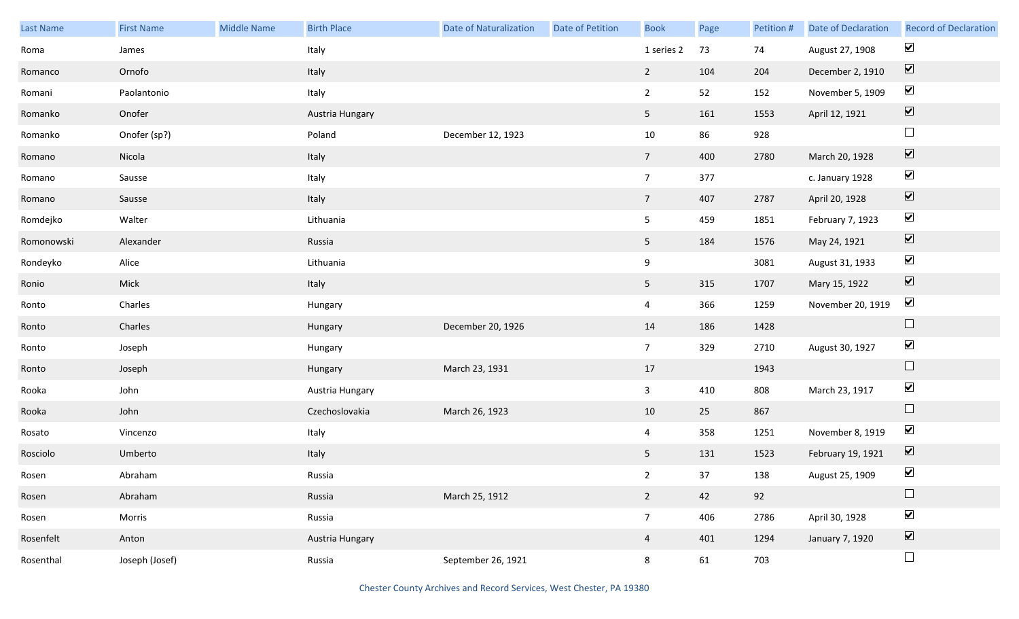| Last Name  | <b>First Name</b> | Middle Name | <b>Birth Place</b> | <b>Date of Naturalization</b> | Date of Petition | <b>Book</b>     | Page | Petition # | Date of Declaration | <b>Record of Declaration</b> |
|------------|-------------------|-------------|--------------------|-------------------------------|------------------|-----------------|------|------------|---------------------|------------------------------|
| Roma       | James             |             | Italy              |                               |                  | 1 series 2      | 73   | 74         | August 27, 1908     | $\blacktriangledown$         |
| Romanco    | Ornofo            |             | Italy              |                               |                  | $2^{\circ}$     | 104  | 204        | December 2, 1910    | $\boxed{\blacktriangledown}$ |
| Romani     | Paolantonio       |             | Italy              |                               |                  | $2^{\circ}$     | 52   | 152        | November 5, 1909    | $\blacktriangledown$         |
| Romanko    | Onofer            |             | Austria Hungary    |                               |                  | 5 <sub>1</sub>  | 161  | 1553       | April 12, 1921      | $\boxed{\blacktriangledown}$ |
| Romanko    | Onofer (sp?)      |             | Poland             | December 12, 1923             |                  | $10\,$          | 86   | 928        |                     | $\Box$                       |
| Romano     | Nicola            |             | Italy              |                               |                  | $7\overline{ }$ | 400  | 2780       | March 20, 1928      | $\boxed{\blacktriangledown}$ |
| Romano     | Sausse            |             | Italy              |                               |                  | 7 <sup>7</sup>  | 377  |            | c. January 1928     | $\blacktriangledown$         |
| Romano     | Sausse            |             | Italy              |                               |                  | $7\overline{ }$ | 407  | 2787       | April 20, 1928      | $\boxed{\blacktriangledown}$ |
| Romdejko   | Walter            |             | Lithuania          |                               |                  | 5 <sub>5</sub>  | 459  | 1851       | February 7, 1923    | $\blacktriangledown$         |
| Romonowski | Alexander         |             | Russia             |                               |                  | 5 <sub>1</sub>  | 184  | 1576       | May 24, 1921        | $\boxed{\blacktriangledown}$ |
| Rondeyko   | Alice             |             | Lithuania          |                               |                  | 9               |      | 3081       | August 31, 1933     | $\blacktriangledown$         |
| Ronio      | Mick              |             | Italy              |                               |                  | 5 <sub>5</sub>  | 315  | 1707       | Mary 15, 1922       | $\blacktriangledown$         |
| Ronto      | Charles           |             | Hungary            |                               |                  | $\overline{4}$  | 366  | 1259       | November 20, 1919   | $\blacktriangledown$         |
| Ronto      | Charles           |             | Hungary            | December 20, 1926             |                  | 14              | 186  | 1428       |                     | $\hfill \square$             |
| Ronto      | Joseph            |             | Hungary            |                               |                  | 7 <sup>7</sup>  | 329  | 2710       | August 30, 1927     | $\blacktriangledown$         |
| Ronto      | Joseph            |             | Hungary            | March 23, 1931                |                  | 17              |      | 1943       |                     | $\Box$                       |
| Rooka      | John              |             | Austria Hungary    |                               |                  | $\overline{3}$  | 410  | 808        | March 23, 1917      | $\blacktriangledown$         |
| Rooka      | John              |             | Czechoslovakia     | March 26, 1923                |                  | 10              | 25   | 867        |                     | $\hfill \square$             |
| Rosato     | Vincenzo          |             | Italy              |                               |                  | $\overline{4}$  | 358  | 1251       | November 8, 1919    | $\blacktriangledown$         |
| Rosciolo   | Umberto           |             | Italy              |                               |                  | 5 <sub>5</sub>  | 131  | 1523       | February 19, 1921   | $\boxed{\blacktriangledown}$ |
| Rosen      | Abraham           |             | Russia             |                               |                  | $2^{\circ}$     | 37   | 138        | August 25, 1909     | $\blacktriangledown$         |
| Rosen      | Abraham           |             | Russia             | March 25, 1912                |                  | $2^{\circ}$     | 42   | 92         |                     | $\Box$                       |
| Rosen      | Morris            |             | Russia             |                               |                  | 7 <sup>7</sup>  | 406  | 2786       | April 30, 1928      | $\blacktriangledown$         |
| Rosenfelt  | Anton             |             | Austria Hungary    |                               |                  | $\overline{4}$  | 401  | 1294       | January 7, 1920     | $\boxed{\blacktriangledown}$ |
| Rosenthal  | Joseph (Josef)    |             | Russia             | September 26, 1921            |                  | 8               | 61   | 703        |                     | $\Box$                       |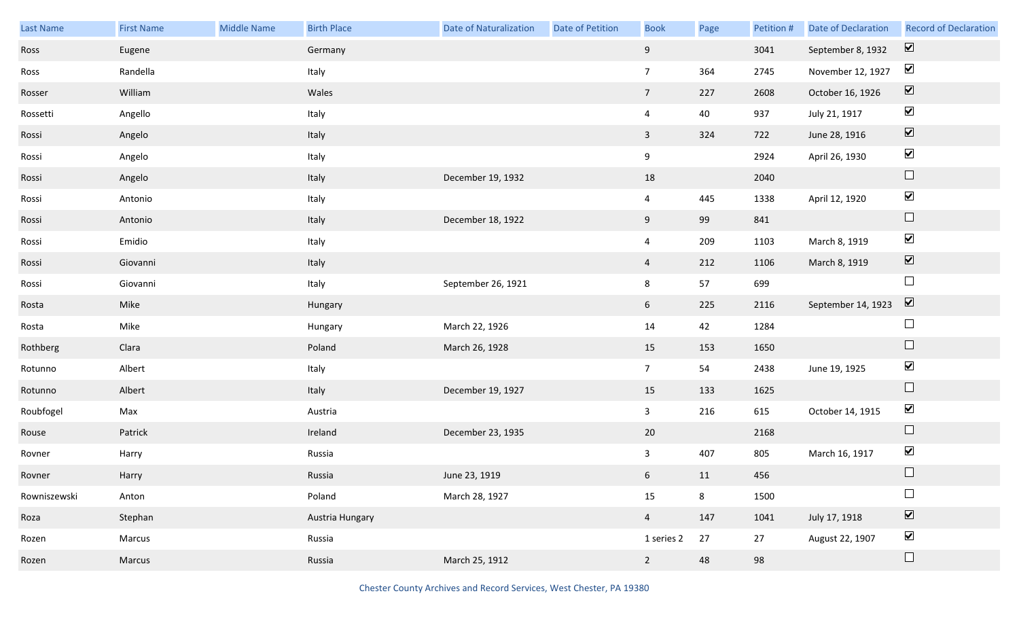| Last Name    | <b>First Name</b> | <b>Middle Name</b> | <b>Birth Place</b> | <b>Date of Naturalization</b> | <b>Date of Petition</b> | <b>Book</b>             | Page | Petition # | Date of Declaration | <b>Record of Declaration</b> |
|--------------|-------------------|--------------------|--------------------|-------------------------------|-------------------------|-------------------------|------|------------|---------------------|------------------------------|
| Ross         | Eugene            |                    | Germany            |                               |                         | 9                       |      | 3041       | September 8, 1932   | $\overline{\mathbf{v}}$      |
| Ross         | Randella          |                    | Italy              |                               |                         | $7\overline{ }$         | 364  | 2745       | November 12, 1927   | $\blacktriangledown$         |
| Rosser       | William           |                    | Wales              |                               |                         | 7 <sup>7</sup>          | 227  | 2608       | October 16, 1926    | $\boxed{\blacktriangledown}$ |
| Rossetti     | Angello           |                    | Italy              |                               |                         | $\overline{4}$          | 40   | 937        | July 21, 1917       | $\blacktriangledown$         |
| Rossi        | Angelo            |                    | Italy              |                               |                         | $\overline{\mathbf{3}}$ | 324  | 722        | June 28, 1916       | $\boxed{\blacktriangledown}$ |
| Rossi        | Angelo            |                    | Italy              |                               |                         | 9                       |      | 2924       | April 26, 1930      | $\blacktriangledown$         |
| Rossi        | Angelo            |                    | Italy              | December 19, 1932             |                         | 18                      |      | 2040       |                     | $\hfill \square$             |
| Rossi        | Antonio           |                    | Italy              |                               |                         | $\overline{4}$          | 445  | 1338       | April 12, 1920      | $\blacktriangledown$         |
| Rossi        | Antonio           |                    | Italy              | December 18, 1922             |                         | 9                       | 99   | 841        |                     | $\Box$                       |
| Rossi        | Emidio            |                    | Italy              |                               |                         | $\overline{4}$          | 209  | 1103       | March 8, 1919       | $\blacktriangledown$         |
| Rossi        | Giovanni          |                    | Italy              |                               |                         | $\overline{4}$          | 212  | 1106       | March 8, 1919       | $\boxed{\blacktriangledown}$ |
| Rossi        | Giovanni          |                    | Italy              | September 26, 1921            |                         | 8                       | 57   | 699        |                     | $\Box$                       |
| Rosta        | Mike              |                    | Hungary            |                               |                         | $6\overline{6}$         | 225  | 2116       | September 14, 1923  | $\boxed{\blacktriangledown}$ |
| Rosta        | Mike              |                    | Hungary            | March 22, 1926                |                         | 14                      | 42   | 1284       |                     | $\Box$                       |
| Rothberg     | Clara             |                    | Poland             | March 26, 1928                |                         | 15                      | 153  | 1650       |                     | $\hfill \square$             |
| Rotunno      | Albert            |                    | Italy              |                               |                         | 7 <sup>7</sup>          | 54   | 2438       | June 19, 1925       | $\blacktriangledown$         |
| Rotunno      | Albert            |                    | Italy              | December 19, 1927             |                         | 15                      | 133  | 1625       |                     | $\Box$                       |
| Roubfogel    | Max               |                    | Austria            |                               |                         | $\mathbf{3}$            | 216  | 615        | October 14, 1915    | $\blacktriangledown$         |
| Rouse        | Patrick           |                    | Ireland            | December 23, 1935             |                         | 20                      |      | 2168       |                     | $\Box$                       |
| Rovner       | Harry             |                    | Russia             |                               |                         | $\mathbf{3}$            | 407  | 805        | March 16, 1917      | $\blacktriangledown$         |
| Rovner       | Harry             |                    | Russia             | June 23, 1919                 |                         | $6\overline{6}$         | 11   | 456        |                     | $\Box$                       |
| Rowniszewski | Anton             |                    | Poland             | March 28, 1927                |                         | 15                      | 8    | 1500       |                     | $\Box$                       |
| Roza         | Stephan           |                    | Austria Hungary    |                               |                         | $\overline{4}$          | 147  | 1041       | July 17, 1918       | $\boxed{\blacktriangledown}$ |
| Rozen        | Marcus            |                    | Russia             |                               |                         | 1 series 2              | 27   | 27         | August 22, 1907     | $\blacktriangledown$         |
| Rozen        | Marcus            |                    | Russia             | March 25, 1912                |                         | $2^{\circ}$             | 48   | 98         |                     | $\Box$                       |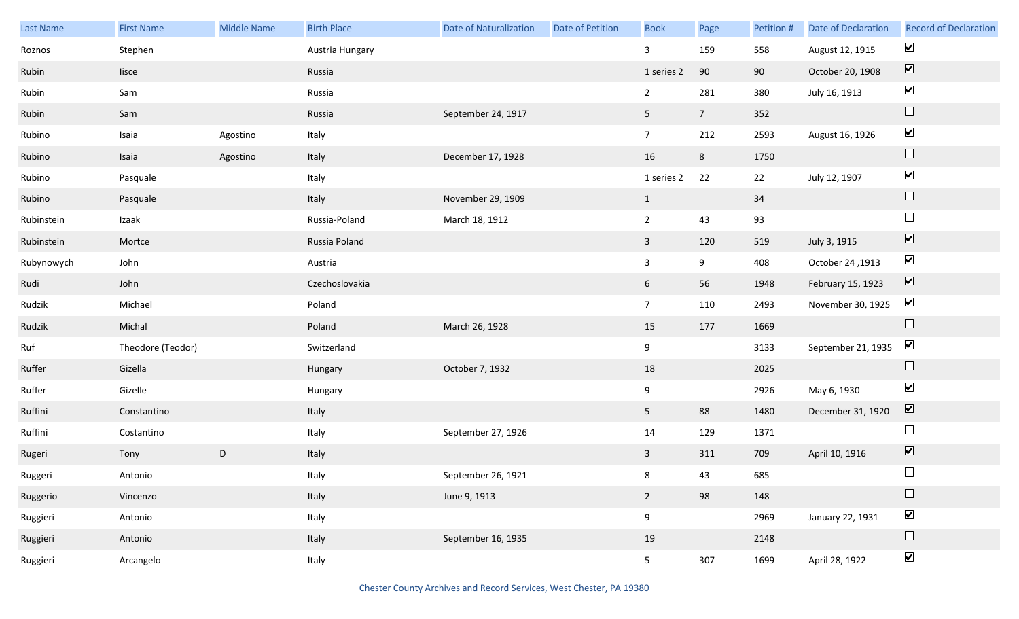| Last Name  | <b>First Name</b> | <b>Middle Name</b> | <b>Birth Place</b> | <b>Date of Naturalization</b> | <b>Date of Petition</b> | <b>Book</b>    | Page           | Petition # | Date of Declaration | <b>Record of Declaration</b>    |
|------------|-------------------|--------------------|--------------------|-------------------------------|-------------------------|----------------|----------------|------------|---------------------|---------------------------------|
| Roznos     | Stephen           |                    | Austria Hungary    |                               |                         | $\mathbf{3}$   | 159            | 558        | August 12, 1915     | $\blacktriangledown$            |
| Rubin      | lisce             |                    | Russia             |                               |                         | 1 series 2     | 90             | 90         | October 20, 1908    | $\boxed{\blacktriangledown}$    |
| Rubin      | Sam               |                    | Russia             |                               |                         | $\overline{2}$ | 281            | 380        | July 16, 1913       | $\blacktriangledown$            |
| Rubin      | Sam               |                    | Russia             | September 24, 1917            |                         | 5 <sub>1</sub> | 7 <sup>7</sup> | 352        |                     | $\Box$                          |
| Rubino     | Isaia             | Agostino           | Italy              |                               |                         | 7 <sup>7</sup> | 212            | 2593       | August 16, 1926     | $\blacktriangledown$            |
| Rubino     | Isaia             | Agostino           | Italy              | December 17, 1928             |                         | 16             | 8              | 1750       |                     | $\hfill \square$                |
| Rubino     | Pasquale          |                    | Italy              |                               |                         | 1 series 2     | 22             | 22         | July 12, 1907       | $\blacktriangledown$            |
| Rubino     | Pasquale          |                    | Italy              | November 29, 1909             |                         | $\mathbf{1}$   |                | 34         |                     | $\hfill \square$                |
| Rubinstein | Izaak             |                    | Russia-Poland      | March 18, 1912                |                         | $\overline{2}$ | 43             | 93         |                     | $\Box$                          |
| Rubinstein | Mortce            |                    | Russia Poland      |                               |                         | $\mathbf{3}$   | 120            | 519        | July 3, 1915        | $\boxed{\blacktriangledown}$    |
| Rubynowych | John              |                    | Austria            |                               |                         | $\mathbf{3}$   | 9              | 408        | October 24, 1913    | $\blacktriangledown$            |
| Rudi       | John              |                    | Czechoslovakia     |                               |                         | 6              | 56             | 1948       | February 15, 1923   | $\overline{\blacktriangledown}$ |
| Rudzik     | Michael           |                    | Poland             |                               |                         | 7 <sup>7</sup> | 110            | 2493       | November 30, 1925   | $\blacktriangledown$            |
| Rudzik     | Michal            |                    | Poland             | March 26, 1928                |                         | 15             | 177            | 1669       |                     | $\Box$                          |
| Ruf        | Theodore (Teodor) |                    | Switzerland        |                               |                         | 9              |                | 3133       | September 21, 1935  | $\blacktriangledown$            |
| Ruffer     | Gizella           |                    | Hungary            | October 7, 1932               |                         | 18             |                | 2025       |                     | $\Box$                          |
| Ruffer     | Gizelle           |                    | Hungary            |                               |                         | 9              |                | 2926       | May 6, 1930         | $\blacktriangledown$            |
| Ruffini    | Constantino       |                    | Italy              |                               |                         | 5 <sub>1</sub> | 88             | 1480       | December 31, 1920   | $\boxed{\mathbf{v}}$            |
| Ruffini    | Costantino        |                    | Italy              | September 27, 1926            |                         | 14             | 129            | 1371       |                     | $\Box$                          |
| Rugeri     | Tony              | D                  | Italy              |                               |                         | $\mathbf{3}$   | 311            | 709        | April 10, 1916      | $\boxed{\blacktriangledown}$    |
| Ruggeri    | Antonio           |                    | Italy              | September 26, 1921            |                         | 8              | 43             | 685        |                     | $\Box$                          |
| Ruggerio   | Vincenzo          |                    | Italy              | June 9, 1913                  |                         | $\overline{2}$ | 98             | 148        |                     | $\Box$                          |
| Ruggieri   | Antonio           |                    | Italy              |                               |                         | 9              |                | 2969       | January 22, 1931    | $\blacktriangledown$            |
| Ruggieri   | Antonio           |                    | Italy              | September 16, 1935            |                         | 19             |                | 2148       |                     | $\Box$                          |
| Ruggieri   | Arcangelo         |                    | Italy              |                               |                         | 5 <sub>1</sub> | 307            | 1699       | April 28, 1922      | $\blacktriangledown$            |